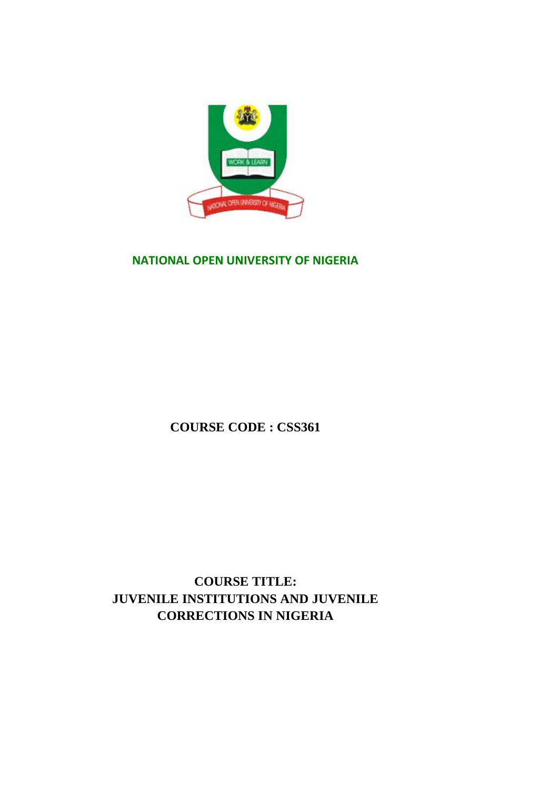

#### **NATIONAL OPEN UNIVERSITY OF NIGERIA**

**COURSE CODE : CSS361**

**COURSE TITLE: JUVENILE INSTITUTIONS AND JUVENILE CORRECTIONS IN NIGERIA**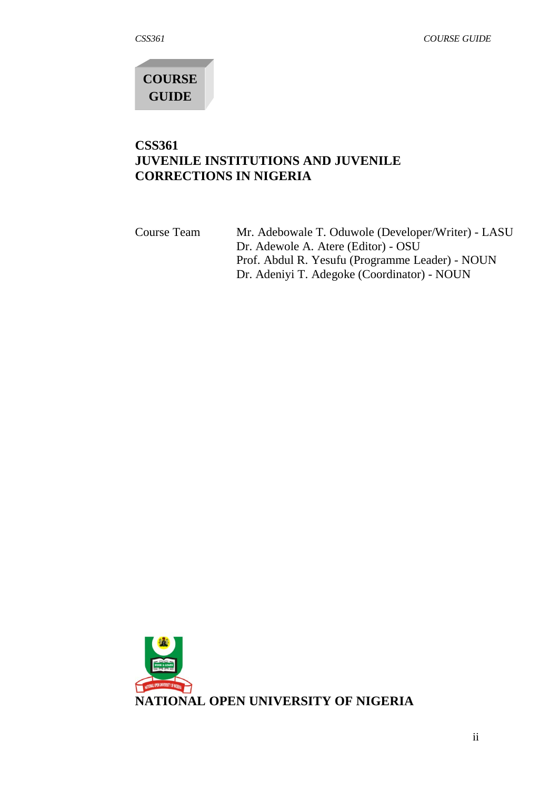**COURSE GUIDE**

## **CSS361 JUVENILE INSTITUTIONS AND JUVENILE CORRECTIONS IN NIGERIA**

Course Team Mr. Adebowale T. Oduwole (Developer/Writer) - LASU Dr. Adewole A. Atere (Editor) - OSU Prof. Abdul R. Yesufu (Programme Leader) - NOUN Dr. Adeniyi T. Adegoke (Coordinator) - NOUN

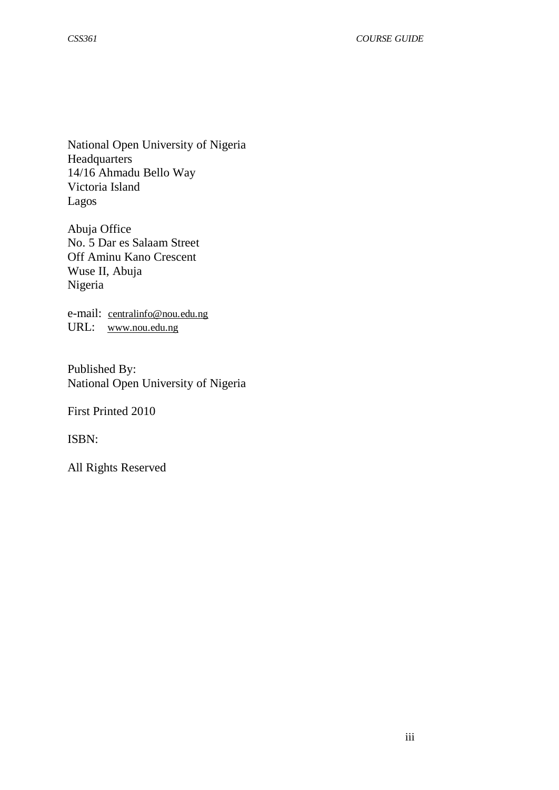National Open University of Nigeria Headquarters 14/16 Ahmadu Bello Way Victoria Island Lagos

Abuja Office No. 5 Dar es Salaam Street Off Aminu Kano Crescent Wuse II, Abuja Nigeria

e-mail: [centralinfo@nou.edu.ng](mailto:centralinfo@nou.edu.ng) URL: [www.nou.edu.ng](http://www.nou.edu.ng/)

Published By: National Open University of Nigeria

First Printed 2010

ISBN:

All Rights Reserved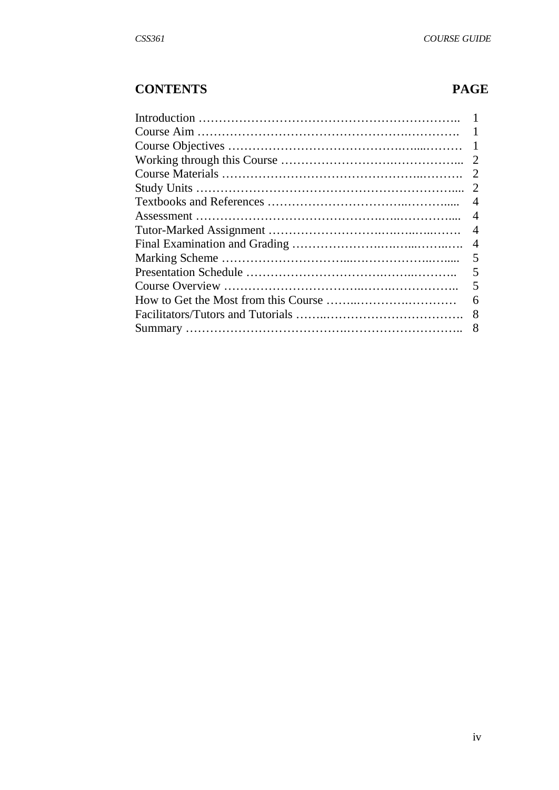# **CONTENTS PAGE**

| -1             |
|----------------|
| 2              |
| 2              |
|                |
| $\overline{4}$ |
| $\overline{4}$ |
| $\overline{4}$ |
| $\overline{4}$ |
| 5              |
| 5              |
| 5              |
| 6              |
| 8              |
| 8              |
|                |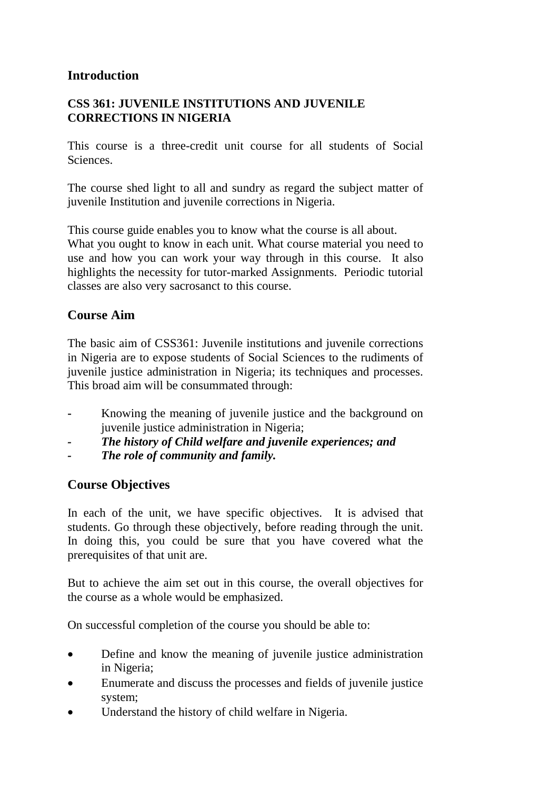## **Introduction**

## **CSS 361: JUVENILE INSTITUTIONS AND JUVENILE CORRECTIONS IN NIGERIA**

This course is a three-credit unit course for all students of Social Sciences.

The course shed light to all and sundry as regard the subject matter of juvenile Institution and juvenile corrections in Nigeria.

This course guide enables you to know what the course is all about.

What you ought to know in each unit. What course material you need to use and how you can work your way through in this course. It also highlights the necessity for tutor-marked Assignments. Periodic tutorial classes are also very sacrosanct to this course.

# **Course Aim**

The basic aim of CSS361: Juvenile institutions and juvenile corrections in Nigeria are to expose students of Social Sciences to the rudiments of juvenile justice administration in Nigeria; its techniques and processes. This broad aim will be consummated through:

- **-** Knowing the meaning of juvenile justice and the background on juvenile justice administration in Nigeria;
- *- The history of Child welfare and juvenile experiences; and*
- *- The role of community and family.*

## **Course Objectives**

In each of the unit, we have specific objectives. It is advised that students. Go through these objectively, before reading through the unit. In doing this, you could be sure that you have covered what the prerequisites of that unit are.

But to achieve the aim set out in this course, the overall objectives for the course as a whole would be emphasized.

On successful completion of the course you should be able to:

- Define and know the meaning of juvenile justice administration in Nigeria;
- Enumerate and discuss the processes and fields of juvenile justice system;
- Understand the history of child welfare in Nigeria.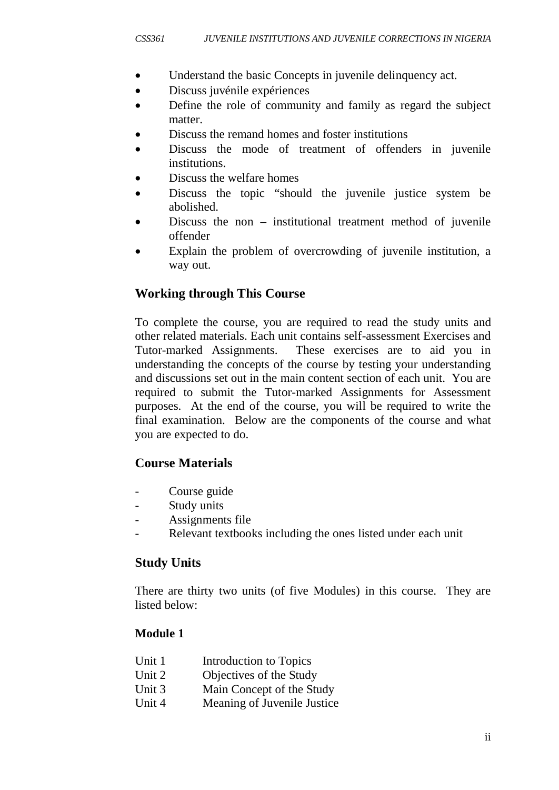- Understand the basic Concepts in juvenile delinquency act.
- Discuss juvénile expériences
- Define the role of community and family as regard the subject matter.
- Discuss the remand homes and foster institutions
- Discuss the mode of treatment of offenders in juvenile institutions.
- Discuss the welfare homes
- Discuss the topic "should the juvenile justice system be abolished.
- Discuss the non institutional treatment method of juvenile offender
- Explain the problem of overcrowding of juvenile institution, a way out.

# **Working through This Course**

To complete the course, you are required to read the study units and other related materials. Each unit contains self-assessment Exercises and Tutor-marked Assignments. These exercises are to aid you in understanding the concepts of the course by testing your understanding and discussions set out in the main content section of each unit. You are required to submit the Tutor-marked Assignments for Assessment purposes. At the end of the course, you will be required to write the final examination. Below are the components of the course and what you are expected to do.

# **Course Materials**

- Course guide
- Study units
- Assignments file
- Relevant textbooks including the ones listed under each unit

## **Study Units**

There are thirty two units (of five Modules) in this course.They are listed below:

## **Module 1**

| Unit 1 | Introduction to Topics      |
|--------|-----------------------------|
| Unit 2 | Objectives of the Study     |
| Unit 3 | Main Concept of the Study   |
| Unit 4 | Meaning of Juvenile Justice |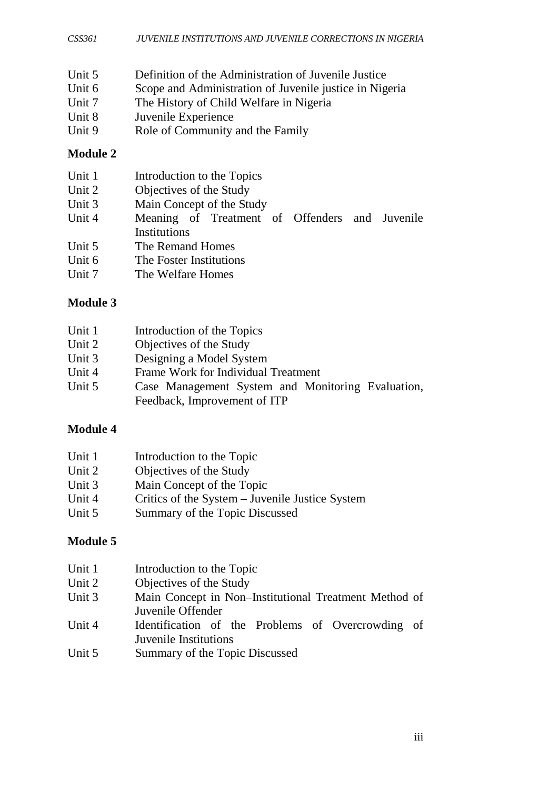- Unit 5 Definition of the Administration of Juvenile Justice<br>Unit 6 Scope and Administration of Juvenile iustice in Nig
- Unit 6 Scope and Administration of Juvenile justice in Nigeria<br>Unit 7 The History of Child Welfare in Nigeria
- The History of Child Welfare in Nigeria
- Unit 8 Juvenile Experience<br>Unit 9 Role of Community
- Role of Community and the Family

#### **Module 2**

| Unit 1 | Introduction to the Topics                     |
|--------|------------------------------------------------|
| Unit 2 | Objectives of the Study                        |
| Unit 3 | Main Concept of the Study                      |
| Unit 4 | Meaning of Treatment of Offenders and Juvenile |
|        | Institutions                                   |
| Unit 5 | The Remand Homes                               |
| Unit 6 | The Foster Institutions                        |
| Unit 7 | The Welfare Homes                              |
|        |                                                |

## **Module 3**

| Unit 1 | Introduction of the Topics                        |
|--------|---------------------------------------------------|
| Unit 2 | Objectives of the Study                           |
| Unit 3 | Designing a Model System                          |
| Unit 4 | Frame Work for Individual Treatment               |
| Unit 5 | Case Management System and Monitoring Evaluation, |
|        | Feedback, Improvement of ITP                      |

# **Module 4**

| Unit 1 | Introduction to the Topic                       |
|--------|-------------------------------------------------|
| Unit 2 | Objectives of the Study                         |
| Unit 3 | Main Concept of the Topic                       |
| Unit 4 | Critics of the System – Juvenile Justice System |
| Unit 5 | Summary of the Topic Discussed                  |

#### **Module 5**

| Unit 1 | Introduction to the Topic                             |
|--------|-------------------------------------------------------|
| Unit 2 | Objectives of the Study                               |
| Unit 3 | Main Concept in Non-Institutional Treatment Method of |
|        | Juvenile Offender                                     |
| Unit 4 | Identification of the Problems of Overcrowding of     |
|        | Juvenile Institutions                                 |
| Unit 5 | Summary of the Topic Discussed                        |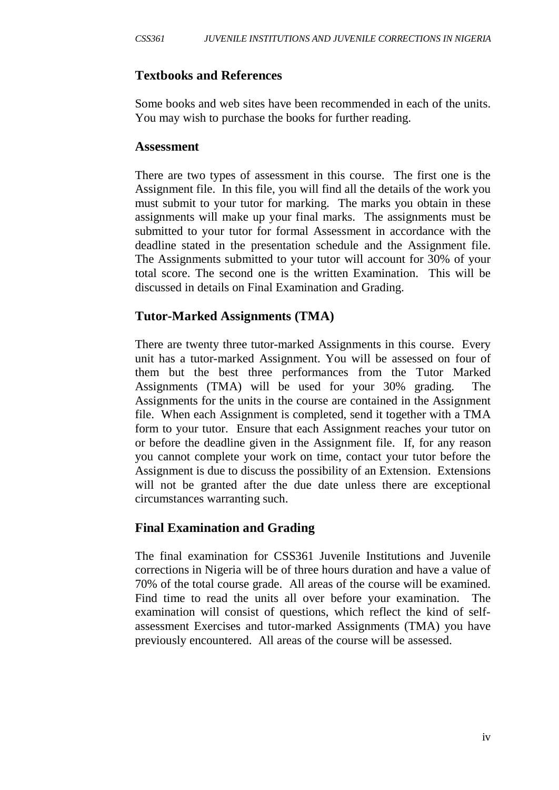## **Textbooks and References**

Some books and web sites have been recommended in each of the units. You may wish to purchase the books for further reading.

#### **Assessment**

There are two types of assessment in this course. The first one is the Assignment file. In this file, you will find all the details of the work you must submit to your tutor for marking. The marks you obtain in these assignments will make up your final marks. The assignments must be submitted to your tutor for formal Assessment in accordance with the deadline stated in the presentation schedule and the Assignment file. The Assignments submitted to your tutor will account for 30% of your total score. The second one is the written Examination. This will be discussed in details on Final Examination and Grading.

#### **Tutor-Marked Assignments (TMA)**

There are twenty three tutor-marked Assignments in this course. Every unit has a tutor-marked Assignment. You will be assessed on four of them but the best three performances from the Tutor Marked Assignments (TMA) will be used for your 30% grading. The Assignments for the units in the course are contained in the Assignment file. When each Assignment is completed, send it together with a TMA form to your tutor. Ensure that each Assignment reaches your tutor on or before the deadline given in the Assignment file. If, for any reason you cannot complete your work on time, contact your tutor before the Assignment is due to discuss the possibility of an Extension. Extensions will not be granted after the due date unless there are exceptional circumstances warranting such.

## **Final Examination and Grading**

The final examination for CSS361 Juvenile Institutions and Juvenile corrections in Nigeria will be of three hours duration and have a value of 70% of the total course grade. All areas of the course will be examined. Find time to read the units all over before your examination. The examination will consist of questions, which reflect the kind of selfassessment Exercises and tutor-marked Assignments (TMA) you have previously encountered. All areas of the course will be assessed.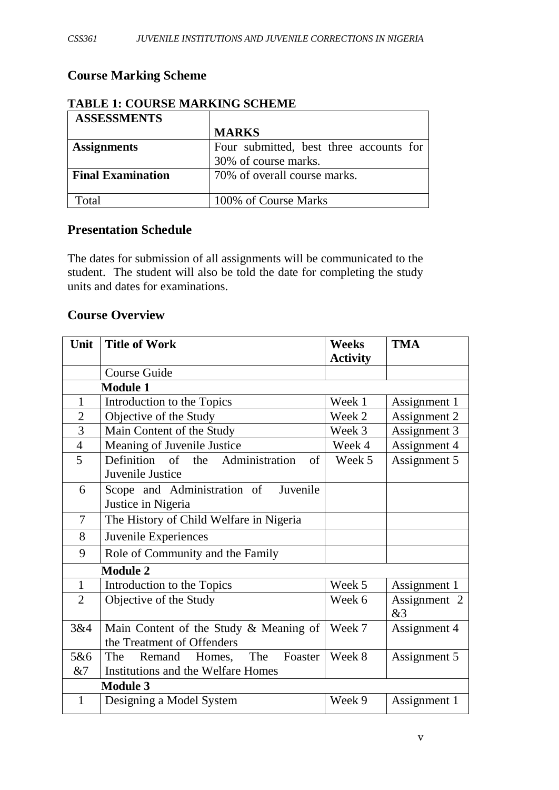# **Course Marking Scheme**

| <b>ASSESSMENTS</b>       |                                         |  |
|--------------------------|-----------------------------------------|--|
|                          | <b>MARKS</b>                            |  |
| <b>Assignments</b>       | Four submitted, best three accounts for |  |
|                          | 30% of course marks.                    |  |
| <b>Final Examination</b> | 70% of overall course marks.            |  |
|                          |                                         |  |
| Total                    | 100% of Course Marks                    |  |

## **TABLE 1: COURSE MARKING SCHEME**

## **Presentation Schedule**

The dates for submission of all assignments will be communicated to the student. The student will also be told the date for completing the study units and dates for examinations.

#### **Course Overview**

| Unit           | <b>Title of Work</b>                                                 | <b>Weeks</b><br><b>Activity</b> | <b>TMA</b>         |
|----------------|----------------------------------------------------------------------|---------------------------------|--------------------|
|                | Course Guide                                                         |                                 |                    |
|                | <b>Module 1</b>                                                      |                                 |                    |
| 1              | Introduction to the Topics                                           | Week 1                          | Assignment 1       |
| $\overline{2}$ | Objective of the Study                                               | Week 2                          | Assignment 2       |
| 3              | Main Content of the Study                                            | Week 3                          | Assignment 3       |
| $\overline{4}$ | Meaning of Juvenile Justice                                          | Week 4                          | Assignment 4       |
| 5              | Definition of the Administration<br>of<br>Juvenile Justice           | Week 5                          | Assignment 5       |
| 6              | Scope and Administration of Juvenile<br>Justice in Nigeria           |                                 |                    |
| $\overline{7}$ | The History of Child Welfare in Nigeria                              |                                 |                    |
| 8              | Juvenile Experiences                                                 |                                 |                    |
| 9              | Role of Community and the Family                                     |                                 |                    |
|                | <b>Module 2</b>                                                      |                                 |                    |
| $\mathbf{1}$   | Introduction to the Topics                                           | Week 5                          | Assignment 1       |
| $\overline{2}$ | Objective of the Study                                               | Week 6                          | Assignment 2<br>&3 |
| 3&4            | Main Content of the Study & Meaning of<br>the Treatment of Offenders | Week 7                          | Assignment 4       |
| 5&6            | The Foaster<br>The<br>Remand Homes,                                  | Week 8                          | Assignment 5       |
| &7             | Institutions and the Welfare Homes                                   |                                 |                    |
|                | <b>Module 3</b>                                                      |                                 |                    |
| $\mathbf{1}$   | Designing a Model System                                             | Week 9                          | Assignment 1       |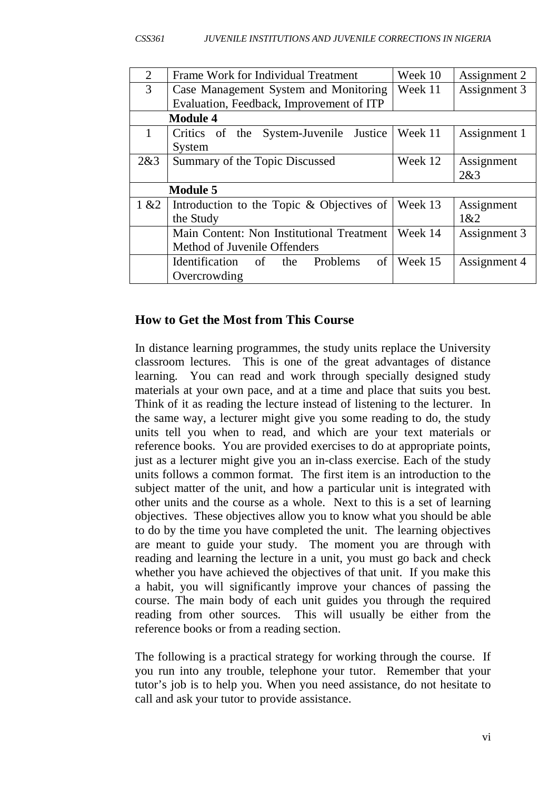| $\overline{2}$ | Frame Work for Individual Treatment          | Week 10 | Assignment 2 |  |
|----------------|----------------------------------------------|---------|--------------|--|
| 3              | Case Management System and Monitoring        | Week 11 | Assignment 3 |  |
|                | Evaluation, Feedback, Improvement of ITP     |         |              |  |
|                | <b>Module 4</b>                              |         |              |  |
| 1              | System-Juvenile<br>Justice<br>Critics of the | Week 11 | Assignment 1 |  |
|                | System                                       |         |              |  |
| 2&3            | Summary of the Topic Discussed               | Week 12 | Assignment   |  |
|                |                                              |         | 2&3          |  |
|                | <b>Module 5</b>                              |         |              |  |
| 1 & 22         | Introduction to the Topic & Objectives of    | Week 13 | Assignment   |  |
|                | the Study                                    |         | 1&2          |  |
|                | Main Content: Non Institutional Treatment    | Week 14 | Assignment 3 |  |
|                | Method of Juvenile Offenders                 |         |              |  |
|                | of<br>Identification of the<br>Problems      | Week 15 | Assignment 4 |  |
|                | Overcrowding                                 |         |              |  |

#### **How to Get the Most from This Course**

In distance learning programmes, the study units replace the University classroom lectures. This is one of the great advantages of distance learning. You can read and work through specially designed study materials at your own pace, and at a time and place that suits you best. Think of it as reading the lecture instead of listening to the lecturer. In the same way, a lecturer might give you some reading to do, the study units tell you when to read, and which are your text materials or reference books. You are provided exercises to do at appropriate points, just as a lecturer might give you an in-class exercise. Each of the study units follows a common format. The first item is an introduction to the subject matter of the unit, and how a particular unit is integrated with other units and the course as a whole. Next to this is a set of learning objectives. These objectives allow you to know what you should be able to do by the time you have completed the unit. The learning objectives are meant to guide your study. The moment you are through with reading and learning the lecture in a unit, you must go back and check whether you have achieved the objectives of that unit. If you make this a habit, you will significantly improve your chances of passing the course. The main body of each unit guides you through the required reading from other sources. This will usually be either from the reference books or from a reading section.

The following is a practical strategy for working through the course. If you run into any trouble, telephone your tutor. Remember that your tutor's job is to help you. When you need assistance, do not hesitate to call and ask your tutor to provide assistance.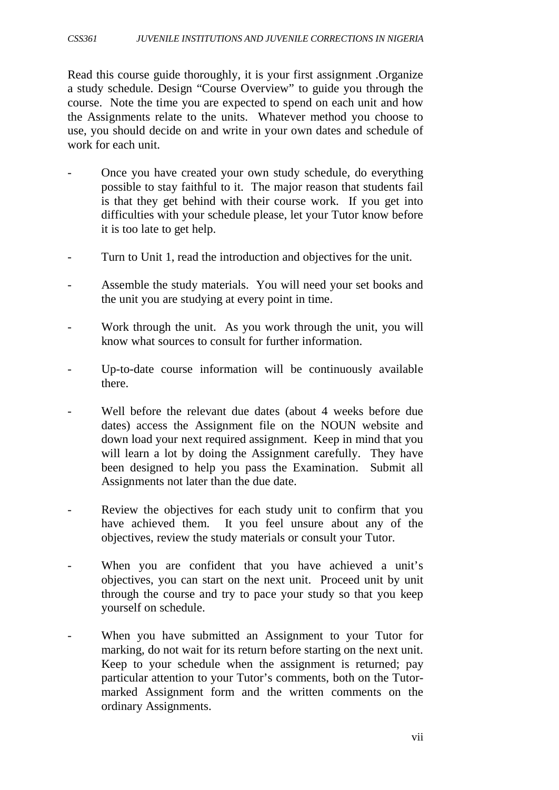Read this course guide thoroughly, it is your first assignment .Organize a study schedule. Design "Course Overview" to guide you through the course. Note the time you are expected to spend on each unit and how the Assignments relate to the units. Whatever method you choose to use, you should decide on and write in your own dates and schedule of work for each unit.

- Once you have created your own study schedule, do everything possible to stay faithful to it. The major reason that students fail is that they get behind with their course work. If you get into difficulties with your schedule please, let your Tutor know before it is too late to get help.
- Turn to Unit 1, read the introduction and objectives for the unit.
- Assemble the study materials. You will need your set books and the unit you are studying at every point in time.
- Work through the unit. As you work through the unit, you will know what sources to consult for further information.
- Up-to-date course information will be continuously available there.
- Well before the relevant due dates (about 4 weeks before due dates) access the Assignment file on the NOUN website and down load your next required assignment. Keep in mind that you will learn a lot by doing the Assignment carefully. They have been designed to help you pass the Examination. Submit all Assignments not later than the due date.
- Review the objectives for each study unit to confirm that you have achieved them. It you feel unsure about any of the objectives, review the study materials or consult your Tutor.
- When you are confident that you have achieved a unit's objectives, you can start on the next unit. Proceed unit by unit through the course and try to pace your study so that you keep yourself on schedule.
- When you have submitted an Assignment to your Tutor for marking, do not wait for its return before starting on the next unit. Keep to your schedule when the assignment is returned; pay particular attention to your Tutor's comments, both on the Tutormarked Assignment form and the written comments on the ordinary Assignments.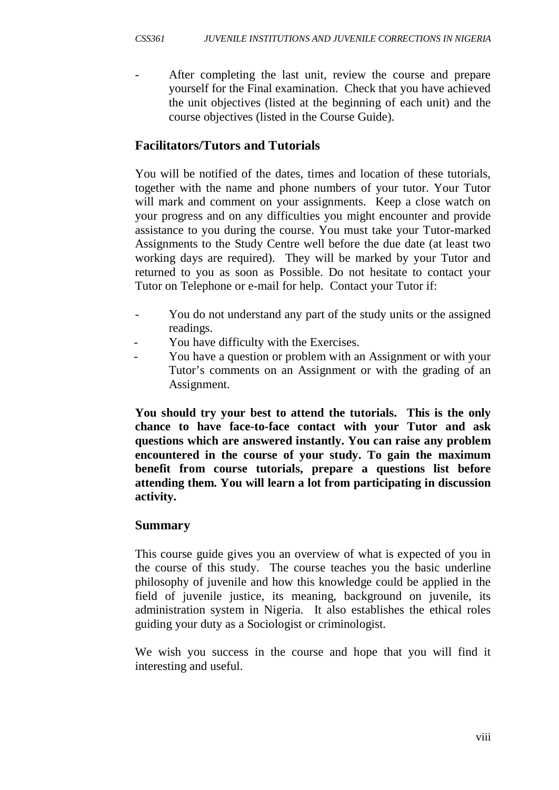After completing the last unit, review the course and prepare yourself for the Final examination. Check that you have achieved the unit objectives (listed at the beginning of each unit) and the course objectives (listed in the Course Guide).

# **Facilitators/Tutors and Tutorials**

You will be notified of the dates, times and location of these tutorials, together with the name and phone numbers of your tutor. Your Tutor will mark and comment on your assignments. Keep a close watch on your progress and on any difficulties you might encounter and provide assistance to you during the course. You must take your Tutor-marked Assignments to the Study Centre well before the due date (at least two working days are required). They will be marked by your Tutor and returned to you as soon as Possible. Do not hesitate to contact your Tutor on Telephone or e-mail for help. Contact your Tutor if:

- You do not understand any part of the study units or the assigned readings.
- You have difficulty with the Exercises.
- You have a question or problem with an Assignment or with your Tutor's comments on an Assignment or with the grading of an Assignment.

**You should try your best to attend the tutorials. This is the only chance to have face-to-face contact with your Tutor and ask questions which are answered instantly. You can raise any problem encountered in the course of your study. To gain the maximum benefit from course tutorials, prepare a questions list before attending them. You will learn a lot from participating in discussion activity.**

## **Summary**

This course guide gives you an overview of what is expected of you in the course of this study. The course teaches you the basic underline philosophy of juvenile and how this knowledge could be applied in the field of juvenile justice, its meaning, background on juvenile, its administration system in Nigeria. It also establishes the ethical roles guiding your duty as a Sociologist or criminologist.

We wish you success in the course and hope that you will find it interesting and useful.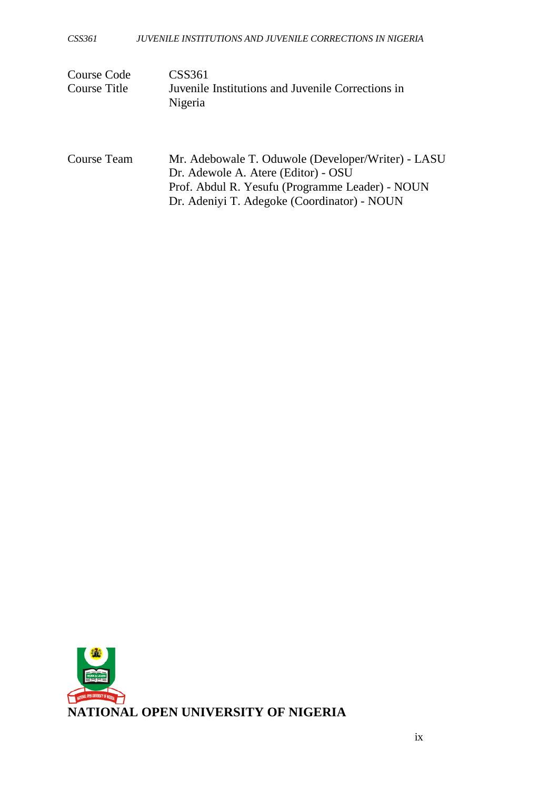| Course Code  | CSS361                                            |
|--------------|---------------------------------------------------|
| Course Title | Juvenile Institutions and Juvenile Corrections in |
|              | Nigeria                                           |

| Course Team | Mr. Adebowale T. Oduwole (Developer/Writer) - LASU |
|-------------|----------------------------------------------------|
|             | Dr. Adewole A. Atere (Editor) - OSU                |
|             | Prof. Abdul R. Yesufu (Programme Leader) - NOUN    |
|             | Dr. Adeniyi T. Adegoke (Coordinator) - NOUN        |

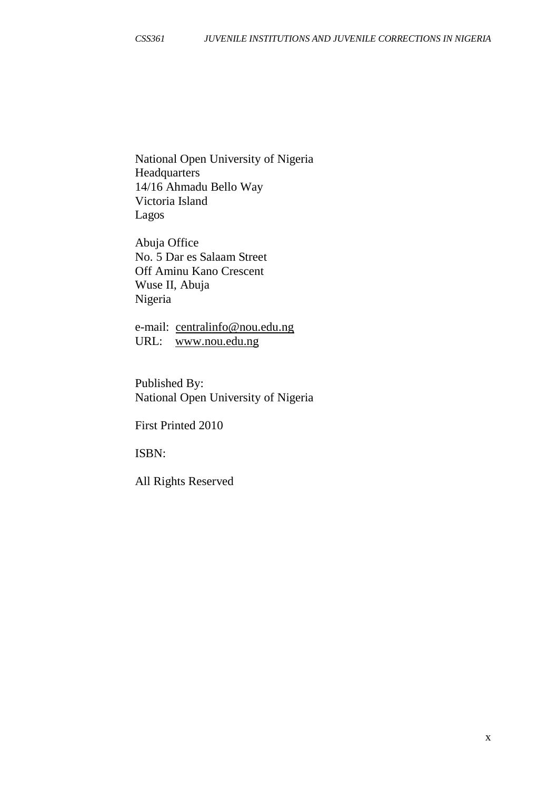National Open University of Nigeria **Headquarters** 14/16 Ahmadu Bello Way Victoria Island Lagos

Abuja Office No. 5 Dar es Salaam Street Off Aminu Kano Crescent Wuse II, Abuja Nigeria

e-mail: [centralinfo@nou.edu.ng](mailto:centralinfo@nou.edu.ng) URL: [www.nou.edu.ng](http://www.nou.edu.ng/)

Published By: National Open University of Nigeria

First Printed 2010

ISBN:

All Rights Reserved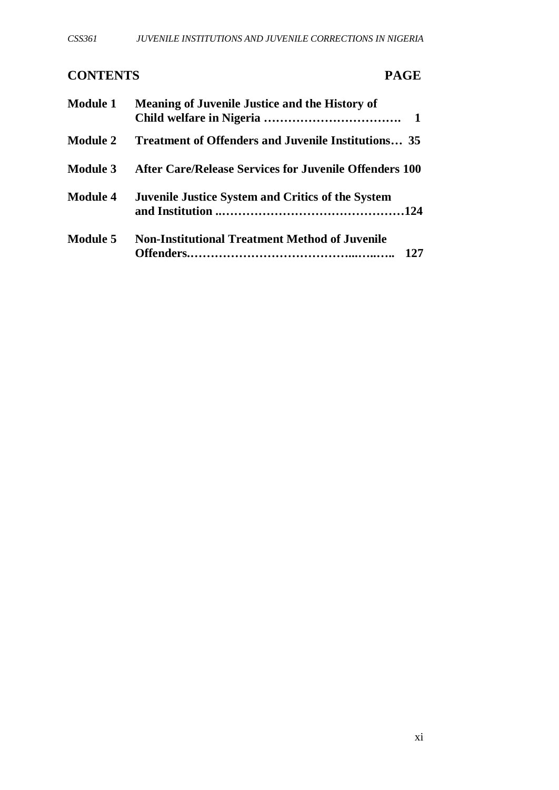# **CONTENTS PAGE**

| <b>Module 1</b> | <b>Meaning of Juvenile Justice and the History of</b>      |
|-----------------|------------------------------------------------------------|
| <b>Module 2</b> | <b>Treatment of Offenders and Juvenile Institutions</b> 35 |
| <b>Module 3</b> | After Care/Release Services for Juvenile Offenders 100     |
| <b>Module 4</b> | <b>Juvenile Justice System and Critics of the System</b>   |
| <b>Module 5</b> | <b>Non-Institutional Treatment Method of Juvenile</b>      |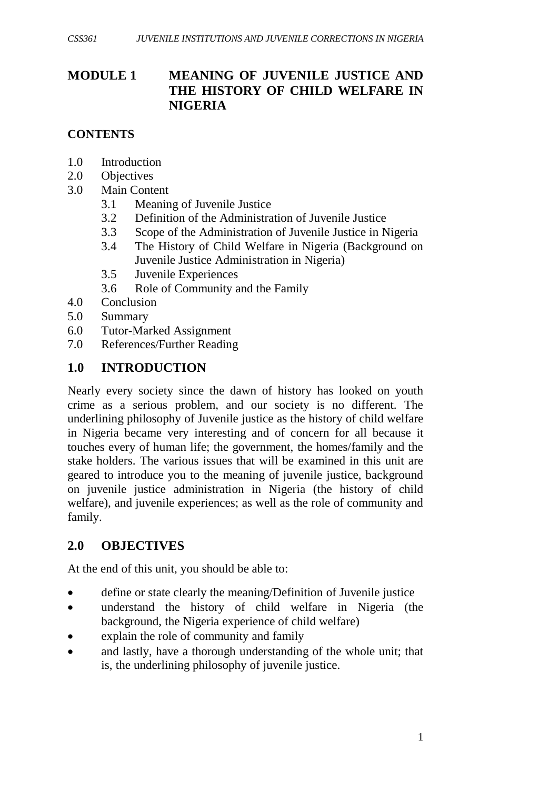# **MODULE 1 MEANING OF JUVENILE JUSTICE AND THE HISTORY OF CHILD WELFARE IN NIGERIA**

#### **CONTENTS**

- 1.0 Introduction
- 2.0 Objectives
- 3.0 Main Content
	- 3.1 Meaning of Juvenile Justice
	- 3.2 Definition of the Administration of Juvenile Justice
	- 3.3 Scope of the Administration of Juvenile Justice in Nigeria
	- 3.4 The History of Child Welfare in Nigeria (Background on Juvenile Justice Administration in Nigeria)
	- 3.5 Juvenile Experiences
	- 3.6 Role of Community and the Family
- 4.0 Conclusion
- 5.0 Summary
- 6.0 Tutor-Marked Assignment
- 7.0 References/Further Reading

#### **1.0 INTRODUCTION**

Nearly every society since the dawn of history has looked on youth crime as a serious problem, and our society is no different. The underlining philosophy of Juvenile justice as the history of child welfare in Nigeria became very interesting and of concern for all because it touches every of human life; the government, the homes/family and the stake holders. The various issues that will be examined in this unit are geared to introduce you to the meaning of juvenile justice, background on juvenile justice administration in Nigeria (the history of child welfare), and juvenile experiences; as well as the role of community and family.

## **2.0 OBJECTIVES**

At the end of this unit, you should be able to:

- define or state clearly the meaning/Definition of Juvenile justice
- understand the history of child welfare in Nigeria (the background, the Nigeria experience of child welfare)
- explain the role of community and family
- and lastly, have a thorough understanding of the whole unit; that is, the underlining philosophy of juvenile justice.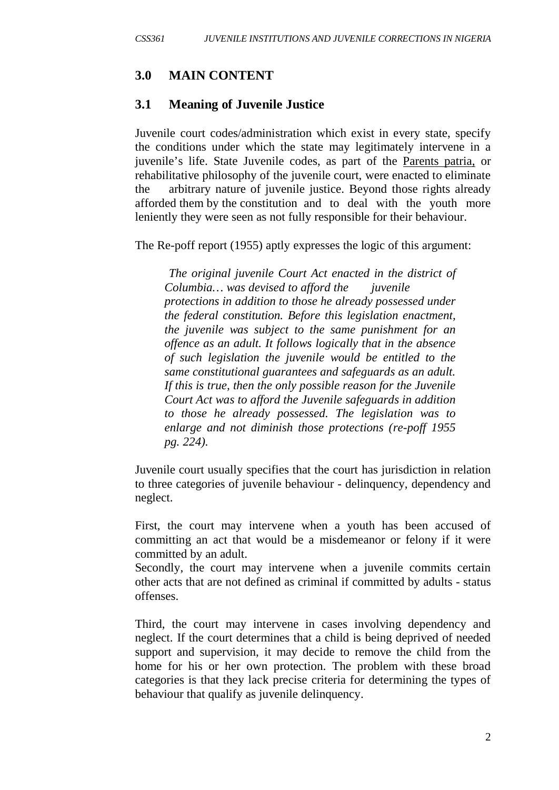## **3.0 MAIN CONTENT**

#### **3.1 Meaning of Juvenile Justice**

Juvenile court codes/administration which exist in every state, specify the conditions under which the state may legitimately intervene in a juvenile's life. State Juvenile codes, as part of the Parents patria, or rehabilitative philosophy of the juvenile court, were enacted to eliminate the arbitrary nature of juvenile justice. Beyond those rights already afforded them by the constitution and to deal with the youth more leniently they were seen as not fully responsible for their behaviour.

The Re-poff report (1955) aptly expresses the logic of this argument:

*The original juvenile Court Act enacted in the district of Columbia… was devised to afford the juvenile protections in addition to those he already possessed under the federal constitution. Before this legislation enactment, the juvenile was subject to the same punishment for an offence as an adult. It follows logically that in the absence of such legislation the juvenile would be entitled to the same constitutional guarantees and safeguards as an adult. If this is true, then the only possible reason for the Juvenile Court Act was to afford the Juvenile safeguards in addition to those he already possessed. The legislation was to enlarge and not diminish those protections (re-poff 1955 pg. 224).*

Juvenile court usually specifies that the court has jurisdiction in relation to three categories of juvenile behaviour - delinquency, dependency and neglect.

First, the court may intervene when a youth has been accused of committing an act that would be a misdemeanor or felony if it were committed by an adult.

Secondly, the court may intervene when a juvenile commits certain other acts that are not defined as criminal if committed by adults - status offenses.

Third, the court may intervene in cases involving dependency and neglect. If the court determines that a child is being deprived of needed support and supervision, it may decide to remove the child from the home for his or her own protection. The problem with these broad categories is that they lack precise criteria for determining the types of behaviour that qualify as juvenile delinquency.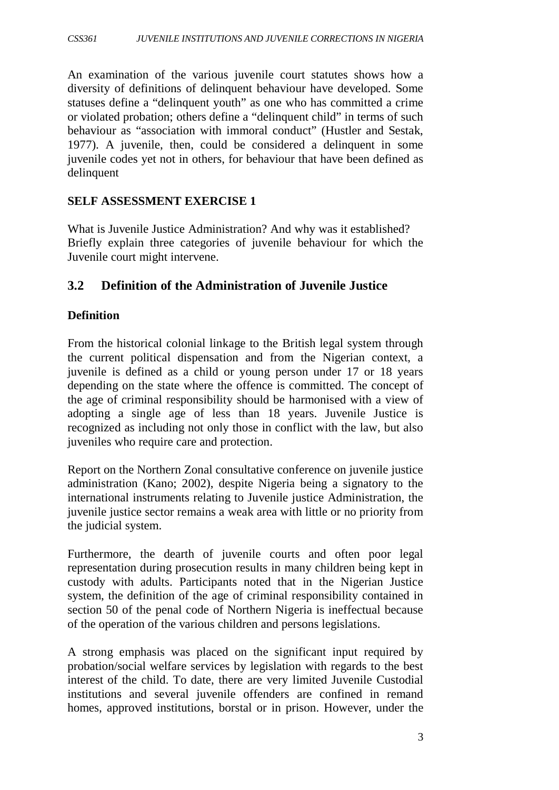An examination of the various juvenile court statutes shows how a diversity of definitions of delinquent behaviour have developed. Some statuses define a "delinquent youth" as one who has committed a crime or violated probation; others define a "delinquent child" in terms of such behaviour as "association with immoral conduct" (Hustler and Sestak, 1977). A juvenile, then, could be considered a delinquent in some juvenile codes yet not in others, for behaviour that have been defined as delinquent

#### **SELF ASSESSMENT EXERCISE 1**

What is Juvenile Justice Administration? And why was it established? Briefly explain three categories of juvenile behaviour for which the Juvenile court might intervene.

## **3.2 Definition of the Administration of Juvenile Justice**

#### **Definition**

From the historical colonial linkage to the British legal system through the current political dispensation and from the Nigerian context, a juvenile is defined as a child or young person under 17 or 18 years depending on the state where the offence is committed. The concept of the age of criminal responsibility should be harmonised with a view of adopting a single age of less than 18 years. Juvenile Justice is recognized as including not only those in conflict with the law, but also juveniles who require care and protection.

Report on the Northern Zonal consultative conference on juvenile justice administration (Kano; 2002), despite Nigeria being a signatory to the international instruments relating to Juvenile justice Administration, the juvenile justice sector remains a weak area with little or no priority from the judicial system.

Furthermore, the dearth of juvenile courts and often poor legal representation during prosecution results in many children being kept in custody with adults. Participants noted that in the Nigerian Justice system, the definition of the age of criminal responsibility contained in section 50 of the penal code of Northern Nigeria is ineffectual because of the operation of the various children and persons legislations.

A strong emphasis was placed on the significant input required by probation/social welfare services by legislation with regards to the best interest of the child. To date, there are very limited Juvenile Custodial institutions and several juvenile offenders are confined in remand homes, approved institutions, borstal or in prison. However, under the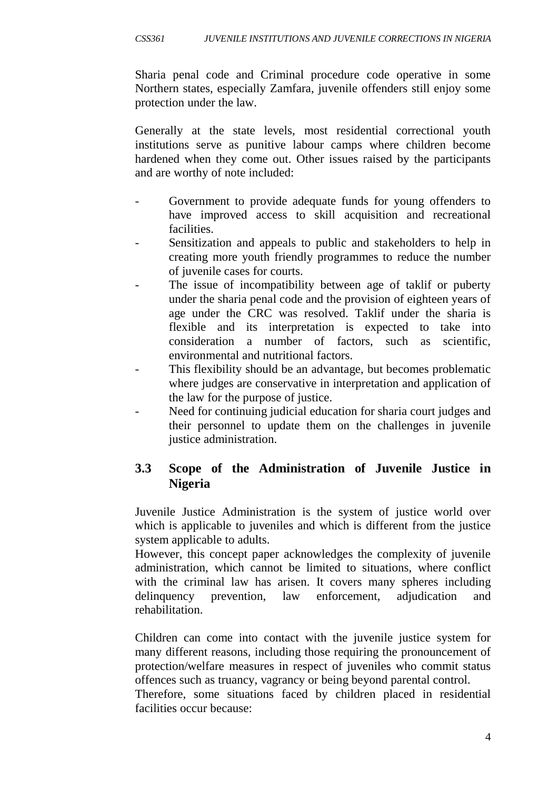Sharia penal code and Criminal procedure code operative in some Northern states, especially Zamfara, juvenile offenders still enjoy some protection under the law.

Generally at the state levels, most residential correctional youth institutions serve as punitive labour camps where children become hardened when they come out. Other issues raised by the participants and are worthy of note included:

- Government to provide adequate funds for young offenders to have improved access to skill acquisition and recreational facilities.
- Sensitization and appeals to public and stakeholders to help in creating more youth friendly programmes to reduce the number of juvenile cases for courts.
- The issue of incompatibility between age of taklif or puberty under the sharia penal code and the provision of eighteen years of age under the CRC was resolved. Taklif under the sharia is flexible and its interpretation is expected to take into consideration a number of factors, such as scientific, environmental and nutritional factors.
- This flexibility should be an advantage, but becomes problematic where judges are conservative in interpretation and application of the law for the purpose of justice.
- Need for continuing judicial education for sharia court judges and their personnel to update them on the challenges in juvenile justice administration.

# **3.3 Scope of the Administration of Juvenile Justice in Nigeria**

Juvenile Justice Administration is the system of justice world over which is applicable to juveniles and which is different from the justice system applicable to adults.

However, this concept paper acknowledges the complexity of juvenile administration, which cannot be limited to situations, where conflict with the criminal law has arisen. It covers many spheres including delinquency prevention, law enforcement, adjudication and rehabilitation.

Children can come into contact with the juvenile justice system for many different reasons, including those requiring the pronouncement of protection/welfare measures in respect of juveniles who commit status offences such as truancy, vagrancy or being beyond parental control.

Therefore, some situations faced by children placed in residential facilities occur because: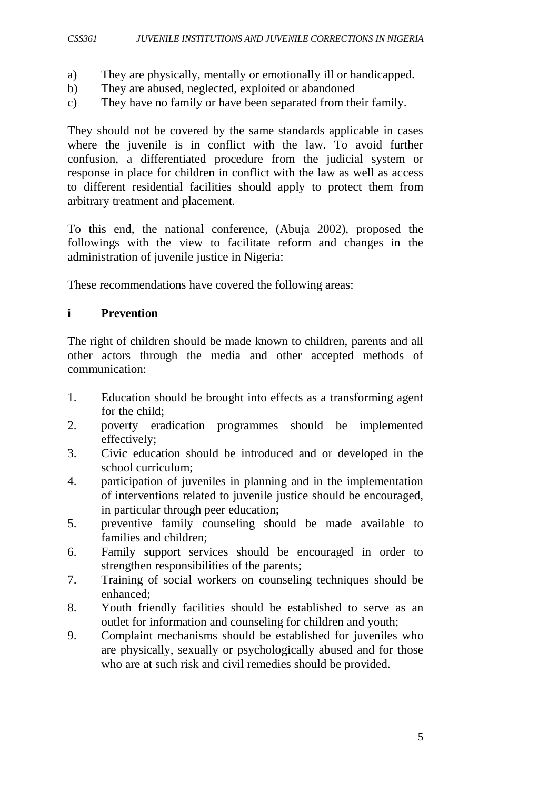- a) They are physically, mentally or emotionally ill or handicapped.
- b) They are abused, neglected, exploited or abandoned
- c) They have no family or have been separated from their family.

They should not be covered by the same standards applicable in cases where the juvenile is in conflict with the law. To avoid further confusion, a differentiated procedure from the judicial system or response in place for children in conflict with the law as well as access to different residential facilities should apply to protect them from arbitrary treatment and placement.

To this end, the national conference, (Abuja 2002), proposed the followings with the view to facilitate reform and changes in the administration of juvenile justice in Nigeria:

These recommendations have covered the following areas:

#### **i Prevention**

The right of children should be made known to children, parents and all other actors through the media and other accepted methods of communication:

- 1. Education should be brought into effects as a transforming agent for the child;
- 2. poverty eradication programmes should be implemented effectively;
- 3. Civic education should be introduced and or developed in the school curriculum;
- 4. participation of juveniles in planning and in the implementation of interventions related to juvenile justice should be encouraged, in particular through peer education;
- 5. preventive family counseling should be made available to families and children;
- 6. Family support services should be encouraged in order to strengthen responsibilities of the parents;
- 7. Training of social workers on counseling techniques should be enhanced;
- 8. Youth friendly facilities should be established to serve as an outlet for information and counseling for children and youth;
- 9. Complaint mechanisms should be established for juveniles who are physically, sexually or psychologically abused and for those who are at such risk and civil remedies should be provided.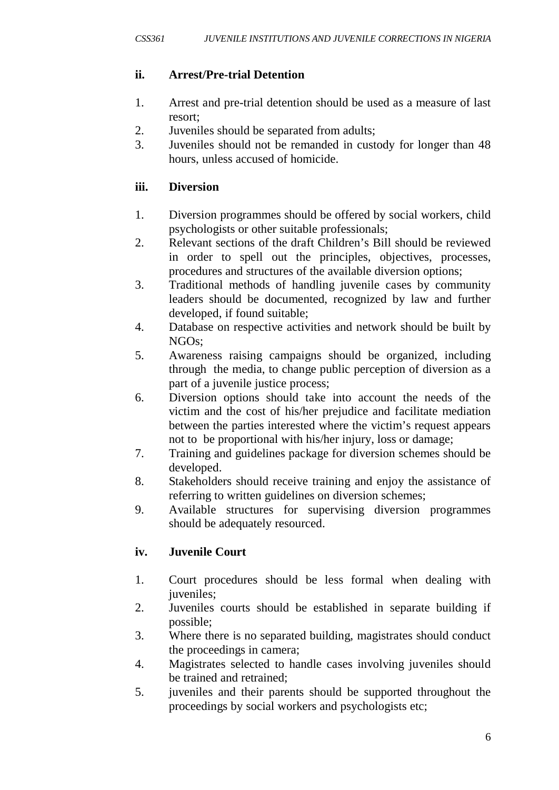## **ii. Arrest/Pre-trial Detention**

- 1. Arrest and pre-trial detention should be used as a measure of last resort;
- 2. Juveniles should be separated from adults;
- 3. Juveniles should not be remanded in custody for longer than 48 hours, unless accused of homicide.

#### **iii. Diversion**

- 1. Diversion programmes should be offered by social workers, child psychologists or other suitable professionals;
- 2. Relevant sections of the draft Children's Bill should be reviewed in order to spell out the principles, objectives, processes, procedures and structures of the available diversion options;
- 3. Traditional methods of handling juvenile cases by community leaders should be documented, recognized by law and further developed, if found suitable;
- 4. Database on respective activities and network should be built by NGOs;
- 5. Awareness raising campaigns should be organized, including through the media, to change public perception of diversion as a part of a juvenile justice process;
- 6. Diversion options should take into account the needs of the victim and the cost of his/her prejudice and facilitate mediation between the parties interested where the victim's request appears not to be proportional with his/her injury, loss or damage;
- 7. Training and guidelines package for diversion schemes should be developed.
- 8. Stakeholders should receive training and enjoy the assistance of referring to written guidelines on diversion schemes;
- 9. Available structures for supervising diversion programmes should be adequately resourced.

## **iv. Juvenile Court**

- 1. Court procedures should be less formal when dealing with juveniles;
- 2. Juveniles courts should be established in separate building if possible;
- 3. Where there is no separated building, magistrates should conduct the proceedings in camera;
- 4. Magistrates selected to handle cases involving juveniles should be trained and retrained;
- 5. juveniles and their parents should be supported throughout the proceedings by social workers and psychologists etc;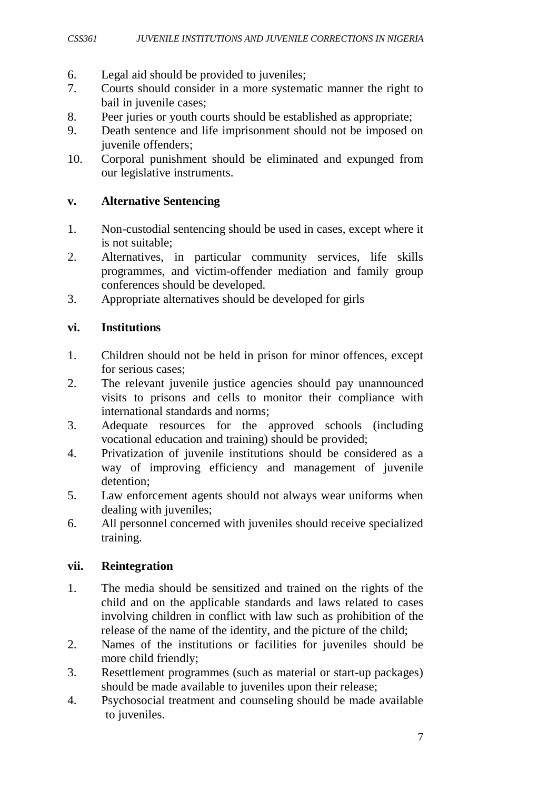- 6. Legal aid should be provided to juveniles;
- 7. Courts should consider in a more systematic manner the right to bail in juvenile cases;
- 8. Peer juries or youth courts should be established as appropriate;<br>9. Death sentence and life imprisonment should not be imposed of
- Death sentence and life imprisonment should not be imposed on juvenile offenders;
- 10. Corporal punishment should be eliminated and expunged from our legislative instruments.

#### **v. Alternative Sentencing**

- 1. Non-custodial sentencing should be used in cases, except where it is not suitable;
- 2. Alternatives, in particular community services, life skills programmes, and victim-offender mediation and family group conferences should be developed.
- 3. Appropriate alternatives should be developed for girls

#### **vi. Institutions**

- 1. Children should not be held in prison for minor offences, except for serious cases;
- 2. The relevant juvenile justice agencies should pay unannounced visits to prisons and cells to monitor their compliance with international standards and norms;
- 3. Adequate resources for the approved schools (including vocational education and training) should be provided;
- 4. Privatization of juvenile institutions should be considered as a way of improving efficiency and management of juvenile detention;
- 5. Law enforcement agents should not always wear uniforms when dealing with juveniles;
- 6. All personnel concerned with juveniles should receive specialized training.

#### **vii. Reintegration**

- 1. The media should be sensitized and trained on the rights of the child and on the applicable standards and laws related to cases involving children in conflict with law such as prohibition of the release of the name of the identity, and the picture of the child;
- 2. Names of the institutions or facilities for juveniles should be more child friendly;
- 3. Resettlement programmes (such as material or start-up packages) should be made available to juveniles upon their release;
- 4. Psychosocial treatment and counseling should be made available to juveniles.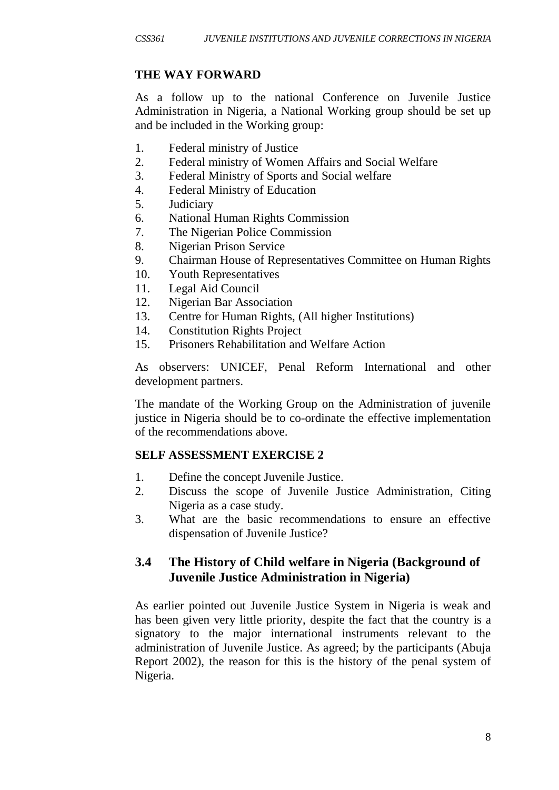## **THE WAY FORWARD**

As a follow up to the national Conference on Juvenile Justice Administration in Nigeria, a National Working group should be set up and be included in the Working group:

- 1. Federal ministry of Justice
- 2. Federal ministry of Women Affairs and Social Welfare
- 3. Federal Ministry of Sports and Social welfare
- 4. Federal Ministry of Education
- 5. Judiciary
- 6. National Human Rights Commission
- 7. The Nigerian Police Commission
- 8. Nigerian Prison Service
- 9. Chairman House of Representatives Committee on Human Rights
- 10. Youth Representatives
- 11. Legal Aid Council
- 12. Nigerian Bar Association
- 13. Centre for Human Rights, (All higher Institutions)
- 14. Constitution Rights Project
- 15. Prisoners Rehabilitation and Welfare Action

As observers: UNICEF, Penal Reform International and other development partners.

The mandate of the Working Group on the Administration of juvenile justice in Nigeria should be to co-ordinate the effective implementation of the recommendations above.

#### **SELF ASSESSMENT EXERCISE 2**

- 1. Define the concept Juvenile Justice.
- 2. Discuss the scope of Juvenile Justice Administration, Citing Nigeria as a case study.
- 3. What are the basic recommendations to ensure an effective dispensation of Juvenile Justice?

# **3.4 The History of Child welfare in Nigeria (Background of Juvenile Justice Administration in Nigeria)**

As earlier pointed out Juvenile Justice System in Nigeria is weak and has been given very little priority, despite the fact that the country is a signatory to the major international instruments relevant to the administration of Juvenile Justice. As agreed; by the participants (Abuja Report 2002), the reason for this is the history of the penal system of Nigeria.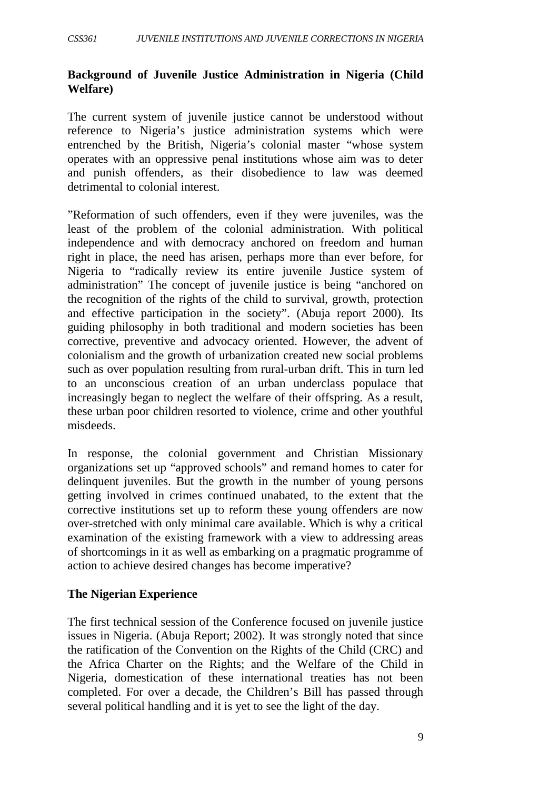#### **Background of Juvenile Justice Administration in Nigeria (Child Welfare)**

The current system of juvenile justice cannot be understood without reference to Nigeria's justice administration systems which were entrenched by the British, Nigeria's colonial master "whose system operates with an oppressive penal institutions whose aim was to deter and punish offenders, as their disobedience to law was deemed detrimental to colonial interest.

"Reformation of such offenders, even if they were juveniles, was the least of the problem of the colonial administration. With political independence and with democracy anchored on freedom and human right in place, the need has arisen, perhaps more than ever before, for Nigeria to "radically review its entire juvenile Justice system of administration" The concept of juvenile justice is being "anchored on the recognition of the rights of the child to survival, growth, protection and effective participation in the society". (Abuja report 2000). Its guiding philosophy in both traditional and modern societies has been corrective, preventive and advocacy oriented. However, the advent of colonialism and the growth of urbanization created new social problems such as over population resulting from rural-urban drift. This in turn led to an unconscious creation of an urban underclass populace that increasingly began to neglect the welfare of their offspring. As a result, these urban poor children resorted to violence, crime and other youthful misdeeds.

In response, the colonial government and Christian Missionary organizations set up "approved schools" and remand homes to cater for delinquent juveniles. But the growth in the number of young persons getting involved in crimes continued unabated, to the extent that the corrective institutions set up to reform these young offenders are now over-stretched with only minimal care available. Which is why a critical examination of the existing framework with a view to addressing areas of shortcomings in it as well as embarking on a pragmatic programme of action to achieve desired changes has become imperative?

#### **The Nigerian Experience**

The first technical session of the Conference focused on juvenile justice issues in Nigeria. (Abuja Report; 2002). It was strongly noted that since the ratification of the Convention on the Rights of the Child (CRC) and the Africa Charter on the Rights; and the Welfare of the Child in Nigeria, domestication of these international treaties has not been completed. For over a decade, the Children's Bill has passed through several political handling and it is yet to see the light of the day.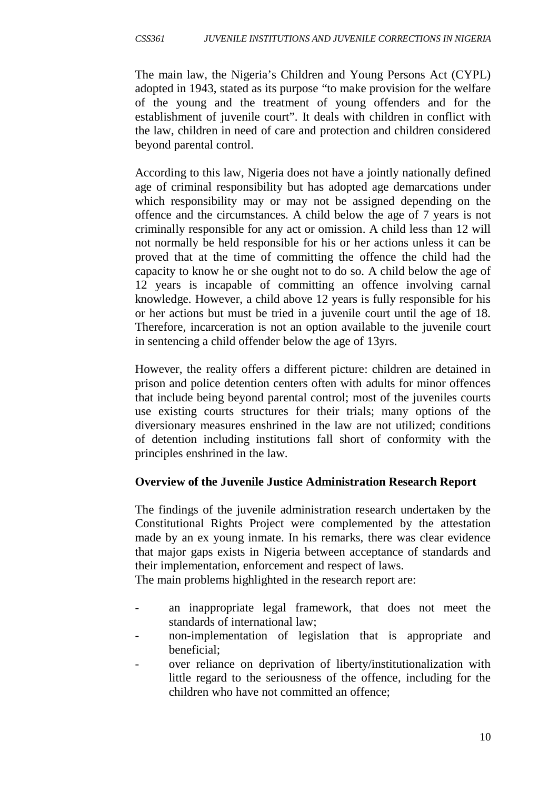The main law, the Nigeria's Children and Young Persons Act (CYPL) adopted in 1943, stated as its purpose "to make provision for the welfare of the young and the treatment of young offenders and for the establishment of juvenile court". It deals with children in conflict with the law, children in need of care and protection and children considered beyond parental control.

According to this law, Nigeria does not have a jointly nationally defined age of criminal responsibility but has adopted age demarcations under which responsibility may or may not be assigned depending on the offence and the circumstances. A child below the age of 7 years is not criminally responsible for any act or omission. A child less than 12 will not normally be held responsible for his or her actions unless it can be proved that at the time of committing the offence the child had the capacity to know he or she ought not to do so. A child below the age of 12 years is incapable of committing an offence involving carnal knowledge. However, a child above 12 years is fully responsible for his or her actions but must be tried in a juvenile court until the age of 18. Therefore, incarceration is not an option available to the juvenile court in sentencing a child offender below the age of 13yrs.

However, the reality offers a different picture: children are detained in prison and police detention centers often with adults for minor offences that include being beyond parental control; most of the juveniles courts use existing courts structures for their trials; many options of the diversionary measures enshrined in the law are not utilized; conditions of detention including institutions fall short of conformity with the principles enshrined in the law.

## **Overview of the Juvenile Justice Administration Research Report**

The findings of the juvenile administration research undertaken by the Constitutional Rights Project were complemented by the attestation made by an ex young inmate. In his remarks, there was clear evidence that major gaps exists in Nigeria between acceptance of standards and their implementation, enforcement and respect of laws.

The main problems highlighted in the research report are:

- an inappropriate legal framework, that does not meet the standards of international law;
- non-implementation of legislation that is appropriate and beneficial;
- over reliance on deprivation of liberty/institutionalization with little regard to the seriousness of the offence, including for the children who have not committed an offence;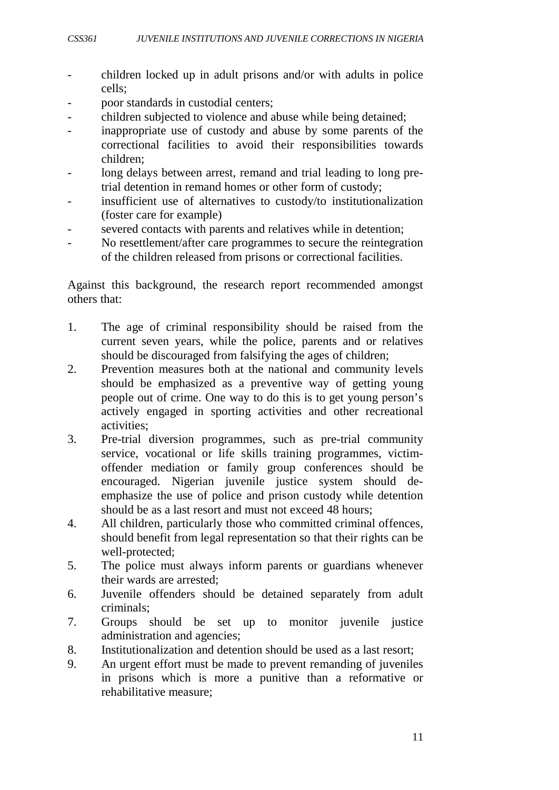- children locked up in adult prisons and/or with adults in police cells;
- poor standards in custodial centers;
- children subjected to violence and abuse while being detained;
- inappropriate use of custody and abuse by some parents of the correctional facilities to avoid their responsibilities towards children;
- long delays between arrest, remand and trial leading to long pretrial detention in remand homes or other form of custody;
- insufficient use of alternatives to custody/to institutionalization (foster care for example)
- severed contacts with parents and relatives while in detention;
- No resettlement/after care programmes to secure the reintegration of the children released from prisons or correctional facilities.

Against this background, the research report recommended amongst others that:

- 1. The age of criminal responsibility should be raised from the current seven years, while the police, parents and or relatives should be discouraged from falsifying the ages of children;
- 2. Prevention measures both at the national and community levels should be emphasized as a preventive way of getting young people out of crime. One way to do this is to get young person's actively engaged in sporting activities and other recreational activities;
- 3. Pre-trial diversion programmes, such as pre-trial community service, vocational or life skills training programmes, victimoffender mediation or family group conferences should be encouraged. Nigerian juvenile justice system should deemphasize the use of police and prison custody while detention should be as a last resort and must not exceed 48 hours;
- 4. All children, particularly those who committed criminal offences, should benefit from legal representation so that their rights can be well-protected;
- 5. The police must always inform parents or guardians whenever their wards are arrested;
- 6. Juvenile offenders should be detained separately from adult criminals;
- 7. Groups should be set up to monitor juvenile justice administration and agencies;
- 8. Institutionalization and detention should be used as a last resort;
- 9. An urgent effort must be made to prevent remanding of juveniles in prisons which is more a punitive than a reformative or rehabilitative measure;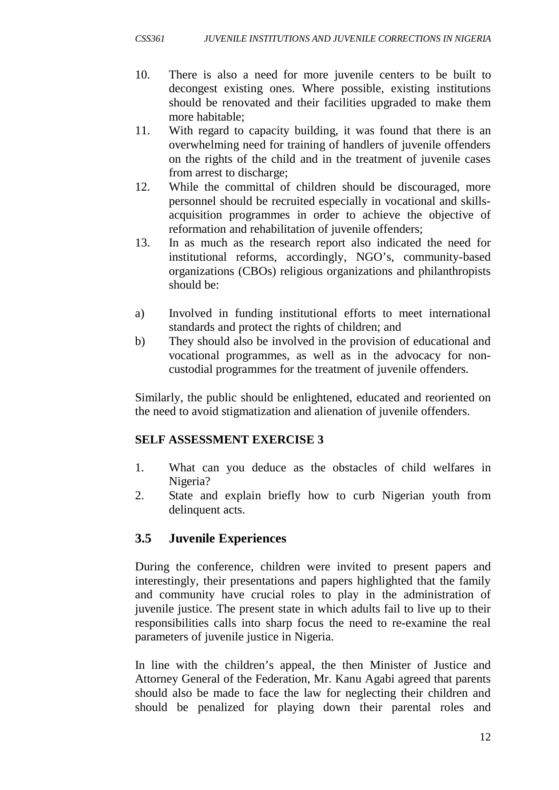- 10. There is also a need for more juvenile centers to be built to decongest existing ones. Where possible, existing institutions should be renovated and their facilities upgraded to make them more habitable;
- 11. With regard to capacity building, it was found that there is an overwhelming need for training of handlers of juvenile offenders on the rights of the child and in the treatment of juvenile cases from arrest to discharge;
- 12. While the committal of children should be discouraged, more personnel should be recruited especially in vocational and skillsacquisition programmes in order to achieve the objective of reformation and rehabilitation of juvenile offenders;
- 13. In as much as the research report also indicated the need for institutional reforms, accordingly, NGO's, community-based organizations (CBOs) religious organizations and philanthropists should be:
- a) Involved in funding institutional efforts to meet international standards and protect the rights of children; and
- b) They should also be involved in the provision of educational and vocational programmes, as well as in the advocacy for noncustodial programmes for the treatment of juvenile offenders.

Similarly, the public should be enlightened, educated and reoriented on the need to avoid stigmatization and alienation of juvenile offenders.

## **SELF ASSESSMENT EXERCISE 3**

- 1. What can you deduce as the obstacles of child welfares in Nigeria?
- 2. State and explain briefly how to curb Nigerian youth from delinquent acts.

# **3.5 Juvenile Experiences**

During the conference, children were invited to present papers and interestingly, their presentations and papers highlighted that the family and community have crucial roles to play in the administration of juvenile justice. The present state in which adults fail to live up to their responsibilities calls into sharp focus the need to re-examine the real parameters of juvenile justice in Nigeria.

In line with the children's appeal, the then Minister of Justice and Attorney General of the Federation, Mr. Kanu Agabi agreed that parents should also be made to face the law for neglecting their children and should be penalized for playing down their parental roles and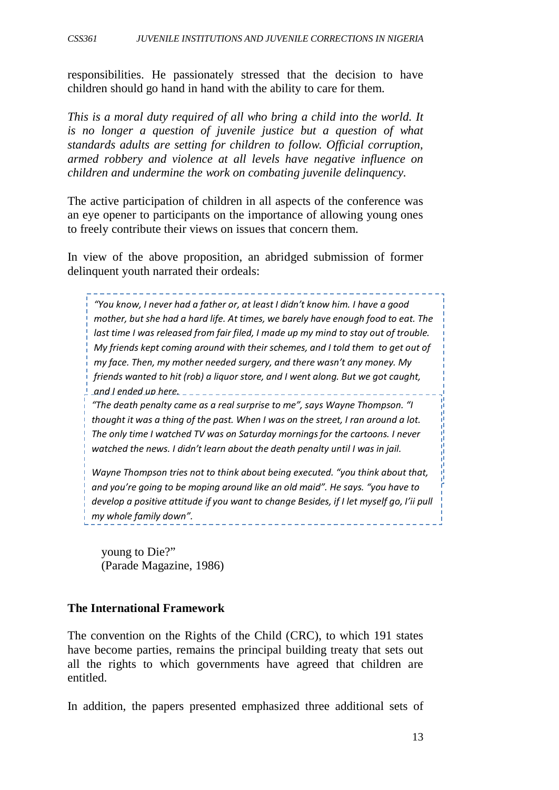responsibilities. He passionately stressed that the decision to have children should go hand in hand with the ability to care for them.

*This is a moral duty required of all who bring a child into the world. It is no longer a question of juvenile justice but a question of what standards adults are setting for children to follow. Official corruption, armed robbery and violence at all levels have negative influence on children and undermine the work on combating juvenile delinquency.*

The active participation of children in all aspects of the conference was an eye opener to participants on the importance of allowing young ones to freely contribute their views on issues that concern them.

In view of the above proposition, an abridged submission of former delinquent youth narrated their ordeals:

ast anner thes released from farm floely made apply militate cody out of around the Magnetic.<br>My friends kept coming around with their schemes, and I told them to get out of *iny jace: Then, my mother necaca sargery, and there wash trany money. Wy*<br>friends wanted to hit (rob) a liquor store, and I went along. But we got caught, menas wanted to me<sub>ll</sub>oor a ngaor.<br>and I ended up here............ *"You know, I never had a father or, at least I didn't know him. I have a good mother, but she had a hard life. At times, we barely have enough food to eat. The last time I was released from fair filed, I made up my mind to stay out of trouble. my face. Then, my mother needed surgery, and there wasn't any money. My* 

*But I know it won't be easy to stay out of trouble. I've got to go back to the same thought it was a thing of the past. When I was on the street, I ran around a lot. old neighborhood, the same old business. Street life will always be there for me. I The only time I watched TV was on Saturday mornings for the cartoons. I never know it will be a prison the next time, and I don't want to spend the rest of my life watched the news. I didn't learn about the death penalty until I was in jail. "The death penalty came as a real surprise to me", says Wayne Thompson. "I* 

Wayne Thompson tries not to think about being executed. "you think about that, *and you're going to be moping around like an old maid". He says. "you have to develop a positive attitude if you want to change Besides, if I let myself go, I'ii pull my whole family down".* 

young to Die?" (Parade Magazine, 1986)

#### **The International Framework**

The convention on the Rights of the Child (CRC), to which 191 states have become parties, remains the principal building treaty that sets out all the rights to which governments have agreed that children are entitled.

In addition, the papers presented emphasized three additional sets of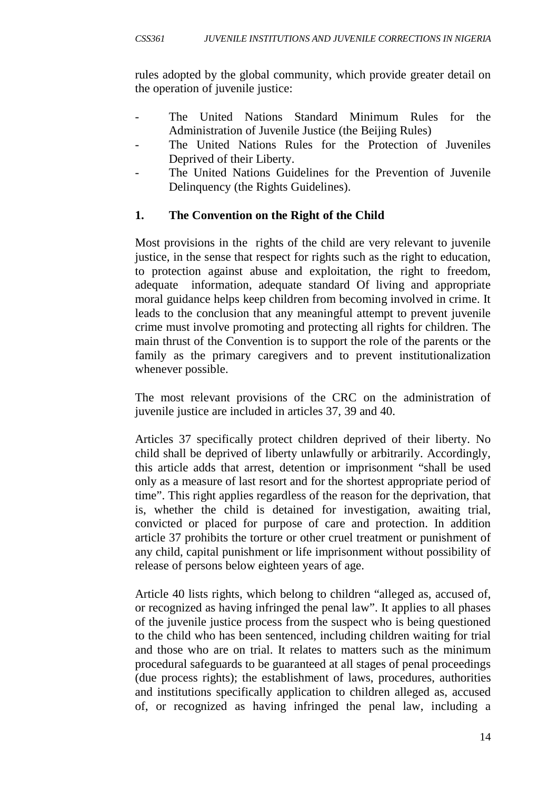rules adopted by the global community, which provide greater detail on the operation of juvenile justice:

- The United Nations Standard Minimum Rules for the Administration of Juvenile Justice (the Beijing Rules)
- The United Nations Rules for the Protection of Juveniles Deprived of their Liberty.
- The United Nations Guidelines for the Prevention of Juvenile Delinquency (the Rights Guidelines).

## **1. The Convention on the Right of the Child**

Most provisions in the rights of the child are very relevant to juvenile justice, in the sense that respect for rights such as the right to education, to protection against abuse and exploitation, the right to freedom, adequate information, adequate standard Of living and appropriate moral guidance helps keep children from becoming involved in crime. It leads to the conclusion that any meaningful attempt to prevent juvenile crime must involve promoting and protecting all rights for children. The main thrust of the Convention is to support the role of the parents or the family as the primary caregivers and to prevent institutionalization whenever possible.

The most relevant provisions of the CRC on the administration of juvenile justice are included in articles 37, 39 and 40.

Articles 37 specifically protect children deprived of their liberty. No child shall be deprived of liberty unlawfully or arbitrarily. Accordingly, this article adds that arrest, detention or imprisonment "shall be used only as a measure of last resort and for the shortest appropriate period of time". This right applies regardless of the reason for the deprivation, that is, whether the child is detained for investigation, awaiting trial, convicted or placed for purpose of care and protection. In addition article 37 prohibits the torture or other cruel treatment or punishment of any child, capital punishment or life imprisonment without possibility of release of persons below eighteen years of age.

Article 40 lists rights, which belong to children "alleged as, accused of, or recognized as having infringed the penal law". It applies to all phases of the juvenile justice process from the suspect who is being questioned to the child who has been sentenced, including children waiting for trial and those who are on trial. It relates to matters such as the minimum procedural safeguards to be guaranteed at all stages of penal proceedings (due process rights); the establishment of laws, procedures, authorities and institutions specifically application to children alleged as, accused of, or recognized as having infringed the penal law, including a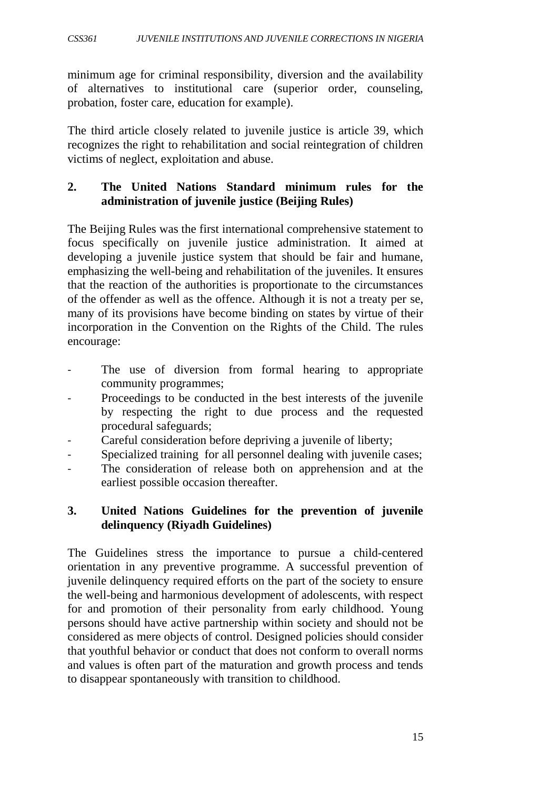minimum age for criminal responsibility, diversion and the availability of alternatives to institutional care (superior order, counseling, probation, foster care, education for example).

The third article closely related to juvenile justice is article 39, which recognizes the right to rehabilitation and social reintegration of children victims of neglect, exploitation and abuse.

#### **2. The United Nations Standard minimum rules for the administration of juvenile justice (Beijing Rules)**

The Beijing Rules was the first international comprehensive statement to focus specifically on juvenile justice administration. It aimed at developing a juvenile justice system that should be fair and humane, emphasizing the well-being and rehabilitation of the juveniles. It ensures that the reaction of the authorities is proportionate to the circumstances of the offender as well as the offence. Although it is not a treaty per se, many of its provisions have become binding on states by virtue of their incorporation in the Convention on the Rights of the Child. The rules encourage:

- The use of diversion from formal hearing to appropriate community programmes;
- Proceedings to be conducted in the best interests of the juvenile by respecting the right to due process and the requested procedural safeguards;
- Careful consideration before depriving a juvenile of liberty;
- Specialized training for all personnel dealing with juvenile cases;
- The consideration of release both on apprehension and at the earliest possible occasion thereafter.

#### **3. United Nations Guidelines for the prevention of juvenile delinquency (Riyadh Guidelines)**

The Guidelines stress the importance to pursue a child-centered orientation in any preventive programme. A successful prevention of juvenile delinquency required efforts on the part of the society to ensure the well-being and harmonious development of adolescents, with respect for and promotion of their personality from early childhood. Young persons should have active partnership within society and should not be considered as mere objects of control. Designed policies should consider that youthful behavior or conduct that does not conform to overall norms and values is often part of the maturation and growth process and tends to disappear spontaneously with transition to childhood.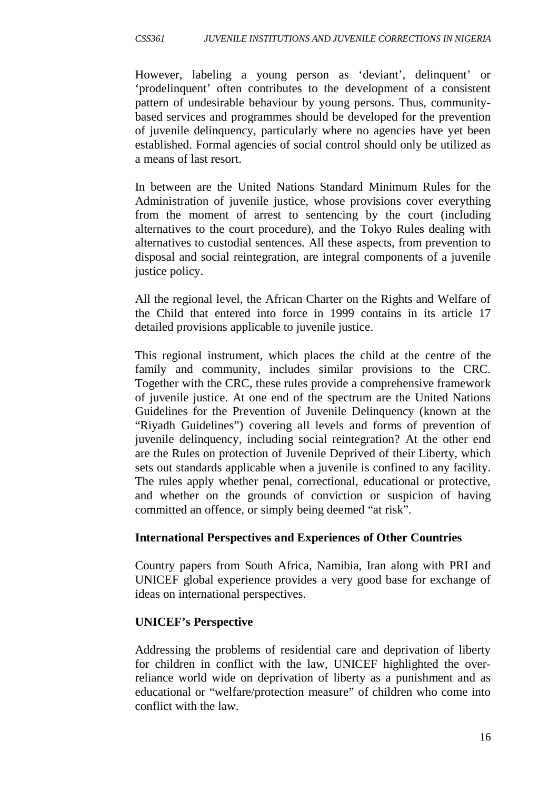However, labeling a young person as 'deviant', delinquent' or 'prodelinquent' often contributes to the development of a consistent pattern of undesirable behaviour by young persons. Thus, communitybased services and programmes should be developed for the prevention of juvenile delinquency, particularly where no agencies have yet been established. Formal agencies of social control should only be utilized as a means of last resort.

In between are the United Nations Standard Minimum Rules for the Administration of juvenile justice, whose provisions cover everything from the moment of arrest to sentencing by the court (including alternatives to the court procedure), and the Tokyo Rules dealing with alternatives to custodial sentences. All these aspects, from prevention to disposal and social reintegration, are integral components of a juvenile justice policy.

All the regional level, the African Charter on the Rights and Welfare of the Child that entered into force in 1999 contains in its article 17 detailed provisions applicable to juvenile justice.

This regional instrument, which places the child at the centre of the family and community, includes similar provisions to the CRC. Together with the CRC, these rules provide a comprehensive framework of juvenile justice. At one end of the spectrum are the United Nations Guidelines for the Prevention of Juvenile Delinquency (known at the "Riyadh Guidelines") covering all levels and forms of prevention of juvenile delinquency, including social reintegration? At the other end are the Rules on protection of Juvenile Deprived of their Liberty, which sets out standards applicable when a juvenile is confined to any facility. The rules apply whether penal, correctional, educational or protective, and whether on the grounds of conviction or suspicion of having committed an offence, or simply being deemed "at risk".

#### **International Perspectives and Experiences of Other Countries**

Country papers from South Africa, Namibia, Iran along with PRI and UNICEF global experience provides a very good base for exchange of ideas on international perspectives.

#### **UNICEF's Perspective**

Addressing the problems of residential care and deprivation of liberty for children in conflict with the law, UNICEF highlighted the overreliance world wide on deprivation of liberty as a punishment and as educational or "welfare/protection measure" of children who come into conflict with the law.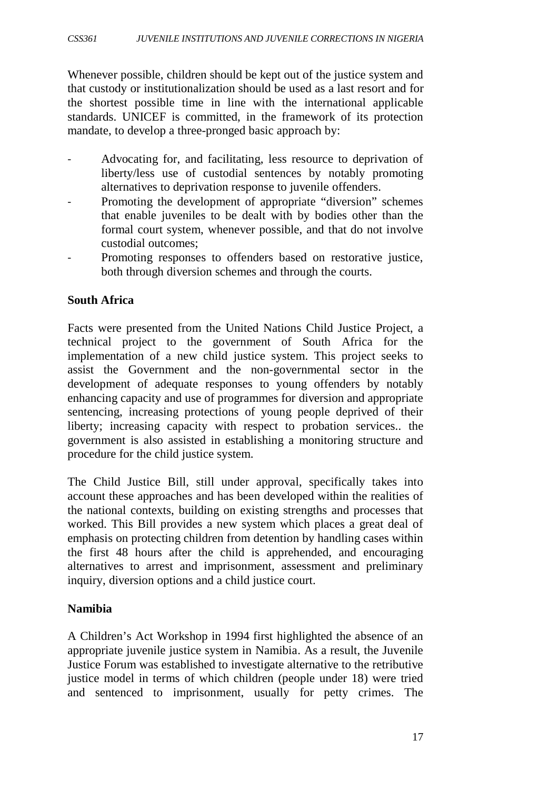Whenever possible, children should be kept out of the justice system and that custody or institutionalization should be used as a last resort and for the shortest possible time in line with the international applicable standards. UNICEF is committed, in the framework of its protection mandate, to develop a three-pronged basic approach by:

- Advocating for, and facilitating, less resource to deprivation of liberty/less use of custodial sentences by notably promoting alternatives to deprivation response to juvenile offenders.
- Promoting the development of appropriate "diversion" schemes that enable juveniles to be dealt with by bodies other than the formal court system, whenever possible, and that do not involve custodial outcomes;
- Promoting responses to offenders based on restorative justice, both through diversion schemes and through the courts.

#### **South Africa**

Facts were presented from the United Nations Child Justice Project, a technical project to the government of South Africa for the implementation of a new child justice system. This project seeks to assist the Government and the non-governmental sector in the development of adequate responses to young offenders by notably enhancing capacity and use of programmes for diversion and appropriate sentencing, increasing protections of young people deprived of their liberty; increasing capacity with respect to probation services.. the government is also assisted in establishing a monitoring structure and procedure for the child justice system.

The Child Justice Bill, still under approval, specifically takes into account these approaches and has been developed within the realities of the national contexts, building on existing strengths and processes that worked. This Bill provides a new system which places a great deal of emphasis on protecting children from detention by handling cases within the first 48 hours after the child is apprehended, and encouraging alternatives to arrest and imprisonment, assessment and preliminary inquiry, diversion options and a child justice court.

#### **Namibia**

A Children's Act Workshop in 1994 first highlighted the absence of an appropriate juvenile justice system in Namibia. As a result, the Juvenile Justice Forum was established to investigate alternative to the retributive justice model in terms of which children (people under 18) were tried and sentenced to imprisonment, usually for petty crimes. The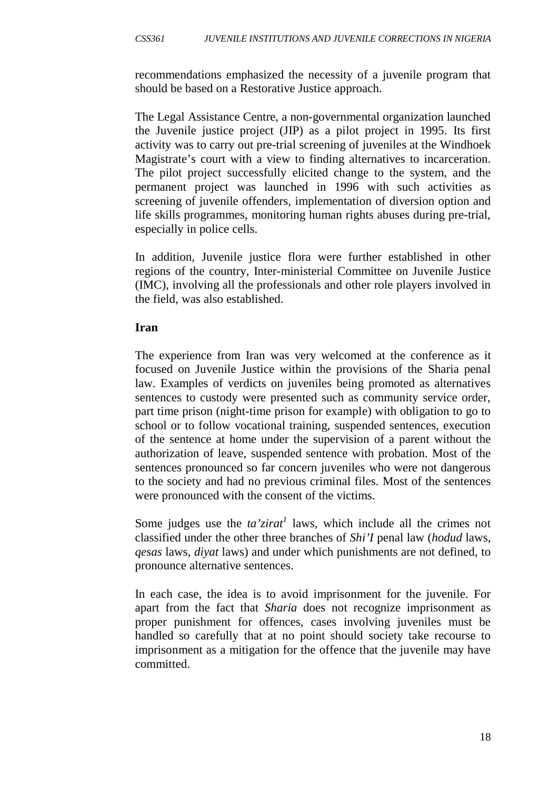recommendations emphasized the necessity of a juvenile program that should be based on a Restorative Justice approach.

The Legal Assistance Centre, a non-governmental organization launched the Juvenile justice project (JIP) as a pilot project in 1995. Its first activity was to carry out pre-trial screening of juveniles at the Windhoek Magistrate's court with a view to finding alternatives to incarceration. The pilot project successfully elicited change to the system, and the permanent project was launched in 1996 with such activities as screening of juvenile offenders, implementation of diversion option and life skills programmes, monitoring human rights abuses during pre-trial, especially in police cells.

In addition, Juvenile justice flora were further established in other regions of the country, Inter-ministerial Committee on Juvenile Justice (IMC), involving all the professionals and other role players involved in the field, was also established.

#### **Iran**

The experience from Iran was very welcomed at the conference as it focused on Juvenile Justice within the provisions of the Sharia penal law. Examples of verdicts on juveniles being promoted as alternatives sentences to custody were presented such as community service order, part time prison (night-time prison for example) with obligation to go to school or to follow vocational training, suspended sentences, execution of the sentence at home under the supervision of a parent without the authorization of leave, suspended sentence with probation. Most of the sentences pronounced so far concern juveniles who were not dangerous to the society and had no previous criminal files. Most of the sentences were pronounced with the consent of the victims.

Some judges use the *ta'zirat<sup>1</sup>* laws, which include all the crimes not classified under the other three branches of *Shi'I* penal law (*hodud* laws, *qesas* laws, *diyat* laws) and under which punishments are not defined, to pronounce alternative sentences.

In each case, the idea is to avoid imprisonment for the juvenile. For apart from the fact that *Sharia* does not recognize imprisonment as proper punishment for offences, cases involving juveniles must be handled so carefully that at no point should society take recourse to imprisonment as a mitigation for the offence that the juvenile may have committed.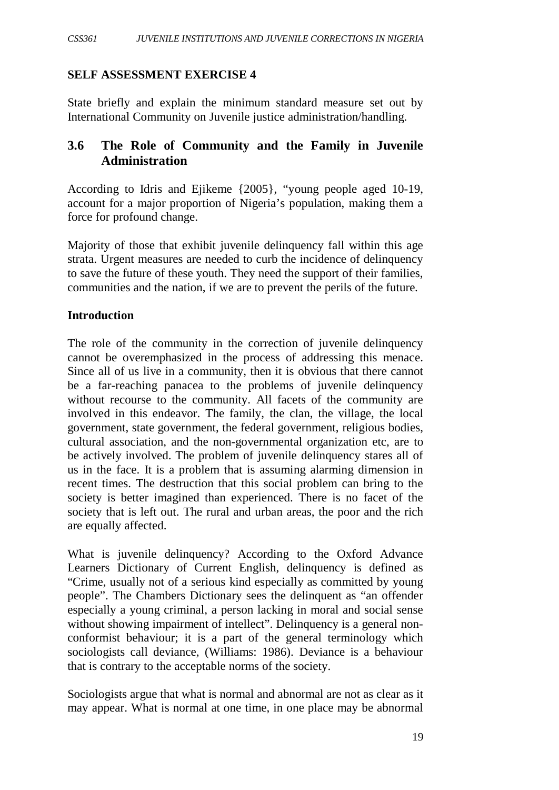#### **SELF ASSESSMENT EXERCISE 4**

State briefly and explain the minimum standard measure set out by International Community on Juvenile justice administration/handling.

## **3.6 The Role of Community and the Family in Juvenile Administration**

According to Idris and Ejikeme {2005}, "young people aged 10-19, account for a major proportion of Nigeria's population, making them a force for profound change.

Majority of those that exhibit juvenile delinquency fall within this age strata. Urgent measures are needed to curb the incidence of delinquency to save the future of these youth. They need the support of their families, communities and the nation, if we are to prevent the perils of the future.

#### **Introduction**

The role of the community in the correction of juvenile delinquency cannot be overemphasized in the process of addressing this menace. Since all of us live in a community, then it is obvious that there cannot be a far-reaching panacea to the problems of juvenile delinquency without recourse to the community. All facets of the community are involved in this endeavor. The family, the clan, the village, the local government, state government, the federal government, religious bodies, cultural association, and the non-governmental organization etc, are to be actively involved. The problem of juvenile delinquency stares all of us in the face. It is a problem that is assuming alarming dimension in recent times. The destruction that this social problem can bring to the society is better imagined than experienced. There is no facet of the society that is left out. The rural and urban areas, the poor and the rich are equally affected.

What is juvenile delinquency? According to the Oxford Advance Learners Dictionary of Current English, delinquency is defined as "Crime, usually not of a serious kind especially as committed by young people". The Chambers Dictionary sees the delinquent as "an offender especially a young criminal, a person lacking in moral and social sense without showing impairment of intellect". Delinquency is a general nonconformist behaviour; it is a part of the general terminology which sociologists call deviance, (Williams: 1986). Deviance is a behaviour that is contrary to the acceptable norms of the society.

Sociologists argue that what is normal and abnormal are not as clear as it may appear. What is normal at one time, in one place may be abnormal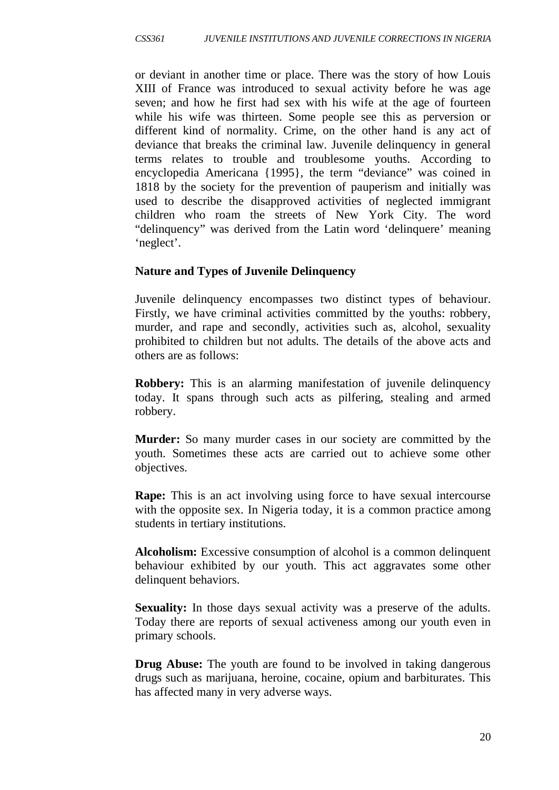or deviant in another time or place. There was the story of how Louis XIII of France was introduced to sexual activity before he was age seven; and how he first had sex with his wife at the age of fourteen while his wife was thirteen. Some people see this as perversion or different kind of normality. Crime, on the other hand is any act of deviance that breaks the criminal law. Juvenile delinquency in general terms relates to trouble and troublesome youths. According to encyclopedia Americana {1995}, the term "deviance" was coined in 1818 by the society for the prevention of pauperism and initially was used to describe the disapproved activities of neglected immigrant children who roam the streets of New York City. The word "delinquency" was derived from the Latin word 'delinquere' meaning 'neglect'.

#### **Nature and Types of Juvenile Delinquency**

Juvenile delinquency encompasses two distinct types of behaviour. Firstly, we have criminal activities committed by the youths: robbery, murder, and rape and secondly, activities such as, alcohol, sexuality prohibited to children but not adults. The details of the above acts and others are as follows:

**Robbery:** This is an alarming manifestation of juvenile delinquency today. It spans through such acts as pilfering, stealing and armed robbery.

**Murder:** So many murder cases in our society are committed by the youth. Sometimes these acts are carried out to achieve some other objectives.

**Rape:** This is an act involving using force to have sexual intercourse with the opposite sex. In Nigeria today, it is a common practice among students in tertiary institutions.

**Alcoholism:** Excessive consumption of alcohol is a common delinquent behaviour exhibited by our youth. This act aggravates some other delinquent behaviors.

**Sexuality:** In those days sexual activity was a preserve of the adults. Today there are reports of sexual activeness among our youth even in primary schools.

**Drug Abuse:** The youth are found to be involved in taking dangerous drugs such as marijuana, heroine, cocaine, opium and barbiturates. This has affected many in very adverse ways.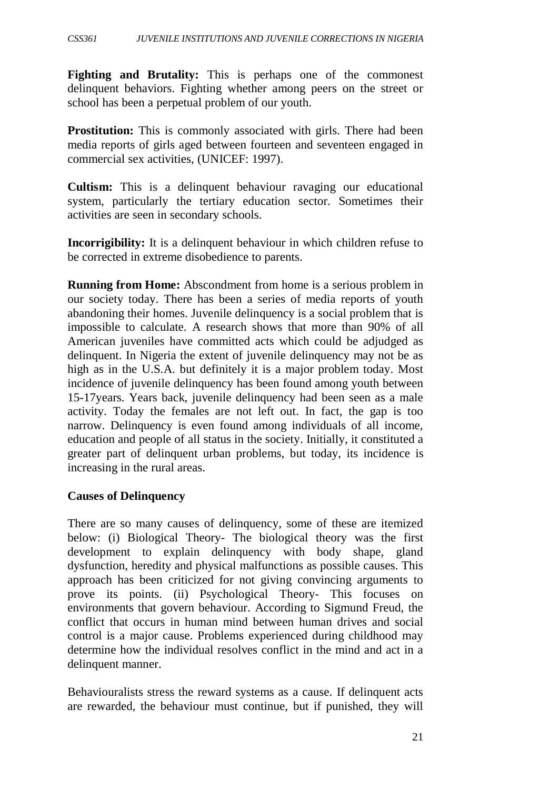**Fighting and Brutality:** This is perhaps one of the commonest delinquent behaviors. Fighting whether among peers on the street or school has been a perpetual problem of our youth.

**Prostitution:** This is commonly associated with girls. There had been media reports of girls aged between fourteen and seventeen engaged in commercial sex activities, (UNICEF: 1997).

**Cultism:** This is a delinquent behaviour ravaging our educational system, particularly the tertiary education sector. Sometimes their activities are seen in secondary schools.

**Incorrigibility:** It is a delinquent behaviour in which children refuse to be corrected in extreme disobedience to parents.

**Running from Home:** Abscondment from home is a serious problem in our society today. There has been a series of media reports of youth abandoning their homes. Juvenile delinquency is a social problem that is impossible to calculate. A research shows that more than 90% of all American juveniles have committed acts which could be adjudged as delinquent. In Nigeria the extent of juvenile delinquency may not be as high as in the U.S.A. but definitely it is a major problem today. Most incidence of juvenile delinquency has been found among youth between 15-17years. Years back, juvenile delinquency had been seen as a male activity. Today the females are not left out. In fact, the gap is too narrow. Delinquency is even found among individuals of all income, education and people of all status in the society. Initially, it constituted a greater part of delinquent urban problems, but today, its incidence is increasing in the rural areas.

#### **Causes of Delinquency**

There are so many causes of delinquency, some of these are itemized below: (i) Biological Theory- The biological theory was the first development to explain delinquency with body shape, gland dysfunction, heredity and physical malfunctions as possible causes. This approach has been criticized for not giving convincing arguments to prove its points. (ii) Psychological Theory- This focuses on environments that govern behaviour. According to Sigmund Freud, the conflict that occurs in human mind between human drives and social control is a major cause. Problems experienced during childhood may determine how the individual resolves conflict in the mind and act in a delinquent manner.

Behaviouralists stress the reward systems as a cause. If delinquent acts are rewarded, the behaviour must continue, but if punished, they will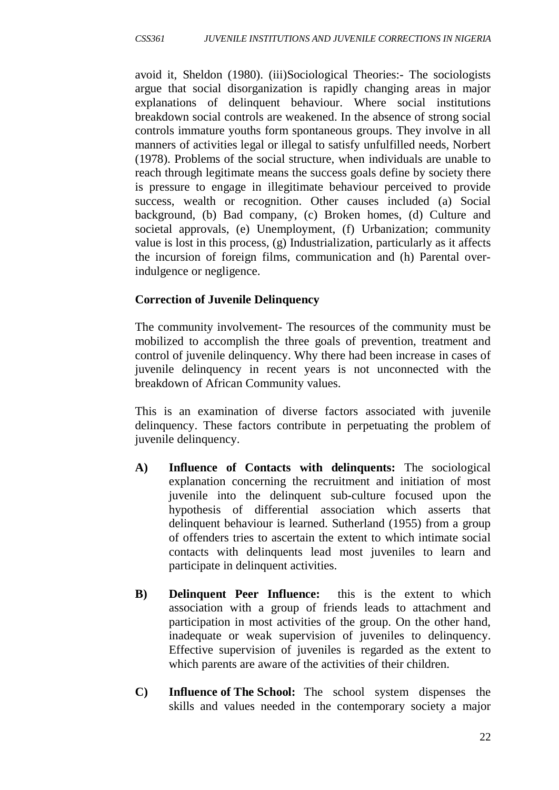avoid it, Sheldon (1980). (iii)Sociological Theories:- The sociologists argue that social disorganization is rapidly changing areas in major explanations of delinquent behaviour. Where social institutions breakdown social controls are weakened. In the absence of strong social controls immature youths form spontaneous groups. They involve in all manners of activities legal or illegal to satisfy unfulfilled needs, Norbert (1978). Problems of the social structure, when individuals are unable to reach through legitimate means the success goals define by society there is pressure to engage in illegitimate behaviour perceived to provide success, wealth or recognition. Other causes included (a) Social background, (b) Bad company, (c) Broken homes, (d) Culture and societal approvals, (e) Unemployment, (f) Urbanization; community value is lost in this process, (g) Industrialization, particularly as it affects the incursion of foreign films, communication and (h) Parental overindulgence or negligence.

## **Correction of Juvenile Delinquency**

The community involvement- The resources of the community must be mobilized to accomplish the three goals of prevention, treatment and control of juvenile delinquency. Why there had been increase in cases of juvenile delinquency in recent years is not unconnected with the breakdown of African Community values.

This is an examination of diverse factors associated with juvenile delinquency. These factors contribute in perpetuating the problem of juvenile delinquency.

- **A) Influence of Contacts with delinquents:** The sociological explanation concerning the recruitment and initiation of most juvenile into the delinquent sub-culture focused upon the hypothesis of differential association which asserts that delinquent behaviour is learned. Sutherland (1955) from a group of offenders tries to ascertain the extent to which intimate social contacts with delinquents lead most juveniles to learn and participate in delinquent activities.
- **B) Delinquent Peer Influence:** this is the extent to which association with a group of friends leads to attachment and participation in most activities of the group. On the other hand, inadequate or weak supervision of juveniles to delinquency. Effective supervision of juveniles is regarded as the extent to which parents are aware of the activities of their children.
- **C) Influence of The School:** The school system dispenses the skills and values needed in the contemporary society a major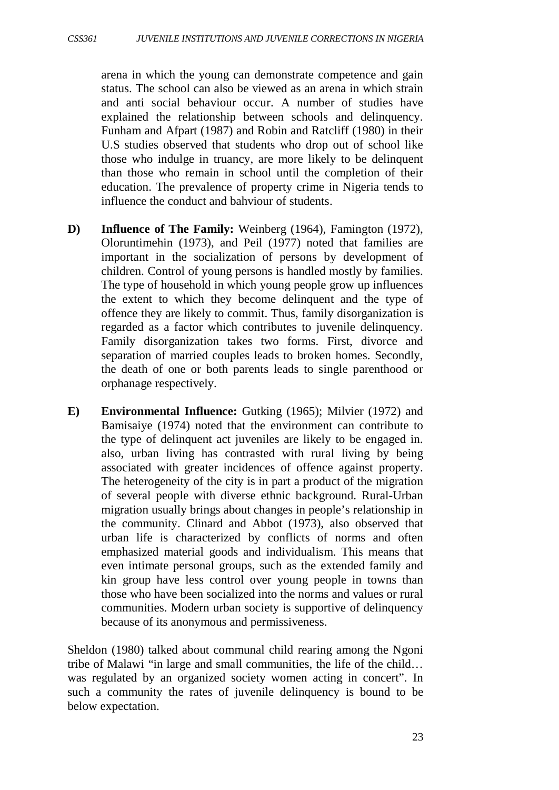arena in which the young can demonstrate competence and gain status. The school can also be viewed as an arena in which strain and anti social behaviour occur. A number of studies have explained the relationship between schools and delinquency. Funham and Afpart (1987) and Robin and Ratcliff (1980) in their U.S studies observed that students who drop out of school like those who indulge in truancy, are more likely to be delinquent than those who remain in school until the completion of their education. The prevalence of property crime in Nigeria tends to influence the conduct and bahviour of students.

- **D) Influence of The Family:** Weinberg (1964), Famington (1972), Oloruntimehin (1973), and Peil (1977) noted that families are important in the socialization of persons by development of children. Control of young persons is handled mostly by families. The type of household in which young people grow up influences the extent to which they become delinquent and the type of offence they are likely to commit. Thus, family disorganization is regarded as a factor which contributes to juvenile delinquency. Family disorganization takes two forms. First, divorce and separation of married couples leads to broken homes. Secondly, the death of one or both parents leads to single parenthood or orphanage respectively.
- **E) Environmental Influence:** Gutking (1965); Milvier (1972) and Bamisaiye (1974) noted that the environment can contribute to the type of delinquent act juveniles are likely to be engaged in. also, urban living has contrasted with rural living by being associated with greater incidences of offence against property. The heterogeneity of the city is in part a product of the migration of several people with diverse ethnic background. Rural-Urban migration usually brings about changes in people's relationship in the community. Clinard and Abbot (1973), also observed that urban life is characterized by conflicts of norms and often emphasized material goods and individualism. This means that even intimate personal groups, such as the extended family and kin group have less control over young people in towns than those who have been socialized into the norms and values or rural communities. Modern urban society is supportive of delinquency because of its anonymous and permissiveness.

Sheldon (1980) talked about communal child rearing among the Ngoni tribe of Malawi "in large and small communities, the life of the child… was regulated by an organized society women acting in concert". In such a community the rates of juvenile delinquency is bound to be below expectation.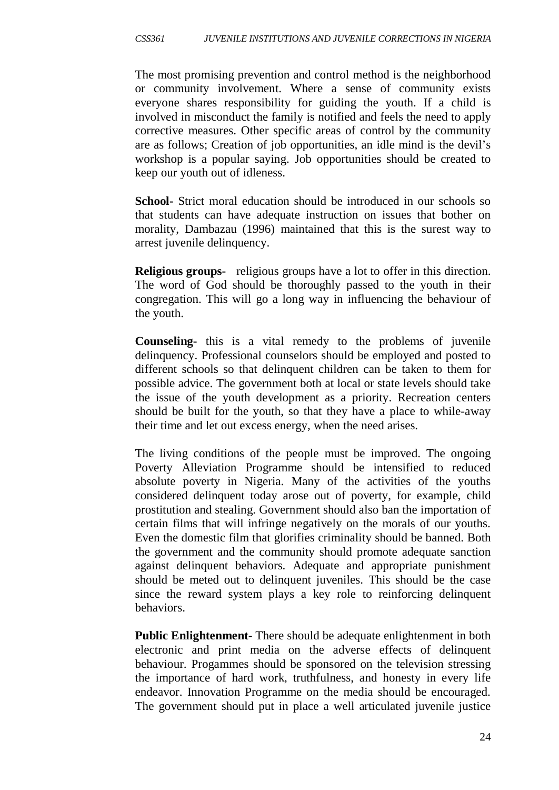The most promising prevention and control method is the neighborhood or community involvement. Where a sense of community exists everyone shares responsibility for guiding the youth. If a child is involved in misconduct the family is notified and feels the need to apply corrective measures. Other specific areas of control by the community are as follows; Creation of job opportunities, an idle mind is the devil's workshop is a popular saying. Job opportunities should be created to keep our youth out of idleness.

**School-** Strict moral education should be introduced in our schools so that students can have adequate instruction on issues that bother on morality, Dambazau (1996) maintained that this is the surest way to arrest juvenile delinquency.

**Religious groups-** religious groups have a lot to offer in this direction. The word of God should be thoroughly passed to the youth in their congregation. This will go a long way in influencing the behaviour of the youth.

**Counseling-** this is a vital remedy to the problems of juvenile delinquency. Professional counselors should be employed and posted to different schools so that delinquent children can be taken to them for possible advice. The government both at local or state levels should take the issue of the youth development as a priority. Recreation centers should be built for the youth, so that they have a place to while-away their time and let out excess energy, when the need arises.

The living conditions of the people must be improved. The ongoing Poverty Alleviation Programme should be intensified to reduced absolute poverty in Nigeria. Many of the activities of the youths considered delinquent today arose out of poverty, for example, child prostitution and stealing. Government should also ban the importation of certain films that will infringe negatively on the morals of our youths. Even the domestic film that glorifies criminality should be banned. Both the government and the community should promote adequate sanction against delinquent behaviors. Adequate and appropriate punishment should be meted out to delinquent juveniles. This should be the case since the reward system plays a key role to reinforcing delinquent behaviors.

**Public Enlightenment-** There should be adequate enlightenment in both electronic and print media on the adverse effects of delinquent behaviour. Progammes should be sponsored on the television stressing the importance of hard work, truthfulness, and honesty in every life endeavor. Innovation Programme on the media should be encouraged. The government should put in place a well articulated juvenile justice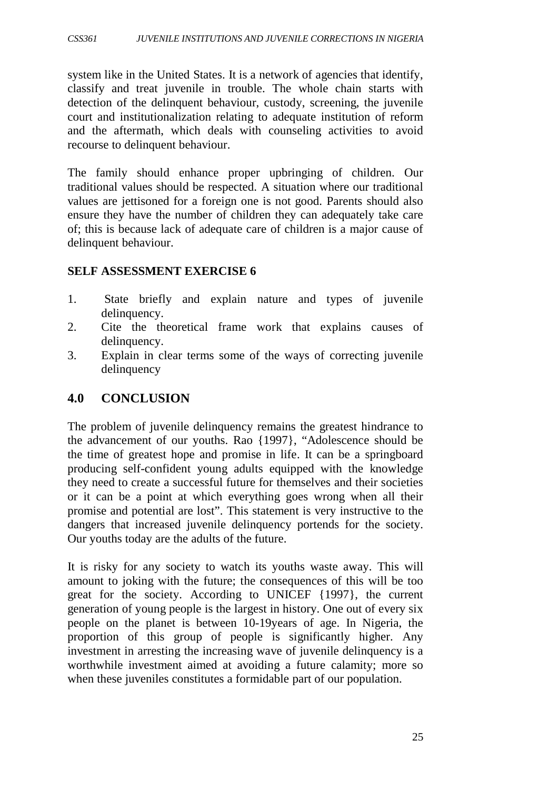system like in the United States. It is a network of agencies that identify, classify and treat juvenile in trouble. The whole chain starts with detection of the delinquent behaviour, custody, screening, the juvenile court and institutionalization relating to adequate institution of reform and the aftermath, which deals with counseling activities to avoid recourse to delinquent behaviour.

The family should enhance proper upbringing of children. Our traditional values should be respected. A situation where our traditional values are jettisoned for a foreign one is not good. Parents should also ensure they have the number of children they can adequately take care of; this is because lack of adequate care of children is a major cause of delinquent behaviour.

#### **SELF ASSESSMENT EXERCISE 6**

- 1. State briefly and explain nature and types of juvenile delinquency.
- 2. Cite the theoretical frame work that explains causes of delinquency.
- 3. Explain in clear terms some of the ways of correcting juvenile delinquency

### **4.0 CONCLUSION**

The problem of juvenile delinquency remains the greatest hindrance to the advancement of our youths. Rao {1997}, "Adolescence should be the time of greatest hope and promise in life. It can be a springboard producing self-confident young adults equipped with the knowledge they need to create a successful future for themselves and their societies or it can be a point at which everything goes wrong when all their promise and potential are lost". This statement is very instructive to the dangers that increased juvenile delinquency portends for the society. Our youths today are the adults of the future.

It is risky for any society to watch its youths waste away. This will amount to joking with the future; the consequences of this will be too great for the society. According to UNICEF {1997}, the current generation of young people is the largest in history. One out of every six people on the planet is between 10-19years of age. In Nigeria, the proportion of this group of people is significantly higher. Any investment in arresting the increasing wave of juvenile delinquency is a worthwhile investment aimed at avoiding a future calamity; more so when these juveniles constitutes a formidable part of our population.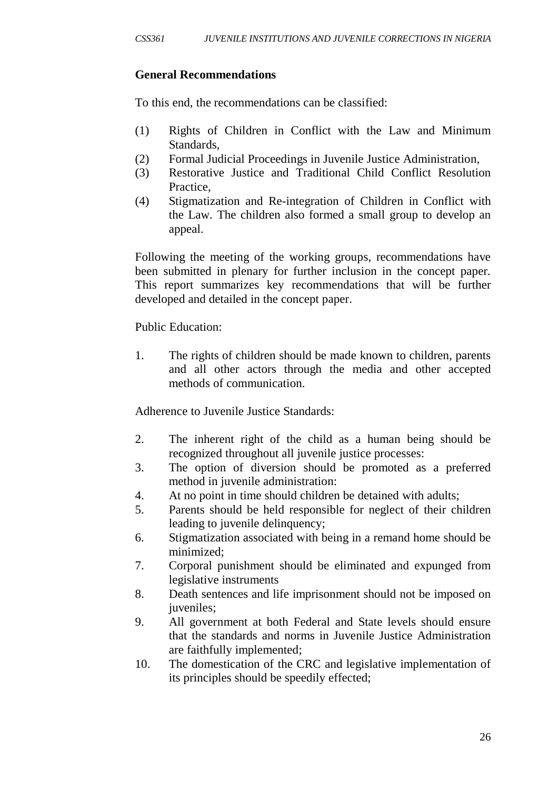### **General Recommendations**

To this end, the recommendations can be classified:

- (1) Rights of Children in Conflict with the Law and Minimum Standards,
- (2) Formal Judicial Proceedings in Juvenile Justice Administration,
- (3) Restorative Justice and Traditional Child Conflict Resolution Practice,
- (4) Stigmatization and Re-integration of Children in Conflict with the Law. The children also formed a small group to develop an appeal.

Following the meeting of the working groups, recommendations have been submitted in plenary for further inclusion in the concept paper. This report summarizes key recommendations that will be further developed and detailed in the concept paper.

#### Public Education:

1. The rights of children should be made known to children, parents and all other actors through the media and other accepted methods of communication.

Adherence to Juvenile Justice Standards:

- 2. The inherent right of the child as a human being should be recognized throughout all juvenile justice processes:
- 3. The option of diversion should be promoted as a preferred method in juvenile administration:
- 4. At no point in time should children be detained with adults;
- 5. Parents should be held responsible for neglect of their children leading to juvenile delinquency;
- 6. Stigmatization associated with being in a remand home should be minimized;
- 7. Corporal punishment should be eliminated and expunged from legislative instruments
- 8. Death sentences and life imprisonment should not be imposed on juveniles;
- 9. All government at both Federal and State levels should ensure that the standards and norms in Juvenile Justice Administration are faithfully implemented;
- 10. The domestication of the CRC and legislative implementation of its principles should be speedily effected;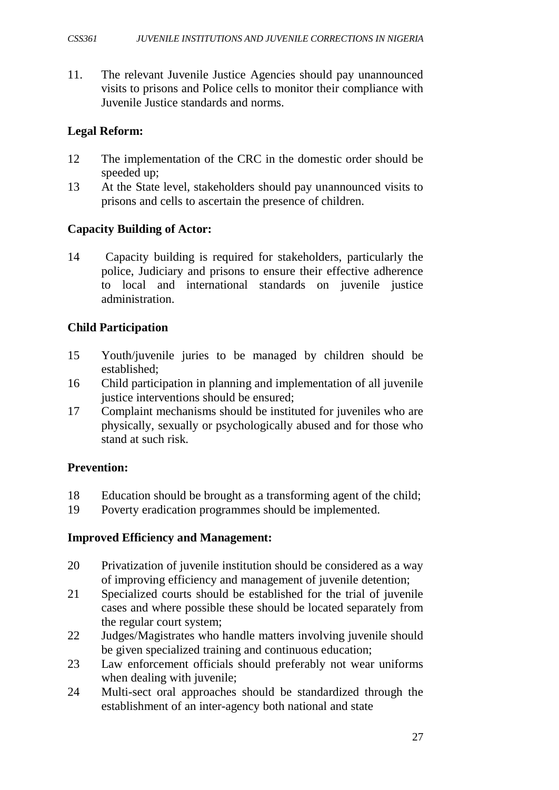11. The relevant Juvenile Justice Agencies should pay unannounced visits to prisons and Police cells to monitor their compliance with Juvenile Justice standards and norms.

#### **Legal Reform:**

- 12 The implementation of the CRC in the domestic order should be speeded up;
- 13 At the State level, stakeholders should pay unannounced visits to prisons and cells to ascertain the presence of children.

#### **Capacity Building of Actor:**

14 Capacity building is required for stakeholders, particularly the police, Judiciary and prisons to ensure their effective adherence to local and international standards on juvenile justice administration.

#### **Child Participation**

- 15 Youth/juvenile juries to be managed by children should be established;
- 16 Child participation in planning and implementation of all juvenile justice interventions should be ensured:
- 17 Complaint mechanisms should be instituted for juveniles who are physically, sexually or psychologically abused and for those who stand at such risk.

#### **Prevention:**

- 18 Education should be brought as a transforming agent of the child;
- 19 Poverty eradication programmes should be implemented.

#### **Improved Efficiency and Management:**

- 20 Privatization of juvenile institution should be considered as a way of improving efficiency and management of juvenile detention;
- 21 Specialized courts should be established for the trial of juvenile cases and where possible these should be located separately from the regular court system;
- 22 Judges/Magistrates who handle matters involving juvenile should be given specialized training and continuous education;
- 23 Law enforcement officials should preferably not wear uniforms when dealing with juvenile;
- 24 Multi-sect oral approaches should be standardized through the establishment of an inter-agency both national and state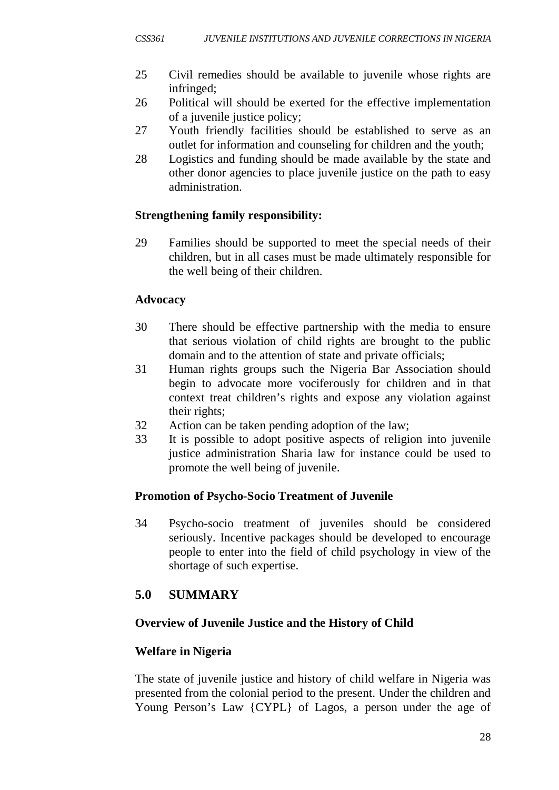- 25 Civil remedies should be available to juvenile whose rights are infringed;
- 26 Political will should be exerted for the effective implementation of a juvenile justice policy;
- 27 Youth friendly facilities should be established to serve as an outlet for information and counseling for children and the youth;
- 28 Logistics and funding should be made available by the state and other donor agencies to place juvenile justice on the path to easy administration.

### **Strengthening family responsibility:**

29 Families should be supported to meet the special needs of their children, but in all cases must be made ultimately responsible for the well being of their children.

### **Advocacy**

- 30 There should be effective partnership with the media to ensure that serious violation of child rights are brought to the public domain and to the attention of state and private officials;
- 31 Human rights groups such the Nigeria Bar Association should begin to advocate more vociferously for children and in that context treat children's rights and expose any violation against their rights;
- 32 Action can be taken pending adoption of the law;
- 33 It is possible to adopt positive aspects of religion into juvenile justice administration Sharia law for instance could be used to promote the well being of juvenile.

## **Promotion of Psycho-Socio Treatment of Juvenile**

34 Psycho-socio treatment of juveniles should be considered seriously. Incentive packages should be developed to encourage people to enter into the field of child psychology in view of the shortage of such expertise.

# **5.0 SUMMARY**

## **Overview of Juvenile Justice and the History of Child**

## **Welfare in Nigeria**

The state of juvenile justice and history of child welfare in Nigeria was presented from the colonial period to the present. Under the children and Young Person's Law {CYPL} of Lagos, a person under the age of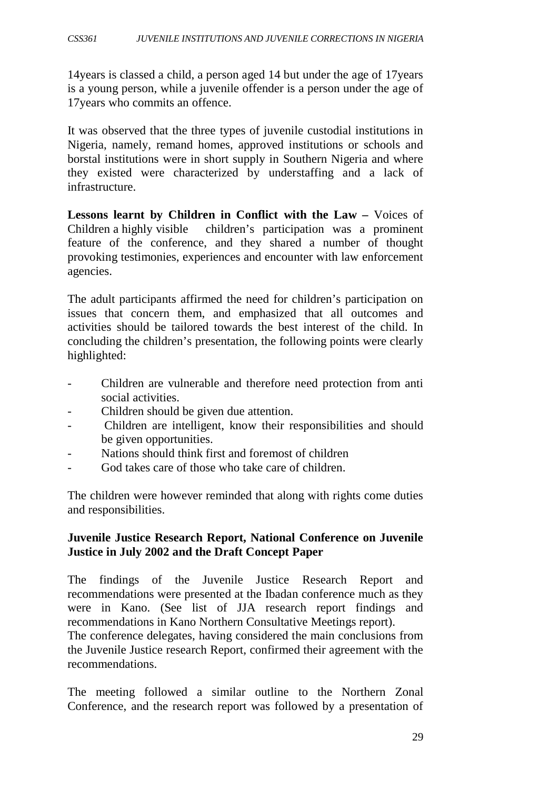14years is classed a child, a person aged 14 but under the age of 17years is a young person, while a juvenile offender is a person under the age of 17years who commits an offence.

It was observed that the three types of juvenile custodial institutions in Nigeria, namely, remand homes, approved institutions or schools and borstal institutions were in short supply in Southern Nigeria and where they existed were characterized by understaffing and a lack of infrastructure.

**Lessons learnt by Children in Conflict with the Law –** Voices of Children a highly visible children's participation was a prominent feature of the conference, and they shared a number of thought provoking testimonies, experiences and encounter with law enforcement agencies.

The adult participants affirmed the need for children's participation on issues that concern them, and emphasized that all outcomes and activities should be tailored towards the best interest of the child. In concluding the children's presentation, the following points were clearly highlighted:

- Children are vulnerable and therefore need protection from anti social activities.
- Children should be given due attention.
- Children are intelligent, know their responsibilities and should be given opportunities.
- Nations should think first and foremost of children
- God takes care of those who take care of children.

The children were however reminded that along with rights come duties and responsibilities.

#### **Juvenile Justice Research Report, National Conference on Juvenile Justice in July 2002 and the Draft Concept Paper**

The findings of the Juvenile Justice Research Report and recommendations were presented at the Ibadan conference much as they were in Kano. (See list of JJA research report findings and recommendations in Kano Northern Consultative Meetings report).

The conference delegates, having considered the main conclusions from the Juvenile Justice research Report, confirmed their agreement with the recommendations.

The meeting followed a similar outline to the Northern Zonal Conference, and the research report was followed by a presentation of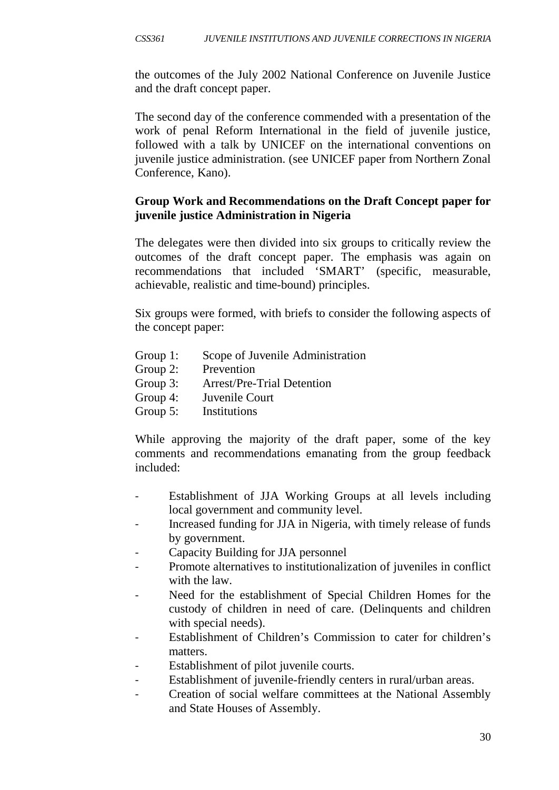the outcomes of the July 2002 National Conference on Juvenile Justice and the draft concept paper.

The second day of the conference commended with a presentation of the work of penal Reform International in the field of juvenile justice, followed with a talk by UNICEF on the international conventions on juvenile justice administration. (see UNICEF paper from Northern Zonal Conference, Kano).

### **Group Work and Recommendations on the Draft Concept paper for juvenile justice Administration in Nigeria**

The delegates were then divided into six groups to critically review the outcomes of the draft concept paper. The emphasis was again on recommendations that included 'SMART' (specific, measurable, achievable, realistic and time-bound) principles.

Six groups were formed, with briefs to consider the following aspects of the concept paper:

- Group 1: Scope of Juvenile Administration
- Group 2: Prevention
- Group 3: Arrest/Pre-Trial Detention
- Group 4: Juvenile Court
- Group 5: Institutions

While approving the majority of the draft paper, some of the key comments and recommendations emanating from the group feedback included:

- Establishment of JJA Working Groups at all levels including local government and community level.
- Increased funding for JJA in Nigeria, with timely release of funds by government.
- Capacity Building for JJA personnel
- Promote alternatives to institutionalization of juveniles in conflict with the law.
- Need for the establishment of Special Children Homes for the custody of children in need of care. (Delinquents and children with special needs).
- Establishment of Children's Commission to cater for children's matters.
- Establishment of pilot juvenile courts.
- Establishment of juvenile-friendly centers in rural/urban areas.
- Creation of social welfare committees at the National Assembly and State Houses of Assembly.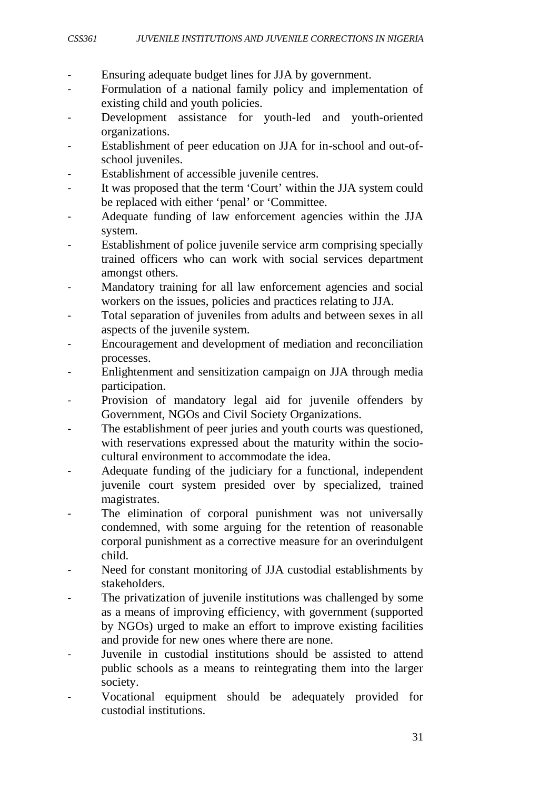- Ensuring adequate budget lines for JJA by government.
- Formulation of a national family policy and implementation of existing child and youth policies.
- Development assistance for youth-led and youth-oriented organizations.
- Establishment of peer education on JJA for in-school and out-ofschool juveniles.
- Establishment of accessible juvenile centres.
- It was proposed that the term 'Court' within the JJA system could be replaced with either 'penal' or 'Committee.
- Adequate funding of law enforcement agencies within the JJA system.
- Establishment of police juvenile service arm comprising specially trained officers who can work with social services department amongst others.
- Mandatory training for all law enforcement agencies and social workers on the issues, policies and practices relating to JJA.
- Total separation of juveniles from adults and between sexes in all aspects of the juvenile system.
- Encouragement and development of mediation and reconciliation processes.
- Enlightenment and sensitization campaign on JJA through media participation.
- Provision of mandatory legal aid for juvenile offenders by Government, NGOs and Civil Society Organizations.
- The establishment of peer juries and youth courts was questioned, with reservations expressed about the maturity within the sociocultural environment to accommodate the idea.
- Adequate funding of the judiciary for a functional, independent juvenile court system presided over by specialized, trained magistrates.
- The elimination of corporal punishment was not universally condemned, with some arguing for the retention of reasonable corporal punishment as a corrective measure for an overindulgent child.
- Need for constant monitoring of JJA custodial establishments by stakeholders.
- The privatization of juvenile institutions was challenged by some as a means of improving efficiency, with government (supported by NGOs) urged to make an effort to improve existing facilities and provide for new ones where there are none.
- Juvenile in custodial institutions should be assisted to attend public schools as a means to reintegrating them into the larger society.
- Vocational equipment should be adequately provided for custodial institutions.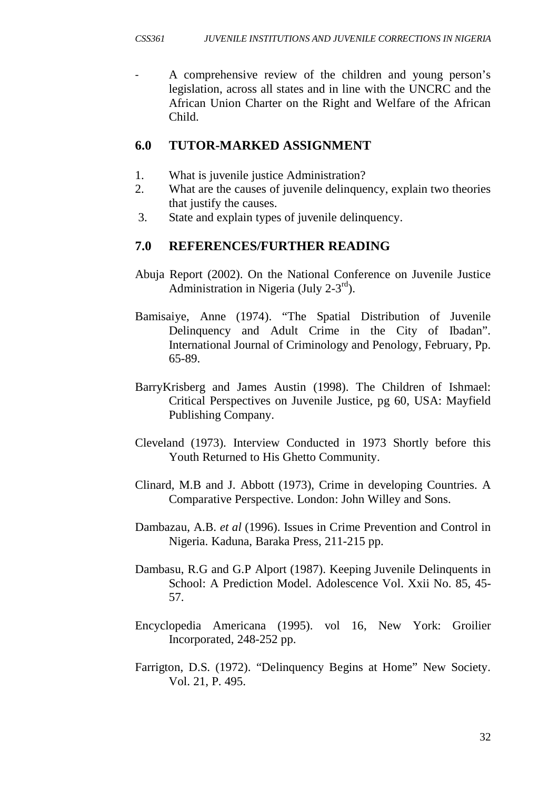A comprehensive review of the children and young person's legislation, across all states and in line with the UNCRC and the African Union Charter on the Right and Welfare of the African Child.

## **6.0 TUTOR-MARKED ASSIGNMENT**

- 1. What is juvenile justice Administration?
- 2. What are the causes of juvenile delinquency, explain two theories that justify the causes.
- 3. State and explain types of juvenile delinquency.

## **7.0 REFERENCES/FURTHER READING**

- Abuja Report (2002). On the National Conference on Juvenile Justice Administration in Nigeria (July  $2-3^{rd}$ ).
- Bamisaiye, Anne (1974). "The Spatial Distribution of Juvenile Delinquency and Adult Crime in the City of Ibadan". International Journal of Criminology and Penology, February, Pp. 65-89.
- BarryKrisberg and James Austin (1998). The Children of Ishmael: Critical Perspectives on Juvenile Justice, pg 60, USA: Mayfield Publishing Company.
- Cleveland (1973). Interview Conducted in 1973 Shortly before this Youth Returned to His Ghetto Community.
- Clinard, M.B and J. Abbott (1973), Crime in developing Countries. A Comparative Perspective. London: John Willey and Sons.
- Dambazau, A.B. *et al* (1996). Issues in Crime Prevention and Control in Nigeria. Kaduna, Baraka Press, 211-215 pp.
- Dambasu, R.G and G.P Alport (1987). Keeping Juvenile Delinquents in School: A Prediction Model. Adolescence Vol. Xxii No. 85, 45- 57.
- Encyclopedia Americana (1995). vol 16, New York: Groilier Incorporated, 248-252 pp.
- Farrigton, D.S. (1972). "Delinquency Begins at Home" New Society. Vol. 21, P. 495.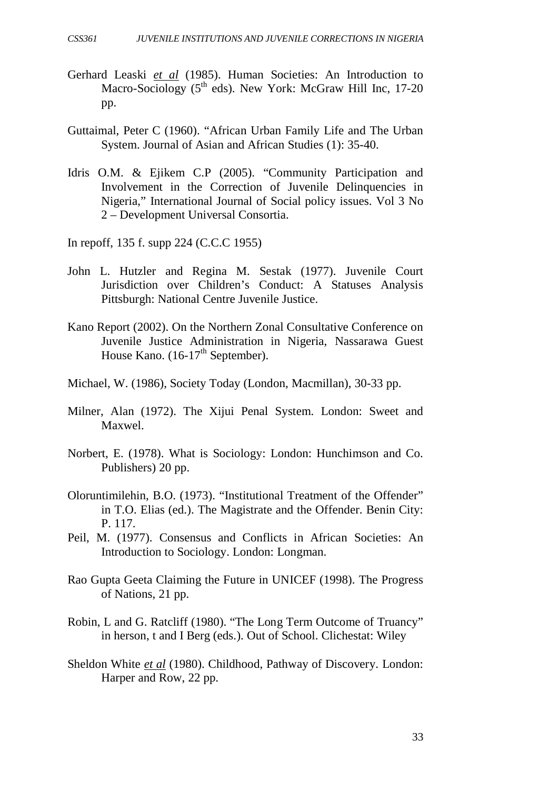- Gerhard Leaski *et al* (1985). Human Societies: An Introduction to Macro-Sociology  $(5<sup>th</sup>$  eds). New York: McGraw Hill Inc, 17-20 pp.
- Guttaimal, Peter C (1960). "African Urban Family Life and The Urban System. Journal of Asian and African Studies (1): 35-40.
- Idris O.M. & Ejikem C.P (2005). "Community Participation and Involvement in the Correction of Juvenile Delinquencies in Nigeria," International Journal of Social policy issues. Vol 3 No 2 – Development Universal Consortia.
- In repoff, 135 f. supp 224 (C.C.C 1955)
- John L. Hutzler and Regina M. Sestak (1977). Juvenile Court Jurisdiction over Children's Conduct: A Statuses Analysis Pittsburgh: National Centre Juvenile Justice.
- Kano Report (2002). On the Northern Zonal Consultative Conference on Juvenile Justice Administration in Nigeria, Nassarawa Guest House Kano.  $(16-17<sup>th</sup>$  September).
- Michael, W. (1986), Society Today (London, Macmillan), 30-33 pp.
- Milner, Alan (1972). The Xijui Penal System. London: Sweet and Maxwel.
- Norbert, E. (1978). What is Sociology: London: Hunchimson and Co. Publishers) 20 pp.
- Oloruntimilehin, B.O. (1973). "Institutional Treatment of the Offender" in T.O. Elias (ed.). The Magistrate and the Offender. Benin City: P. 117.
- Peil, M. (1977). Consensus and Conflicts in African Societies: An Introduction to Sociology. London: Longman.
- Rao Gupta Geeta Claiming the Future in UNICEF (1998). The Progress of Nations, 21 pp.
- Robin, L and G. Ratcliff (1980). "The Long Term Outcome of Truancy" in herson, t and I Berg (eds.). Out of School. Clichestat: Wiley
- Sheldon White *et al* (1980). Childhood, Pathway of Discovery. London: Harper and Row, 22 pp.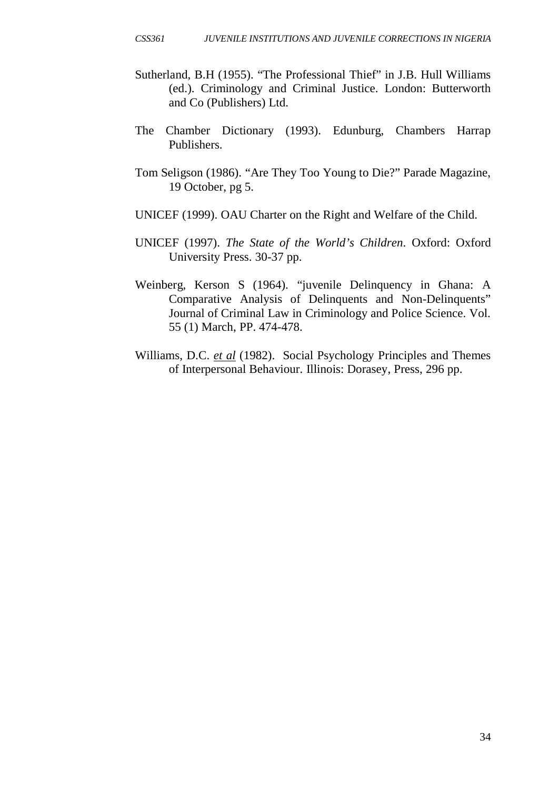- Sutherland, B.H (1955). "The Professional Thief" in J.B. Hull Williams (ed.). Criminology and Criminal Justice. London: Butterworth and Co (Publishers) Ltd.
- The Chamber Dictionary (1993). Edunburg, Chambers Harrap Publishers.
- Tom Seligson (1986). "Are They Too Young to Die?" Parade Magazine, 19 October, pg 5.
- UNICEF (1999). OAU Charter on the Right and Welfare of the Child.
- UNICEF (1997). *The State of the World's Children*. Oxford: Oxford University Press. 30-37 pp.
- Weinberg, Kerson S (1964). "juvenile Delinquency in Ghana: A Comparative Analysis of Delinquents and Non-Delinquents" Journal of Criminal Law in Criminology and Police Science. Vol. 55 (1) March, PP. 474-478.
- Williams, D.C. *et al* (1982). Social Psychology Principles and Themes of Interpersonal Behaviour. Illinois: Dorasey, Press, 296 pp.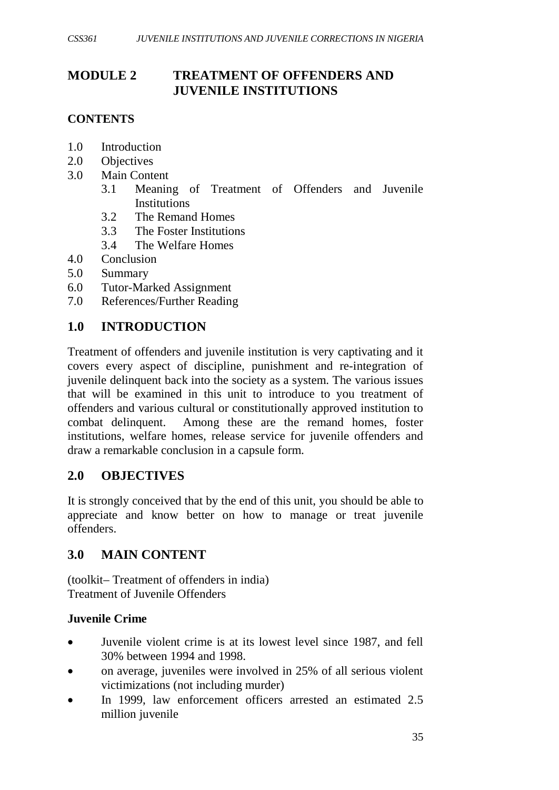# **MODULE 2 TREATMENT OF OFFENDERS AND JUVENILE INSTITUTIONS**

### **CONTENTS**

- 1.0 Introduction
- 2.0 Objectives
- 3.0 Main Content
	- 3.1 Meaning of Treatment of Offenders and Juvenile **Institutions**
	- 3.2 The Remand Homes
	- 3.3 The Foster Institutions
	- 3.4 The Welfare Homes
- 4.0 Conclusion
- 5.0 Summary
- 6.0 Tutor-Marked Assignment
- 7.0 References/Further Reading

# **1.0 INTRODUCTION**

Treatment of offenders and juvenile institution is very captivating and it covers every aspect of discipline, punishment and re-integration of juvenile delinquent back into the society as a system. The various issues that will be examined in this unit to introduce to you treatment of offenders and various cultural or constitutionally approved institution to combat delinquent. Among these are the remand homes, foster institutions, welfare homes, release service for juvenile offenders and draw a remarkable conclusion in a capsule form.

## **2.0 OBJECTIVES**

It is strongly conceived that by the end of this unit, you should be able to appreciate and know better on how to manage or treat juvenile offenders.

## **3.0 MAIN CONTENT**

(toolkit– Treatment of offenders in india) Treatment of Juvenile Offenders

#### **Juvenile Crime**

- Juvenile violent crime is at its lowest level since 1987, and fell 30% between 1994 and 1998.
- on average, juveniles were involved in 25% of all serious violent victimizations (not including murder)
- In 1999, law enforcement officers arrested an estimated 2.5 million juvenile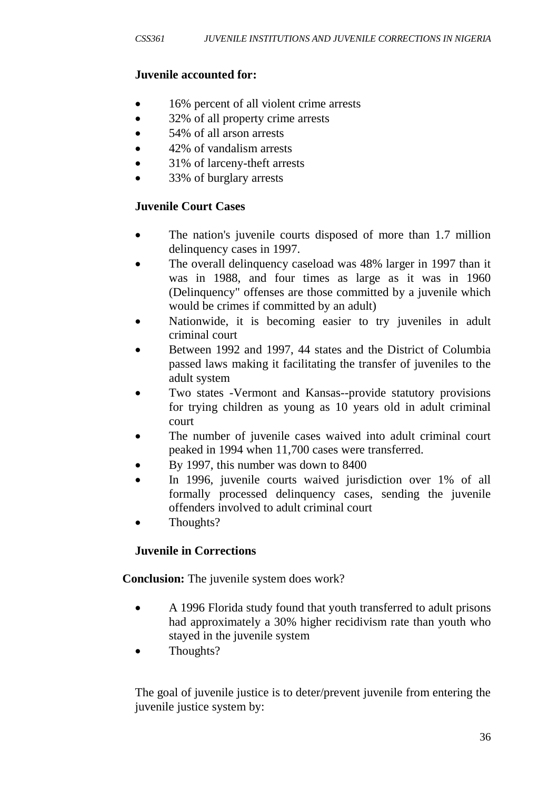### **Juvenile accounted for:**

- 16% percent of all violent crime arrests
- 32% of all property crime arrests
- 54% of all arson arrests
- 42% of vandalism arrests
- 31% of larceny-theft arrests
- 33% of burglary arrests

## **Juvenile Court Cases**

- The nation's juvenile courts disposed of more than 1.7 million delinquency cases in 1997.
- The overall delinguency caseload was 48% larger in 1997 than it was in 1988, and four times as large as it was in 1960 (Delinquency" offenses are those committed by a juvenile which would be crimes if committed by an adult)
- Nationwide, it is becoming easier to try juveniles in adult criminal court
- Between 1992 and 1997, 44 states and the District of Columbia passed laws making it facilitating the transfer of juveniles to the adult system
- Two states -Vermont and Kansas--provide statutory provisions for trying children as young as 10 years old in adult criminal court
- The number of juvenile cases waived into adult criminal court peaked in 1994 when 11,700 cases were transferred.
- By 1997, this number was down to 8400
- In 1996, juvenile courts waived jurisdiction over 1% of all formally processed delinquency cases, sending the juvenile offenders involved to adult criminal court
- Thoughts?

## **Juvenile in Corrections**

**Conclusion:** The juvenile system does work?

- A 1996 Florida study found that youth transferred to adult prisons had approximately a 30% higher recidivism rate than youth who stayed in the juvenile system
- Thoughts?

The goal of juvenile justice is to deter/prevent juvenile from entering the juvenile justice system by: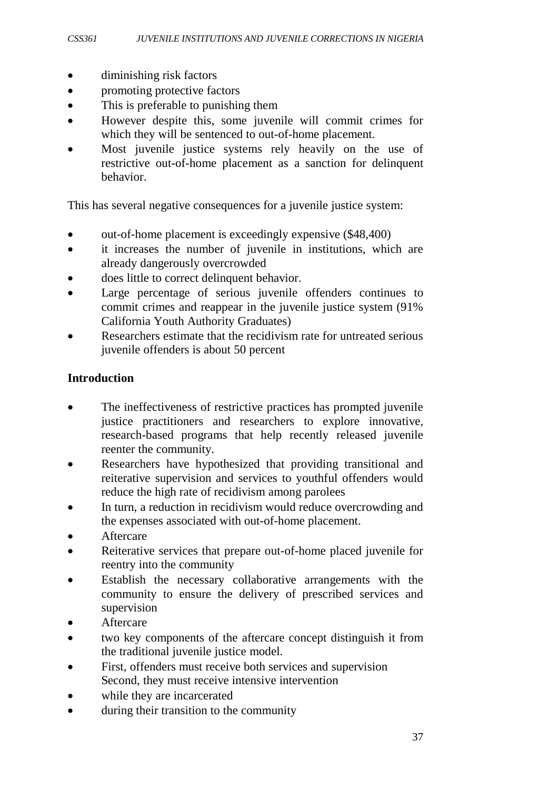- diminishing risk factors
- promoting protective factors
- This is preferable to punishing them
- However despite this, some juvenile will commit crimes for which they will be sentenced to out-of-home placement.
- Most juvenile justice systems rely heavily on the use of restrictive out-of-home placement as a sanction for delinquent behavior.

This has several negative consequences for a juvenile justice system:

- out-of-home placement is exceedingly expensive (\$48,400)
- it increases the number of juvenile in institutions, which are already dangerously overcrowded
- does little to correct delinquent behavior.
- Large percentage of serious juvenile offenders continues to commit crimes and reappear in the juvenile justice system (91% California Youth Authority Graduates)
- Researchers estimate that the recidivism rate for untreated serious juvenile offenders is about 50 percent

#### **Introduction**

- The ineffectiveness of restrictive practices has prompted juvenile justice practitioners and researchers to explore innovative, research-based programs that help recently released juvenile reenter the community.
- Researchers have hypothesized that providing transitional and reiterative supervision and services to youthful offenders would reduce the high rate of recidivism among parolees
- In turn, a reduction in recidivism would reduce overcrowding and the expenses associated with out-of-home placement.
- **Aftercare**
- Reiterative services that prepare out-of-home placed juvenile for reentry into the community
- Establish the necessary collaborative arrangements with the community to ensure the delivery of prescribed services and supervision
- **Aftercare**
- two key components of the aftercare concept distinguish it from the traditional juvenile justice model.
- First, offenders must receive both services and supervision Second, they must receive intensive intervention
- while they are incarcerated
- during their transition to the community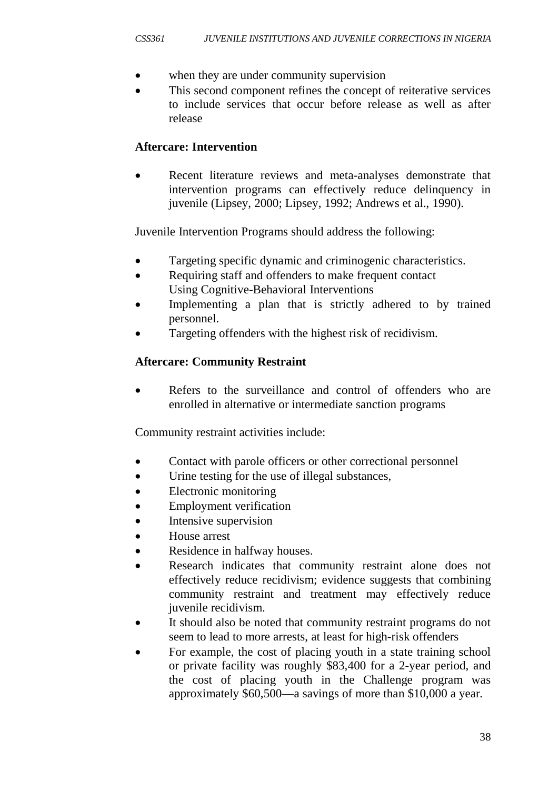- when they are under community supervision
- This second component refines the concept of reiterative services to include services that occur before release as well as after release

## **Aftercare: Intervention**

• Recent literature reviews and meta-analyses demonstrate that intervention programs can effectively reduce delinquency in juvenile (Lipsey, 2000; Lipsey, 1992; Andrews et al., 1990).

Juvenile Intervention Programs should address the following:

- Targeting specific dynamic and criminogenic characteristics.
- Requiring staff and offenders to make frequent contact Using Cognitive-Behavioral Interventions
- Implementing a plan that is strictly adhered to by trained personnel.
- Targeting offenders with the highest risk of recidivism.

# **Aftercare: Community Restraint**

Refers to the surveillance and control of offenders who are enrolled in alternative or intermediate sanction programs

Community restraint activities include:

- Contact with parole officers or other correctional personnel
- Urine testing for the use of illegal substances,
- Electronic monitoring
- **Employment verification**
- Intensive supervision
- House arrest
- Residence in halfway houses.
- Research indicates that community restraint alone does not effectively reduce recidivism; evidence suggests that combining community restraint and treatment may effectively reduce juvenile recidivism.
- It should also be noted that community restraint programs do not seem to lead to more arrests, at least for high-risk offenders
- For example, the cost of placing youth in a state training school or private facility was roughly \$83,400 for a 2-year period, and the cost of placing youth in the Challenge program was approximately \$60,500—a savings of more than \$10,000 a year.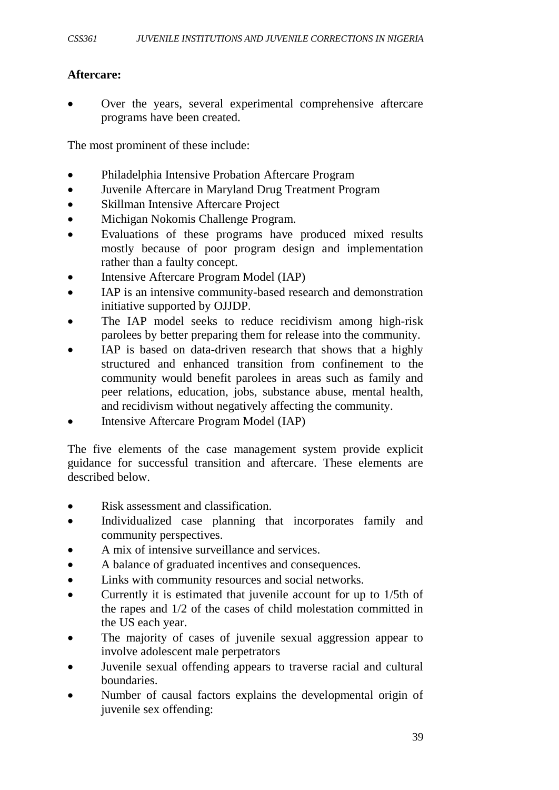### **Aftercare:**

Over the years, several experimental comprehensive aftercare programs have been created.

The most prominent of these include:

- Philadelphia Intensive Probation Aftercare Program
- Juvenile Aftercare in Maryland Drug Treatment Program
- Skillman Intensive Aftercare Project
- Michigan Nokomis Challenge Program.
- Evaluations of these programs have produced mixed results mostly because of poor program design and implementation rather than a faulty concept.
- Intensive Aftercare Program Model (IAP)
- IAP is an intensive community-based research and demonstration initiative supported by OJJDP.
- The IAP model seeks to reduce recidivism among high-risk parolees by better preparing them for release into the community.
- IAP is based on data-driven research that shows that a highly structured and enhanced transition from confinement to the community would benefit parolees in areas such as family and peer relations, education, jobs, substance abuse, mental health, and recidivism without negatively affecting the community.
- Intensive Aftercare Program Model (IAP)

The five elements of the case management system provide explicit guidance for successful transition and aftercare. These elements are described below.

- Risk assessment and classification.
- Individualized case planning that incorporates family and community perspectives.
- A mix of intensive surveillance and services.
- A balance of graduated incentives and consequences.
- Links with community resources and social networks.
- Currently it is estimated that juvenile account for up to 1/5th of the rapes and 1/2 of the cases of child molestation committed in the US each year.
- The majority of cases of juvenile sexual aggression appear to involve adolescent male perpetrators
- Juvenile sexual offending appears to traverse racial and cultural boundaries.
- Number of causal factors explains the developmental origin of juvenile sex offending: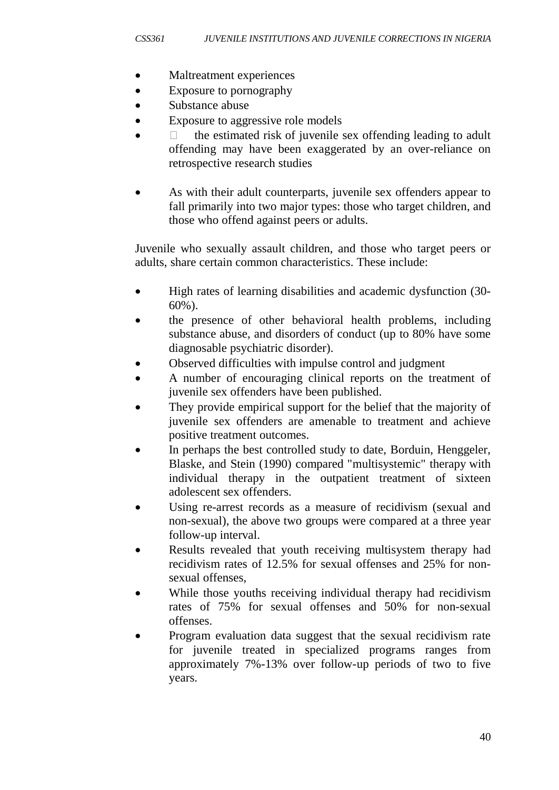- Maltreatment experiences
- Exposure to pornography
- Substance abuse
- Exposure to aggressive role models
- $\Box$  the estimated risk of juvenile sex offending leading to adult offending may have been exaggerated by an over-reliance on retrospective research studies
- As with their adult counterparts, juvenile sex offenders appear to fall primarily into two major types: those who target children, and those who offend against peers or adults.

Juvenile who sexually assault children, and those who target peers or adults, share certain common characteristics. These include:

- High rates of learning disabilities and academic dysfunction (30-60%).
- the presence of other behavioral health problems, including substance abuse, and disorders of conduct (up to 80% have some diagnosable psychiatric disorder).
- Observed difficulties with impulse control and judgment
- A number of encouraging clinical reports on the treatment of juvenile sex offenders have been published.
- They provide empirical support for the belief that the majority of juvenile sex offenders are amenable to treatment and achieve positive treatment outcomes.
- In perhaps the best controlled study to date, Borduin, Henggeler, Blaske, and Stein (1990) compared "multisystemic" therapy with individual therapy in the outpatient treatment of sixteen adolescent sex offenders.
- Using re-arrest records as a measure of recidivism (sexual and non-sexual), the above two groups were compared at a three year follow-up interval.
- Results revealed that youth receiving multisystem therapy had recidivism rates of 12.5% for sexual offenses and 25% for nonsexual offenses,
- While those youths receiving individual therapy had recidivism rates of 75% for sexual offenses and 50% for non-sexual offenses.
- Program evaluation data suggest that the sexual recidivism rate for juvenile treated in specialized programs ranges from approximately 7%-13% over follow-up periods of two to five years.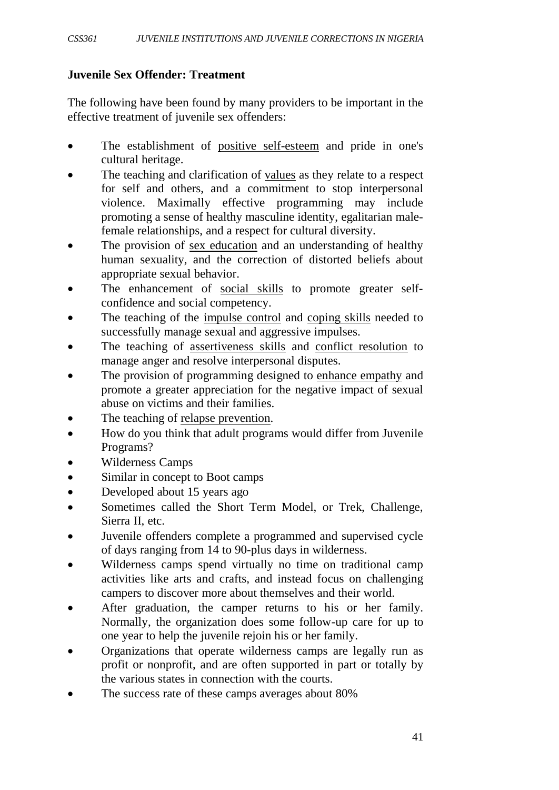### **Juvenile Sex Offender: Treatment**

The following have been found by many providers to be important in the effective treatment of juvenile sex offenders:

- The establishment of positive self-esteem and pride in one's cultural heritage.
- The teaching and clarification of values as they relate to a respect for self and others, and a commitment to stop interpersonal violence. Maximally effective programming may include promoting a sense of healthy masculine identity, egalitarian malefemale relationships, and a respect for cultural diversity.
- The provision of sex education and an understanding of healthy human sexuality, and the correction of distorted beliefs about appropriate sexual behavior.
- The enhancement of social skills to promote greater selfconfidence and social competency.
- The teaching of the impulse control and coping skills needed to successfully manage sexual and aggressive impulses.
- The teaching of assertiveness skills and conflict resolution to manage anger and resolve interpersonal disputes.
- The provision of programming designed to enhance empathy and promote a greater appreciation for the negative impact of sexual abuse on victims and their families.
- The teaching of relapse prevention.
- How do you think that adult programs would differ from Juvenile Programs?
- Wilderness Camps
- Similar in concept to Boot camps
- Developed about 15 years ago
- Sometimes called the Short Term Model, or Trek, Challenge, Sierra II, etc.
- Juvenile offenders complete a programmed and supervised cycle of days ranging from 14 to 90-plus days in wilderness.
- Wilderness camps spend virtually no time on traditional camp activities like arts and crafts, and instead focus on challenging campers to discover more about themselves and their world.
- After graduation, the camper returns to his or her family. Normally, the organization does some follow-up care for up to one year to help the juvenile rejoin his or her family.
- Organizations that operate wilderness camps are legally run as profit or nonprofit, and are often supported in part or totally by the various states in connection with the courts.
- The success rate of these camps averages about 80%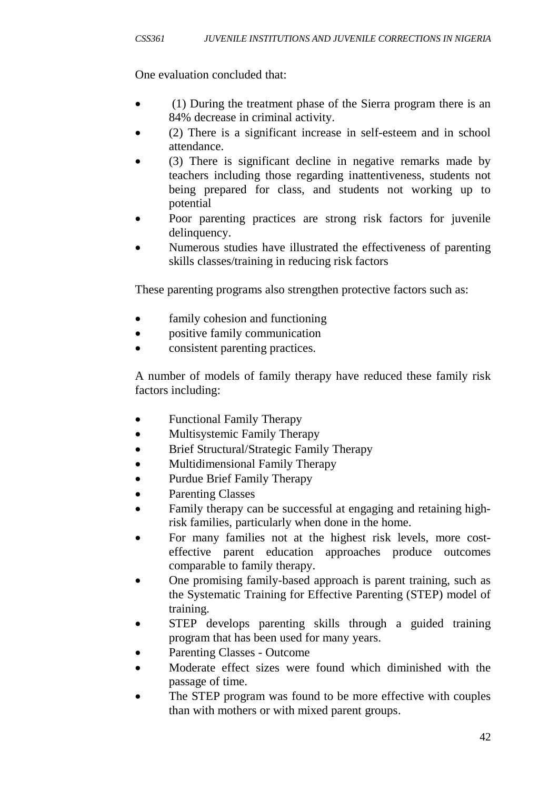One evaluation concluded that:

- (1) During the treatment phase of the Sierra program there is an 84% decrease in criminal activity.
- (2) There is a significant increase in self-esteem and in school attendance.
- (3) There is significant decline in negative remarks made by teachers including those regarding inattentiveness, students not being prepared for class, and students not working up to potential
- Poor parenting practices are strong risk factors for juvenile delinquency.
- Numerous studies have illustrated the effectiveness of parenting skills classes/training in reducing risk factors

These parenting programs also strengthen protective factors such as:

- family cohesion and functioning
- positive family communication
- consistent parenting practices.

A number of models of family therapy have reduced these family risk factors including:

- Functional Family Therapy
- Multisystemic Family Therapy
- Brief Structural/Strategic Family Therapy
- Multidimensional Family Therapy
- Purdue Brief Family Therapy
- Parenting Classes
- Family therapy can be successful at engaging and retaining highrisk families, particularly when done in the home.
- For many families not at the highest risk levels, more costeffective parent education approaches produce outcomes comparable to family therapy.
- One promising family-based approach is parent training, such as the Systematic Training for Effective Parenting (STEP) model of training.
- STEP develops parenting skills through a guided training program that has been used for many years.
- Parenting Classes Outcome
- Moderate effect sizes were found which diminished with the passage of time.
- The STEP program was found to be more effective with couples than with mothers or with mixed parent groups.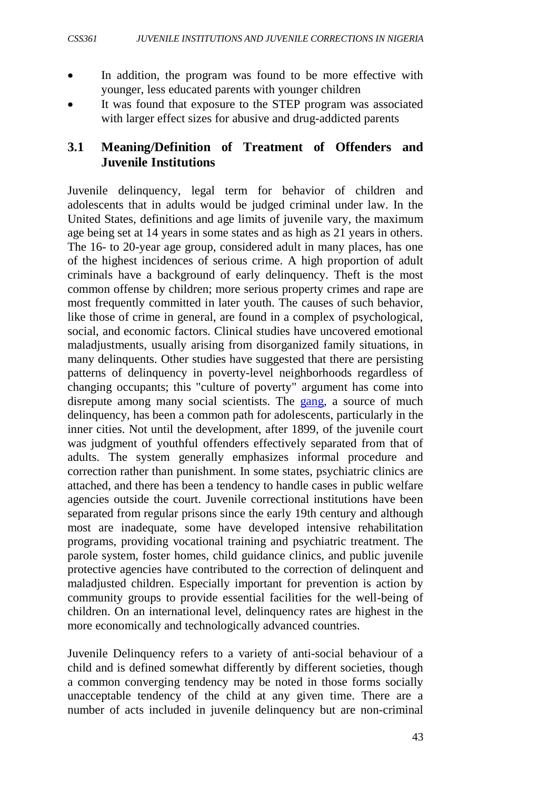- In addition, the program was found to be more effective with younger, less educated parents with younger children
- It was found that exposure to the STEP program was associated with larger effect sizes for abusive and drug-addicted parents

### **3.1 Meaning/Definition of Treatment of Offenders and Juvenile Institutions**

Juvenile delinquency, legal term for behavior of children and adolescents that in adults would be judged criminal under law. In the United States, definitions and age limits of juvenile vary, the maximum age being set at 14 years in some states and as high as 21 years in others. The 16- to 20-year age group, considered adult in many places, has one of the highest incidences of serious crime. A high proportion of adult criminals have a background of early delinquency. Theft is the most common offense by children; more serious property crimes and rape are most frequently committed in later youth. The causes of such behavior, like those of crime in general, are found in a complex of psychological, social, and economic factors. Clinical studies have uncovered emotional maladjustments, usually arising from disorganized family situations, in many delinquents. Other studies have suggested that there are persisting patterns of delinquency in poverty-level neighborhoods regardless of changing occupants; this "culture of poverty" argument has come into disrepute among many social scientists. The [gang,](http://www.answers.com/topic/gang) a source of much delinquency, has been a common path for adolescents, particularly in the inner cities. Not until the development, after 1899, of the juvenile court was judgment of youthful offenders effectively separated from that of adults. The system generally emphasizes informal procedure and correction rather than punishment. In some states, psychiatric clinics are attached, and there has been a tendency to handle cases in public welfare agencies outside the court. Juvenile correctional institutions have been separated from regular prisons since the early 19th century and although most are inadequate, some have developed intensive rehabilitation programs, providing vocational training and psychiatric treatment. The parole system, foster homes, child guidance clinics, and public juvenile protective agencies have contributed to the correction of delinquent and maladjusted children. Especially important for prevention is action by community groups to provide essential facilities for the well-being of children. On an international level, delinquency rates are highest in the more economically and technologically advanced countries.

Juvenile Delinquency refers to a variety of anti-social behaviour of a child and is defined somewhat differently by different societies, though a common converging tendency may be noted in those forms socially unacceptable tendency of the child at any given time. There are a number of acts included in juvenile delinquency but are non-criminal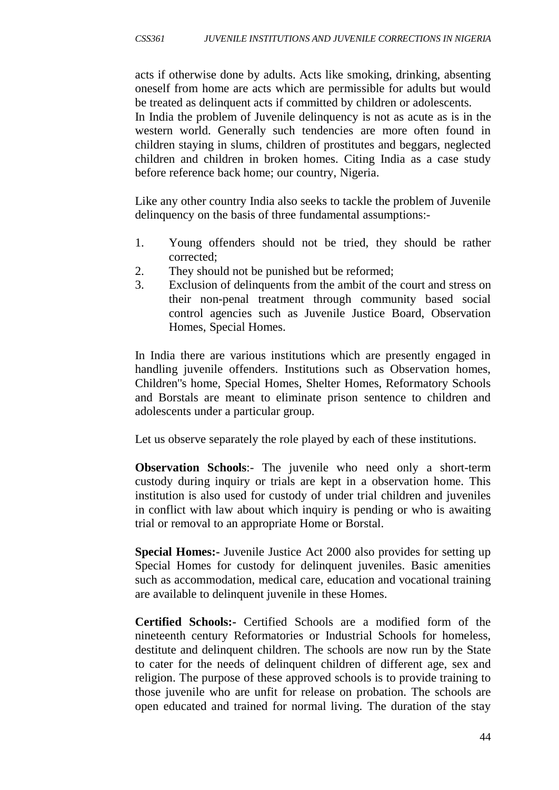acts if otherwise done by adults. Acts like smoking, drinking, absenting oneself from home are acts which are permissible for adults but would be treated as delinquent acts if committed by children or adolescents.

In India the problem of Juvenile delinquency is not as acute as is in the western world. Generally such tendencies are more often found in children staying in slums, children of prostitutes and beggars, neglected children and children in broken homes. Citing India as a case study before reference back home; our country, Nigeria.

Like any other country India also seeks to tackle the problem of Juvenile delinquency on the basis of three fundamental assumptions:-

- 1. Young offenders should not be tried, they should be rather corrected;
- 2. They should not be punished but be reformed;
- 3. Exclusion of delinquents from the ambit of the court and stress on their non-penal treatment through community based social control agencies such as Juvenile Justice Board, Observation Homes, Special Homes.

In India there are various institutions which are presently engaged in handling juvenile offenders. Institutions such as Observation homes, Children''s home, Special Homes, Shelter Homes, Reformatory Schools and Borstals are meant to eliminate prison sentence to children and adolescents under a particular group.

Let us observe separately the role played by each of these institutions.

**Observation Schools:** The juvenile who need only a short-term custody during inquiry or trials are kept in a observation home. This institution is also used for custody of under trial children and juveniles in conflict with law about which inquiry is pending or who is awaiting trial or removal to an appropriate Home or Borstal.

**Special Homes:-** Juvenile Justice Act 2000 also provides for setting up Special Homes for custody for delinquent juveniles. Basic amenities such as accommodation, medical care, education and vocational training are available to delinquent juvenile in these Homes.

**Certified Schools:-** Certified Schools are a modified form of the nineteenth century Reformatories or Industrial Schools for homeless, destitute and delinquent children. The schools are now run by the State to cater for the needs of delinquent children of different age, sex and religion. The purpose of these approved schools is to provide training to those juvenile who are unfit for release on probation. The schools are open educated and trained for normal living. The duration of the stay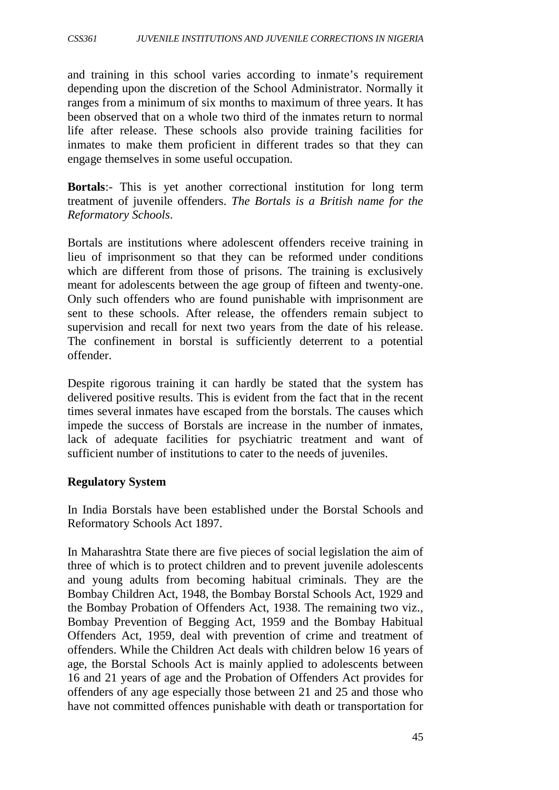and training in this school varies according to inmate's requirement depending upon the discretion of the School Administrator. Normally it ranges from a minimum of six months to maximum of three years. It has been observed that on a whole two third of the inmates return to normal life after release. These schools also provide training facilities for inmates to make them proficient in different trades so that they can engage themselves in some useful occupation.

**Bortals**:- This is yet another correctional institution for long term treatment of juvenile offenders. *The Bortals is a British name for the Reformatory Schools*.

Bortals are institutions where adolescent offenders receive training in lieu of imprisonment so that they can be reformed under conditions which are different from those of prisons. The training is exclusively meant for adolescents between the age group of fifteen and twenty-one. Only such offenders who are found punishable with imprisonment are sent to these schools. After release, the offenders remain subject to supervision and recall for next two years from the date of his release. The confinement in borstal is sufficiently deterrent to a potential offender.

Despite rigorous training it can hardly be stated that the system has delivered positive results. This is evident from the fact that in the recent times several inmates have escaped from the borstals. The causes which impede the success of Borstals are increase in the number of inmates, lack of adequate facilities for psychiatric treatment and want of sufficient number of institutions to cater to the needs of juveniles.

#### **Regulatory System**

In India Borstals have been established under the Borstal Schools and Reformatory Schools Act 1897.

In Maharashtra State there are five pieces of social legislation the aim of three of which is to protect children and to prevent juvenile adolescents and young adults from becoming habitual criminals. They are the Bombay Children Act, 1948, the Bombay Borstal Schools Act, 1929 and the Bombay Probation of Offenders Act, 1938. The remaining two viz., Bombay Prevention of Begging Act, 1959 and the Bombay Habitual Offenders Act, 1959, deal with prevention of crime and treatment of offenders. While the Children Act deals with children below 16 years of age, the Borstal Schools Act is mainly applied to adolescents between 16 and 21 years of age and the Probation of Offenders Act provides for offenders of any age especially those between 21 and 25 and those who have not committed offences punishable with death or transportation for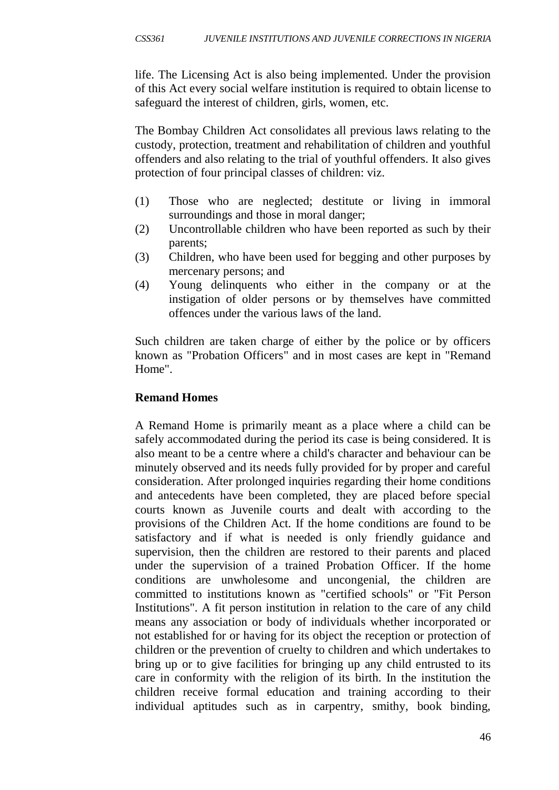life. The Licensing Act is also being implemented. Under the provision of this Act every social welfare institution is required to obtain license to safeguard the interest of children, girls, women, etc.

The Bombay Children Act consolidates all previous laws relating to the custody, protection, treatment and rehabilitation of children and youthful offenders and also relating to the trial of youthful offenders. It also gives protection of four principal classes of children: viz.

- (1) Those who are neglected; destitute or living in immoral surroundings and those in moral danger;
- (2) Uncontrollable children who have been reported as such by their parents;
- (3) Children, who have been used for begging and other purposes by mercenary persons; and
- (4) Young delinquents who either in the company or at the instigation of older persons or by themselves have committed offences under the various laws of the land.

Such children are taken charge of either by the police or by officers known as "Probation Officers" and in most cases are kept in "Remand Home".

### **Remand Homes**

A Remand Home is primarily meant as a place where a child can be safely accommodated during the period its case is being considered. It is also meant to be a centre where a child's character and behaviour can be minutely observed and its needs fully provided for by proper and careful consideration. After prolonged inquiries regarding their home conditions and antecedents have been completed, they are placed before special courts known as Juvenile courts and dealt with according to the provisions of the Children Act. If the home conditions are found to be satisfactory and if what is needed is only friendly guidance and supervision, then the children are restored to their parents and placed under the supervision of a trained Probation Officer. If the home conditions are unwholesome and uncongenial, the children are committed to institutions known as "certified schools" or "Fit Person Institutions". A fit person institution in relation to the care of any child means any association or body of individuals whether incorporated or not established for or having for its object the reception or protection of children or the prevention of cruelty to children and which undertakes to bring up or to give facilities for bringing up any child entrusted to its care in conformity with the religion of its birth. In the institution the children receive formal education and training according to their individual aptitudes such as in carpentry, smithy, book binding,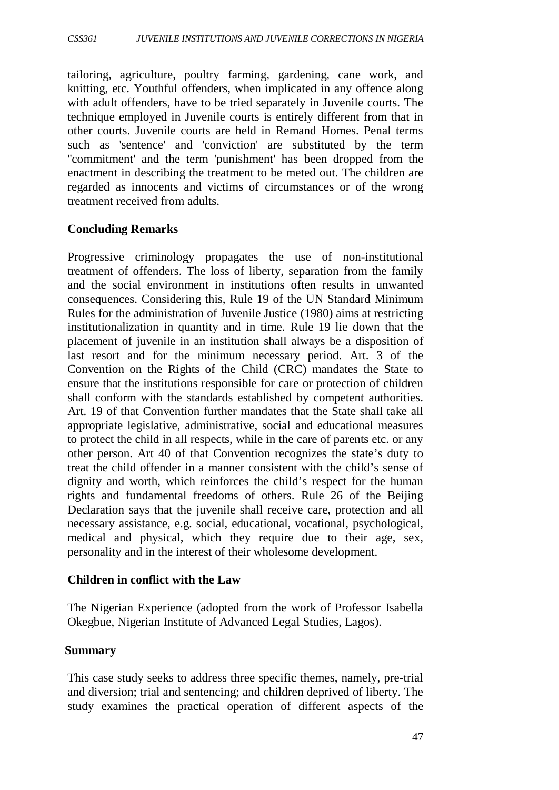tailoring, agriculture, poultry farming, gardening, cane work, and knitting, etc. Youthful offenders, when implicated in any offence along with adult offenders, have to be tried separately in Juvenile courts. The technique employed in Juvenile courts is entirely different from that in other courts. Juvenile courts are held in Remand Homes. Penal terms such as 'sentence' and 'conviction' are substituted by the term ''commitment' and the term 'punishment' has been dropped from the enactment in describing the treatment to be meted out. The children are regarded as innocents and victims of circumstances or of the wrong treatment received from adults.

#### **Concluding Remarks**

Progressive criminology propagates the use of non-institutional treatment of offenders. The loss of liberty, separation from the family and the social environment in institutions often results in unwanted consequences. Considering this, Rule 19 of the UN Standard Minimum Rules for the administration of Juvenile Justice (1980) aims at restricting institutionalization in quantity and in time. Rule 19 lie down that the placement of juvenile in an institution shall always be a disposition of last resort and for the minimum necessary period. Art. 3 of the Convention on the Rights of the Child (CRC) mandates the State to ensure that the institutions responsible for care or protection of children shall conform with the standards established by competent authorities. Art. 19 of that Convention further mandates that the State shall take all appropriate legislative, administrative, social and educational measures to protect the child in all respects, while in the care of parents etc. or any other person. Art 40 of that Convention recognizes the state's duty to treat the child offender in a manner consistent with the child's sense of dignity and worth, which reinforces the child's respect for the human rights and fundamental freedoms of others. Rule 26 of the Beijing Declaration says that the juvenile shall receive care, protection and all necessary assistance, e.g. social, educational, vocational, psychological, medical and physical, which they require due to their age, sex, personality and in the interest of their wholesome development.

#### **Children in conflict with the Law**

The Nigerian Experience (adopted from the work of Professor Isabella Okegbue, Nigerian Institute of Advanced Legal Studies, Lagos).

#### **Summary**

This case study seeks to address three specific themes, namely, pre-trial and diversion; trial and sentencing; and children deprived of liberty. The study examines the practical operation of different aspects of the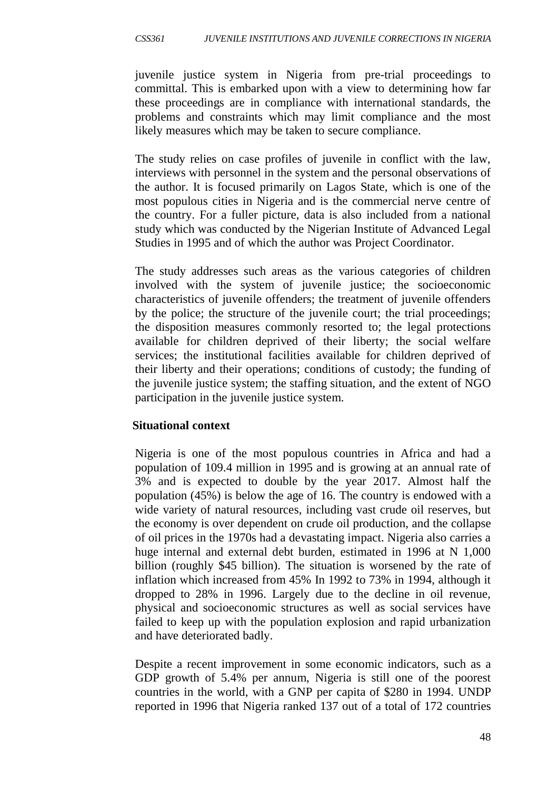juvenile justice system in Nigeria from pre-trial proceedings to committal. This is embarked upon with a view to determining how far these proceedings are in compliance with international standards, the problems and constraints which may limit compliance and the most likely measures which may be taken to secure compliance.

The study relies on case profiles of juvenile in conflict with the law, interviews with personnel in the system and the personal observations of the author. It is focused primarily on Lagos State, which is one of the most populous cities in Nigeria and is the commercial nerve centre of the country. For a fuller picture, data is also included from a national study which was conducted by the Nigerian Institute of Advanced Legal Studies in 1995 and of which the author was Project Coordinator.

The study addresses such areas as the various categories of children involved with the system of juvenile justice; the socioeconomic characteristics of juvenile offenders; the treatment of juvenile offenders by the police; the structure of the juvenile court; the trial proceedings; the disposition measures commonly resorted to; the legal protections available for children deprived of their liberty; the social welfare services; the institutional facilities available for children deprived of their liberty and their operations; conditions of custody; the funding of the juvenile justice system; the staffing situation, and the extent of NGO participation in the juvenile justice system.

## **Situational context**

Nigeria is one of the most populous countries in Africa and had a population of 109.4 million in 1995 and is growing at an annual rate of 3% and is expected to double by the year 2017. Almost half the population (45%) is below the age of 16. The country is endowed with a wide variety of natural resources, including vast crude oil reserves, but the economy is over dependent on crude oil production, and the collapse of oil prices in the 1970s had a devastating impact. Nigeria also carries a huge internal and external debt burden, estimated in 1996 at N 1,000 billion (roughly \$45 billion). The situation is worsened by the rate of inflation which increased from 45% In 1992 to 73% in 1994, although it dropped to 28% in 1996. Largely due to the decline in oil revenue, physical and socioeconomic structures as well as social services have failed to keep up with the population explosion and rapid urbanization and have deteriorated badly.

Despite a recent improvement in some economic indicators, such as a GDP growth of 5.4% per annum, Nigeria is still one of the poorest countries in the world, with a GNP per capita of \$280 in 1994. UNDP reported in 1996 that Nigeria ranked 137 out of a total of 172 countries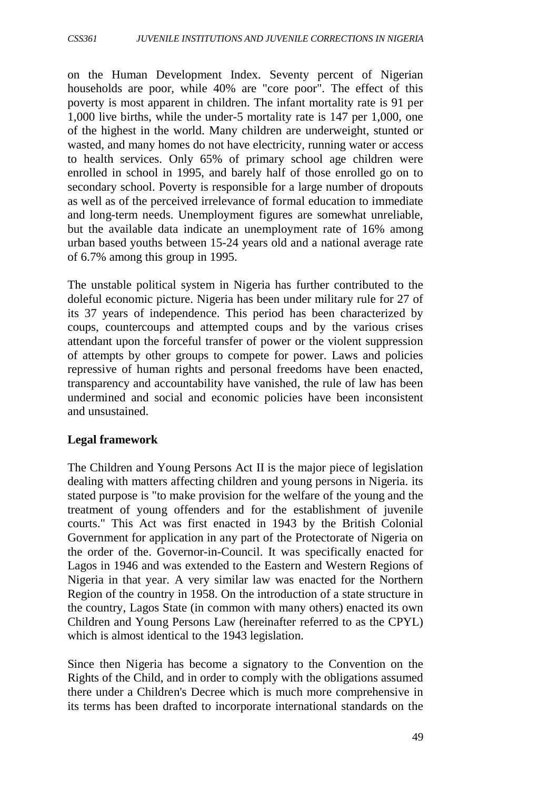on the Human Development Index. Seventy percent of Nigerian households are poor, while 40% are "core poor". The effect of this poverty is most apparent in children. The infant mortality rate is 91 per 1,000 live births, while the under-5 mortality rate is 147 per 1,000, one of the highest in the world. Many children are underweight, stunted or wasted, and many homes do not have electricity, running water or access to health services. Only 65% of primary school age children were enrolled in school in 1995, and barely half of those enrolled go on to secondary school. Poverty is responsible for a large number of dropouts as well as of the perceived irrelevance of formal education to immediate and long-term needs. Unemployment figures are somewhat unreliable, but the available data indicate an unemployment rate of 16% among urban based youths between 15-24 years old and a national average rate of 6.7% among this group in 1995.

The unstable political system in Nigeria has further contributed to the doleful economic picture. Nigeria has been under military rule for 27 of its 37 years of independence. This period has been characterized by coups, countercoups and attempted coups and by the various crises attendant upon the forceful transfer of power or the violent suppression of attempts by other groups to compete for power. Laws and policies repressive of human rights and personal freedoms have been enacted, transparency and accountability have vanished, the rule of law has been undermined and social and economic policies have been inconsistent and unsustained.

#### **Legal framework**

The Children and Young Persons Act II is the major piece of legislation dealing with matters affecting children and young persons in Nigeria. its stated purpose is "to make provision for the welfare of the young and the treatment of young offenders and for the establishment of juvenile courts." This Act was first enacted in 1943 by the British Colonial Government for application in any part of the Protectorate of Nigeria on the order of the. Governor-in-Council. It was specifically enacted for Lagos in 1946 and was extended to the Eastern and Western Regions of Nigeria in that year. A very similar law was enacted for the Northern Region of the country in 1958. On the introduction of a state structure in the country, Lagos State (in common with many others) enacted its own Children and Young Persons Law (hereinafter referred to as the CPYL) which is almost identical to the 1943 legislation.

Since then Nigeria has become a signatory to the Convention on the Rights of the Child, and in order to comply with the obligations assumed there under a Children's Decree which is much more comprehensive in its terms has been drafted to incorporate international standards on the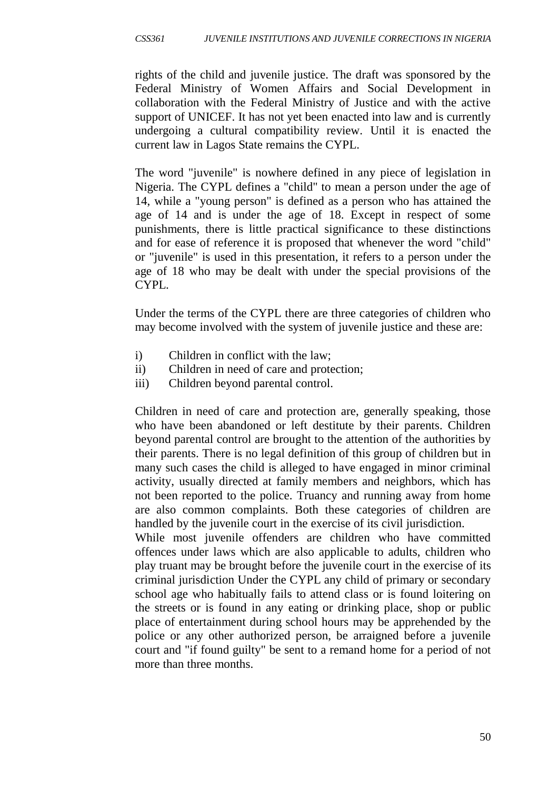rights of the child and juvenile justice. The draft was sponsored by the Federal Ministry of Women Affairs and Social Development in collaboration with the Federal Ministry of Justice and with the active support of UNICEF. It has not yet been enacted into law and is currently undergoing a cultural compatibility review. Until it is enacted the current law in Lagos State remains the CYPL.

The word "juvenile" is nowhere defined in any piece of legislation in Nigeria. The CYPL defines a "child" to mean a person under the age of 14, while a "young person" is defined as a person who has attained the age of 14 and is under the age of 18. Except in respect of some punishments, there is little practical significance to these distinctions and for ease of reference it is proposed that whenever the word "child" or "juvenile" is used in this presentation, it refers to a person under the age of 18 who may be dealt with under the special provisions of the CYPL.

Under the terms of the CYPL there are three categories of children who may become involved with the system of juvenile justice and these are:

- i) Children in conflict with the law;
- ii) Children in need of care and protection;
- iii) Children beyond parental control.

Children in need of care and protection are, generally speaking, those who have been abandoned or left destitute by their parents. Children beyond parental control are brought to the attention of the authorities by their parents. There is no legal definition of this group of children but in many such cases the child is alleged to have engaged in minor criminal activity, usually directed at family members and neighbors, which has not been reported to the police. Truancy and running away from home are also common complaints. Both these categories of children are handled by the juvenile court in the exercise of its civil jurisdiction.

While most juvenile offenders are children who have committed offences under laws which are also applicable to adults, children who play truant may be brought before the juvenile court in the exercise of its criminal jurisdiction Under the CYPL any child of primary or secondary school age who habitually fails to attend class or is found loitering on the streets or is found in any eating or drinking place, shop or public place of entertainment during school hours may be apprehended by the police or any other authorized person, be arraigned before a juvenile court and "if found guilty" be sent to a remand home for a period of not more than three months.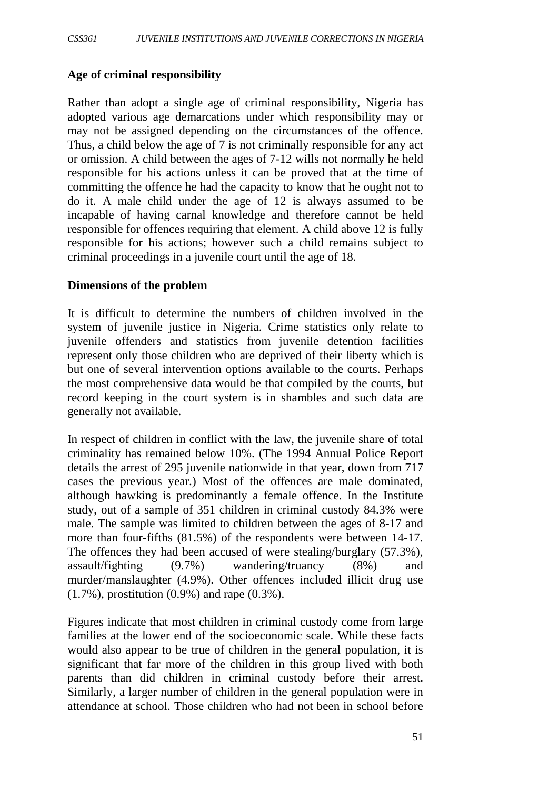#### **Age of criminal responsibility**

Rather than adopt a single age of criminal responsibility, Nigeria has adopted various age demarcations under which responsibility may or may not be assigned depending on the circumstances of the offence. Thus, a child below the age of 7 is not criminally responsible for any act or omission. A child between the ages of 7-12 wills not normally he held responsible for his actions unless it can be proved that at the time of committing the offence he had the capacity to know that he ought not to do it. A male child under the age of 12 is always assumed to be incapable of having carnal knowledge and therefore cannot be held responsible for offences requiring that element. A child above 12 is fully responsible for his actions; however such a child remains subject to criminal proceedings in a juvenile court until the age of 18.

#### **Dimensions of the problem**

It is difficult to determine the numbers of children involved in the system of juvenile justice in Nigeria. Crime statistics only relate to juvenile offenders and statistics from juvenile detention facilities represent only those children who are deprived of their liberty which is but one of several intervention options available to the courts. Perhaps the most comprehensive data would be that compiled by the courts, but record keeping in the court system is in shambles and such data are generally not available.

In respect of children in conflict with the law, the juvenile share of total criminality has remained below 10%. (The 1994 Annual Police Report details the arrest of 295 juvenile nationwide in that year, down from 717 cases the previous year.) Most of the offences are male dominated, although hawking is predominantly a female offence. In the Institute study, out of a sample of 351 children in criminal custody 84.3% were male. The sample was limited to children between the ages of 8-17 and more than four-fifths (81.5%) of the respondents were between 14-17. The offences they had been accused of were stealing/burglary (57.3%), assault/fighting (9.7%) wandering/truancy (8%) and murder/manslaughter (4.9%). Other offences included illicit drug use (1.7%), prostitution (0.9%) and rape (0.3%).

Figures indicate that most children in criminal custody come from large families at the lower end of the socioeconomic scale. While these facts would also appear to be true of children in the general population, it is significant that far more of the children in this group lived with both parents than did children in criminal custody before their arrest. Similarly, a larger number of children in the general population were in attendance at school. Those children who had not been in school before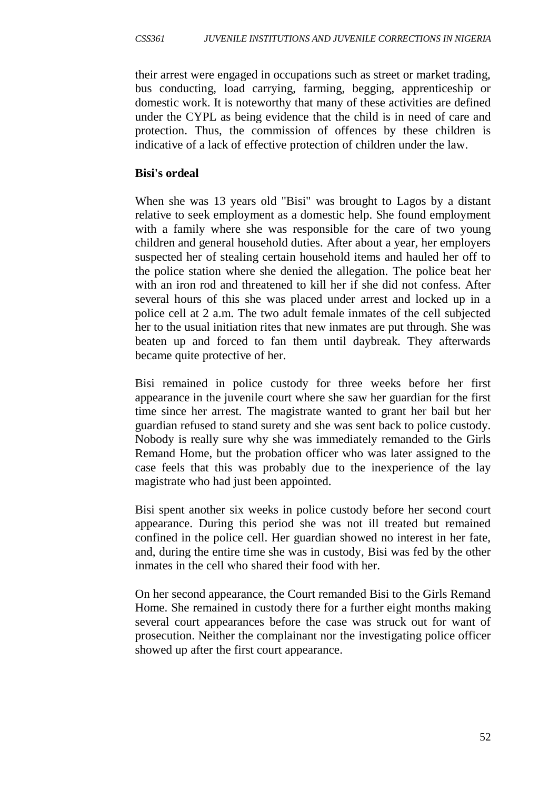their arrest were engaged in occupations such as street or market trading, bus conducting, load carrying, farming, begging, apprenticeship or domestic work. It is noteworthy that many of these activities are defined under the CYPL as being evidence that the child is in need of care and protection. Thus, the commission of offences by these children is indicative of a lack of effective protection of children under the law.

#### **Bisi's ordeal**

When she was 13 years old "Bisi" was brought to Lagos by a distant relative to seek employment as a domestic help. She found employment with a family where she was responsible for the care of two young children and general household duties. After about a year, her employers suspected her of stealing certain household items and hauled her off to the police station where she denied the allegation. The police beat her with an iron rod and threatened to kill her if she did not confess. After several hours of this she was placed under arrest and locked up in a police cell at 2 a.m. The two adult female inmates of the cell subjected her to the usual initiation rites that new inmates are put through. She was beaten up and forced to fan them until daybreak. They afterwards became quite protective of her.

Bisi remained in police custody for three weeks before her first appearance in the juvenile court where she saw her guardian for the first time since her arrest. The magistrate wanted to grant her bail but her guardian refused to stand surety and she was sent back to police custody. Nobody is really sure why she was immediately remanded to the Girls Remand Home, but the probation officer who was later assigned to the case feels that this was probably due to the inexperience of the lay magistrate who had just been appointed.

Bisi spent another six weeks in police custody before her second court appearance. During this period she was not ill treated but remained confined in the police cell. Her guardian showed no interest in her fate, and, during the entire time she was in custody, Bisi was fed by the other inmates in the cell who shared their food with her.

On her second appearance, the Court remanded Bisi to the Girls Remand Home. She remained in custody there for a further eight months making several court appearances before the case was struck out for want of prosecution. Neither the complainant nor the investigating police officer showed up after the first court appearance.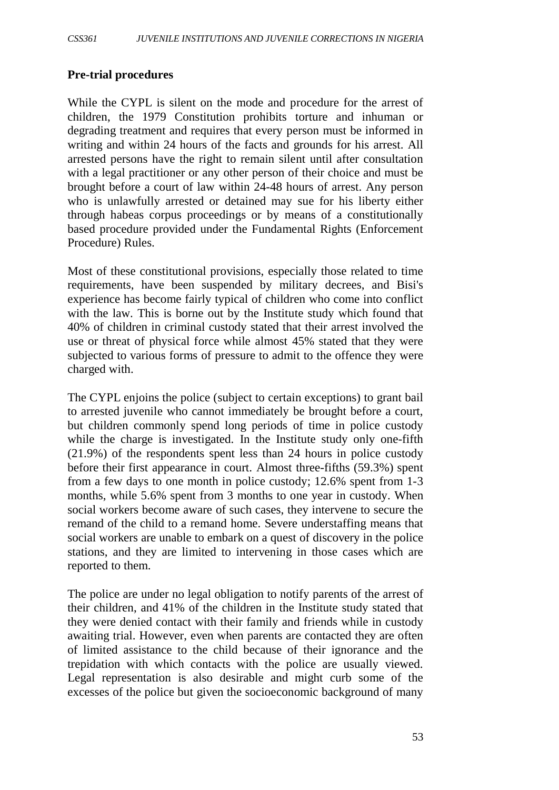#### **Pre-trial procedures**

While the CYPL is silent on the mode and procedure for the arrest of children, the 1979 Constitution prohibits torture and inhuman or degrading treatment and requires that every person must be informed in writing and within 24 hours of the facts and grounds for his arrest. All arrested persons have the right to remain silent until after consultation with a legal practitioner or any other person of their choice and must be brought before a court of law within 24-48 hours of arrest. Any person who is unlawfully arrested or detained may sue for his liberty either through habeas corpus proceedings or by means of a constitutionally based procedure provided under the Fundamental Rights (Enforcement Procedure) Rules.

Most of these constitutional provisions, especially those related to time requirements, have been suspended by military decrees, and Bisi's experience has become fairly typical of children who come into conflict with the law. This is borne out by the Institute study which found that 40% of children in criminal custody stated that their arrest involved the use or threat of physical force while almost 45% stated that they were subjected to various forms of pressure to admit to the offence they were charged with.

The CYPL enjoins the police (subject to certain exceptions) to grant bail to arrested juvenile who cannot immediately be brought before a court, but children commonly spend long periods of time in police custody while the charge is investigated. In the Institute study only one-fifth (21.9%) of the respondents spent less than 24 hours in police custody before their first appearance in court. Almost three-fifths (59.3%) spent from a few days to one month in police custody; 12.6% spent from 1-3 months, while 5.6% spent from 3 months to one year in custody. When social workers become aware of such cases, they intervene to secure the remand of the child to a remand home. Severe understaffing means that social workers are unable to embark on a quest of discovery in the police stations, and they are limited to intervening in those cases which are reported to them.

The police are under no legal obligation to notify parents of the arrest of their children, and 41% of the children in the Institute study stated that they were denied contact with their family and friends while in custody awaiting trial. However, even when parents are contacted they are often of limited assistance to the child because of their ignorance and the trepidation with which contacts with the police are usually viewed. Legal representation is also desirable and might curb some of the excesses of the police but given the socioeconomic background of many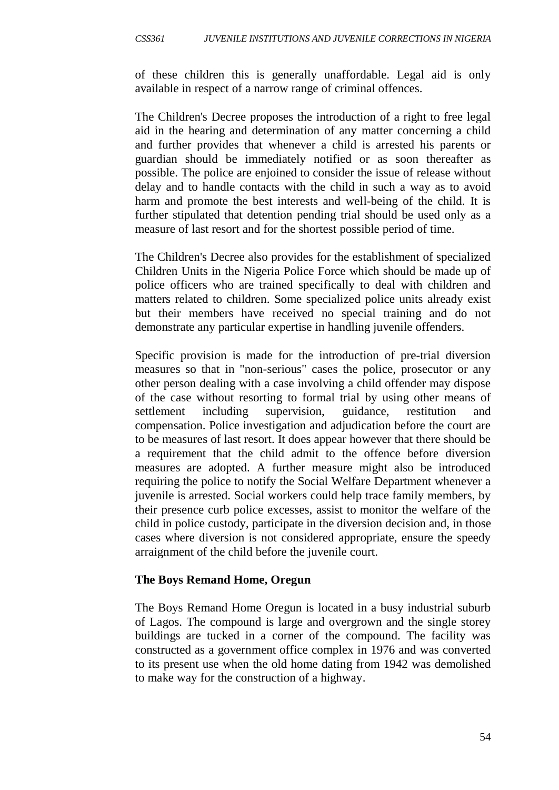of these children this is generally unaffordable. Legal aid is only available in respect of a narrow range of criminal offences.

The Children's Decree proposes the introduction of a right to free legal aid in the hearing and determination of any matter concerning a child and further provides that whenever a child is arrested his parents or guardian should be immediately notified or as soon thereafter as possible. The police are enjoined to consider the issue of release without delay and to handle contacts with the child in such a way as to avoid harm and promote the best interests and well-being of the child. It is further stipulated that detention pending trial should be used only as a measure of last resort and for the shortest possible period of time.

The Children's Decree also provides for the establishment of specialized Children Units in the Nigeria Police Force which should be made up of police officers who are trained specifically to deal with children and matters related to children. Some specialized police units already exist but their members have received no special training and do not demonstrate any particular expertise in handling juvenile offenders.

Specific provision is made for the introduction of pre-trial diversion measures so that in "non-serious" cases the police, prosecutor or any other person dealing with a case involving a child offender may dispose of the case without resorting to formal trial by using other means of settlement including supervision, guidance, restitution and compensation. Police investigation and adjudication before the court are to be measures of last resort. It does appear however that there should be a requirement that the child admit to the offence before diversion measures are adopted. A further measure might also be introduced requiring the police to notify the Social Welfare Department whenever a juvenile is arrested. Social workers could help trace family members, by their presence curb police excesses, assist to monitor the welfare of the child in police custody, participate in the diversion decision and, in those cases where diversion is not considered appropriate, ensure the speedy arraignment of the child before the juvenile court.

#### **The Boys Remand Home, Oregun**

The Boys Remand Home Oregun is located in a busy industrial suburb of Lagos. The compound is large and overgrown and the single storey buildings are tucked in a corner of the compound. The facility was constructed as a government office complex in 1976 and was converted to its present use when the old home dating from 1942 was demolished to make way for the construction of a highway.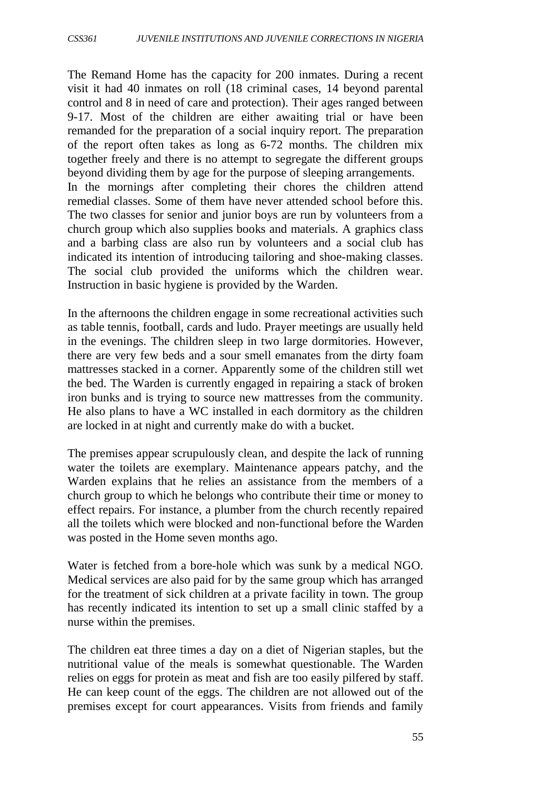The Remand Home has the capacity for 200 inmates. During a recent visit it had 40 inmates on roll (18 criminal cases, 14 beyond parental control and 8 in need of care and protection). Their ages ranged between 9-17. Most of the children are either awaiting trial or have been remanded for the preparation of a social inquiry report. The preparation of the report often takes as long as 6-72 months. The children mix together freely and there is no attempt to segregate the different groups beyond dividing them by age for the purpose of sleeping arrangements. In the mornings after completing their chores the children attend remedial classes. Some of them have never attended school before this. The two classes for senior and junior boys are run by volunteers from a church group which also supplies books and materials. A graphics class and a barbing class are also run by volunteers and a social club has indicated its intention of introducing tailoring and shoe-making classes. The social club provided the uniforms which the children wear. Instruction in basic hygiene is provided by the Warden.

In the afternoons the children engage in some recreational activities such as table tennis, football, cards and ludo. Prayer meetings are usually held in the evenings. The children sleep in two large dormitories. However, there are very few beds and a sour smell emanates from the dirty foam mattresses stacked in a corner. Apparently some of the children still wet the bed. The Warden is currently engaged in repairing a stack of broken iron bunks and is trying to source new mattresses from the community. He also plans to have a WC installed in each dormitory as the children are locked in at night and currently make do with a bucket.

The premises appear scrupulously clean, and despite the lack of running water the toilets are exemplary. Maintenance appears patchy, and the Warden explains that he relies an assistance from the members of a church group to which he belongs who contribute their time or money to effect repairs. For instance, a plumber from the church recently repaired all the toilets which were blocked and non-functional before the Warden was posted in the Home seven months ago.

Water is fetched from a bore-hole which was sunk by a medical NGO. Medical services are also paid for by the same group which has arranged for the treatment of sick children at a private facility in town. The group has recently indicated its intention to set up a small clinic staffed by a nurse within the premises.

The children eat three times a day on a diet of Nigerian staples, but the nutritional value of the meals is somewhat questionable. The Warden relies on eggs for protein as meat and fish are too easily pilfered by staff. He can keep count of the eggs. The children are not allowed out of the premises except for court appearances. Visits from friends and family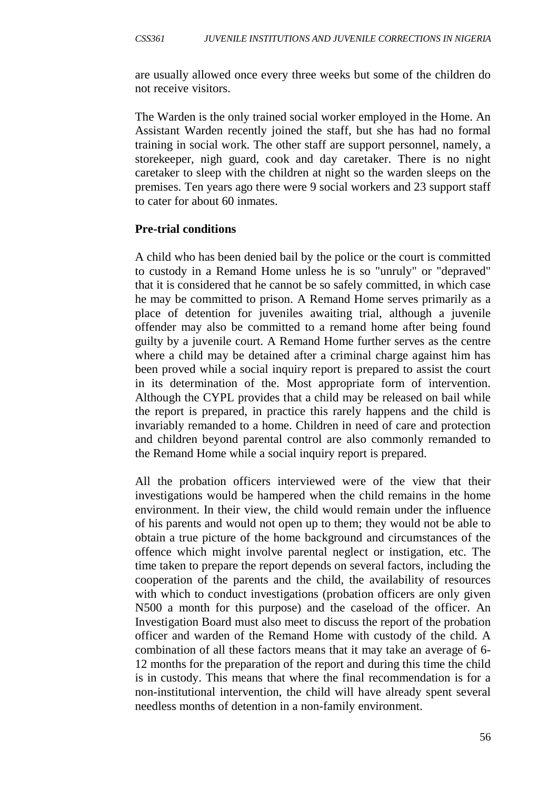are usually allowed once every three weeks but some of the children do not receive visitors.

The Warden is the only trained social worker employed in the Home. An Assistant Warden recently joined the staff, but she has had no formal training in social work. The other staff are support personnel, namely, a storekeeper, nigh guard, cook and day caretaker. There is no night caretaker to sleep with the children at night so the warden sleeps on the premises. Ten years ago there were 9 social workers and 23 support staff to cater for about 60 inmates.

#### **Pre-trial conditions**

A child who has been denied bail by the police or the court is committed to custody in a Remand Home unless he is so "unruly" or "depraved" that it is considered that he cannot be so safely committed, in which case he may be committed to prison. A Remand Home serves primarily as a place of detention for juveniles awaiting trial, although a juvenile offender may also be committed to a remand home after being found guilty by a juvenile court. A Remand Home further serves as the centre where a child may be detained after a criminal charge against him has been proved while a social inquiry report is prepared to assist the court in its determination of the. Most appropriate form of intervention. Although the CYPL provides that a child may be released on bail while the report is prepared, in practice this rarely happens and the child is invariably remanded to a home. Children in need of care and protection and children beyond parental control are also commonly remanded to the Remand Home while a social inquiry report is prepared.

All the probation officers interviewed were of the view that their investigations would be hampered when the child remains in the home environment. In their view, the child would remain under the influence of his parents and would not open up to them; they would not be able to obtain a true picture of the home background and circumstances of the offence which might involve parental neglect or instigation, etc. The time taken to prepare the report depends on several factors, including the cooperation of the parents and the child, the availability of resources with which to conduct investigations (probation officers are only given N500 a month for this purpose) and the caseload of the officer. An Investigation Board must also meet to discuss the report of the probation officer and warden of the Remand Home with custody of the child. A combination of all these factors means that it may take an average of 6- 12 months for the preparation of the report and during this time the child is in custody. This means that where the final recommendation is for a non-institutional intervention, the child will have already spent several needless months of detention in a non-family environment.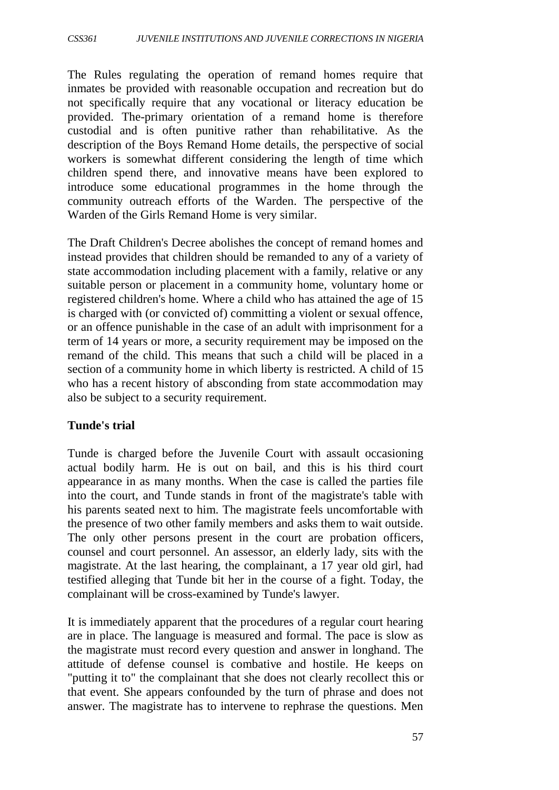The Rules regulating the operation of remand homes require that inmates be provided with reasonable occupation and recreation but do not specifically require that any vocational or literacy education be provided. The-primary orientation of a remand home is therefore custodial and is often punitive rather than rehabilitative. As the description of the Boys Remand Home details, the perspective of social workers is somewhat different considering the length of time which children spend there, and innovative means have been explored to introduce some educational programmes in the home through the community outreach efforts of the Warden. The perspective of the Warden of the Girls Remand Home is very similar.

The Draft Children's Decree abolishes the concept of remand homes and instead provides that children should be remanded to any of a variety of state accommodation including placement with a family, relative or any suitable person or placement in a community home, voluntary home or registered children's home. Where a child who has attained the age of 15 is charged with (or convicted of) committing a violent or sexual offence, or an offence punishable in the case of an adult with imprisonment for a term of 14 years or more, a security requirement may be imposed on the remand of the child. This means that such a child will be placed in a section of a community home in which liberty is restricted. A child of 15 who has a recent history of absconding from state accommodation may also be subject to a security requirement.

## **Tunde's trial**

Tunde is charged before the Juvenile Court with assault occasioning actual bodily harm. He is out on bail, and this is his third court appearance in as many months. When the case is called the parties file into the court, and Tunde stands in front of the magistrate's table with his parents seated next to him. The magistrate feels uncomfortable with the presence of two other family members and asks them to wait outside. The only other persons present in the court are probation officers, counsel and court personnel. An assessor, an elderly lady, sits with the magistrate. At the last hearing, the complainant, a 17 year old girl, had testified alleging that Tunde bit her in the course of a fight. Today, the complainant will be cross-examined by Tunde's lawyer.

It is immediately apparent that the procedures of a regular court hearing are in place. The language is measured and formal. The pace is slow as the magistrate must record every question and answer in longhand. The attitude of defense counsel is combative and hostile. He keeps on "putting it to" the complainant that she does not clearly recollect this or that event. She appears confounded by the turn of phrase and does not answer. The magistrate has to intervene to rephrase the questions. Men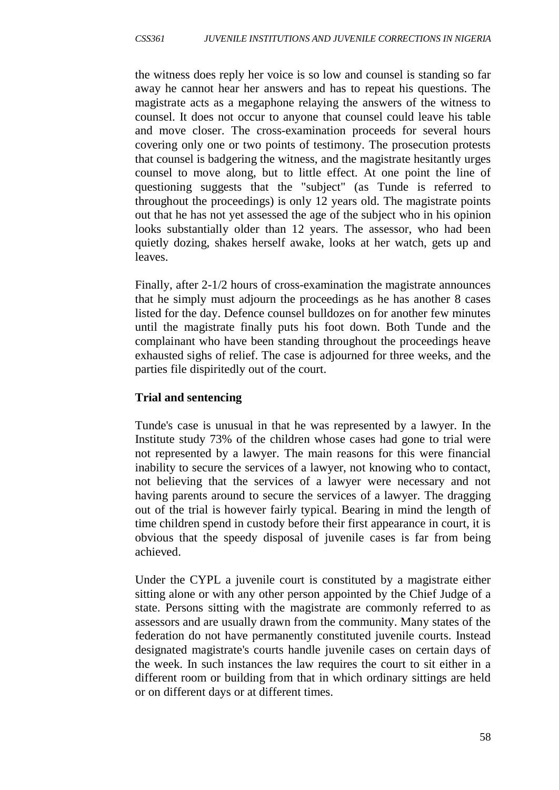the witness does reply her voice is so low and counsel is standing so far away he cannot hear her answers and has to repeat his questions. The magistrate acts as a megaphone relaying the answers of the witness to counsel. It does not occur to anyone that counsel could leave his table and move closer. The cross-examination proceeds for several hours covering only one or two points of testimony. The prosecution protests that counsel is badgering the witness, and the magistrate hesitantly urges counsel to move along, but to little effect. At one point the line of questioning suggests that the "subject" (as Tunde is referred to throughout the proceedings) is only 12 years old. The magistrate points out that he has not yet assessed the age of the subject who in his opinion looks substantially older than 12 years. The assessor, who had been quietly dozing, shakes herself awake, looks at her watch, gets up and leaves.

Finally, after 2-1/2 hours of cross-examination the magistrate announces that he simply must adjourn the proceedings as he has another 8 cases listed for the day. Defence counsel bulldozes on for another few minutes until the magistrate finally puts his foot down. Both Tunde and the complainant who have been standing throughout the proceedings heave exhausted sighs of relief. The case is adjourned for three weeks, and the parties file dispiritedly out of the court.

## **Trial and sentencing**

Tunde's case is unusual in that he was represented by a lawyer. In the Institute study 73% of the children whose cases had gone to trial were not represented by a lawyer. The main reasons for this were financial inability to secure the services of a lawyer, not knowing who to contact, not believing that the services of a lawyer were necessary and not having parents around to secure the services of a lawyer. The dragging out of the trial is however fairly typical. Bearing in mind the length of time children spend in custody before their first appearance in court, it is obvious that the speedy disposal of juvenile cases is far from being achieved.

Under the CYPL a juvenile court is constituted by a magistrate either sitting alone or with any other person appointed by the Chief Judge of a state. Persons sitting with the magistrate are commonly referred to as assessors and are usually drawn from the community. Many states of the federation do not have permanently constituted juvenile courts. Instead designated magistrate's courts handle juvenile cases on certain days of the week. In such instances the law requires the court to sit either in a different room or building from that in which ordinary sittings are held or on different days or at different times.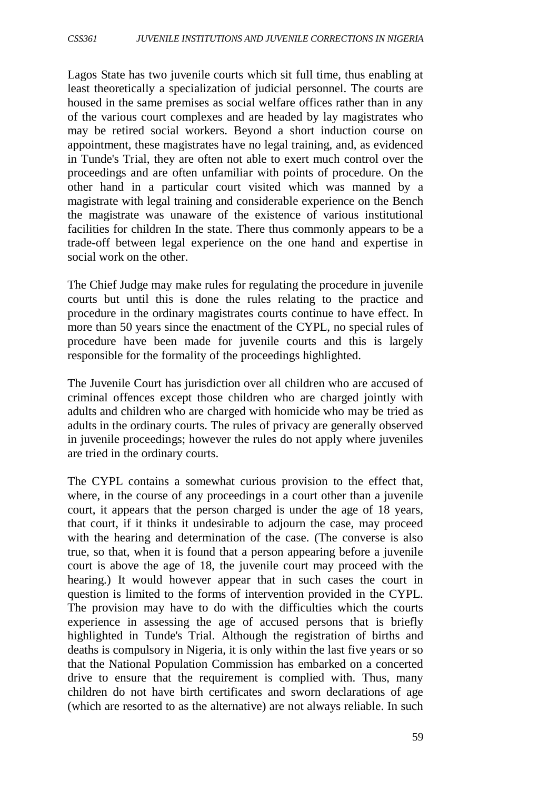Lagos State has two juvenile courts which sit full time, thus enabling at least theoretically a specialization of judicial personnel. The courts are housed in the same premises as social welfare offices rather than in any of the various court complexes and are headed by lay magistrates who may be retired social workers. Beyond a short induction course on appointment, these magistrates have no legal training, and, as evidenced in Tunde's Trial, they are often not able to exert much control over the proceedings and are often unfamiliar with points of procedure. On the other hand in a particular court visited which was manned by a magistrate with legal training and considerable experience on the Bench the magistrate was unaware of the existence of various institutional facilities for children In the state. There thus commonly appears to be a trade-off between legal experience on the one hand and expertise in social work on the other.

The Chief Judge may make rules for regulating the procedure in juvenile courts but until this is done the rules relating to the practice and procedure in the ordinary magistrates courts continue to have effect. In more than 50 years since the enactment of the CYPL, no special rules of procedure have been made for juvenile courts and this is largely responsible for the formality of the proceedings highlighted.

The Juvenile Court has jurisdiction over all children who are accused of criminal offences except those children who are charged jointly with adults and children who are charged with homicide who may be tried as adults in the ordinary courts. The rules of privacy are generally observed in juvenile proceedings; however the rules do not apply where juveniles are tried in the ordinary courts.

The CYPL contains a somewhat curious provision to the effect that, where, in the course of any proceedings in a court other than a juvenile court, it appears that the person charged is under the age of 18 years, that court, if it thinks it undesirable to adjourn the case, may proceed with the hearing and determination of the case. (The converse is also true, so that, when it is found that a person appearing before a juvenile court is above the age of 18, the juvenile court may proceed with the hearing.) It would however appear that in such cases the court in question is limited to the forms of intervention provided in the CYPL. The provision may have to do with the difficulties which the courts experience in assessing the age of accused persons that is briefly highlighted in Tunde's Trial. Although the registration of births and deaths is compulsory in Nigeria, it is only within the last five years or so that the National Population Commission has embarked on a concerted drive to ensure that the requirement is complied with. Thus, many children do not have birth certificates and sworn declarations of age (which are resorted to as the alternative) are not always reliable. In such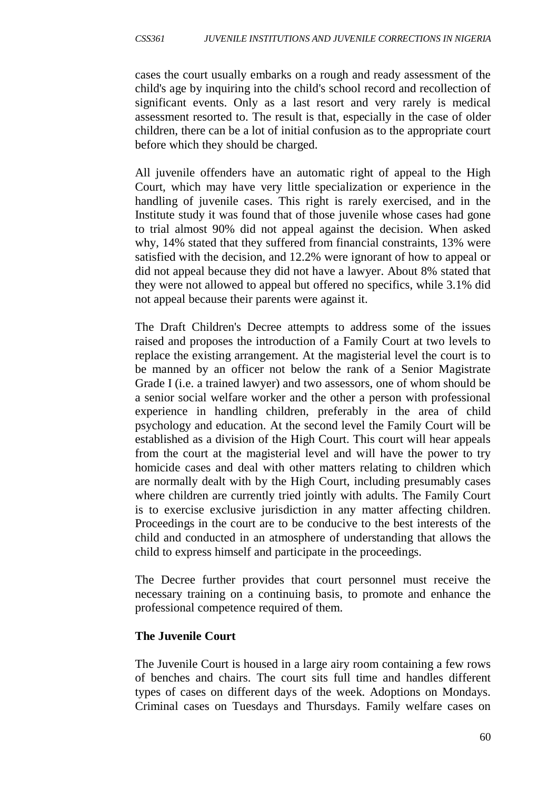cases the court usually embarks on a rough and ready assessment of the child's age by inquiring into the child's school record and recollection of significant events. Only as a last resort and very rarely is medical assessment resorted to. The result is that, especially in the case of older children, there can be a lot of initial confusion as to the appropriate court before which they should be charged.

All juvenile offenders have an automatic right of appeal to the High Court, which may have very little specialization or experience in the handling of juvenile cases. This right is rarely exercised, and in the Institute study it was found that of those juvenile whose cases had gone to trial almost 90% did not appeal against the decision. When asked why, 14% stated that they suffered from financial constraints, 13% were satisfied with the decision, and 12.2% were ignorant of how to appeal or did not appeal because they did not have a lawyer. About 8% stated that they were not allowed to appeal but offered no specifics, while 3.1% did not appeal because their parents were against it.

The Draft Children's Decree attempts to address some of the issues raised and proposes the introduction of a Family Court at two levels to replace the existing arrangement. At the magisterial level the court is to be manned by an officer not below the rank of a Senior Magistrate Grade I (i.e. a trained lawyer) and two assessors, one of whom should be a senior social welfare worker and the other a person with professional experience in handling children, preferably in the area of child psychology and education. At the second level the Family Court will be established as a division of the High Court. This court will hear appeals from the court at the magisterial level and will have the power to try homicide cases and deal with other matters relating to children which are normally dealt with by the High Court, including presumably cases where children are currently tried jointly with adults. The Family Court is to exercise exclusive jurisdiction in any matter affecting children. Proceedings in the court are to be conducive to the best interests of the child and conducted in an atmosphere of understanding that allows the child to express himself and participate in the proceedings.

The Decree further provides that court personnel must receive the necessary training on a continuing basis, to promote and enhance the professional competence required of them.

## **The Juvenile Court**

The Juvenile Court is housed in a large airy room containing a few rows of benches and chairs. The court sits full time and handles different types of cases on different days of the week. Adoptions on Mondays. Criminal cases on Tuesdays and Thursdays. Family welfare cases on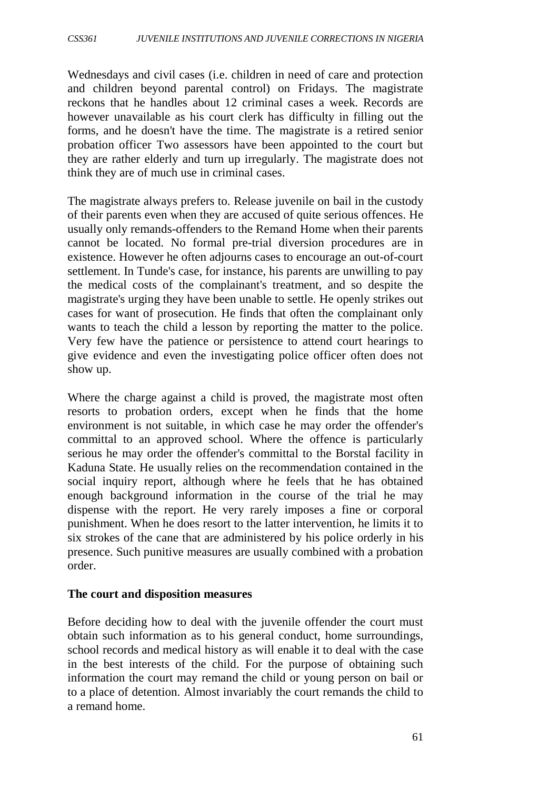Wednesdays and civil cases (i.e. children in need of care and protection and children beyond parental control) on Fridays. The magistrate reckons that he handles about 12 criminal cases a week. Records are however unavailable as his court clerk has difficulty in filling out the forms, and he doesn't have the time. The magistrate is a retired senior probation officer Two assessors have been appointed to the court but they are rather elderly and turn up irregularly. The magistrate does not think they are of much use in criminal cases.

The magistrate always prefers to. Release juvenile on bail in the custody of their parents even when they are accused of quite serious offences. He usually only remands-offenders to the Remand Home when their parents cannot be located. No formal pre-trial diversion procedures are in existence. However he often adjourns cases to encourage an out-of-court settlement. In Tunde's case, for instance, his parents are unwilling to pay the medical costs of the complainant's treatment, and so despite the magistrate's urging they have been unable to settle. He openly strikes out cases for want of prosecution. He finds that often the complainant only wants to teach the child a lesson by reporting the matter to the police. Very few have the patience or persistence to attend court hearings to give evidence and even the investigating police officer often does not show up.

Where the charge against a child is proved, the magistrate most often resorts to probation orders, except when he finds that the home environment is not suitable, in which case he may order the offender's committal to an approved school. Where the offence is particularly serious he may order the offender's committal to the Borstal facility in Kaduna State. He usually relies on the recommendation contained in the social inquiry report, although where he feels that he has obtained enough background information in the course of the trial he may dispense with the report. He very rarely imposes a fine or corporal punishment. When he does resort to the latter intervention, he limits it to six strokes of the cane that are administered by his police orderly in his presence. Such punitive measures are usually combined with a probation order.

#### **The court and disposition measures**

Before deciding how to deal with the juvenile offender the court must obtain such information as to his general conduct, home surroundings, school records and medical history as will enable it to deal with the case in the best interests of the child. For the purpose of obtaining such information the court may remand the child or young person on bail or to a place of detention. Almost invariably the court remands the child to a remand home.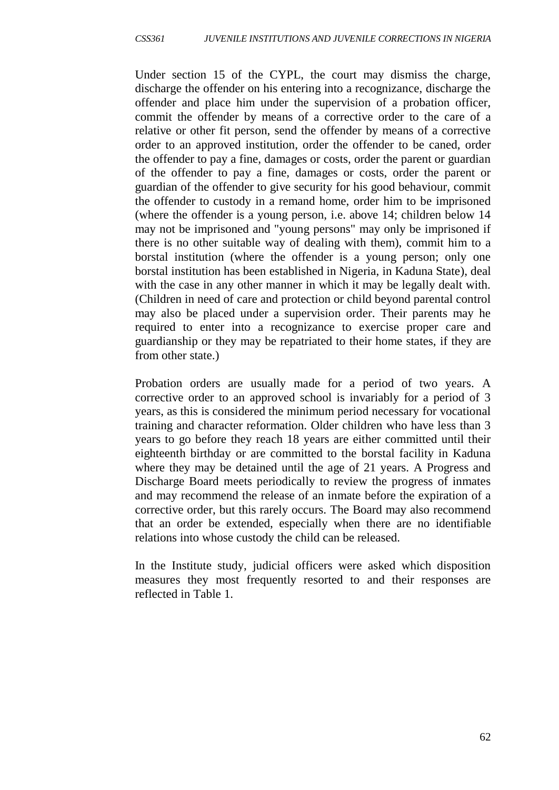Under section 15 of the CYPL, the court may dismiss the charge, discharge the offender on his entering into a recognizance, discharge the offender and place him under the supervision of a probation officer, commit the offender by means of a corrective order to the care of a relative or other fit person, send the offender by means of a corrective order to an approved institution, order the offender to be caned, order the offender to pay a fine, damages or costs, order the parent or guardian of the offender to pay a fine, damages or costs, order the parent or guardian of the offender to give security for his good behaviour, commit the offender to custody in a remand home, order him to be imprisoned (where the offender is a young person, i.e. above 14; children below 14 may not be imprisoned and "young persons" may only be imprisoned if there is no other suitable way of dealing with them), commit him to a borstal institution (where the offender is a young person; only one borstal institution has been established in Nigeria, in Kaduna State), deal with the case in any other manner in which it may be legally dealt with. (Children in need of care and protection or child beyond parental control may also be placed under a supervision order. Their parents may he required to enter into a recognizance to exercise proper care and guardianship or they may be repatriated to their home states, if they are from other state.)

Probation orders are usually made for a period of two years. A corrective order to an approved school is invariably for a period of 3 years, as this is considered the minimum period necessary for vocational training and character reformation. Older children who have less than 3 years to go before they reach 18 years are either committed until their eighteenth birthday or are committed to the borstal facility in Kaduna where they may be detained until the age of 21 years. A Progress and Discharge Board meets periodically to review the progress of inmates and may recommend the release of an inmate before the expiration of a corrective order, but this rarely occurs. The Board may also recommend that an order be extended, especially when there are no identifiable relations into whose custody the child can be released.

In the Institute study, judicial officers were asked which disposition measures they most frequently resorted to and their responses are reflected in Table 1.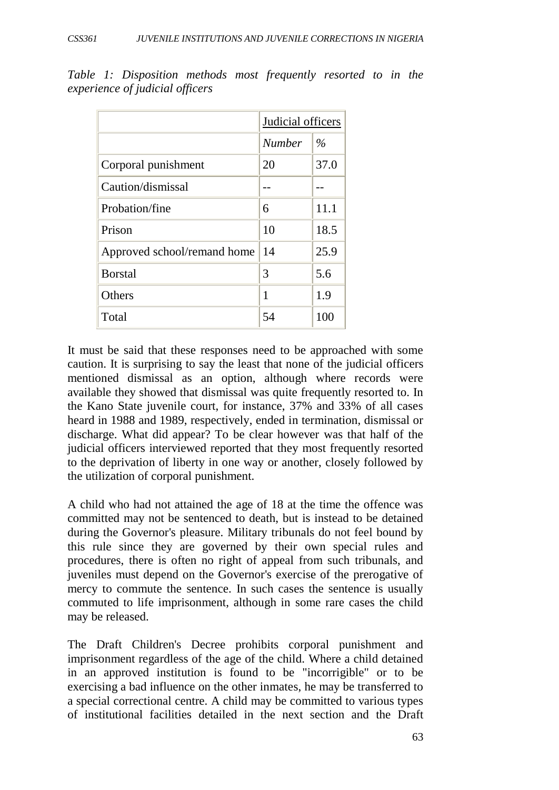|                             | Judicial officers |      |  |
|-----------------------------|-------------------|------|--|
|                             | <b>Number</b>     | $\%$ |  |
| Corporal punishment         | 20                | 37.0 |  |
| Caution/dismissal           |                   |      |  |
| Probation/fine              | 6                 | 11.1 |  |
| Prison                      | 10                | 18.5 |  |
| Approved school/remand home | 14                | 25.9 |  |
| <b>Borstal</b>              | 3                 | 5.6  |  |
| Others                      | 1                 | 1.9  |  |
| Total                       | 54                | 100  |  |

*Table 1: Disposition methods most frequently resorted to in the experience of judicial officers*

It must be said that these responses need to be approached with some caution. It is surprising to say the least that none of the judicial officers mentioned dismissal as an option, although where records were available they showed that dismissal was quite frequently resorted to. In the Kano State juvenile court, for instance, 37% and 33% of all cases heard in 1988 and 1989, respectively, ended in termination, dismissal or discharge. What did appear? To be clear however was that half of the judicial officers interviewed reported that they most frequently resorted to the deprivation of liberty in one way or another, closely followed by the utilization of corporal punishment.

A child who had not attained the age of 18 at the time the offence was committed may not be sentenced to death, but is instead to be detained during the Governor's pleasure. Military tribunals do not feel bound by this rule since they are governed by their own special rules and procedures, there is often no right of appeal from such tribunals, and juveniles must depend on the Governor's exercise of the prerogative of mercy to commute the sentence. In such cases the sentence is usually commuted to life imprisonment, although in some rare cases the child may be released.

The Draft Children's Decree prohibits corporal punishment and imprisonment regardless of the age of the child. Where a child detained in an approved institution is found to be "incorrigible" or to be exercising a bad influence on the other inmates, he may be transferred to a special correctional centre. A child may be committed to various types of institutional facilities detailed in the next section and the Draft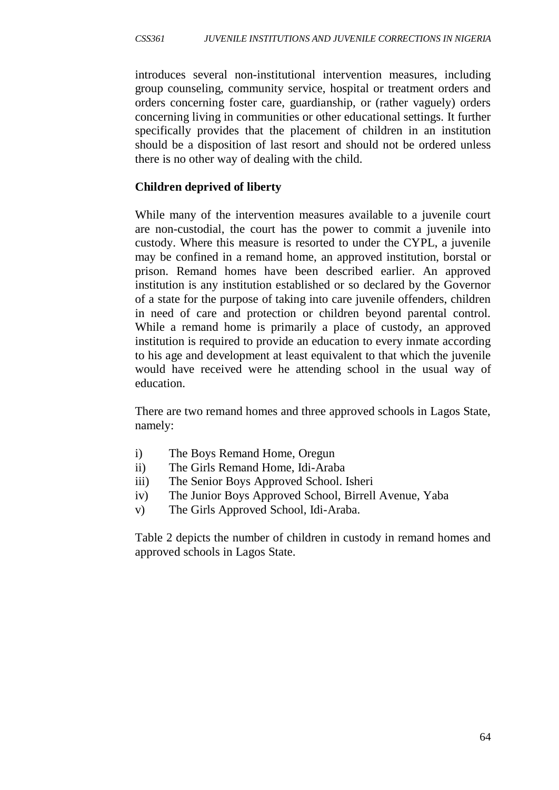introduces several non-institutional intervention measures, including group counseling, community service, hospital or treatment orders and orders concerning foster care, guardianship, or (rather vaguely) orders concerning living in communities or other educational settings. It further specifically provides that the placement of children in an institution should be a disposition of last resort and should not be ordered unless there is no other way of dealing with the child.

#### **Children deprived of liberty**

While many of the intervention measures available to a juvenile court are non-custodial, the court has the power to commit a juvenile into custody. Where this measure is resorted to under the CYPL, a juvenile may be confined in a remand home, an approved institution, borstal or prison. Remand homes have been described earlier. An approved institution is any institution established or so declared by the Governor of a state for the purpose of taking into care juvenile offenders, children in need of care and protection or children beyond parental control. While a remand home is primarily a place of custody, an approved institution is required to provide an education to every inmate according to his age and development at least equivalent to that which the juvenile would have received were he attending school in the usual way of education.

There are two remand homes and three approved schools in Lagos State, namely:

- i) The Boys Remand Home, Oregun
- ii) The Girls Remand Home, Idi-Araba
- iii) The Senior Boys Approved School. Isheri
- iv) The Junior Boys Approved School, Birrell Avenue, Yaba
- v) The Girls Approved School, Idi-Araba.

Table 2 depicts the number of children in custody in remand homes and approved schools in Lagos State.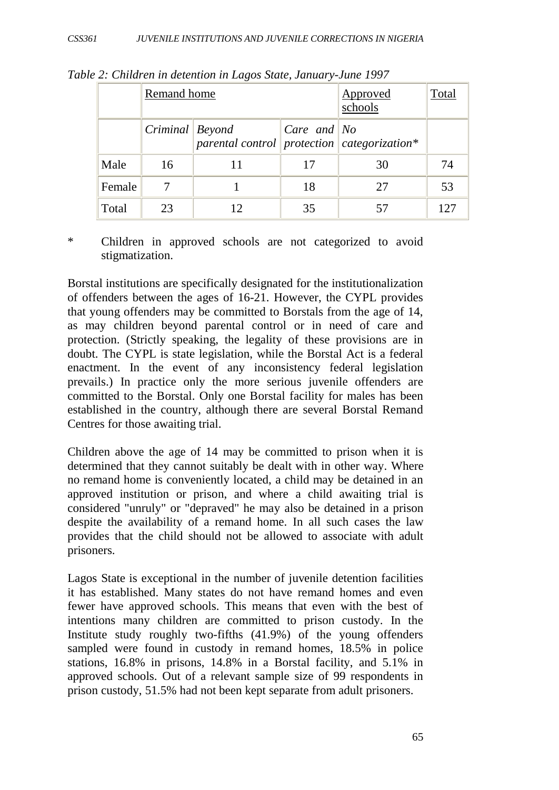|        | Remand home         |                                                      | <b>Approved</b><br>schools                                 | Total |     |
|--------|---------------------|------------------------------------------------------|------------------------------------------------------------|-------|-----|
|        | $Criminal$ $Beyond$ | parental control protection $\alpha$ categorization* | $\vert \textit{Care} \text{ and } \vert \textit{No} \vert$ |       |     |
| Male   | 16                  |                                                      | 17                                                         | 30    | 74  |
| Female |                     |                                                      | 18                                                         | 27    | 53  |
| Total  | 23                  | 12                                                   | 35                                                         |       | 125 |

*Table 2: Children in detention in Lagos State, January-June 1997*

\* Children in approved schools are not categorized to avoid stigmatization.

Borstal institutions are specifically designated for the institutionalization of offenders between the ages of 16-21. However, the CYPL provides that young offenders may be committed to Borstals from the age of 14, as may children beyond parental control or in need of care and protection. (Strictly speaking, the legality of these provisions are in doubt. The CYPL is state legislation, while the Borstal Act is a federal enactment. In the event of any inconsistency federal legislation prevails.) In practice only the more serious juvenile offenders are committed to the Borstal. Only one Borstal facility for males has been established in the country, although there are several Borstal Remand Centres for those awaiting trial.

Children above the age of 14 may be committed to prison when it is determined that they cannot suitably be dealt with in other way. Where no remand home is conveniently located, a child may be detained in an approved institution or prison, and where a child awaiting trial is considered "unruly" or "depraved" he may also be detained in a prison despite the availability of a remand home. In all such cases the law provides that the child should not be allowed to associate with adult prisoners.

Lagos State is exceptional in the number of juvenile detention facilities it has established. Many states do not have remand homes and even fewer have approved schools. This means that even with the best of intentions many children are committed to prison custody. In the Institute study roughly two-fifths (41.9%) of the young offenders sampled were found in custody in remand homes, 18.5% in police stations, 16.8% in prisons, 14.8% in a Borstal facility, and 5.1% in approved schools. Out of a relevant sample size of 99 respondents in prison custody, 51.5% had not been kept separate from adult prisoners.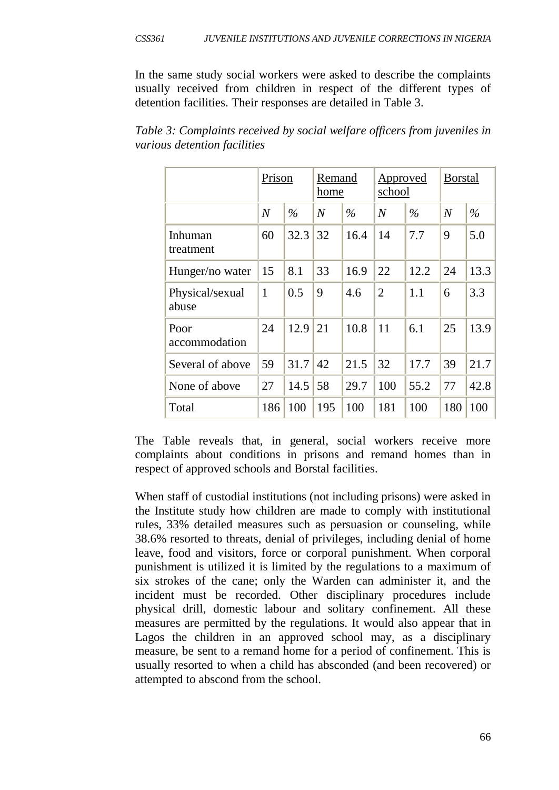In the same study social workers were asked to describe the complaints usually received from children in respect of the different types of detention facilities. Their responses are detailed in Table 3.

|                          | Prison         |      | Remand<br>home |               | <u>Approved</u><br>school |               | <b>Borstal</b> |               |
|--------------------------|----------------|------|----------------|---------------|---------------------------|---------------|----------------|---------------|
|                          | $\overline{N}$ | $\%$ | $\overline{N}$ | $\frac{0}{0}$ | $\overline{N}$            | $\frac{0}{0}$ | $\overline{N}$ | $\frac{0}{0}$ |
| Inhuman<br>treatment     | 60             | 32.3 | 32             | 16.4          | 14                        | 7.7           | 9              | 5.0           |
| Hunger/no water          | 15             | 8.1  | 33             | 16.9          | 22                        | 12.2          | 24             | 13.3          |
| Physical/sexual<br>abuse | $\mathbf{1}$   | 0.5  | 9              | 4.6           | $\overline{2}$            | 1.1           | 6              | 3.3           |
| Poor<br>accommodation    | 24             | 12.9 | 21             | 10.8          | 11                        | 6.1           | 25             | 13.9          |
| Several of above         | 59             | 31.7 | 42             | 21.5          | 32                        | 17.7          | 39             | 21.7          |
| None of above            | 27             | 14.5 | 58             | 29.7          | 100                       | 55.2          | 77             | 42.8          |
| Total                    | 186            | 100  | 195            | 100           | 181                       | 100           | 180            | 100           |

*Table 3: Complaints received by social welfare officers from juveniles in various detention facilities*

The Table reveals that, in general, social workers receive more complaints about conditions in prisons and remand homes than in respect of approved schools and Borstal facilities.

When staff of custodial institutions (not including prisons) were asked in the Institute study how children are made to comply with institutional rules, 33% detailed measures such as persuasion or counseling, while 38.6% resorted to threats, denial of privileges, including denial of home leave, food and visitors, force or corporal punishment. When corporal punishment is utilized it is limited by the regulations to a maximum of six strokes of the cane; only the Warden can administer it, and the incident must be recorded. Other disciplinary procedures include physical drill, domestic labour and solitary confinement. All these measures are permitted by the regulations. It would also appear that in Lagos the children in an approved school may, as a disciplinary measure, be sent to a remand home for a period of confinement. This is usually resorted to when a child has absconded (and been recovered) or attempted to abscond from the school.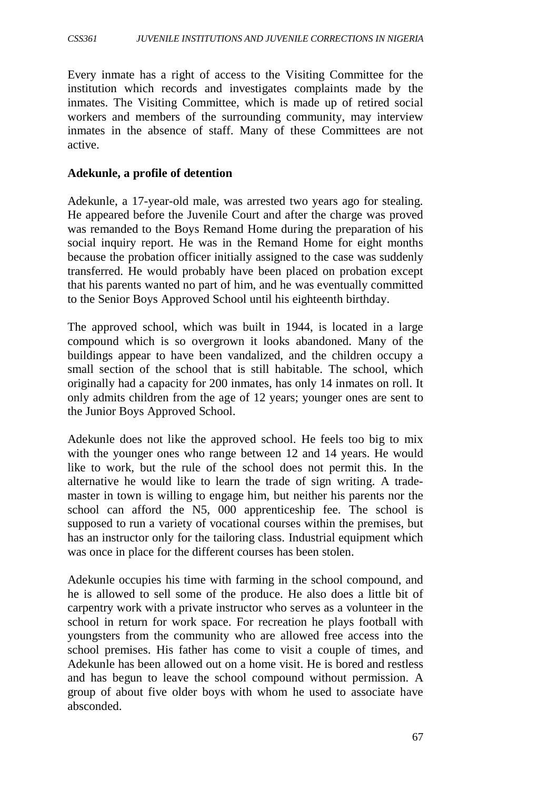Every inmate has a right of access to the Visiting Committee for the institution which records and investigates complaints made by the inmates. The Visiting Committee, which is made up of retired social workers and members of the surrounding community, may interview inmates in the absence of staff. Many of these Committees are not active.

#### **Adekunle, a profile of detention**

Adekunle, a 17-year-old male, was arrested two years ago for stealing. He appeared before the Juvenile Court and after the charge was proved was remanded to the Boys Remand Home during the preparation of his social inquiry report. He was in the Remand Home for eight months because the probation officer initially assigned to the case was suddenly transferred. He would probably have been placed on probation except that his parents wanted no part of him, and he was eventually committed to the Senior Boys Approved School until his eighteenth birthday.

The approved school, which was built in 1944, is located in a large compound which is so overgrown it looks abandoned. Many of the buildings appear to have been vandalized, and the children occupy a small section of the school that is still habitable. The school, which originally had a capacity for 200 inmates, has only 14 inmates on roll. It only admits children from the age of 12 years; younger ones are sent to the Junior Boys Approved School.

Adekunle does not like the approved school. He feels too big to mix with the younger ones who range between 12 and 14 years. He would like to work, but the rule of the school does not permit this. In the alternative he would like to learn the trade of sign writing. A trademaster in town is willing to engage him, but neither his parents nor the school can afford the N5, 000 apprenticeship fee. The school is supposed to run a variety of vocational courses within the premises, but has an instructor only for the tailoring class. Industrial equipment which was once in place for the different courses has been stolen.

Adekunle occupies his time with farming in the school compound, and he is allowed to sell some of the produce. He also does a little bit of carpentry work with a private instructor who serves as a volunteer in the school in return for work space. For recreation he plays football with youngsters from the community who are allowed free access into the school premises. His father has come to visit a couple of times, and Adekunle has been allowed out on a home visit. He is bored and restless and has begun to leave the school compound without permission. A group of about five older boys with whom he used to associate have absconded.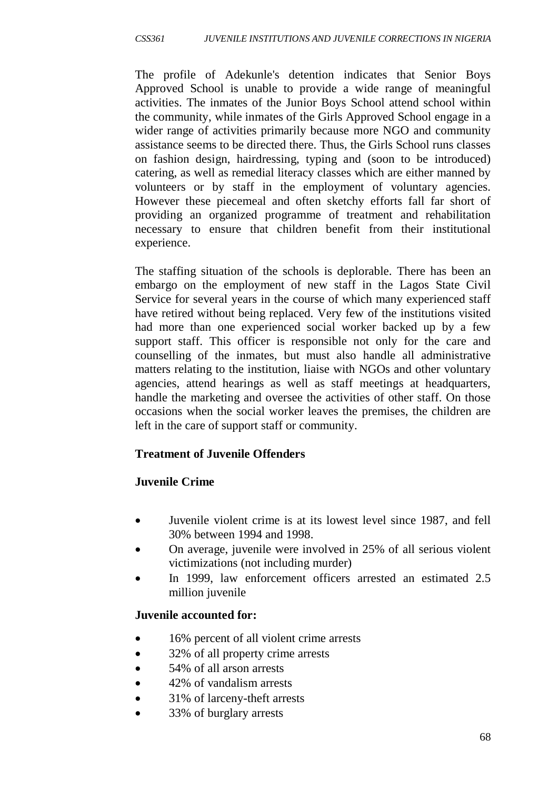The profile of Adekunle's detention indicates that Senior Boys Approved School is unable to provide a wide range of meaningful activities. The inmates of the Junior Boys School attend school within the community, while inmates of the Girls Approved School engage in a wider range of activities primarily because more NGO and community assistance seems to be directed there. Thus, the Girls School runs classes on fashion design, hairdressing, typing and (soon to be introduced) catering, as well as remedial literacy classes which are either manned by volunteers or by staff in the employment of voluntary agencies. However these piecemeal and often sketchy efforts fall far short of providing an organized programme of treatment and rehabilitation necessary to ensure that children benefit from their institutional experience.

The staffing situation of the schools is deplorable. There has been an embargo on the employment of new staff in the Lagos State Civil Service for several years in the course of which many experienced staff have retired without being replaced. Very few of the institutions visited had more than one experienced social worker backed up by a few support staff. This officer is responsible not only for the care and counselling of the inmates, but must also handle all administrative matters relating to the institution, liaise with NGOs and other voluntary agencies, attend hearings as well as staff meetings at headquarters, handle the marketing and oversee the activities of other staff. On those occasions when the social worker leaves the premises, the children are left in the care of support staff or community.

# **Treatment of Juvenile Offenders**

## **Juvenile Crime**

- Juvenile violent crime is at its lowest level since 1987, and fell 30% between 1994 and 1998.
- On average, juvenile were involved in 25% of all serious violent victimizations (not including murder)
- In 1999, law enforcement officers arrested an estimated 2.5 million juvenile

## **Juvenile accounted for:**

- 16% percent of all violent crime arrests
- 32% of all property crime arrests
- 54% of all arson arrests
- 42% of vandalism arrests
- 31% of larceny-theft arrests
- 33% of burglary arrests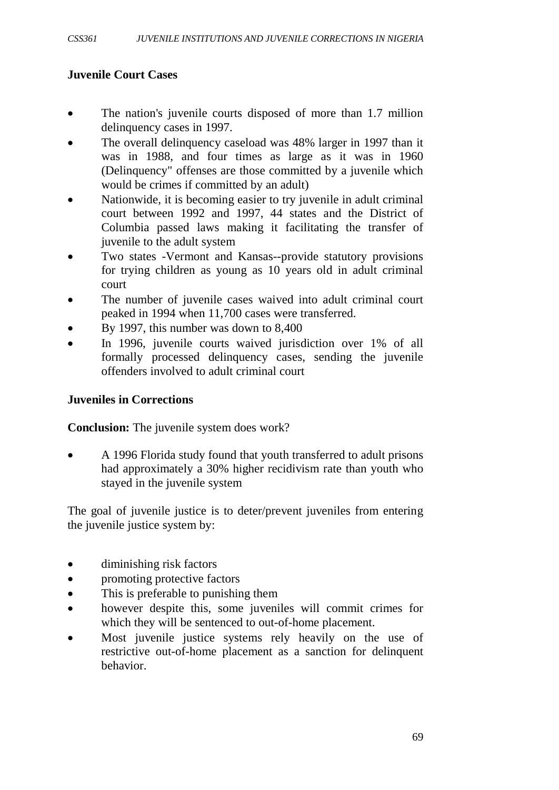## **Juvenile Court Cases**

- The nation's juvenile courts disposed of more than 1.7 million delinquency cases in 1997.
- The overall delinquency caseload was 48% larger in 1997 than it was in 1988, and four times as large as it was in 1960 (Delinquency" offenses are those committed by a juvenile which would be crimes if committed by an adult)
- Nationwide, it is becoming easier to try juvenile in adult criminal court between 1992 and 1997, 44 states and the District of Columbia passed laws making it facilitating the transfer of juvenile to the adult system
- Two states -Vermont and Kansas--provide statutory provisions for trying children as young as 10 years old in adult criminal court
- The number of juvenile cases waived into adult criminal court peaked in 1994 when 11,700 cases were transferred.
- By 1997, this number was down to 8,400
- In 1996, juvenile courts waived jurisdiction over 1% of all formally processed delinquency cases, sending the juvenile offenders involved to adult criminal court

## **Juveniles in Corrections**

**Conclusion:** The juvenile system does work?

• A 1996 Florida study found that youth transferred to adult prisons had approximately a 30% higher recidivism rate than youth who stayed in the juvenile system

The goal of juvenile justice is to deter/prevent juveniles from entering the juvenile justice system by:

- diminishing risk factors
- promoting protective factors
- This is preferable to punishing them
- however despite this, some juveniles will commit crimes for which they will be sentenced to out-of-home placement.
- Most juvenile justice systems rely heavily on the use of restrictive out-of-home placement as a sanction for delinquent behavior.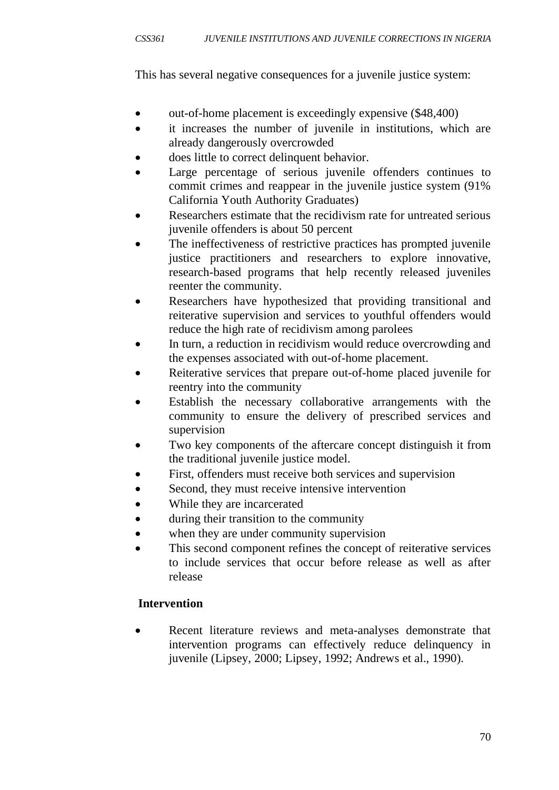This has several negative consequences for a juvenile justice system:

- out-of-home placement is exceedingly expensive (\$48,400)
- it increases the number of juvenile in institutions, which are already dangerously overcrowded
- does little to correct delinquent behavior.
- Large percentage of serious juvenile offenders continues to commit crimes and reappear in the juvenile justice system (91% California Youth Authority Graduates)
- Researchers estimate that the recidivism rate for untreated serious juvenile offenders is about 50 percent
- The ineffectiveness of restrictive practices has prompted juvenile justice practitioners and researchers to explore innovative, research-based programs that help recently released juveniles reenter the community.
- Researchers have hypothesized that providing transitional and reiterative supervision and services to youthful offenders would reduce the high rate of recidivism among parolees
- In turn, a reduction in recidivism would reduce overcrowding and the expenses associated with out-of-home placement.
- Reiterative services that prepare out-of-home placed juvenile for reentry into the community
- Establish the necessary collaborative arrangements with the community to ensure the delivery of prescribed services and supervision
- Two key components of the aftercare concept distinguish it from the traditional juvenile justice model.
- First, offenders must receive both services and supervision
- Second, they must receive intensive intervention
- While they are incarcerated
- during their transition to the community
- when they are under community supervision
- This second component refines the concept of reiterative services to include services that occur before release as well as after release

# **Intervention**

• Recent literature reviews and meta-analyses demonstrate that intervention programs can effectively reduce delinquency in juvenile (Lipsey, 2000; Lipsey, 1992; Andrews et al., 1990).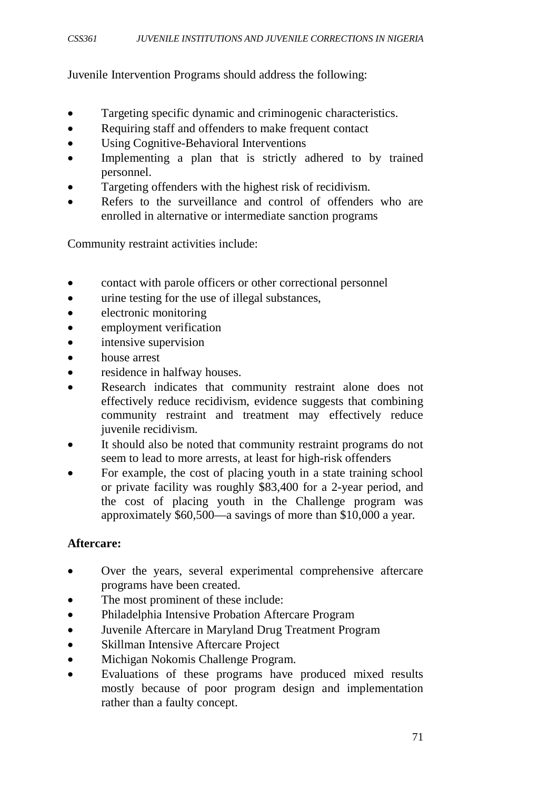Juvenile Intervention Programs should address the following:

- Targeting specific dynamic and criminogenic characteristics.
- Requiring staff and offenders to make frequent contact
- Using Cognitive-Behavioral Interventions
- Implementing a plan that is strictly adhered to by trained personnel.
- Targeting offenders with the highest risk of recidivism.
- Refers to the surveillance and control of offenders who are enrolled in alternative or intermediate sanction programs

Community restraint activities include:

- contact with parole officers or other correctional personnel
- urine testing for the use of illegal substances,
- electronic monitoring
- employment verification
- intensive supervision
- house arrest
- residence in halfway houses.
- Research indicates that community restraint alone does not effectively reduce recidivism, evidence suggests that combining community restraint and treatment may effectively reduce juvenile recidivism.
- It should also be noted that community restraint programs do not seem to lead to more arrests, at least for high-risk offenders
- For example, the cost of placing youth in a state training school or private facility was roughly \$83,400 for a 2-year period, and the cost of placing youth in the Challenge program was approximately \$60,500—a savings of more than \$10,000 a year.

#### **Aftercare:**

- Over the years, several experimental comprehensive aftercare programs have been created.
- The most prominent of these include:
- Philadelphia Intensive Probation Aftercare Program
- Juvenile Aftercare in Maryland Drug Treatment Program
- Skillman Intensive Aftercare Project
- Michigan Nokomis Challenge Program.
- Evaluations of these programs have produced mixed results mostly because of poor program design and implementation rather than a faulty concept.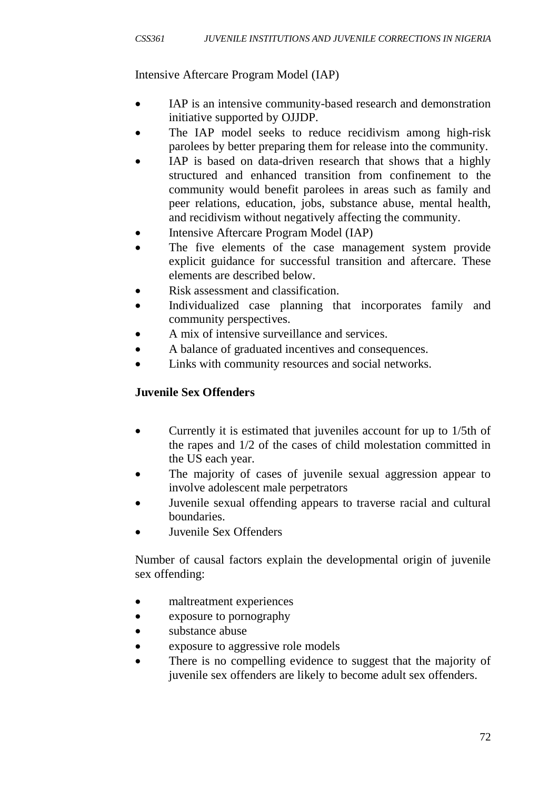Intensive Aftercare Program Model (IAP)

- IAP is an intensive community-based research and demonstration initiative supported by OJJDP.
- The IAP model seeks to reduce recidivism among high-risk parolees by better preparing them for release into the community.
- IAP is based on data-driven research that shows that a highly structured and enhanced transition from confinement to the community would benefit parolees in areas such as family and peer relations, education, jobs, substance abuse, mental health, and recidivism without negatively affecting the community.
- Intensive Aftercare Program Model (IAP)
- The five elements of the case management system provide explicit guidance for successful transition and aftercare. These elements are described below.
- Risk assessment and classification.
- Individualized case planning that incorporates family and community perspectives.
- A mix of intensive surveillance and services.
- A balance of graduated incentives and consequences.
- Links with community resources and social networks.

# **Juvenile Sex Offenders**

- Currently it is estimated that juveniles account for up to 1/5th of the rapes and 1/2 of the cases of child molestation committed in the US each year.
- The majority of cases of juvenile sexual aggression appear to involve adolescent male perpetrators
- Juvenile sexual offending appears to traverse racial and cultural boundaries.
- Juvenile Sex Offenders

Number of causal factors explain the developmental origin of juvenile sex offending:

- maltreatment experiences
- exposure to pornography
- substance abuse
- exposure to aggressive role models
- There is no compelling evidence to suggest that the majority of juvenile sex offenders are likely to become adult sex offenders.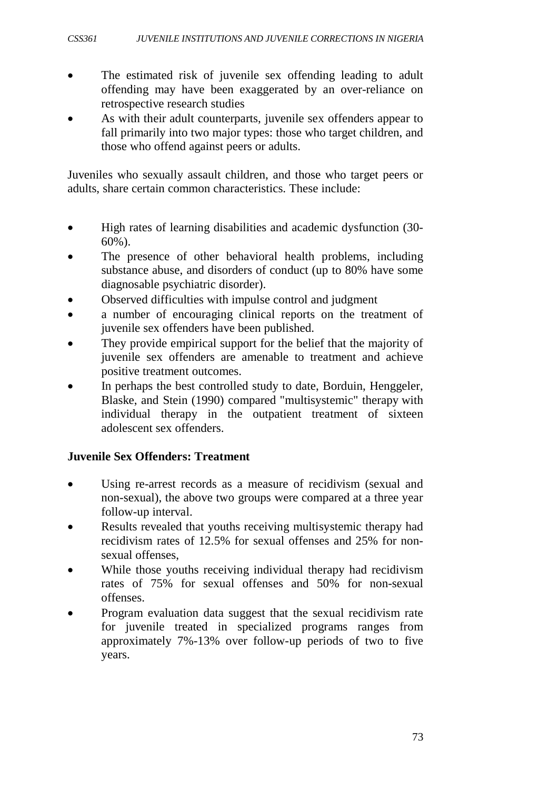- The estimated risk of juvenile sex offending leading to adult offending may have been exaggerated by an over-reliance on retrospective research studies
- As with their adult counterparts, juvenile sex offenders appear to fall primarily into two major types: those who target children, and those who offend against peers or adults.

Juveniles who sexually assault children, and those who target peers or adults, share certain common characteristics. These include:

- High rates of learning disabilities and academic dysfunction (30- 60%).
- The presence of other behavioral health problems, including substance abuse, and disorders of conduct (up to 80% have some diagnosable psychiatric disorder).
- Observed difficulties with impulse control and judgment
- a number of encouraging clinical reports on the treatment of juvenile sex offenders have been published.
- They provide empirical support for the belief that the majority of juvenile sex offenders are amenable to treatment and achieve positive treatment outcomes.
- In perhaps the best controlled study to date, Borduin, Henggeler, Blaske, and Stein (1990) compared "multisystemic" therapy with individual therapy in the outpatient treatment of sixteen adolescent sex offenders.

## **Juvenile Sex Offenders: Treatment**

- Using re-arrest records as a measure of recidivism (sexual and non-sexual), the above two groups were compared at a three year follow-up interval.
- Results revealed that youths receiving multisystemic therapy had recidivism rates of 12.5% for sexual offenses and 25% for nonsexual offenses,
- While those youths receiving individual therapy had recidivism rates of 75% for sexual offenses and 50% for non-sexual offenses.
- Program evaluation data suggest that the sexual recidivism rate for juvenile treated in specialized programs ranges from approximately 7%-13% over follow-up periods of two to five years.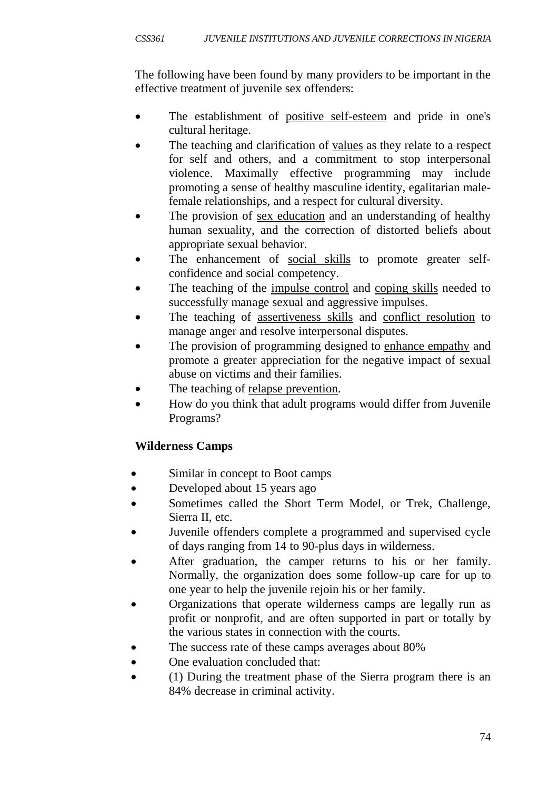The following have been found by many providers to be important in the effective treatment of juvenile sex offenders:

- The establishment of positive self-esteem and pride in one's cultural heritage.
- The teaching and clarification of values as they relate to a respect for self and others, and a commitment to stop interpersonal violence. Maximally effective programming may include promoting a sense of healthy masculine identity, egalitarian malefemale relationships, and a respect for cultural diversity.
- The provision of sex education and an understanding of healthy human sexuality, and the correction of distorted beliefs about appropriate sexual behavior.
- The enhancement of social skills to promote greater selfconfidence and social competency.
- The teaching of the impulse control and coping skills needed to successfully manage sexual and aggressive impulses.
- The teaching of assertiveness skills and conflict resolution to manage anger and resolve interpersonal disputes.
- The provision of programming designed to enhance empathy and promote a greater appreciation for the negative impact of sexual abuse on victims and their families.
- The teaching of relapse prevention.
- How do you think that adult programs would differ from Juvenile Programs?

# **Wilderness Camps**

- Similar in concept to Boot camps
- Developed about 15 years ago
- Sometimes called the Short Term Model, or Trek, Challenge, Sierra II, etc.
- Juvenile offenders complete a programmed and supervised cycle of days ranging from 14 to 90-plus days in wilderness.
- After graduation, the camper returns to his or her family. Normally, the organization does some follow-up care for up to one year to help the juvenile rejoin his or her family.
- Organizations that operate wilderness camps are legally run as profit or nonprofit, and are often supported in part or totally by the various states in connection with the courts.
- The success rate of these camps averages about 80%
- One evaluation concluded that:
- (1) During the treatment phase of the Sierra program there is an 84% decrease in criminal activity.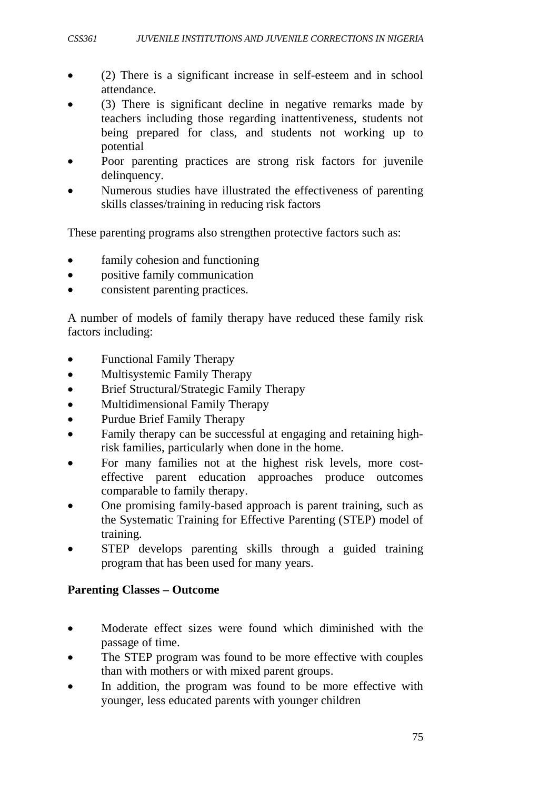- (2) There is a significant increase in self-esteem and in school attendance.
- (3) There is significant decline in negative remarks made by teachers including those regarding inattentiveness, students not being prepared for class, and students not working up to potential
- Poor parenting practices are strong risk factors for juvenile delinquency.
- Numerous studies have illustrated the effectiveness of parenting skills classes/training in reducing risk factors

These parenting programs also strengthen protective factors such as:

- family cohesion and functioning
- positive family communication
- consistent parenting practices.

A number of models of family therapy have reduced these family risk factors including:

- Functional Family Therapy
- Multisystemic Family Therapy
- Brief Structural/Strategic Family Therapy
- Multidimensional Family Therapy
- Purdue Brief Family Therapy
- Family therapy can be successful at engaging and retaining highrisk families, particularly when done in the home.
- For many families not at the highest risk levels, more costeffective parent education approaches produce outcomes comparable to family therapy.
- One promising family-based approach is parent training, such as the Systematic Training for Effective Parenting (STEP) model of training.
- STEP develops parenting skills through a guided training program that has been used for many years.

## **Parenting Classes – Outcome**

- Moderate effect sizes were found which diminished with the passage of time.
- The STEP program was found to be more effective with couples than with mothers or with mixed parent groups.
- In addition, the program was found to be more effective with younger, less educated parents with younger children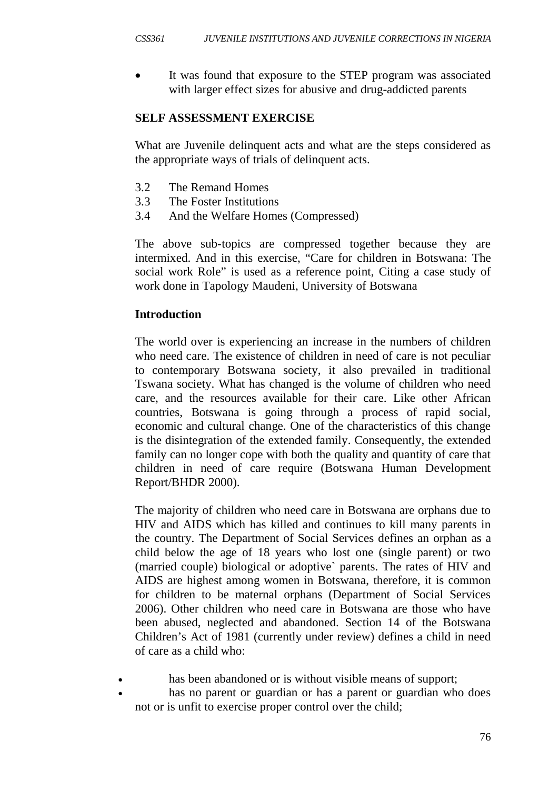It was found that exposure to the STEP program was associated with larger effect sizes for abusive and drug-addicted parents

#### **SELF ASSESSMENT EXERCISE**

What are Juvenile delinquent acts and what are the steps considered as the appropriate ways of trials of delinquent acts.

- 3.2 The Remand Homes
- 3.3 The Foster Institutions
- 3.4 And the Welfare Homes (Compressed)

The above sub-topics are compressed together because they are intermixed. And in this exercise, "Care for children in Botswana: The social work Role" is used as a reference point, Citing a case study of work done in Tapology Maudeni, University of Botswana

#### **Introduction**

The world over is experiencing an increase in the numbers of children who need care. The existence of children in need of care is not peculiar to contemporary Botswana society, it also prevailed in traditional Tswana society. What has changed is the volume of children who need care, and the resources available for their care. Like other African countries, Botswana is going through a process of rapid social, economic and cultural change. One of the characteristics of this change is the disintegration of the extended family. Consequently, the extended family can no longer cope with both the quality and quantity of care that children in need of care require (Botswana Human Development Report/BHDR 2000).

The majority of children who need care in Botswana are orphans due to HIV and AIDS which has killed and continues to kill many parents in the country. The Department of Social Services defines an orphan as a child below the age of 18 years who lost one (single parent) or two (married couple) biological or adoptive` parents. The rates of HIV and AIDS are highest among women in Botswana, therefore, it is common for children to be maternal orphans (Department of Social Services 2006). Other children who need care in Botswana are those who have been abused, neglected and abandoned. Section 14 of the Botswana Children's Act of 1981 (currently under review) defines a child in need of care as a child who:

- has been abandoned or is without visible means of support;
- has no parent or guardian or has a parent or guardian who does not or is unfit to exercise proper control over the child;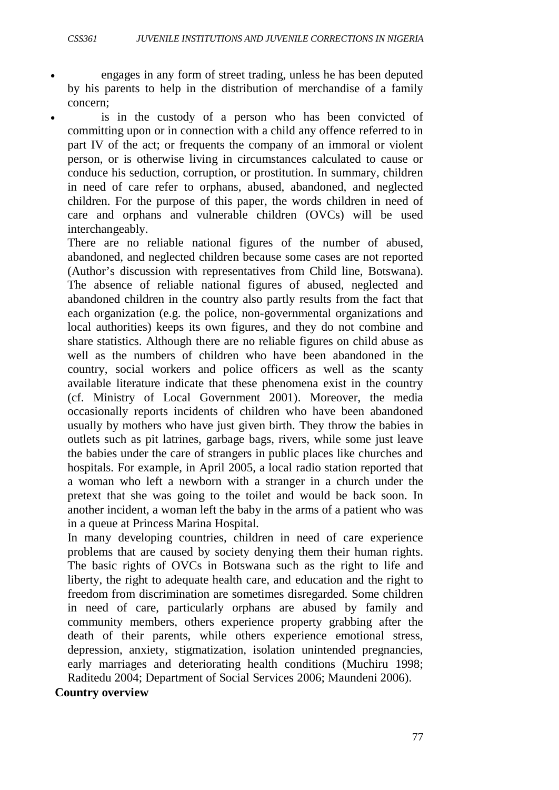- engages in any form of street trading, unless he has been deputed by his parents to help in the distribution of merchandise of a family concern;
- is in the custody of a person who has been convicted of committing upon or in connection with a child any offence referred to in part IV of the act; or frequents the company of an immoral or violent person, or is otherwise living in circumstances calculated to cause or conduce his seduction, corruption, or prostitution. In summary, children in need of care refer to orphans, abused, abandoned, and neglected children. For the purpose of this paper, the words children in need of care and orphans and vulnerable children (OVCs) will be used interchangeably.

There are no reliable national figures of the number of abused, abandoned, and neglected children because some cases are not reported (Author's discussion with representatives from Child line, Botswana). The absence of reliable national figures of abused, neglected and abandoned children in the country also partly results from the fact that each organization (e.g. the police, non-governmental organizations and local authorities) keeps its own figures, and they do not combine and share statistics. Although there are no reliable figures on child abuse as well as the numbers of children who have been abandoned in the country, social workers and police officers as well as the scanty available literature indicate that these phenomena exist in the country (cf. Ministry of Local Government 2001). Moreover, the media occasionally reports incidents of children who have been abandoned usually by mothers who have just given birth. They throw the babies in outlets such as pit latrines, garbage bags, rivers, while some just leave the babies under the care of strangers in public places like churches and hospitals. For example, in April 2005, a local radio station reported that a woman who left a newborn with a stranger in a church under the pretext that she was going to the toilet and would be back soon. In another incident, a woman left the baby in the arms of a patient who was in a queue at Princess Marina Hospital.

In many developing countries, children in need of care experience problems that are caused by society denying them their human rights. The basic rights of OVCs in Botswana such as the right to life and liberty, the right to adequate health care, and education and the right to freedom from discrimination are sometimes disregarded. Some children in need of care, particularly orphans are abused by family and community members, others experience property grabbing after the death of their parents, while others experience emotional stress, depression, anxiety, stigmatization, isolation unintended pregnancies, early marriages and deteriorating health conditions (Muchiru 1998; Raditedu 2004; Department of Social Services 2006; Maundeni 2006).

**Country overview**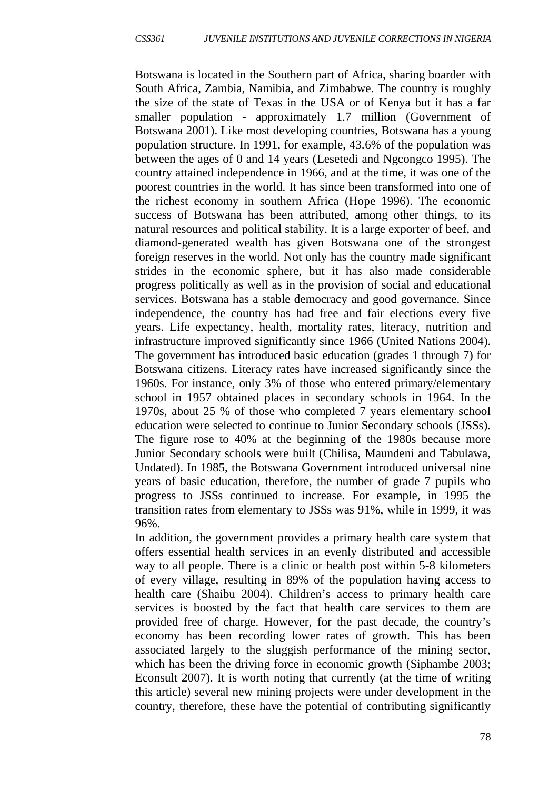Botswana is located in the Southern part of Africa, sharing boarder with South Africa, Zambia, Namibia, and Zimbabwe. The country is roughly the size of the state of Texas in the USA or of Kenya but it has a far smaller population - approximately 1.7 million (Government of Botswana 2001). Like most developing countries, Botswana has a young population structure. In 1991, for example, 43.6% of the population was between the ages of 0 and 14 years (Lesetedi and Ngcongco 1995). The country attained independence in 1966, and at the time, it was one of the poorest countries in the world. It has since been transformed into one of the richest economy in southern Africa (Hope 1996). The economic success of Botswana has been attributed, among other things, to its natural resources and political stability. It is a large exporter of beef, and diamond-generated wealth has given Botswana one of the strongest foreign reserves in the world. Not only has the country made significant strides in the economic sphere, but it has also made considerable progress politically as well as in the provision of social and educational services. Botswana has a stable democracy and good governance. Since independence, the country has had free and fair elections every five years. Life expectancy, health, mortality rates, literacy, nutrition and infrastructure improved significantly since 1966 (United Nations 2004). The government has introduced basic education (grades 1 through 7) for Botswana citizens. Literacy rates have increased significantly since the 1960s. For instance, only 3% of those who entered primary/elementary school in 1957 obtained places in secondary schools in 1964. In the 1970s, about 25 % of those who completed 7 years elementary school education were selected to continue to Junior Secondary schools (JSSs). The figure rose to 40% at the beginning of the 1980s because more Junior Secondary schools were built (Chilisa, Maundeni and Tabulawa, Undated). In 1985, the Botswana Government introduced universal nine years of basic education, therefore, the number of grade 7 pupils who progress to JSSs continued to increase. For example, in 1995 the transition rates from elementary to JSSs was 91%, while in 1999, it was 96%.

In addition, the government provides a primary health care system that offers essential health services in an evenly distributed and accessible way to all people. There is a clinic or health post within 5-8 kilometers of every village, resulting in 89% of the population having access to health care (Shaibu 2004). Children's access to primary health care services is boosted by the fact that health care services to them are provided free of charge. However, for the past decade, the country's economy has been recording lower rates of growth. This has been associated largely to the sluggish performance of the mining sector, which has been the driving force in economic growth (Siphambe 2003; Econsult 2007). It is worth noting that currently (at the time of writing this article) several new mining projects were under development in the country, therefore, these have the potential of contributing significantly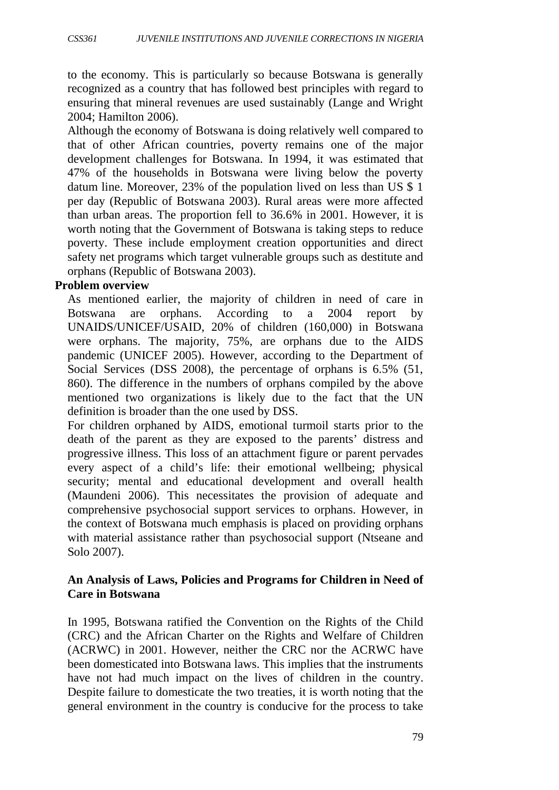to the economy. This is particularly so because Botswana is generally recognized as a country that has followed best principles with regard to ensuring that mineral revenues are used sustainably (Lange and Wright 2004; Hamilton 2006).

Although the economy of Botswana is doing relatively well compared to that of other African countries, poverty remains one of the major development challenges for Botswana. In 1994, it was estimated that 47% of the households in Botswana were living below the poverty datum line. Moreover, 23% of the population lived on less than US \$ 1 per day (Republic of Botswana 2003). Rural areas were more affected than urban areas. The proportion fell to 36.6% in 2001. However, it is worth noting that the Government of Botswana is taking steps to reduce poverty. These include employment creation opportunities and direct safety net programs which target vulnerable groups such as destitute and orphans (Republic of Botswana 2003).

#### **Problem overview**

As mentioned earlier, the majority of children in need of care in Botswana are orphans. According to a 2004 report by UNAIDS/UNICEF/USAID, 20% of children (160,000) in Botswana were orphans. The majority, 75%, are orphans due to the AIDS pandemic (UNICEF 2005). However, according to the Department of Social Services (DSS 2008), the percentage of orphans is 6.5% (51, 860). The difference in the numbers of orphans compiled by the above mentioned two organizations is likely due to the fact that the UN definition is broader than the one used by DSS.

For children orphaned by AIDS, emotional turmoil starts prior to the death of the parent as they are exposed to the parents' distress and progressive illness. This loss of an attachment figure or parent pervades every aspect of a child's life: their emotional wellbeing; physical security; mental and educational development and overall health (Maundeni 2006). This necessitates the provision of adequate and comprehensive psychosocial support services to orphans. However, in the context of Botswana much emphasis is placed on providing orphans with material assistance rather than psychosocial support (Ntseane and Solo 2007).

## **An Analysis of Laws, Policies and Programs for Children in Need of Care in Botswana**

In 1995, Botswana ratified the Convention on the Rights of the Child (CRC) and the African Charter on the Rights and Welfare of Children (ACRWC) in 2001. However, neither the CRC nor the ACRWC have been domesticated into Botswana laws. This implies that the instruments have not had much impact on the lives of children in the country. Despite failure to domesticate the two treaties, it is worth noting that the general environment in the country is conducive for the process to take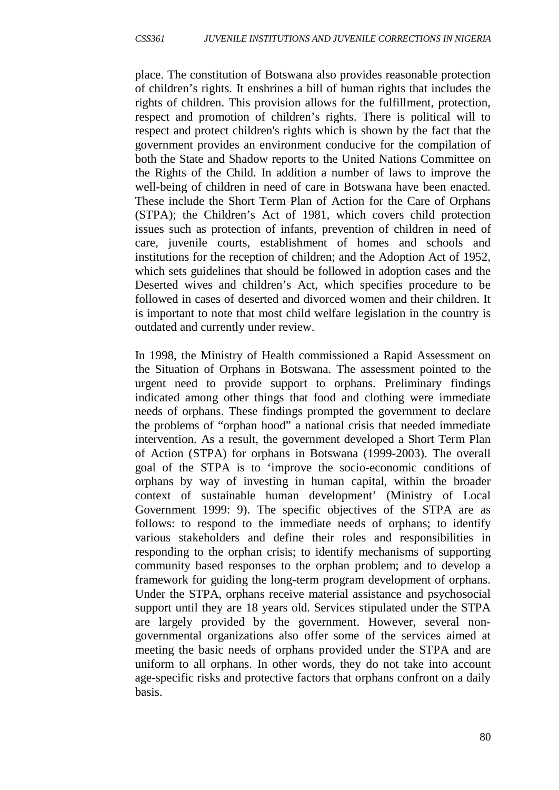place. The constitution of Botswana also provides reasonable protection of children's rights. It enshrines a bill of human rights that includes the rights of children. This provision allows for the fulfillment, protection, respect and promotion of children's rights. There is political will to respect and protect children's rights which is shown by the fact that the government provides an environment conducive for the compilation of both the State and Shadow reports to the United Nations Committee on the Rights of the Child. In addition a number of laws to improve the well-being of children in need of care in Botswana have been enacted. These include the Short Term Plan of Action for the Care of Orphans (STPA); the Children's Act of 1981, which covers child protection issues such as protection of infants, prevention of children in need of care, juvenile courts, establishment of homes and schools and institutions for the reception of children; and the Adoption Act of 1952, which sets guidelines that should be followed in adoption cases and the Deserted wives and children's Act, which specifies procedure to be followed in cases of deserted and divorced women and their children. It is important to note that most child welfare legislation in the country is outdated and currently under review.

In 1998, the Ministry of Health commissioned a Rapid Assessment on the Situation of Orphans in Botswana. The assessment pointed to the urgent need to provide support to orphans. Preliminary findings indicated among other things that food and clothing were immediate needs of orphans. These findings prompted the government to declare the problems of "orphan hood" a national crisis that needed immediate intervention. As a result, the government developed a Short Term Plan of Action (STPA) for orphans in Botswana (1999-2003). The overall goal of the STPA is to 'improve the socio-economic conditions of orphans by way of investing in human capital, within the broader context of sustainable human development' (Ministry of Local Government 1999: 9). The specific objectives of the STPA are as follows: to respond to the immediate needs of orphans; to identify various stakeholders and define their roles and responsibilities in responding to the orphan crisis; to identify mechanisms of supporting community based responses to the orphan problem; and to develop a framework for guiding the long-term program development of orphans. Under the STPA, orphans receive material assistance and psychosocial support until they are 18 years old. Services stipulated under the STPA are largely provided by the government. However, several nongovernmental organizations also offer some of the services aimed at meeting the basic needs of orphans provided under the STPA and are uniform to all orphans. In other words, they do not take into account age-specific risks and protective factors that orphans confront on a daily basis.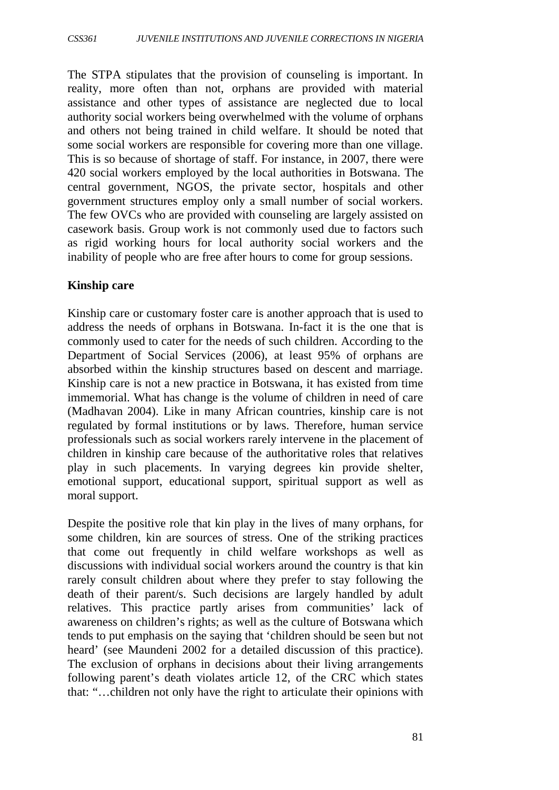The STPA stipulates that the provision of counseling is important. In reality, more often than not, orphans are provided with material assistance and other types of assistance are neglected due to local authority social workers being overwhelmed with the volume of orphans and others not being trained in child welfare. It should be noted that some social workers are responsible for covering more than one village. This is so because of shortage of staff. For instance, in 2007, there were 420 social workers employed by the local authorities in Botswana. The central government, NGOS, the private sector, hospitals and other government structures employ only a small number of social workers. The few OVCs who are provided with counseling are largely assisted on casework basis. Group work is not commonly used due to factors such as rigid working hours for local authority social workers and the inability of people who are free after hours to come for group sessions.

#### **Kinship care**

Kinship care or customary foster care is another approach that is used to address the needs of orphans in Botswana. In-fact it is the one that is commonly used to cater for the needs of such children. According to the Department of Social Services (2006), at least 95% of orphans are absorbed within the kinship structures based on descent and marriage. Kinship care is not a new practice in Botswana, it has existed from time immemorial. What has change is the volume of children in need of care (Madhavan 2004). Like in many African countries, kinship care is not regulated by formal institutions or by laws. Therefore, human service professionals such as social workers rarely intervene in the placement of children in kinship care because of the authoritative roles that relatives play in such placements. In varying degrees kin provide shelter, emotional support, educational support, spiritual support as well as moral support.

Despite the positive role that kin play in the lives of many orphans, for some children, kin are sources of stress. One of the striking practices that come out frequently in child welfare workshops as well as discussions with individual social workers around the country is that kin rarely consult children about where they prefer to stay following the death of their parent/s. Such decisions are largely handled by adult relatives. This practice partly arises from communities' lack of awareness on children's rights; as well as the culture of Botswana which tends to put emphasis on the saying that 'children should be seen but not heard' (see Maundeni 2002 for a detailed discussion of this practice). The exclusion of orphans in decisions about their living arrangements following parent's death violates article 12, of the CRC which states that: "…children not only have the right to articulate their opinions with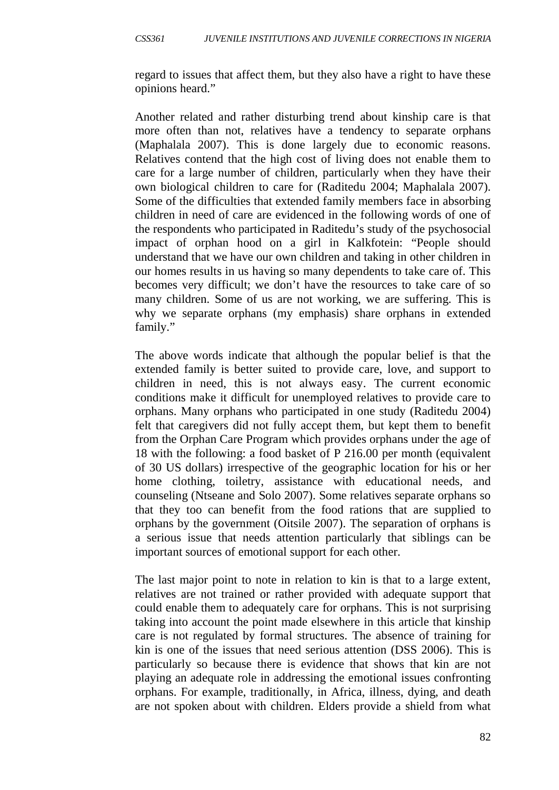regard to issues that affect them, but they also have a right to have these opinions heard."

Another related and rather disturbing trend about kinship care is that more often than not, relatives have a tendency to separate orphans (Maphalala 2007). This is done largely due to economic reasons. Relatives contend that the high cost of living does not enable them to care for a large number of children, particularly when they have their own biological children to care for (Raditedu 2004; Maphalala 2007). Some of the difficulties that extended family members face in absorbing children in need of care are evidenced in the following words of one of the respondents who participated in Raditedu's study of the psychosocial impact of orphan hood on a girl in Kalkfotein: "People should understand that we have our own children and taking in other children in our homes results in us having so many dependents to take care of. This becomes very difficult; we don't have the resources to take care of so many children. Some of us are not working, we are suffering. This is why we separate orphans (my emphasis) share orphans in extended family."

The above words indicate that although the popular belief is that the extended family is better suited to provide care, love, and support to children in need, this is not always easy. The current economic conditions make it difficult for unemployed relatives to provide care to orphans. Many orphans who participated in one study (Raditedu 2004) felt that caregivers did not fully accept them, but kept them to benefit from the Orphan Care Program which provides orphans under the age of 18 with the following: a food basket of P 216.00 per month (equivalent of 30 US dollars) irrespective of the geographic location for his or her home clothing, toiletry, assistance with educational needs, and counseling (Ntseane and Solo 2007). Some relatives separate orphans so that they too can benefit from the food rations that are supplied to orphans by the government (Oitsile 2007). The separation of orphans is a serious issue that needs attention particularly that siblings can be important sources of emotional support for each other.

The last major point to note in relation to kin is that to a large extent, relatives are not trained or rather provided with adequate support that could enable them to adequately care for orphans. This is not surprising taking into account the point made elsewhere in this article that kinship care is not regulated by formal structures. The absence of training for kin is one of the issues that need serious attention (DSS 2006). This is particularly so because there is evidence that shows that kin are not playing an adequate role in addressing the emotional issues confronting orphans. For example, traditionally, in Africa, illness, dying, and death are not spoken about with children. Elders provide a shield from what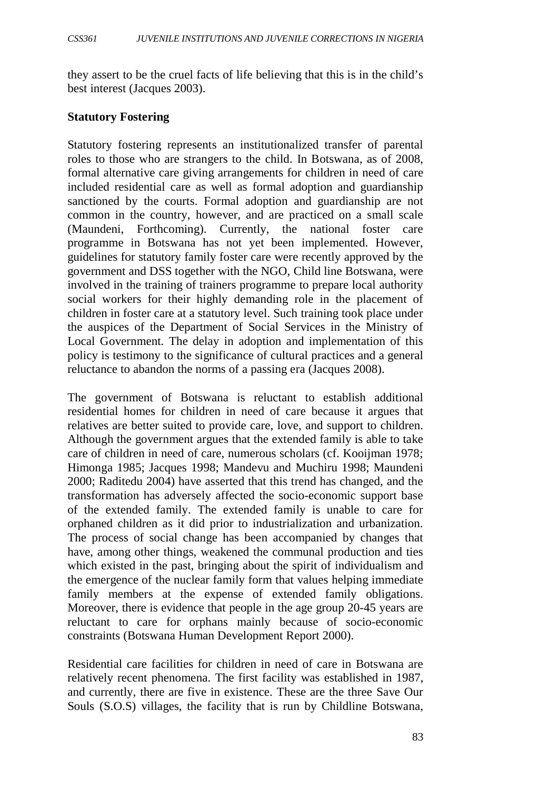they assert to be the cruel facts of life believing that this is in the child's best interest (Jacques 2003).

#### **Statutory Fostering**

Statutory fostering represents an institutionalized transfer of parental roles to those who are strangers to the child. In Botswana, as of 2008, formal alternative care giving arrangements for children in need of care included residential care as well as formal adoption and guardianship sanctioned by the courts. Formal adoption and guardianship are not common in the country, however, and are practiced on a small scale (Maundeni, Forthcoming). Currently, the national foster care programme in Botswana has not yet been implemented. However, guidelines for statutory family foster care were recently approved by the government and DSS together with the NGO, Child line Botswana, were involved in the training of trainers programme to prepare local authority social workers for their highly demanding role in the placement of children in foster care at a statutory level. Such training took place under the auspices of the Department of Social Services in the Ministry of Local Government. The delay in adoption and implementation of this policy is testimony to the significance of cultural practices and a general reluctance to abandon the norms of a passing era (Jacques 2008).

The government of Botswana is reluctant to establish additional residential homes for children in need of care because it argues that relatives are better suited to provide care, love, and support to children. Although the government argues that the extended family is able to take care of children in need of care, numerous scholars (cf. Kooijman 1978; Himonga 1985; Jacques 1998; Mandevu and Muchiru 1998; Maundeni 2000; Raditedu 2004) have asserted that this trend has changed, and the transformation has adversely affected the socio-economic support base of the extended family. The extended family is unable to care for orphaned children as it did prior to industrialization and urbanization. The process of social change has been accompanied by changes that have, among other things, weakened the communal production and ties which existed in the past, bringing about the spirit of individualism and the emergence of the nuclear family form that values helping immediate family members at the expense of extended family obligations. Moreover, there is evidence that people in the age group 20-45 years are reluctant to care for orphans mainly because of socio-economic constraints (Botswana Human Development Report 2000).

Residential care facilities for children in need of care in Botswana are relatively recent phenomena. The first facility was established in 1987, and currently, there are five in existence. These are the three Save Our Souls (S.O.S) villages, the facility that is run by Childline Botswana,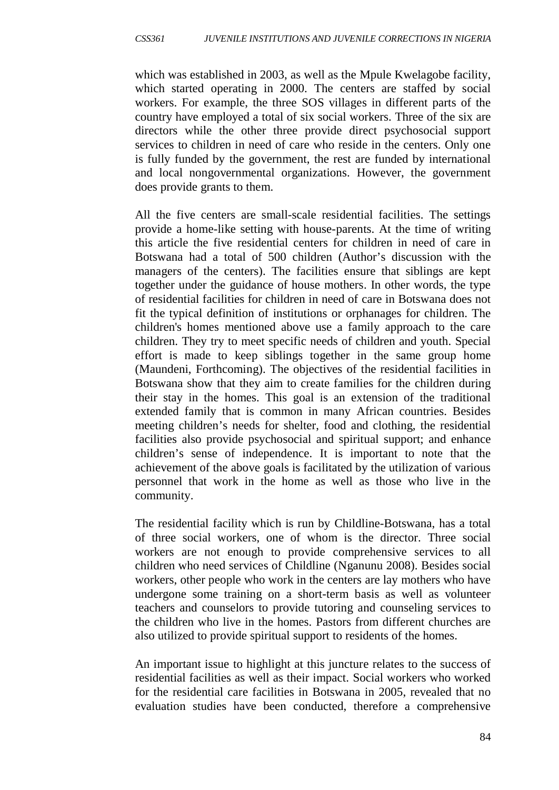which was established in 2003, as well as the Mpule Kwelagobe facility, which started operating in 2000. The centers are staffed by social workers. For example, the three SOS villages in different parts of the country have employed a total of six social workers. Three of the six are directors while the other three provide direct psychosocial support services to children in need of care who reside in the centers. Only one is fully funded by the government, the rest are funded by international and local nongovernmental organizations. However, the government does provide grants to them.

All the five centers are small-scale residential facilities. The settings provide a home-like setting with house-parents. At the time of writing this article the five residential centers for children in need of care in Botswana had a total of 500 children (Author's discussion with the managers of the centers). The facilities ensure that siblings are kept together under the guidance of house mothers. In other words, the type of residential facilities for children in need of care in Botswana does not fit the typical definition of institutions or orphanages for children. The children's homes mentioned above use a family approach to the care children. They try to meet specific needs of children and youth. Special effort is made to keep siblings together in the same group home (Maundeni, Forthcoming). The objectives of the residential facilities in Botswana show that they aim to create families for the children during their stay in the homes. This goal is an extension of the traditional extended family that is common in many African countries. Besides meeting children's needs for shelter, food and clothing, the residential facilities also provide psychosocial and spiritual support; and enhance children's sense of independence. It is important to note that the achievement of the above goals is facilitated by the utilization of various personnel that work in the home as well as those who live in the community.

The residential facility which is run by Childline-Botswana, has a total of three social workers, one of whom is the director. Three social workers are not enough to provide comprehensive services to all children who need services of Childline (Nganunu 2008). Besides social workers, other people who work in the centers are lay mothers who have undergone some training on a short-term basis as well as volunteer teachers and counselors to provide tutoring and counseling services to the children who live in the homes. Pastors from different churches are also utilized to provide spiritual support to residents of the homes.

An important issue to highlight at this juncture relates to the success of residential facilities as well as their impact. Social workers who worked for the residential care facilities in Botswana in 2005, revealed that no evaluation studies have been conducted, therefore a comprehensive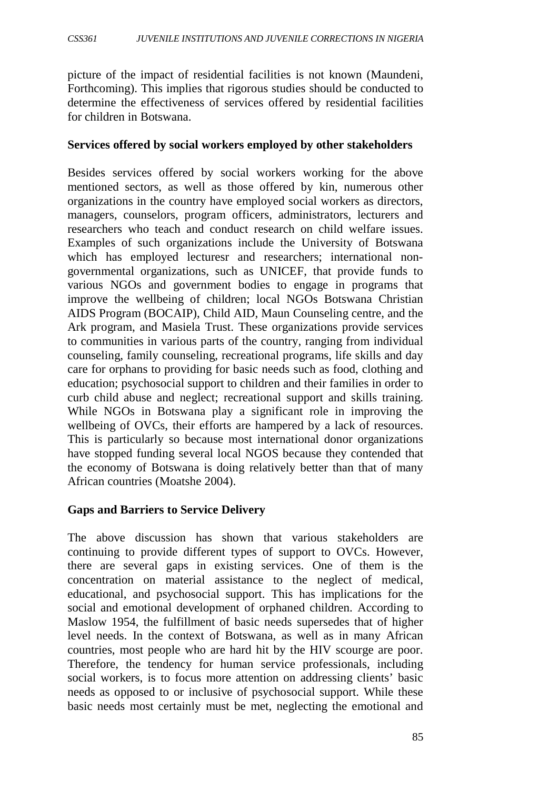picture of the impact of residential facilities is not known (Maundeni, Forthcoming). This implies that rigorous studies should be conducted to determine the effectiveness of services offered by residential facilities for children in Botswana.

#### **Services offered by social workers employed by other stakeholders**

Besides services offered by social workers working for the above mentioned sectors, as well as those offered by kin, numerous other organizations in the country have employed social workers as directors, managers, counselors, program officers, administrators, lecturers and researchers who teach and conduct research on child welfare issues. Examples of such organizations include the University of Botswana which has employed lecturesr and researchers; international nongovernmental organizations, such as UNICEF, that provide funds to various NGOs and government bodies to engage in programs that improve the wellbeing of children; local NGOs Botswana Christian AIDS Program (BOCAIP), Child AID, Maun Counseling centre, and the Ark program, and Masiela Trust. These organizations provide services to communities in various parts of the country, ranging from individual counseling, family counseling, recreational programs, life skills and day care for orphans to providing for basic needs such as food, clothing and education; psychosocial support to children and their families in order to curb child abuse and neglect; recreational support and skills training. While NGOs in Botswana play a significant role in improving the wellbeing of OVCs, their efforts are hampered by a lack of resources. This is particularly so because most international donor organizations have stopped funding several local NGOS because they contended that the economy of Botswana is doing relatively better than that of many African countries (Moatshe 2004).

## **Gaps and Barriers to Service Delivery**

The above discussion has shown that various stakeholders are continuing to provide different types of support to OVCs. However, there are several gaps in existing services. One of them is the concentration on material assistance to the neglect of medical, educational, and psychosocial support. This has implications for the social and emotional development of orphaned children. According to Maslow 1954, the fulfillment of basic needs supersedes that of higher level needs. In the context of Botswana, as well as in many African countries, most people who are hard hit by the HIV scourge are poor. Therefore, the tendency for human service professionals, including social workers, is to focus more attention on addressing clients' basic needs as opposed to or inclusive of psychosocial support. While these basic needs most certainly must be met, neglecting the emotional and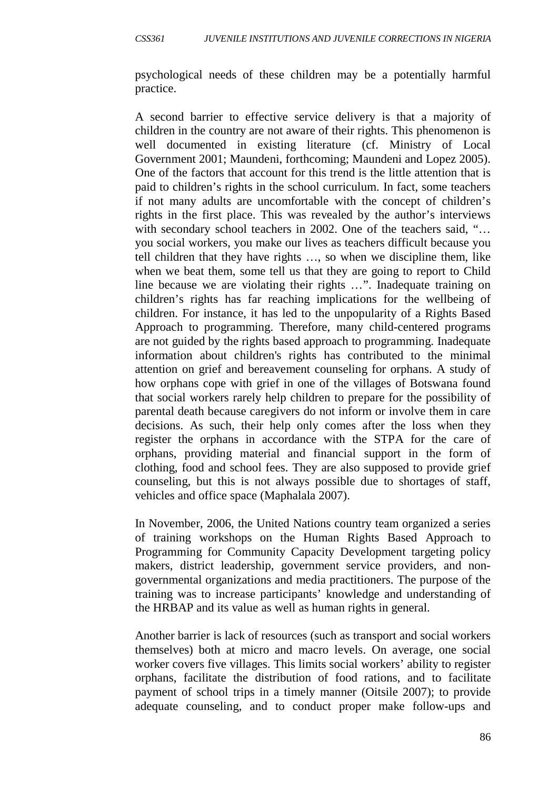psychological needs of these children may be a potentially harmful practice.

A second barrier to effective service delivery is that a majority of children in the country are not aware of their rights. This phenomenon is well documented in existing literature (cf. Ministry of Local Government 2001; Maundeni, forthcoming; Maundeni and Lopez 2005). One of the factors that account for this trend is the little attention that is paid to children's rights in the school curriculum. In fact, some teachers if not many adults are uncomfortable with the concept of children's rights in the first place. This was revealed by the author's interviews with secondary school teachers in 2002. One of the teachers said, "... you social workers, you make our lives as teachers difficult because you tell children that they have rights …, so when we discipline them, like when we beat them, some tell us that they are going to report to Child line because we are violating their rights …". Inadequate training on children's rights has far reaching implications for the wellbeing of children. For instance, it has led to the unpopularity of a Rights Based Approach to programming. Therefore, many child-centered programs are not guided by the rights based approach to programming. Inadequate information about children's rights has contributed to the minimal attention on grief and bereavement counseling for orphans. A study of how orphans cope with grief in one of the villages of Botswana found that social workers rarely help children to prepare for the possibility of parental death because caregivers do not inform or involve them in care decisions. As such, their help only comes after the loss when they register the orphans in accordance with the STPA for the care of orphans, providing material and financial support in the form of clothing, food and school fees. They are also supposed to provide grief counseling, but this is not always possible due to shortages of staff, vehicles and office space (Maphalala 2007).

In November, 2006, the United Nations country team organized a series of training workshops on the Human Rights Based Approach to Programming for Community Capacity Development targeting policy makers, district leadership, government service providers, and nongovernmental organizations and media practitioners. The purpose of the training was to increase participants' knowledge and understanding of the HRBAP and its value as well as human rights in general.

Another barrier is lack of resources (such as transport and social workers themselves) both at micro and macro levels. On average, one social worker covers five villages. This limits social workers' ability to register orphans, facilitate the distribution of food rations, and to facilitate payment of school trips in a timely manner (Oitsile 2007); to provide adequate counseling, and to conduct proper make follow-ups and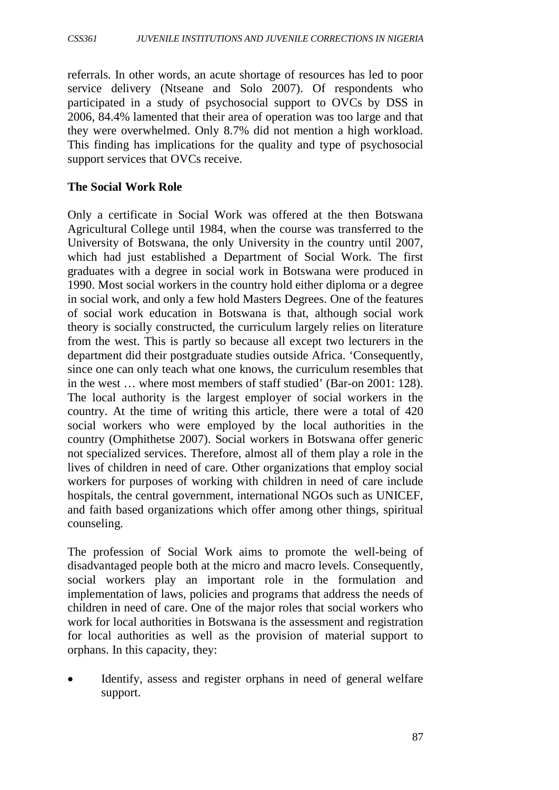referrals. In other words, an acute shortage of resources has led to poor service delivery (Ntseane and Solo 2007). Of respondents who participated in a study of psychosocial support to OVCs by DSS in 2006, 84.4% lamented that their area of operation was too large and that they were overwhelmed. Only 8.7% did not mention a high workload. This finding has implications for the quality and type of psychosocial support services that OVCs receive.

#### **The Social Work Role**

Only a certificate in Social Work was offered at the then Botswana Agricultural College until 1984, when the course was transferred to the University of Botswana, the only University in the country until 2007, which had just established a Department of Social Work. The first graduates with a degree in social work in Botswana were produced in 1990. Most social workers in the country hold either diploma or a degree in social work, and only a few hold Masters Degrees. One of the features of social work education in Botswana is that, although social work theory is socially constructed, the curriculum largely relies on literature from the west. This is partly so because all except two lecturers in the department did their postgraduate studies outside Africa. 'Consequently, since one can only teach what one knows, the curriculum resembles that in the west … where most members of staff studied' (Bar-on 2001: 128). The local authority is the largest employer of social workers in the country. At the time of writing this article, there were a total of 420 social workers who were employed by the local authorities in the country (Omphithetse 2007). Social workers in Botswana offer generic not specialized services. Therefore, almost all of them play a role in the lives of children in need of care. Other organizations that employ social workers for purposes of working with children in need of care include hospitals, the central government, international NGOs such as UNICEF, and faith based organizations which offer among other things, spiritual counseling.

The profession of Social Work aims to promote the well-being of disadvantaged people both at the micro and macro levels. Consequently, social workers play an important role in the formulation and implementation of laws, policies and programs that address the needs of children in need of care. One of the major roles that social workers who work for local authorities in Botswana is the assessment and registration for local authorities as well as the provision of material support to orphans. In this capacity, they:

• Identify, assess and register orphans in need of general welfare support.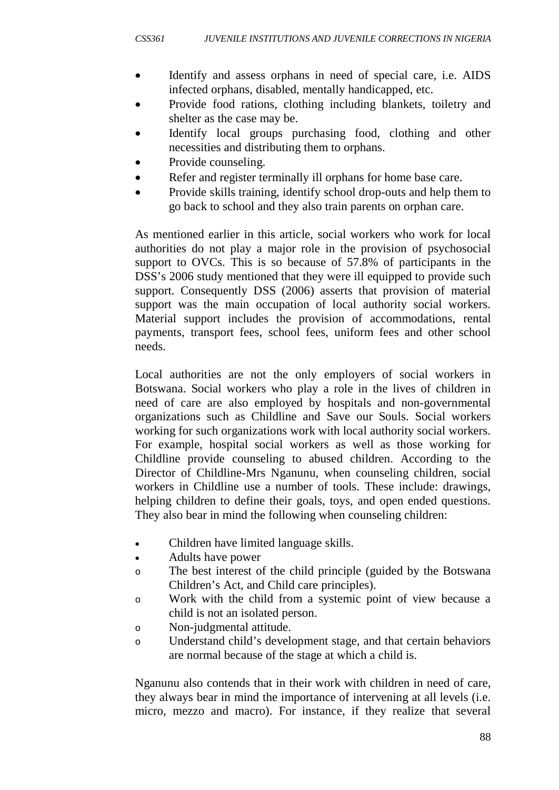- Identify and assess orphans in need of special care, i.e. AIDS infected orphans, disabled, mentally handicapped, etc.
- Provide food rations, clothing including blankets, toiletry and shelter as the case may be.
- Identify local groups purchasing food, clothing and other necessities and distributing them to orphans.
- Provide counseling.
- Refer and register terminally ill orphans for home base care.
- Provide skills training, identify school drop-outs and help them to go back to school and they also train parents on orphan care.

As mentioned earlier in this article, social workers who work for local authorities do not play a major role in the provision of psychosocial support to OVCs. This is so because of 57.8% of participants in the DSS's 2006 study mentioned that they were ill equipped to provide such support. Consequently DSS (2006) asserts that provision of material support was the main occupation of local authority social workers. Material support includes the provision of accommodations, rental payments, transport fees, school fees, uniform fees and other school needs.

Local authorities are not the only employers of social workers in Botswana. Social workers who play a role in the lives of children in need of care are also employed by hospitals and non-governmental organizations such as Childline and Save our Souls. Social workers working for such organizations work with local authority social workers. For example, hospital social workers as well as those working for Childline provide counseling to abused children. According to the Director of Childline-Mrs Nganunu, when counseling children, social workers in Childline use a number of tools. These include: drawings, helping children to define their goals, toys, and open ended questions. They also bear in mind the following when counseling children:

- Children have limited language skills.
- Adults have power
- o The best interest of the child principle (guided by the Botswana Children's Act, and Child care principles).
- o Work with the child from a systemic point of view because a child is not an isolated person.
- o Non-judgmental attitude.
- o Understand child's development stage, and that certain behaviors are normal because of the stage at which a child is.

Nganunu also contends that in their work with children in need of care, they always bear in mind the importance of intervening at all levels (i.e. micro, mezzo and macro). For instance, if they realize that several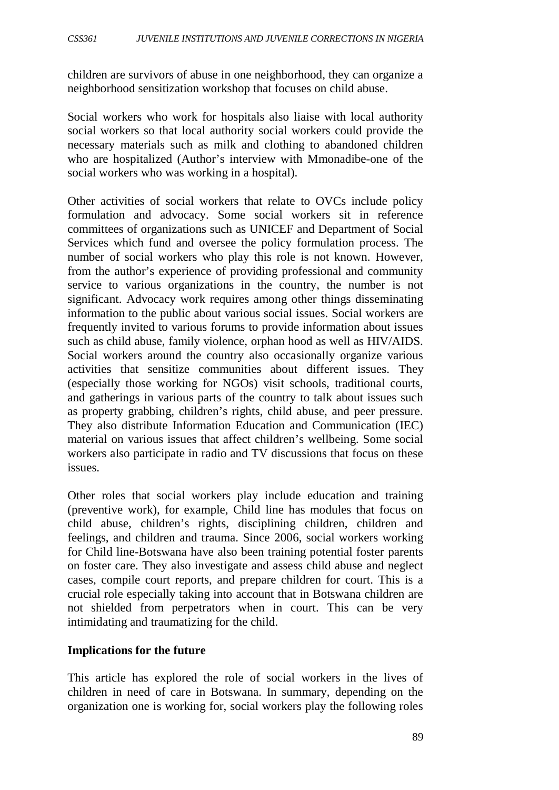children are survivors of abuse in one neighborhood, they can organize a neighborhood sensitization workshop that focuses on child abuse.

Social workers who work for hospitals also liaise with local authority social workers so that local authority social workers could provide the necessary materials such as milk and clothing to abandoned children who are hospitalized (Author's interview with Mmonadibe-one of the social workers who was working in a hospital).

Other activities of social workers that relate to OVCs include policy formulation and advocacy. Some social workers sit in reference committees of organizations such as UNICEF and Department of Social Services which fund and oversee the policy formulation process. The number of social workers who play this role is not known. However, from the author's experience of providing professional and community service to various organizations in the country, the number is not significant. Advocacy work requires among other things disseminating information to the public about various social issues. Social workers are frequently invited to various forums to provide information about issues such as child abuse, family violence, orphan hood as well as HIV/AIDS. Social workers around the country also occasionally organize various activities that sensitize communities about different issues. They (especially those working for NGOs) visit schools, traditional courts, and gatherings in various parts of the country to talk about issues such as property grabbing, children's rights, child abuse, and peer pressure. They also distribute Information Education and Communication (IEC) material on various issues that affect children's wellbeing. Some social workers also participate in radio and TV discussions that focus on these issues.

Other roles that social workers play include education and training (preventive work), for example, Child line has modules that focus on child abuse, children's rights, disciplining children, children and feelings, and children and trauma. Since 2006, social workers working for Child line-Botswana have also been training potential foster parents on foster care. They also investigate and assess child abuse and neglect cases, compile court reports, and prepare children for court. This is a crucial role especially taking into account that in Botswana children are not shielded from perpetrators when in court. This can be very intimidating and traumatizing for the child.

## **Implications for the future**

This article has explored the role of social workers in the lives of children in need of care in Botswana. In summary, depending on the organization one is working for, social workers play the following roles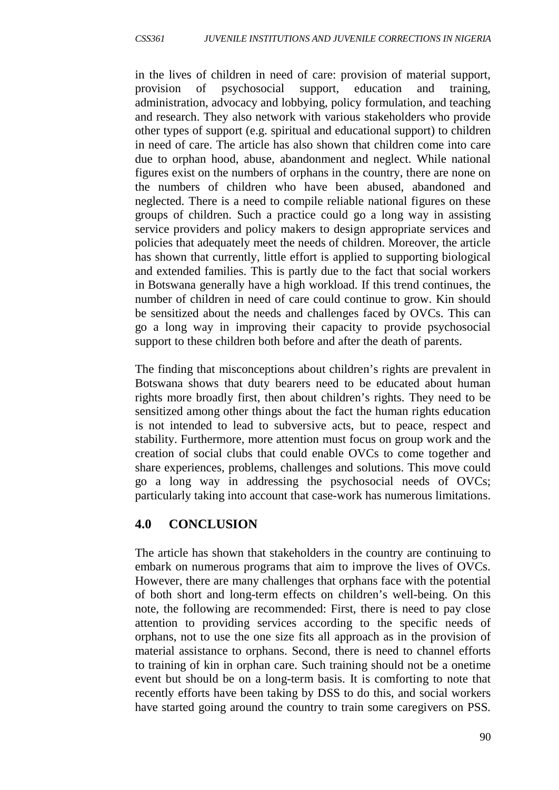in the lives of children in need of care: provision of material support, provision of psychosocial support, education and training, administration, advocacy and lobbying, policy formulation, and teaching and research. They also network with various stakeholders who provide other types of support (e.g. spiritual and educational support) to children in need of care. The article has also shown that children come into care due to orphan hood, abuse, abandonment and neglect. While national figures exist on the numbers of orphans in the country, there are none on the numbers of children who have been abused, abandoned and neglected. There is a need to compile reliable national figures on these groups of children. Such a practice could go a long way in assisting service providers and policy makers to design appropriate services and policies that adequately meet the needs of children. Moreover, the article has shown that currently, little effort is applied to supporting biological and extended families. This is partly due to the fact that social workers in Botswana generally have a high workload. If this trend continues, the number of children in need of care could continue to grow. Kin should be sensitized about the needs and challenges faced by OVCs. This can go a long way in improving their capacity to provide psychosocial support to these children both before and after the death of parents.

The finding that misconceptions about children's rights are prevalent in Botswana shows that duty bearers need to be educated about human rights more broadly first, then about children's rights. They need to be sensitized among other things about the fact the human rights education is not intended to lead to subversive acts, but to peace, respect and stability. Furthermore, more attention must focus on group work and the creation of social clubs that could enable OVCs to come together and share experiences, problems, challenges and solutions. This move could go a long way in addressing the psychosocial needs of OVCs; particularly taking into account that case-work has numerous limitations.

# **4.0 CONCLUSION**

The article has shown that stakeholders in the country are continuing to embark on numerous programs that aim to improve the lives of OVCs. However, there are many challenges that orphans face with the potential of both short and long-term effects on children's well-being. On this note, the following are recommended: First, there is need to pay close attention to providing services according to the specific needs of orphans, not to use the one size fits all approach as in the provision of material assistance to orphans. Second, there is need to channel efforts to training of kin in orphan care. Such training should not be a onetime event but should be on a long-term basis. It is comforting to note that recently efforts have been taking by DSS to do this, and social workers have started going around the country to train some caregivers on PSS.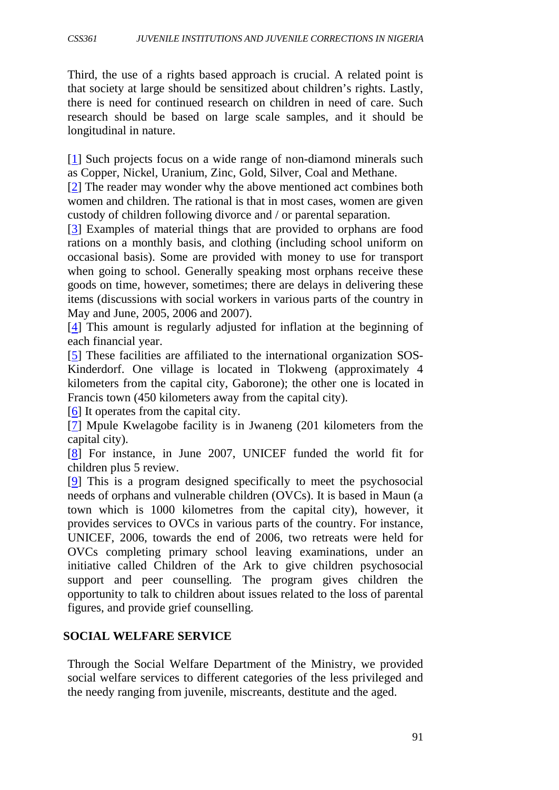Third, the use of a rights based approach is crucial. A related point is that society at large should be sensitized about children's rights. Lastly, there is need for continued research on children in need of care. Such research should be based on large scale samples, and it should be longitudinal in nature.

[\[1\]](http://www.socwork.net/2009/1/special_issue/maundeni/index_html#d57e77) Such projects focus on a wide range of non-diamond minerals such as Copper, Nickel, Uranium, Zinc, Gold, Silver, Coal and Methane.

[\[2\]](http://www.socwork.net/2009/1/special_issue/maundeni/index_html#d57e98) The reader may wonder why the above mentioned act combines both women and children. The rational is that in most cases, women are given custody of children following divorce and / or parental separation.

[\[3\]](http://www.socwork.net/2009/1/special_issue/maundeni/index_html#d57e107) Examples of material things that are provided to orphans are food rations on a monthly basis, and clothing (including school uniform on occasional basis). Some are provided with money to use for transport when going to school. Generally speaking most orphans receive these goods on time, however, sometimes; there are delays in delivering these items (discussions with social workers in various parts of the country in May and June, 2005, 2006 and 2007).

[\[4\]](http://www.socwork.net/2009/1/special_issue/maundeni/index_html#d57e129) This amount is regularly adjusted for inflation at the beginning of each financial year.

[\[5\]](http://www.socwork.net/2009/1/special_issue/maundeni/index_html#d57e146) These facilities are affiliated to the international organization SOS-Kinderdorf. One village is located in Tlokweng (approximately 4 kilometers from the capital city, Gaborone); the other one is located in Francis town (450 kilometers away from the capital city).

[\[6\]](http://www.socwork.net/2009/1/special_issue/maundeni/index_html#d57e153) It operates from the capital city.

[\[7\]](http://www.socwork.net/2009/1/special_issue/maundeni/index_html#d57e160) Mpule Kwelagobe facility is in Jwaneng (201 kilometers from the capital city).

[\[8\]](http://www.socwork.net/2009/1/special_issue/maundeni/index_html#d57e178) For instance, in June 2007, UNICEF funded the world fit for children plus 5 review.

[\[9\]](http://www.socwork.net/2009/1/special_issue/maundeni/index_html#d57e184) This is a program designed specifically to meet the psychosocial needs of orphans and vulnerable children (OVCs). It is based in Maun (a town which is 1000 kilometres from the capital city), however, it provides services to OVCs in various parts of the country. For instance, UNICEF, 2006, towards the end of 2006, two retreats were held for OVCs completing primary school leaving examinations, under an initiative called Children of the Ark to give children psychosocial support and peer counselling. The program gives children the opportunity to talk to children about issues related to the loss of parental figures, and provide grief counselling.

## **SOCIAL WELFARE SERVICE**

Through the Social Welfare Department of the Ministry, we provided social welfare services to different categories of the less privileged and the needy ranging from juvenile, miscreants, destitute and the aged.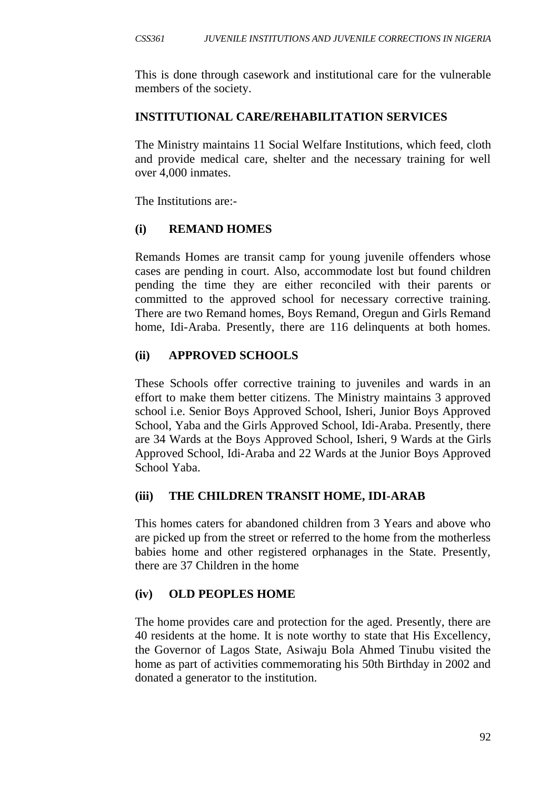This is done through casework and institutional care for the vulnerable members of the society.

## **INSTITUTIONAL CARE/REHABILITATION SERVICES**

The Ministry maintains 11 Social Welfare Institutions, which feed, cloth and provide medical care, shelter and the necessary training for well over 4,000 inmates.

The Institutions are:-

## **(i) REMAND HOMES**

Remands Homes are transit camp for young juvenile offenders whose cases are pending in court. Also, accommodate lost but found children pending the time they are either reconciled with their parents or committed to the approved school for necessary corrective training. There are two Remand homes, Boys Remand, Oregun and Girls Remand home, Idi-Araba. Presently, there are 116 delinquents at both homes.

## **(ii) APPROVED SCHOOLS**

These Schools offer corrective training to juveniles and wards in an effort to make them better citizens. The Ministry maintains 3 approved school i.e. Senior Boys Approved School, Isheri, Junior Boys Approved School, Yaba and the Girls Approved School, Idi-Araba. Presently, there are 34 Wards at the Boys Approved School, Isheri, 9 Wards at the Girls Approved School, Idi-Araba and 22 Wards at the Junior Boys Approved School Yaba.

## **(iii) THE CHILDREN TRANSIT HOME, IDI-ARAB**

This homes caters for abandoned children from 3 Years and above who are picked up from the street or referred to the home from the motherless babies home and other registered orphanages in the State. Presently, there are 37 Children in the home

## **(iv) OLD PEOPLES HOME**

The home provides care and protection for the aged. Presently, there are 40 residents at the home. It is note worthy to state that His Excellency, the Governor of Lagos State, Asiwaju Bola Ahmed Tinubu visited the home as part of activities commemorating his 50th Birthday in 2002 and donated a generator to the institution.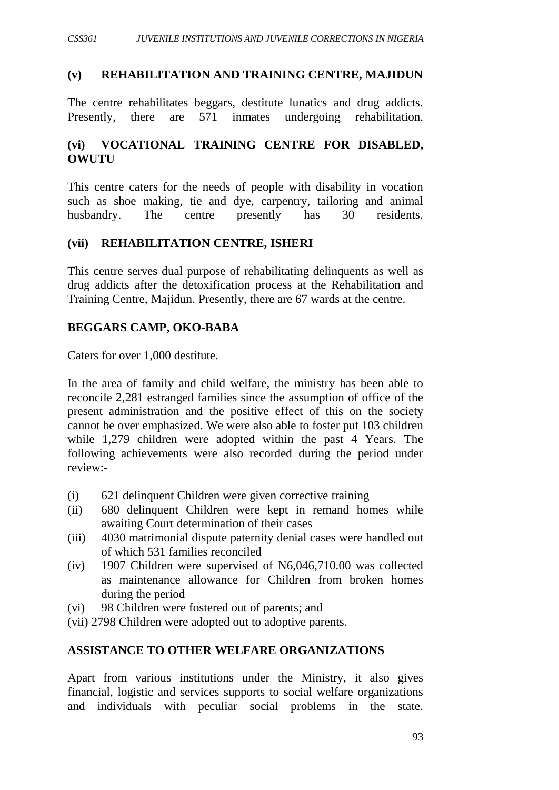### **(v) REHABILITATION AND TRAINING CENTRE, MAJIDUN**

The centre rehabilitates beggars, destitute lunatics and drug addicts. Presently, there are 571 inmates undergoing rehabilitation.

## **(vi) VOCATIONAL TRAINING CENTRE FOR DISABLED, OWUTU**

This centre caters for the needs of people with disability in vocation such as shoe making, tie and dye, carpentry, tailoring and animal husbandry. The centre presently has 30 residents.

#### **(vii) REHABILITATION CENTRE, ISHERI**

This centre serves dual purpose of rehabilitating delinquents as well as drug addicts after the detoxification process at the Rehabilitation and Training Centre, Majidun. Presently, there are 67 wards at the centre.

#### **BEGGARS CAMP, OKO-BABA**

Caters for over 1,000 destitute.

In the area of family and child welfare, the ministry has been able to reconcile 2,281 estranged families since the assumption of office of the present administration and the positive effect of this on the society cannot be over emphasized. We were also able to foster put 103 children while 1,279 children were adopted within the past 4 Years. The following achievements were also recorded during the period under review:-

- (i) 621 delinquent Children were given corrective training
- (ii) 680 delinquent Children were kept in remand homes while awaiting Court determination of their cases
- (iii) 4030 matrimonial dispute paternity denial cases were handled out of which 531 families reconciled
- (iv) 1907 Children were supervised of N6,046,710.00 was collected as maintenance allowance for Children from broken homes during the period
- (vi) 98 Children were fostered out of parents; and
- (vii) 2798 Children were adopted out to adoptive parents.

#### **ASSISTANCE TO OTHER WELFARE ORGANIZATIONS**

Apart from various institutions under the Ministry, it also gives financial, logistic and services supports to social welfare organizations and individuals with peculiar social problems in the state.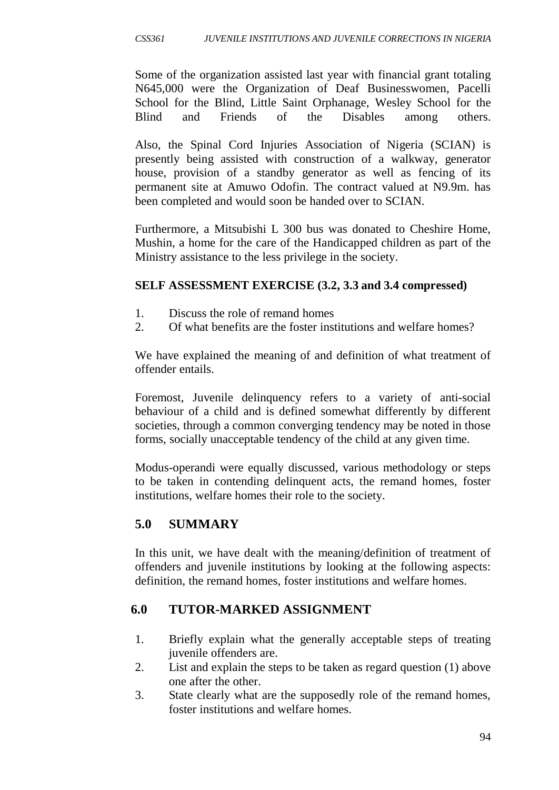Some of the organization assisted last year with financial grant totaling N645,000 were the Organization of Deaf Businesswomen, Pacelli School for the Blind, Little Saint Orphanage, Wesley School for the Blind and Friends of the Disables among others.

Also, the Spinal Cord Injuries Association of Nigeria (SCIAN) is presently being assisted with construction of a walkway, generator house, provision of a standby generator as well as fencing of its permanent site at Amuwo Odofin. The contract valued at N9.9m. has been completed and would soon be handed over to SCIAN.

Furthermore, a Mitsubishi L 300 bus was donated to Cheshire Home, Mushin, a home for the care of the Handicapped children as part of the Ministry assistance to the less privilege in the society.

## **SELF ASSESSMENT EXERCISE (3.2, 3.3 and 3.4 compressed)**

- 1. Discuss the role of remand homes
- 2. Of what benefits are the foster institutions and welfare homes?

We have explained the meaning of and definition of what treatment of offender entails.

Foremost, Juvenile delinquency refers to a variety of anti-social behaviour of a child and is defined somewhat differently by different societies, through a common converging tendency may be noted in those forms, socially unacceptable tendency of the child at any given time.

Modus-operandi were equally discussed, various methodology or steps to be taken in contending delinquent acts, the remand homes, foster institutions, welfare homes their role to the society.

# **5.0 SUMMARY**

In this unit, we have dealt with the meaning/definition of treatment of offenders and juvenile institutions by looking at the following aspects: definition, the remand homes, foster institutions and welfare homes.

# **6.0 TUTOR-MARKED ASSIGNMENT**

- 1. Briefly explain what the generally acceptable steps of treating juvenile offenders are.
- 2. List and explain the steps to be taken as regard question (1) above one after the other.
- 3. State clearly what are the supposedly role of the remand homes, foster institutions and welfare homes.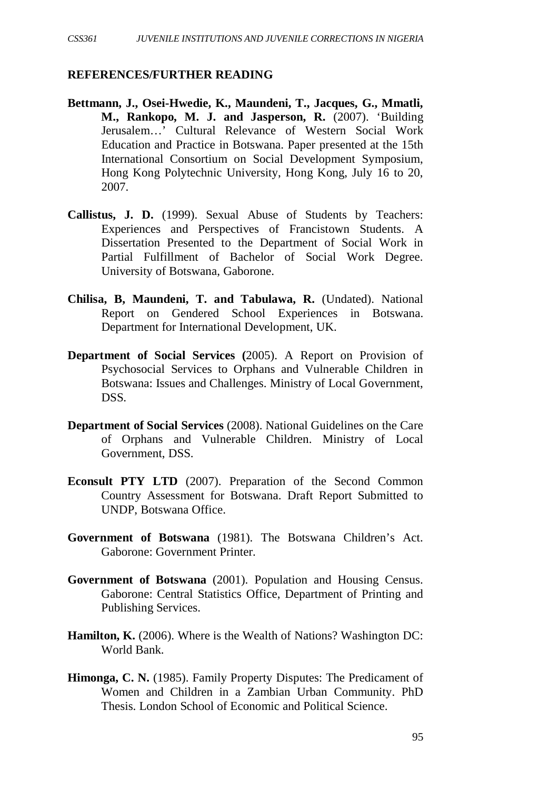#### **REFERENCES/FURTHER READING**

- **Bettmann, J., Osei-Hwedie, K., Maundeni, T., Jacques, G., Mmatli, M., Rankopo, M. J. and Jasperson, R.** (2007). 'Building Jerusalem…' Cultural Relevance of Western Social Work Education and Practice in Botswana. Paper presented at the 15th International Consortium on Social Development Symposium, Hong Kong Polytechnic University, Hong Kong, July 16 to 20, 2007.
- **Callistus, J. D.** (1999). Sexual Abuse of Students by Teachers: Experiences and Perspectives of Francistown Students. A Dissertation Presented to the Department of Social Work in Partial Fulfillment of Bachelor of Social Work Degree. University of Botswana, Gaborone.
- **Chilisa, B, Maundeni, T. and Tabulawa, R.** (Undated). National Report on Gendered School Experiences in Botswana. Department for International Development, UK.
- **Department of Social Services (**2005). A Report on Provision of Psychosocial Services to Orphans and Vulnerable Children in Botswana: Issues and Challenges. Ministry of Local Government, DSS.
- **Department of Social Services** (2008). National Guidelines on the Care of Orphans and Vulnerable Children. Ministry of Local Government, DSS.
- **Econsult PTY LTD** (2007). Preparation of the Second Common Country Assessment for Botswana. Draft Report Submitted to UNDP, Botswana Office.
- **Government of Botswana** (1981). The Botswana Children's Act. Gaborone: Government Printer.
- **Government of Botswana** (2001). Population and Housing Census. Gaborone: Central Statistics Office, Department of Printing and Publishing Services.
- **Hamilton, K.** (2006). Where is the Wealth of Nations? Washington DC: World Bank.
- **Himonga, C. N.** (1985). Family Property Disputes: The Predicament of Women and Children in a Zambian Urban Community. PhD Thesis. London School of Economic and Political Science.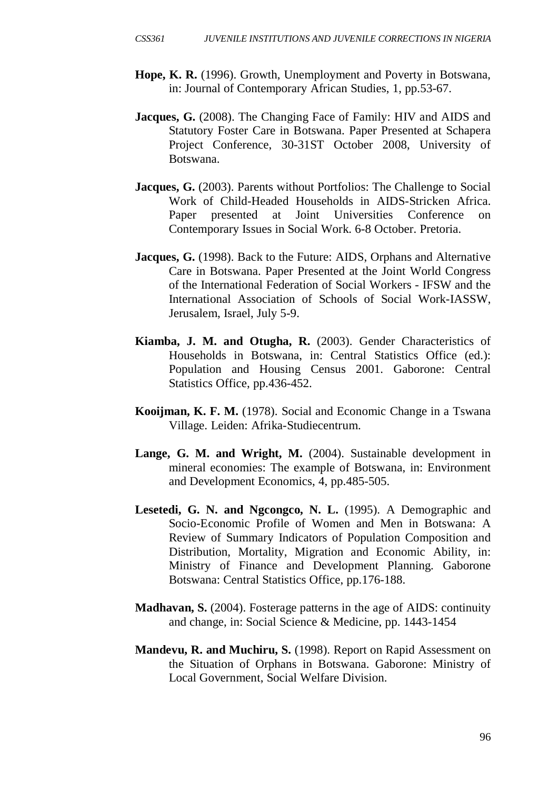- **Hope, K. R.** (1996). Growth, Unemployment and Poverty in Botswana, in: Journal of Contemporary African Studies, 1, pp.53-67.
- **Jacques, G.** (2008). The Changing Face of Family: HIV and AIDS and Statutory Foster Care in Botswana. Paper Presented at Schapera Project Conference, 30-31ST October 2008, University of Botswana.
- **Jacques, G.** (2003). Parents without Portfolios: The Challenge to Social Work of Child-Headed Households in AIDS-Stricken Africa. Paper presented at Joint Universities Conference on Contemporary Issues in Social Work. 6-8 October. Pretoria.
- **Jacques, G.** (1998). Back to the Future: AIDS, Orphans and Alternative Care in Botswana. Paper Presented at the Joint World Congress of the International Federation of Social Workers - IFSW and the International Association of Schools of Social Work-IASSW, Jerusalem, Israel, July 5-9.
- **Kiamba, J. M. and Otugha, R.** (2003). Gender Characteristics of Households in Botswana, in: Central Statistics Office (ed.): Population and Housing Census 2001. Gaborone: Central Statistics Office, pp.436-452.
- **Kooijman, K. F. M.** (1978). Social and Economic Change in a Tswana Village. Leiden: Afrika-Studiecentrum.
- **Lange, G. M. and Wright, M.** (2004). Sustainable development in mineral economies: The example of Botswana, in: Environment and Development Economics, 4, pp.485-505.
- **Lesetedi, G. N. and Ngcongco, N. L.** (1995). A Demographic and Socio-Economic Profile of Women and Men in Botswana: A Review of Summary Indicators of Population Composition and Distribution, Mortality, Migration and Economic Ability, in: Ministry of Finance and Development Planning. Gaborone Botswana: Central Statistics Office, pp.176-188.
- **Madhavan, S.** (2004). Fosterage patterns in the age of AIDS: continuity and change, in: Social Science & Medicine, pp. 1443-1454
- **Mandevu, R. and Muchiru, S.** (1998). Report on Rapid Assessment on the Situation of Orphans in Botswana. Gaborone: Ministry of Local Government, Social Welfare Division.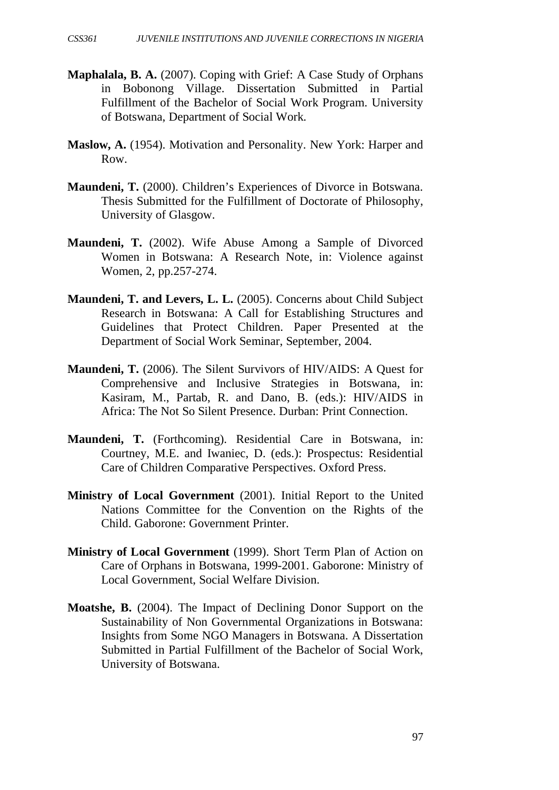- **Maphalala, B. A.** (2007). Coping with Grief: A Case Study of Orphans in Bobonong Village. Dissertation Submitted in Partial Fulfillment of the Bachelor of Social Work Program. University of Botswana, Department of Social Work.
- **Maslow, A.** (1954). Motivation and Personality. New York: Harper and Row.
- **Maundeni, T.** (2000). Children's Experiences of Divorce in Botswana. Thesis Submitted for the Fulfillment of Doctorate of Philosophy, University of Glasgow.
- **Maundeni, T.** (2002). Wife Abuse Among a Sample of Divorced Women in Botswana: A Research Note, in: Violence against Women, 2, pp.257-274.
- **Maundeni, T. and Levers, L. L.** (2005). Concerns about Child Subject Research in Botswana: A Call for Establishing Structures and Guidelines that Protect Children. Paper Presented at the Department of Social Work Seminar, September, 2004.
- **Maundeni, T.** (2006). The Silent Survivors of HIV/AIDS: A Quest for Comprehensive and Inclusive Strategies in Botswana, in: Kasiram, M., Partab, R. and Dano, B. (eds.): HIV/AIDS in Africa: The Not So Silent Presence. Durban: Print Connection.
- **Maundeni, T.** (Forthcoming). Residential Care in Botswana, in: Courtney, M.E. and Iwaniec, D. (eds.): Prospectus: Residential Care of Children Comparative Perspectives. Oxford Press.
- **Ministry of Local Government** (2001). Initial Report to the United Nations Committee for the Convention on the Rights of the Child. Gaborone: Government Printer.
- **Ministry of Local Government** (1999). Short Term Plan of Action on Care of Orphans in Botswana, 1999-2001. Gaborone: Ministry of Local Government, Social Welfare Division.
- **Moatshe, B.** (2004). The Impact of Declining Donor Support on the Sustainability of Non Governmental Organizations in Botswana: Insights from Some NGO Managers in Botswana. A Dissertation Submitted in Partial Fulfillment of the Bachelor of Social Work, University of Botswana.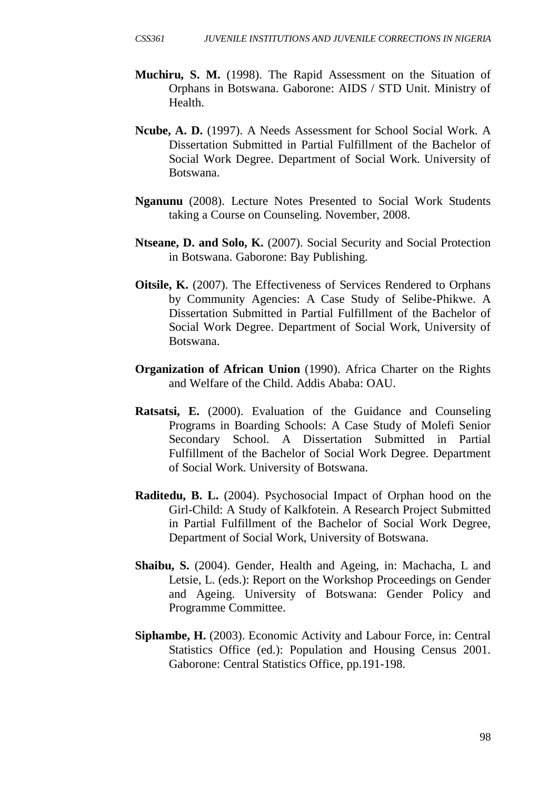- **Muchiru, S. M.** (1998). The Rapid Assessment on the Situation of Orphans in Botswana. Gaborone: AIDS / STD Unit. Ministry of Health.
- **Ncube, A. D.** (1997). A Needs Assessment for School Social Work. A Dissertation Submitted in Partial Fulfillment of the Bachelor of Social Work Degree. Department of Social Work. University of Botswana.
- **Nganunu** (2008). Lecture Notes Presented to Social Work Students taking a Course on Counseling. November, 2008.
- **Ntseane, D. and Solo, K.** (2007). Social Security and Social Protection in Botswana. Gaborone: Bay Publishing.
- **Oitsile, K.** (2007). The Effectiveness of Services Rendered to Orphans by Community Agencies: A Case Study of Selibe-Phikwe. A Dissertation Submitted in Partial Fulfillment of the Bachelor of Social Work Degree. Department of Social Work, University of Botswana.
- **Organization of African Union** (1990). Africa Charter on the Rights and Welfare of the Child. Addis Ababa: OAU.
- **Ratsatsi, E.** (2000). Evaluation of the Guidance and Counseling Programs in Boarding Schools: A Case Study of Molefi Senior Secondary School. A Dissertation Submitted in Partial Fulfillment of the Bachelor of Social Work Degree. Department of Social Work. University of Botswana.
- **Raditedu, B. L.** (2004). Psychosocial Impact of Orphan hood on the Girl-Child: A Study of Kalkfotein. A Research Project Submitted in Partial Fulfillment of the Bachelor of Social Work Degree, Department of Social Work, University of Botswana.
- **Shaibu, S.** (2004). Gender, Health and Ageing, in: Machacha, L and Letsie, L. (eds.): Report on the Workshop Proceedings on Gender and Ageing. University of Botswana: Gender Policy and Programme Committee.
- **Siphambe, H.** (2003). Economic Activity and Labour Force, in: Central Statistics Office (ed.): Population and Housing Census 2001. Gaborone: Central Statistics Office, pp.191-198.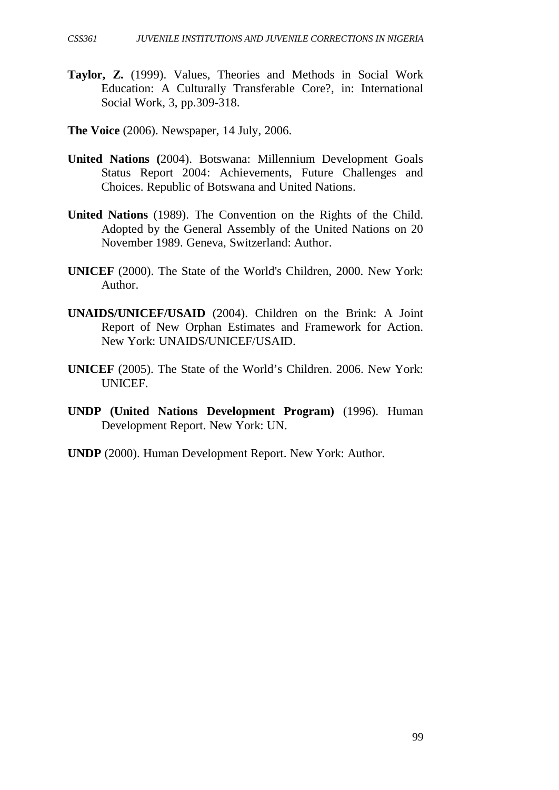- **Taylor, Z.** (1999). Values, Theories and Methods in Social Work Education: A Culturally Transferable Core?, in: International Social Work, 3, pp.309-318.
- **The Voice** (2006). Newspaper, 14 July, 2006.
- **United Nations (**2004). Botswana: Millennium Development Goals Status Report 2004: Achievements, Future Challenges and Choices. Republic of Botswana and United Nations.
- **United Nations** (1989). The Convention on the Rights of the Child. Adopted by the General Assembly of the United Nations on 20 November 1989. Geneva, Switzerland: Author.
- **UNICEF** (2000). The State of the World's Children, 2000. New York: Author.
- **UNAIDS/UNICEF/USAID** (2004). Children on the Brink: A Joint Report of New Orphan Estimates and Framework for Action. New York: UNAIDS/UNICEF/USAID.
- **UNICEF** (2005). The State of the World's Children. 2006. New York: UNICEF.
- **UNDP (United Nations Development Program)** (1996). Human Development Report. New York: UN.
- **UNDP** (2000). Human Development Report. New York: Author.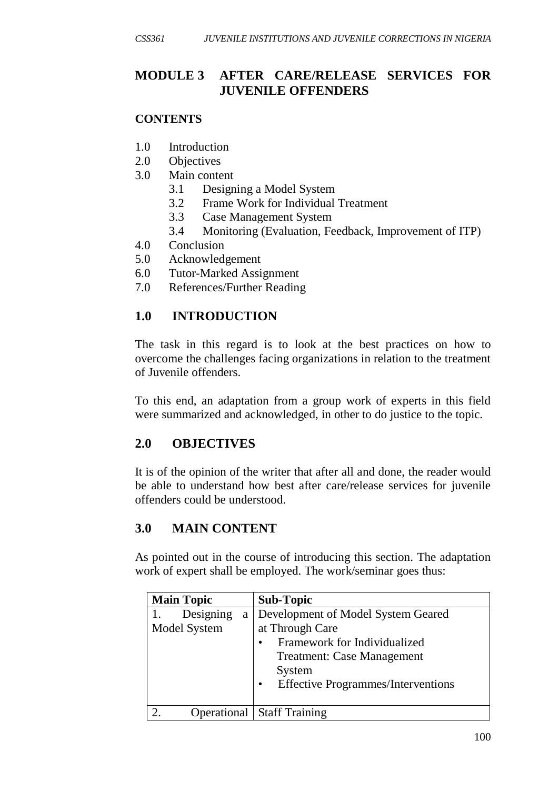# **MODULE 3 AFTER CARE/RELEASE SERVICES FOR JUVENILE OFFENDERS**

## **CONTENTS**

- 1.0 Introduction
- 2.0 Objectives
- 3.0 Main content
	- 3.1 Designing a Model System
	- 3.2 Frame Work for Individual Treatment
	- 3.3 Case Management System
	- 3.4 Monitoring (Evaluation, Feedback, Improvement of ITP)
- 4.0 Conclusion
- 5.0 Acknowledgement
- 6.0 Tutor-Marked Assignment
- 7.0 References/Further Reading

# **1.0 INTRODUCTION**

The task in this regard is to look at the best practices on how to overcome the challenges facing organizations in relation to the treatment of Juvenile offenders.

To this end, an adaptation from a group work of experts in this field were summarized and acknowledged, in other to do justice to the topic.

# **2.0 OBJECTIVES**

It is of the opinion of the writer that after all and done, the reader would be able to understand how best after care/release services for juvenile offenders could be understood.

# **3.0 MAIN CONTENT**

As pointed out in the course of introducing this section. The adaptation work of expert shall be employed. The work/seminar goes thus:

| <b>Main Topic</b> | <b>Sub-Topic</b>                                       |
|-------------------|--------------------------------------------------------|
| Designing<br>a    | Development of Model System Geared                     |
| Model System      | at Through Care                                        |
|                   | Framework for Individualized                           |
|                   | <b>Treatment: Case Management</b>                      |
|                   | System                                                 |
|                   | <b>Effective Programmes/Interventions</b><br>$\bullet$ |
|                   |                                                        |
|                   | <b>Operational   Staff Training</b>                    |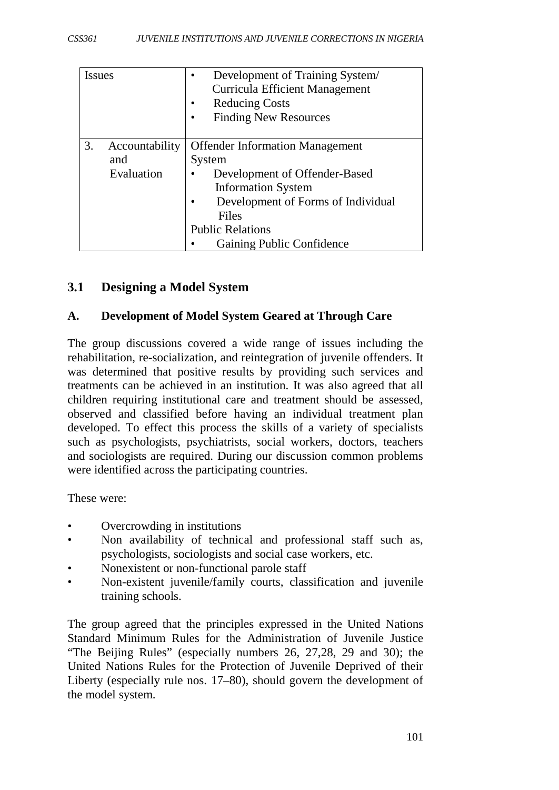| <b>Issues</b>        | Development of Training System/<br><b>Curricula Efficient Management</b><br><b>Reducing Costs</b><br><b>Finding New Resources</b> |
|----------------------|-----------------------------------------------------------------------------------------------------------------------------------|
| 3.<br>Accountability | <b>Offender Information Management</b>                                                                                            |
| and                  | System                                                                                                                            |
| Evaluation           | Development of Offender-Based                                                                                                     |
|                      | <b>Information System</b>                                                                                                         |
|                      | Development of Forms of Individual                                                                                                |
|                      | Files                                                                                                                             |
|                      | <b>Public Relations</b>                                                                                                           |
|                      | Gaining Public Confidence                                                                                                         |

# **3.1 Designing a Model System**

## **A. Development of Model System Geared at Through Care**

The group discussions covered a wide range of issues including the rehabilitation, re-socialization, and reintegration of juvenile offenders. It was determined that positive results by providing such services and treatments can be achieved in an institution. It was also agreed that all children requiring institutional care and treatment should be assessed, observed and classified before having an individual treatment plan developed. To effect this process the skills of a variety of specialists such as psychologists, psychiatrists, social workers, doctors, teachers and sociologists are required. During our discussion common problems were identified across the participating countries.

These were:

- Overcrowding in institutions
- Non availability of technical and professional staff such as, psychologists, sociologists and social case workers, etc.
- Nonexistent or non-functional parole staff
- Non-existent juvenile/family courts, classification and juvenile training schools.

The group agreed that the principles expressed in the United Nations Standard Minimum Rules for the Administration of Juvenile Justice "The Beijing Rules" (especially numbers 26, 27,28, 29 and 30); the United Nations Rules for the Protection of Juvenile Deprived of their Liberty (especially rule nos. 17–80), should govern the development of the model system.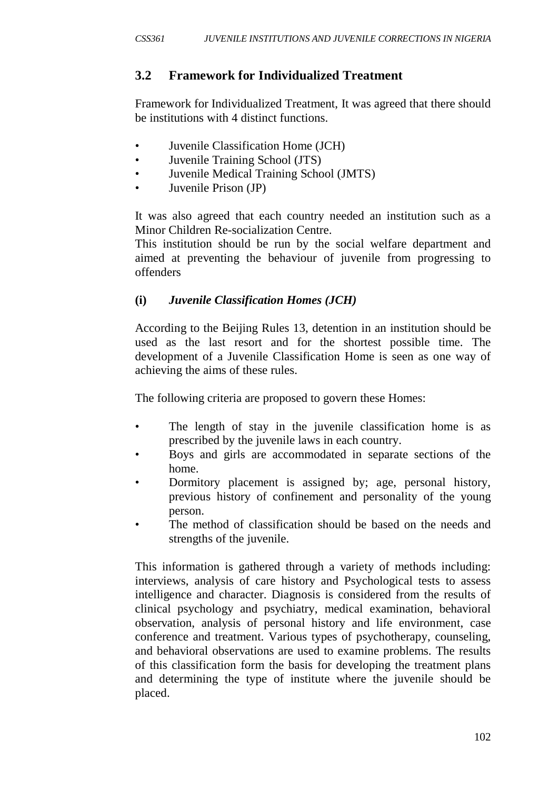# **3.2 Framework for Individualized Treatment**

Framework for Individualized Treatment, It was agreed that there should be institutions with 4 distinct functions.

- Juvenile Classification Home (JCH)
- Juvenile Training School (JTS)
- Juvenile Medical Training School (JMTS)
- Juvenile Prison (JP)

It was also agreed that each country needed an institution such as a Minor Children Re-socialization Centre.

This institution should be run by the social welfare department and aimed at preventing the behaviour of juvenile from progressing to offenders

# **(i)** *Juvenile Classification Homes (JCH)*

According to the Beijing Rules 13, detention in an institution should be used as the last resort and for the shortest possible time. The development of a Juvenile Classification Home is seen as one way of achieving the aims of these rules.

The following criteria are proposed to govern these Homes:

- The length of stay in the juvenile classification home is as prescribed by the juvenile laws in each country.
- Boys and girls are accommodated in separate sections of the home.
- Dormitory placement is assigned by; age, personal history, previous history of confinement and personality of the young person.
- The method of classification should be based on the needs and strengths of the juvenile.

This information is gathered through a variety of methods including: interviews, analysis of care history and Psychological tests to assess intelligence and character. Diagnosis is considered from the results of clinical psychology and psychiatry, medical examination, behavioral observation, analysis of personal history and life environment, case conference and treatment. Various types of psychotherapy, counseling, and behavioral observations are used to examine problems. The results of this classification form the basis for developing the treatment plans and determining the type of institute where the juvenile should be placed.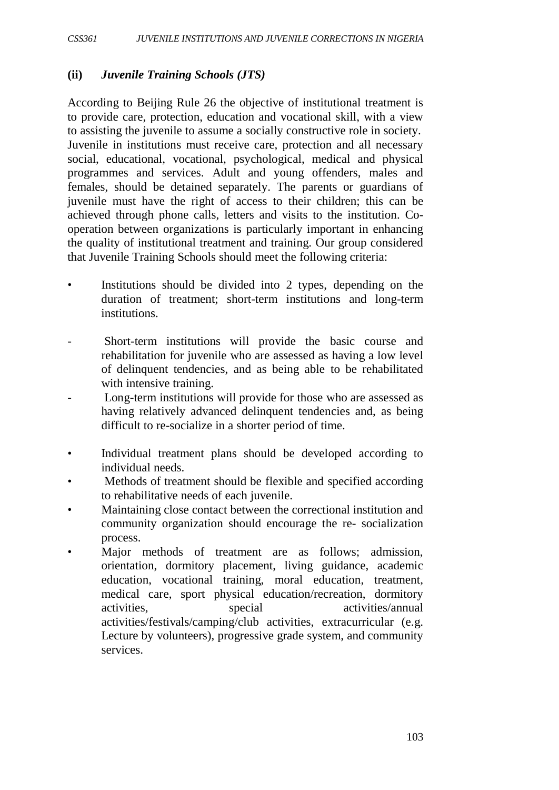## **(ii)** *Juvenile Training Schools (JTS)*

According to Beijing Rule 26 the objective of institutional treatment is to provide care, protection, education and vocational skill, with a view to assisting the juvenile to assume a socially constructive role in society. Juvenile in institutions must receive care, protection and all necessary social, educational, vocational, psychological, medical and physical programmes and services. Adult and young offenders, males and females, should be detained separately. The parents or guardians of juvenile must have the right of access to their children; this can be achieved through phone calls, letters and visits to the institution. Cooperation between organizations is particularly important in enhancing the quality of institutional treatment and training. Our group considered that Juvenile Training Schools should meet the following criteria:

- Institutions should be divided into 2 types, depending on the duration of treatment; short-term institutions and long-term institutions.
- Short-term institutions will provide the basic course and rehabilitation for juvenile who are assessed as having a low level of delinquent tendencies, and as being able to be rehabilitated with intensive training.
- Long-term institutions will provide for those who are assessed as having relatively advanced delinquent tendencies and, as being difficult to re-socialize in a shorter period of time.
- Individual treatment plans should be developed according to individual needs.
- Methods of treatment should be flexible and specified according to rehabilitative needs of each juvenile.
- Maintaining close contact between the correctional institution and community organization should encourage the re- socialization process.
- Major methods of treatment are as follows; admission, orientation, dormitory placement, living guidance, academic education, vocational training, moral education, treatment, medical care, sport physical education/recreation, dormitory activities, special activities/annual activities/festivals/camping/club activities, extracurricular (e.g. Lecture by volunteers), progressive grade system, and community services.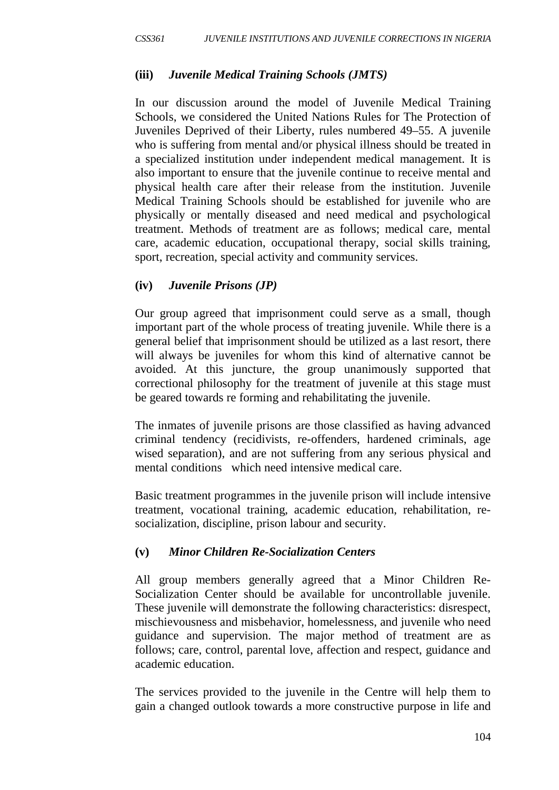## **(iii)** *Juvenile Medical Training Schools (JMTS)*

In our discussion around the model of Juvenile Medical Training Schools, we considered the United Nations Rules for The Protection of Juveniles Deprived of their Liberty, rules numbered 49–55. A juvenile who is suffering from mental and/or physical illness should be treated in a specialized institution under independent medical management. It is also important to ensure that the juvenile continue to receive mental and physical health care after their release from the institution. Juvenile Medical Training Schools should be established for juvenile who are physically or mentally diseased and need medical and psychological treatment. Methods of treatment are as follows; medical care, mental care, academic education, occupational therapy, social skills training, sport, recreation, special activity and community services.

## **(iv)** *Juvenile Prisons (JP)*

Our group agreed that imprisonment could serve as a small, though important part of the whole process of treating juvenile. While there is a general belief that imprisonment should be utilized as a last resort, there will always be juveniles for whom this kind of alternative cannot be avoided. At this juncture, the group unanimously supported that correctional philosophy for the treatment of juvenile at this stage must be geared towards re forming and rehabilitating the juvenile.

The inmates of juvenile prisons are those classified as having advanced criminal tendency (recidivists, re-offenders, hardened criminals, age wised separation), and are not suffering from any serious physical and mental conditions which need intensive medical care.

Basic treatment programmes in the juvenile prison will include intensive treatment, vocational training, academic education, rehabilitation, resocialization, discipline, prison labour and security.

## **(v)** *Minor Children Re-Socialization Centers*

All group members generally agreed that a Minor Children Re-Socialization Center should be available for uncontrollable juvenile. These juvenile will demonstrate the following characteristics: disrespect, mischievousness and misbehavior, homelessness, and juvenile who need guidance and supervision. The major method of treatment are as follows; care, control, parental love, affection and respect, guidance and academic education.

The services provided to the juvenile in the Centre will help them to gain a changed outlook towards a more constructive purpose in life and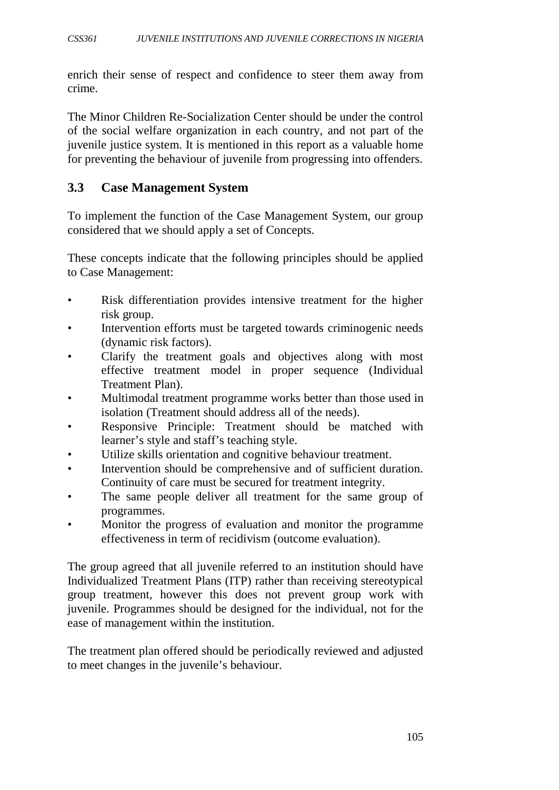enrich their sense of respect and confidence to steer them away from crime.

The Minor Children Re-Socialization Center should be under the control of the social welfare organization in each country, and not part of the juvenile justice system. It is mentioned in this report as a valuable home for preventing the behaviour of juvenile from progressing into offenders.

## **3.3 Case Management System**

To implement the function of the Case Management System, our group considered that we should apply a set of Concepts.

These concepts indicate that the following principles should be applied to Case Management:

- Risk differentiation provides intensive treatment for the higher risk group.
- Intervention efforts must be targeted towards criminogenic needs (dynamic risk factors).
- Clarify the treatment goals and objectives along with most effective treatment model in proper sequence (Individual Treatment Plan).
- Multimodal treatment programme works better than those used in isolation (Treatment should address all of the needs).
- Responsive Principle: Treatment should be matched with learner's style and staff's teaching style.
- Utilize skills orientation and cognitive behaviour treatment.
- Intervention should be comprehensive and of sufficient duration. Continuity of care must be secured for treatment integrity.
- The same people deliver all treatment for the same group of programmes.
- Monitor the progress of evaluation and monitor the programme effectiveness in term of recidivism (outcome evaluation).

The group agreed that all juvenile referred to an institution should have Individualized Treatment Plans (ITP) rather than receiving stereotypical group treatment, however this does not prevent group work with juvenile. Programmes should be designed for the individual, not for the ease of management within the institution.

The treatment plan offered should be periodically reviewed and adjusted to meet changes in the juvenile's behaviour.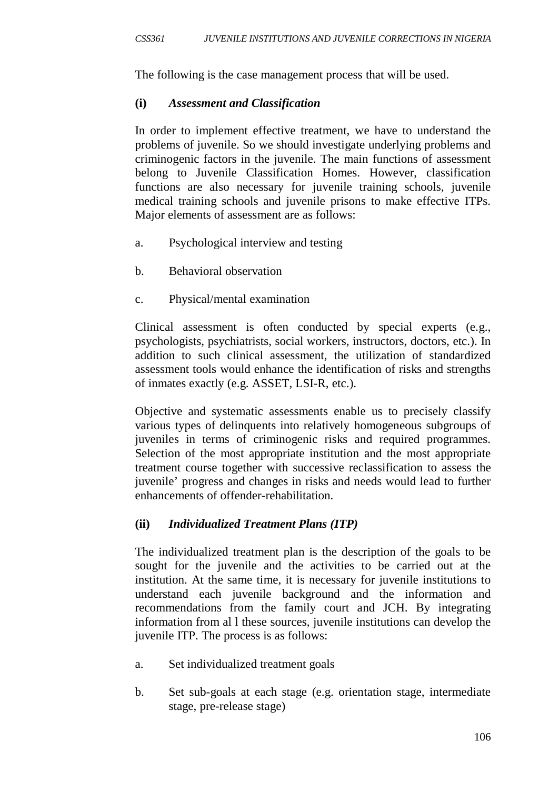The following is the case management process that will be used.

## **(i)** *Assessment and Classification*

In order to implement effective treatment, we have to understand the problems of juvenile. So we should investigate underlying problems and criminogenic factors in the juvenile. The main functions of assessment belong to Juvenile Classification Homes. However, classification functions are also necessary for juvenile training schools, juvenile medical training schools and juvenile prisons to make effective ITPs. Major elements of assessment are as follows:

- a. Psychological interview and testing
- b. Behavioral observation
- c. Physical/mental examination

Clinical assessment is often conducted by special experts (e.g., psychologists, psychiatrists, social workers, instructors, doctors, etc.). In addition to such clinical assessment, the utilization of standardized assessment tools would enhance the identification of risks and strengths of inmates exactly (e.g. ASSET, LSI-R, etc.).

Objective and systematic assessments enable us to precisely classify various types of delinquents into relatively homogeneous subgroups of juveniles in terms of criminogenic risks and required programmes. Selection of the most appropriate institution and the most appropriate treatment course together with successive reclassification to assess the juvenile' progress and changes in risks and needs would lead to further enhancements of offender-rehabilitation.

# **(ii)** *Individualized Treatment Plans (ITP)*

The individualized treatment plan is the description of the goals to be sought for the juvenile and the activities to be carried out at the institution. At the same time, it is necessary for juvenile institutions to understand each juvenile background and the information and recommendations from the family court and JCH. By integrating information from al l these sources, juvenile institutions can develop the juvenile ITP. The process is as follows:

- a. Set individualized treatment goals
- b. Set sub-goals at each stage (e.g. orientation stage, intermediate stage, pre-release stage)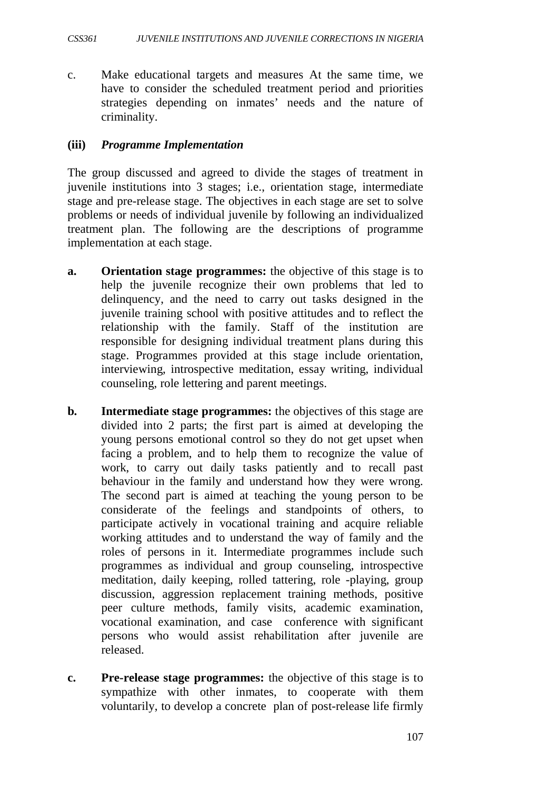c. Make educational targets and measures At the same time, we have to consider the scheduled treatment period and priorities strategies depending on inmates' needs and the nature of criminality.

#### **(iii)** *Programme Implementation*

The group discussed and agreed to divide the stages of treatment in juvenile institutions into 3 stages; i.e., orientation stage, intermediate stage and pre-release stage. The objectives in each stage are set to solve problems or needs of individual juvenile by following an individualized treatment plan. The following are the descriptions of programme implementation at each stage.

- **a. Orientation stage programmes:** the objective of this stage is to help the juvenile recognize their own problems that led to delinquency, and the need to carry out tasks designed in the juvenile training school with positive attitudes and to reflect the relationship with the family. Staff of the institution are responsible for designing individual treatment plans during this stage. Programmes provided at this stage include orientation, interviewing, introspective meditation, essay writing, individual counseling, role lettering and parent meetings.
- **b. Intermediate stage programmes:** the objectives of this stage are divided into 2 parts; the first part is aimed at developing the young persons emotional control so they do not get upset when facing a problem, and to help them to recognize the value of work, to carry out daily tasks patiently and to recall past behaviour in the family and understand how they were wrong. The second part is aimed at teaching the young person to be considerate of the feelings and standpoints of others, to participate actively in vocational training and acquire reliable working attitudes and to understand the way of family and the roles of persons in it. Intermediate programmes include such programmes as individual and group counseling, introspective meditation, daily keeping, rolled tattering, role -playing, group discussion, aggression replacement training methods, positive peer culture methods, family visits, academic examination, vocational examination, and case conference with significant persons who would assist rehabilitation after juvenile are released.
- **c. Pre-release stage programmes:** the objective of this stage is to sympathize with other inmates, to cooperate with them voluntarily, to develop a concrete plan of post-release life firmly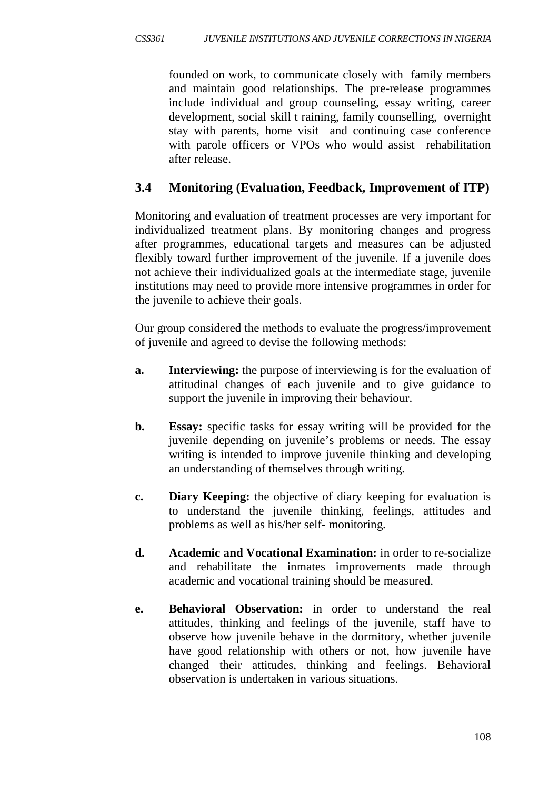founded on work, to communicate closely with family members and maintain good relationships. The pre-release programmes include individual and group counseling, essay writing, career development, social skill t raining, family counselling, overnight stay with parents, home visit and continuing case conference with parole officers or VPOs who would assist rehabilitation after release.

# **3.4 Monitoring (Evaluation, Feedback, Improvement of ITP)**

Monitoring and evaluation of treatment processes are very important for individualized treatment plans. By monitoring changes and progress after programmes, educational targets and measures can be adjusted flexibly toward further improvement of the juvenile. If a juvenile does not achieve their individualized goals at the intermediate stage, juvenile institutions may need to provide more intensive programmes in order for the juvenile to achieve their goals.

Our group considered the methods to evaluate the progress/improvement of juvenile and agreed to devise the following methods:

- **a.** Interviewing: the purpose of interviewing is for the evaluation of attitudinal changes of each juvenile and to give guidance to support the juvenile in improving their behaviour.
- **b. Essay:** specific tasks for essay writing will be provided for the juvenile depending on juvenile's problems or needs. The essay writing is intended to improve juvenile thinking and developing an understanding of themselves through writing.
- **c. Diary Keeping:** the objective of diary keeping for evaluation is to understand the juvenile thinking, feelings, attitudes and problems as well as his/her self- monitoring.
- **d. Academic and Vocational Examination:** in order to re-socialize and rehabilitate the inmates improvements made through academic and vocational training should be measured.
- **e. Behavioral Observation:** in order to understand the real attitudes, thinking and feelings of the juvenile, staff have to observe how juvenile behave in the dormitory, whether juvenile have good relationship with others or not, how juvenile have changed their attitudes, thinking and feelings. Behavioral observation is undertaken in various situations.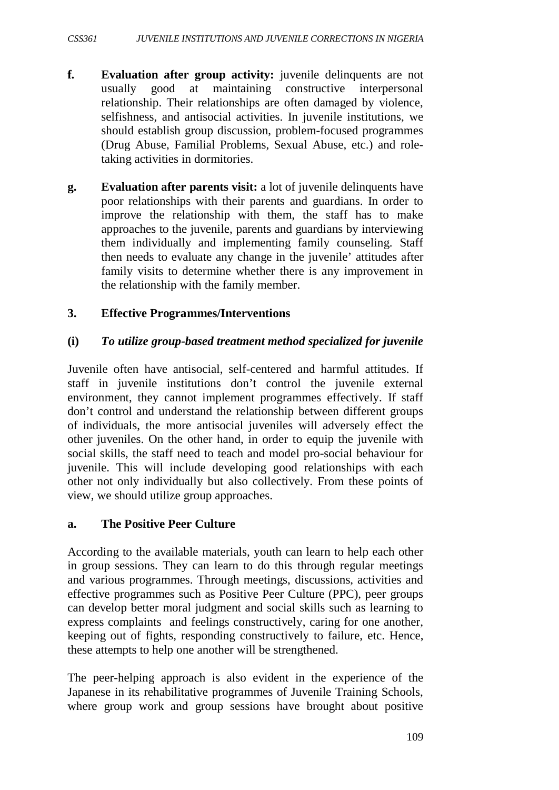- **f. Evaluation after group activity:** juvenile delinquents are not usually good at maintaining constructive interpersonal relationship. Their relationships are often damaged by violence, selfishness, and antisocial activities. In juvenile institutions, we should establish group discussion, problem-focused programmes (Drug Abuse, Familial Problems, Sexual Abuse, etc.) and roletaking activities in dormitories.
- **g. Evaluation after parents visit:** a lot of juvenile delinquents have poor relationships with their parents and guardians. In order to improve the relationship with them, the staff has to make approaches to the juvenile, parents and guardians by interviewing them individually and implementing family counseling. Staff then needs to evaluate any change in the juvenile' attitudes after family visits to determine whether there is any improvement in the relationship with the family member.

#### **3. Effective Programmes/Interventions**

#### **(i)** *To utilize group-based treatment method specialized for juvenile*

Juvenile often have antisocial, self-centered and harmful attitudes. If staff in juvenile institutions don't control the juvenile external environment, they cannot implement programmes effectively. If staff don't control and understand the relationship between different groups of individuals, the more antisocial juveniles will adversely effect the other juveniles. On the other hand, in order to equip the juvenile with social skills, the staff need to teach and model pro-social behaviour for juvenile. This will include developing good relationships with each other not only individually but also collectively. From these points of view, we should utilize group approaches.

#### **a. The Positive Peer Culture**

According to the available materials, youth can learn to help each other in group sessions. They can learn to do this through regular meetings and various programmes. Through meetings, discussions, activities and effective programmes such as Positive Peer Culture (PPC), peer groups can develop better moral judgment and social skills such as learning to express complaints and feelings constructively, caring for one another, keeping out of fights, responding constructively to failure, etc. Hence, these attempts to help one another will be strengthened.

The peer-helping approach is also evident in the experience of the Japanese in its rehabilitative programmes of Juvenile Training Schools, where group work and group sessions have brought about positive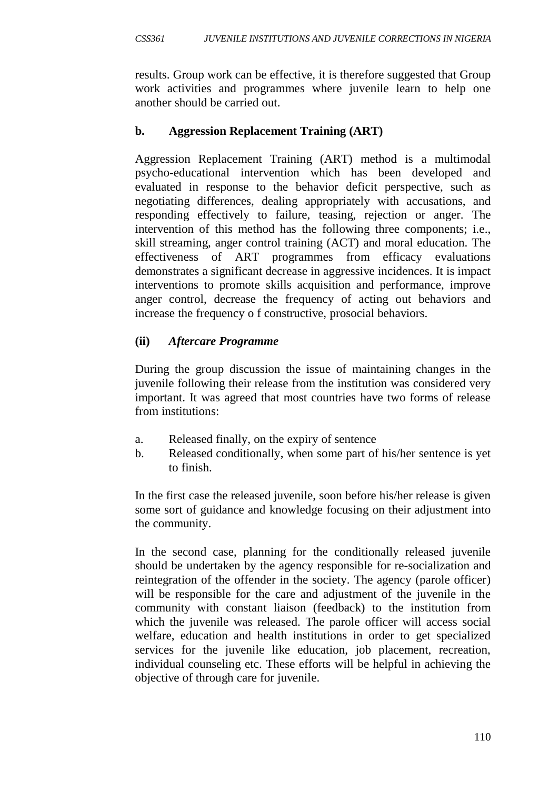results. Group work can be effective, it is therefore suggested that Group work activities and programmes where juvenile learn to help one another should be carried out.

# **b. Aggression Replacement Training (ART)**

Aggression Replacement Training (ART) method is a multimodal psycho-educational intervention which has been developed and evaluated in response to the behavior deficit perspective, such as negotiating differences, dealing appropriately with accusations, and responding effectively to failure, teasing, rejection or anger. The intervention of this method has the following three components; i.e., skill streaming, anger control training (ACT) and moral education. The effectiveness of ART programmes from efficacy evaluations demonstrates a significant decrease in aggressive incidences. It is impact interventions to promote skills acquisition and performance, improve anger control, decrease the frequency of acting out behaviors and increase the frequency o f constructive, prosocial behaviors.

# **(ii)** *Aftercare Programme*

During the group discussion the issue of maintaining changes in the juvenile following their release from the institution was considered very important. It was agreed that most countries have two forms of release from institutions:

- a. Released finally, on the expiry of sentence
- b. Released conditionally, when some part of his/her sentence is yet to finish.

In the first case the released juvenile, soon before his/her release is given some sort of guidance and knowledge focusing on their adjustment into the community.

In the second case, planning for the conditionally released juvenile should be undertaken by the agency responsible for re-socialization and reintegration of the offender in the society. The agency (parole officer) will be responsible for the care and adjustment of the juvenile in the community with constant liaison (feedback) to the institution from which the juvenile was released. The parole officer will access social welfare, education and health institutions in order to get specialized services for the juvenile like education, job placement, recreation, individual counseling etc. These efforts will be helpful in achieving the objective of through care for juvenile.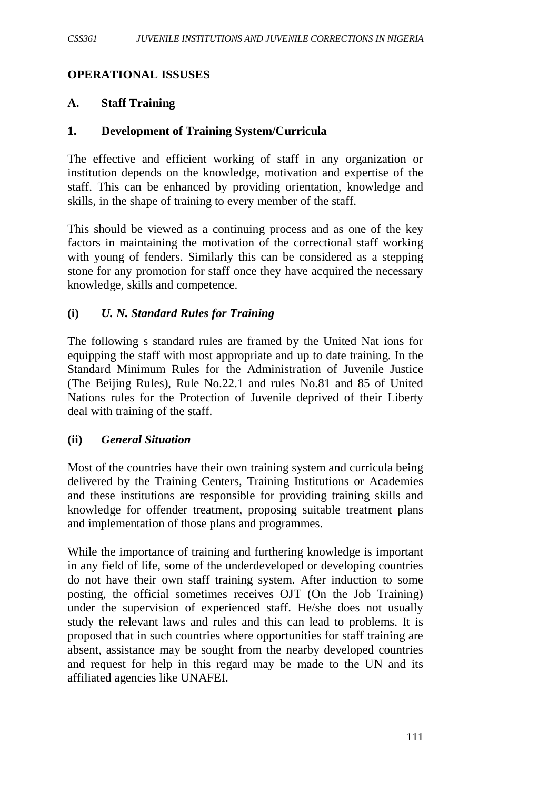### **OPERATIONAL ISSUSES**

#### **A. Staff Training**

#### **1. Development of Training System/Curricula**

The effective and efficient working of staff in any organization or institution depends on the knowledge, motivation and expertise of the staff. This can be enhanced by providing orientation, knowledge and skills, in the shape of training to every member of the staff.

This should be viewed as a continuing process and as one of the key factors in maintaining the motivation of the correctional staff working with young of fenders. Similarly this can be considered as a stepping stone for any promotion for staff once they have acquired the necessary knowledge, skills and competence.

#### **(i)** *U. N. Standard Rules for Training*

The following s standard rules are framed by the United Nat ions for equipping the staff with most appropriate and up to date training. In the Standard Minimum Rules for the Administration of Juvenile Justice (The Beijing Rules), Rule No.22.1 and rules No.81 and 85 of United Nations rules for the Protection of Juvenile deprived of their Liberty deal with training of the staff.

#### **(ii)** *General Situation*

Most of the countries have their own training system and curricula being delivered by the Training Centers, Training Institutions or Academies and these institutions are responsible for providing training skills and knowledge for offender treatment, proposing suitable treatment plans and implementation of those plans and programmes.

While the importance of training and furthering knowledge is important in any field of life, some of the underdeveloped or developing countries do not have their own staff training system. After induction to some posting, the official sometimes receives OJT (On the Job Training) under the supervision of experienced staff. He/she does not usually study the relevant laws and rules and this can lead to problems. It is proposed that in such countries where opportunities for staff training are absent, assistance may be sought from the nearby developed countries and request for help in this regard may be made to the UN and its affiliated agencies like UNAFEI.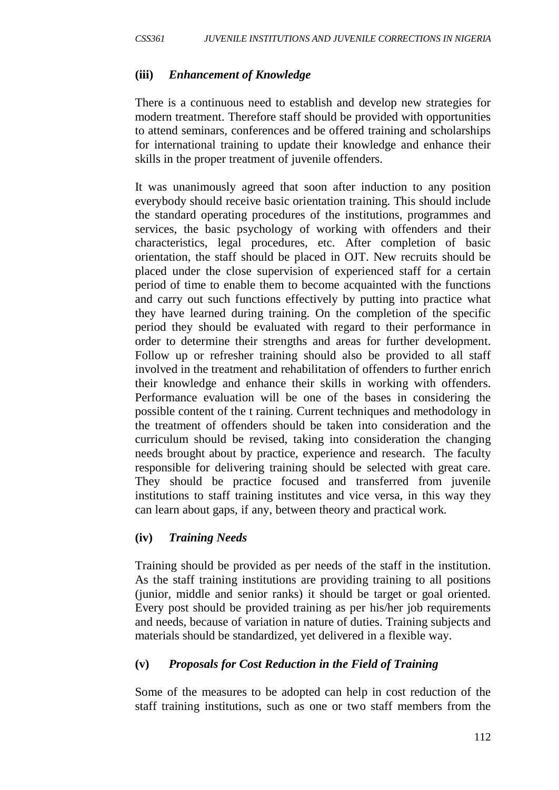#### **(iii)** *Enhancement of Knowledge*

There is a continuous need to establish and develop new strategies for modern treatment. Therefore staff should be provided with opportunities to attend seminars, conferences and be offered training and scholarships for international training to update their knowledge and enhance their skills in the proper treatment of juvenile offenders.

It was unanimously agreed that soon after induction to any position everybody should receive basic orientation training. This should include the standard operating procedures of the institutions, programmes and services, the basic psychology of working with offenders and their characteristics, legal procedures, etc. After completion of basic orientation, the staff should be placed in OJT. New recruits should be placed under the close supervision of experienced staff for a certain period of time to enable them to become acquainted with the functions and carry out such functions effectively by putting into practice what they have learned during training. On the completion of the specific period they should be evaluated with regard to their performance in order to determine their strengths and areas for further development. Follow up or refresher training should also be provided to all staff involved in the treatment and rehabilitation of offenders to further enrich their knowledge and enhance their skills in working with offenders. Performance evaluation will be one of the bases in considering the possible content of the t raining. Current techniques and methodology in the treatment of offenders should be taken into consideration and the curriculum should be revised, taking into consideration the changing needs brought about by practice, experience and research. The faculty responsible for delivering training should be selected with great care. They should be practice focused and transferred from juvenile institutions to staff training institutes and vice versa, in this way they can learn about gaps, if any, between theory and practical work.

## **(iv)** *Training Needs*

Training should be provided as per needs of the staff in the institution. As the staff training institutions are providing training to all positions (junior, middle and senior ranks) it should be target or goal oriented. Every post should be provided training as per his/her job requirements and needs, because of variation in nature of duties. Training subjects and materials should be standardized, yet delivered in a flexible way.

## **(v)** *Proposals for Cost Reduction in the Field of Training*

Some of the measures to be adopted can help in cost reduction of the staff training institutions, such as one or two staff members from the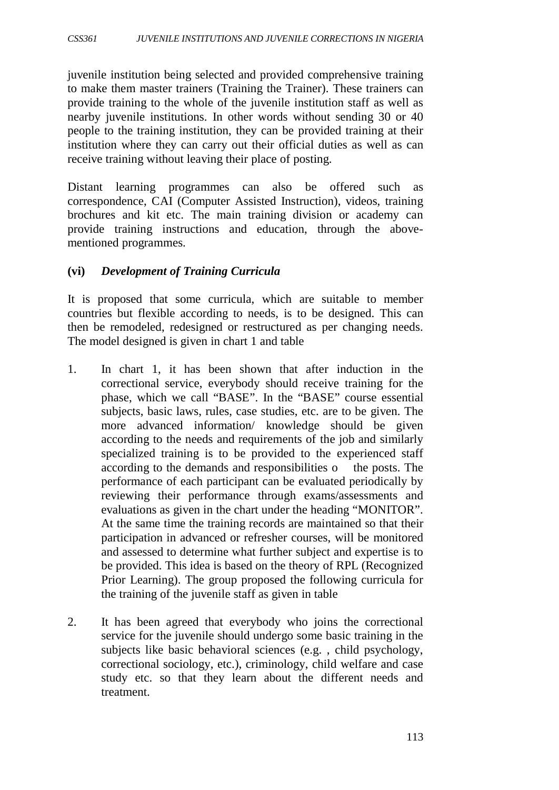juvenile institution being selected and provided comprehensive training to make them master trainers (Training the Trainer). These trainers can provide training to the whole of the juvenile institution staff as well as nearby juvenile institutions. In other words without sending 30 or 40 people to the training institution, they can be provided training at their institution where they can carry out their official duties as well as can receive training without leaving their place of posting.

Distant learning programmes can also be offered such as correspondence, CAI (Computer Assisted Instruction), videos, training brochures and kit etc. The main training division or academy can provide training instructions and education, through the abovementioned programmes.

## **(vi)** *Development of Training Curricula*

It is proposed that some curricula, which are suitable to member countries but flexible according to needs, is to be designed. This can then be remodeled, redesigned or restructured as per changing needs. The model designed is given in chart 1 and table

- 1. In chart 1, it has been shown that after induction in the correctional service, everybody should receive training for the phase, which we call "BASE". In the "BASE" course essential subjects, basic laws, rules, case studies, etc. are to be given. The more advanced information/ knowledge should be given according to the needs and requirements of the job and similarly specialized training is to be provided to the experienced staff according to the demands and responsibilities o the posts. The performance of each participant can be evaluated periodically by reviewing their performance through exams/assessments and evaluations as given in the chart under the heading "MONITOR". At the same time the training records are maintained so that their participation in advanced or refresher courses, will be monitored and assessed to determine what further subject and expertise is to be provided. This idea is based on the theory of RPL (Recognized Prior Learning). The group proposed the following curricula for the training of the juvenile staff as given in table
- 2. It has been agreed that everybody who joins the correctional service for the juvenile should undergo some basic training in the subjects like basic behavioral sciences (e.g. , child psychology, correctional sociology, etc.), criminology, child welfare and case study etc. so that they learn about the different needs and treatment.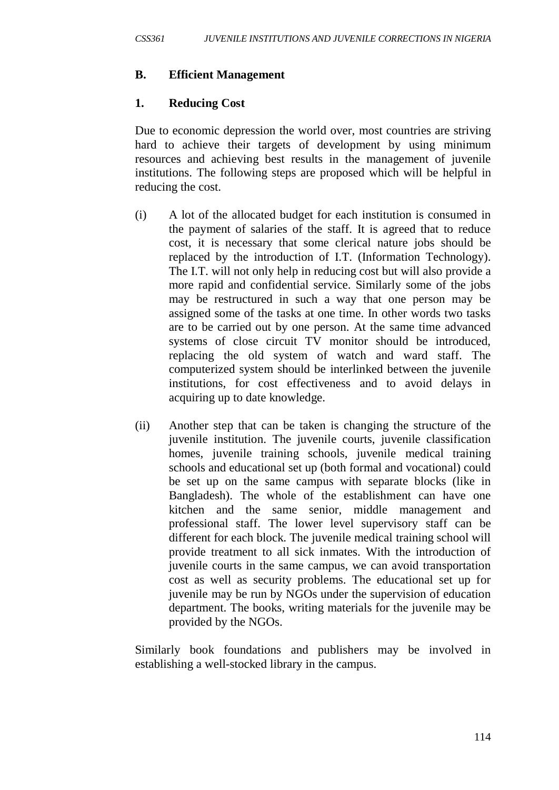## **B. Efficient Management**

## **1. Reducing Cost**

Due to economic depression the world over, most countries are striving hard to achieve their targets of development by using minimum resources and achieving best results in the management of juvenile institutions. The following steps are proposed which will be helpful in reducing the cost.

- (i) A lot of the allocated budget for each institution is consumed in the payment of salaries of the staff. It is agreed that to reduce cost, it is necessary that some clerical nature jobs should be replaced by the introduction of I.T. (Information Technology). The I.T. will not only help in reducing cost but will also provide a more rapid and confidential service. Similarly some of the jobs may be restructured in such a way that one person may be assigned some of the tasks at one time. In other words two tasks are to be carried out by one person. At the same time advanced systems of close circuit TV monitor should be introduced, replacing the old system of watch and ward staff. The computerized system should be interlinked between the juvenile institutions, for cost effectiveness and to avoid delays in acquiring up to date knowledge.
- (ii) Another step that can be taken is changing the structure of the juvenile institution. The juvenile courts, juvenile classification homes, juvenile training schools, juvenile medical training schools and educational set up (both formal and vocational) could be set up on the same campus with separate blocks (like in Bangladesh). The whole of the establishment can have one kitchen and the same senior, middle management and professional staff. The lower level supervisory staff can be different for each block. The juvenile medical training school will provide treatment to all sick inmates. With the introduction of juvenile courts in the same campus, we can avoid transportation cost as well as security problems. The educational set up for juvenile may be run by NGOs under the supervision of education department. The books, writing materials for the juvenile may be provided by the NGOs.

Similarly book foundations and publishers may be involved in establishing a well-stocked library in the campus.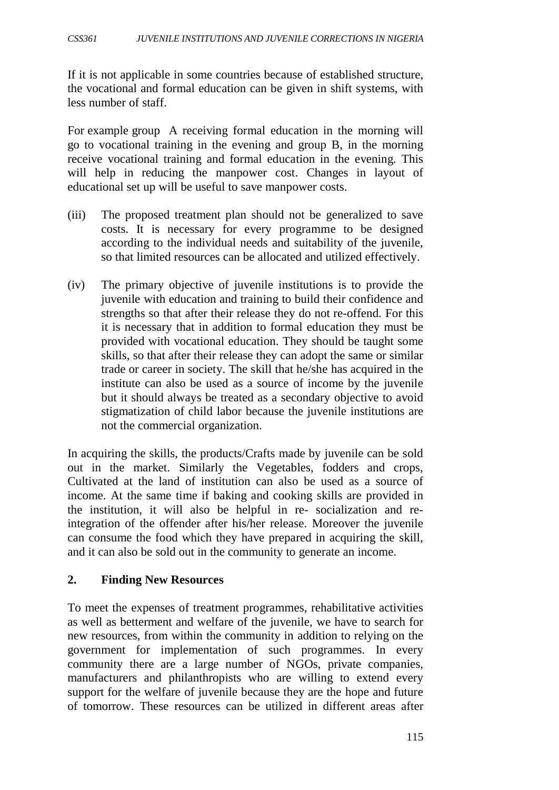If it is not applicable in some countries because of established structure, the vocational and formal education can be given in shift systems, with less number of staff.

For example group A receiving formal education in the morning will go to vocational training in the evening and group B, in the morning receive vocational training and formal education in the evening. This will help in reducing the manpower cost. Changes in layout of educational set up will be useful to save manpower costs.

- (iii) The proposed treatment plan should not be generalized to save costs. It is necessary for every programme to be designed according to the individual needs and suitability of the juvenile, so that limited resources can be allocated and utilized effectively.
- (iv) The primary objective of juvenile institutions is to provide the juvenile with education and training to build their confidence and strengths so that after their release they do not re-offend. For this it is necessary that in addition to formal education they must be provided with vocational education. They should be taught some skills, so that after their release they can adopt the same or similar trade or career in society. The skill that he/she has acquired in the institute can also be used as a source of income by the juvenile but it should always be treated as a secondary objective to avoid stigmatization of child labor because the juvenile institutions are not the commercial organization.

In acquiring the skills, the products/Crafts made by juvenile can be sold out in the market. Similarly the Vegetables, fodders and crops, Cultivated at the land of institution can also be used as a source of income. At the same time if baking and cooking skills are provided in the institution, it will also be helpful in re- socialization and reintegration of the offender after his/her release. Moreover the juvenile can consume the food which they have prepared in acquiring the skill, and it can also be sold out in the community to generate an income.

## **2. Finding New Resources**

To meet the expenses of treatment programmes, rehabilitative activities as well as betterment and welfare of the juvenile, we have to search for new resources, from within the community in addition to relying on the government for implementation of such programmes. In every community there are a large number of NGOs, private companies, manufacturers and philanthropists who are willing to extend every support for the welfare of juvenile because they are the hope and future of tomorrow. These resources can be utilized in different areas after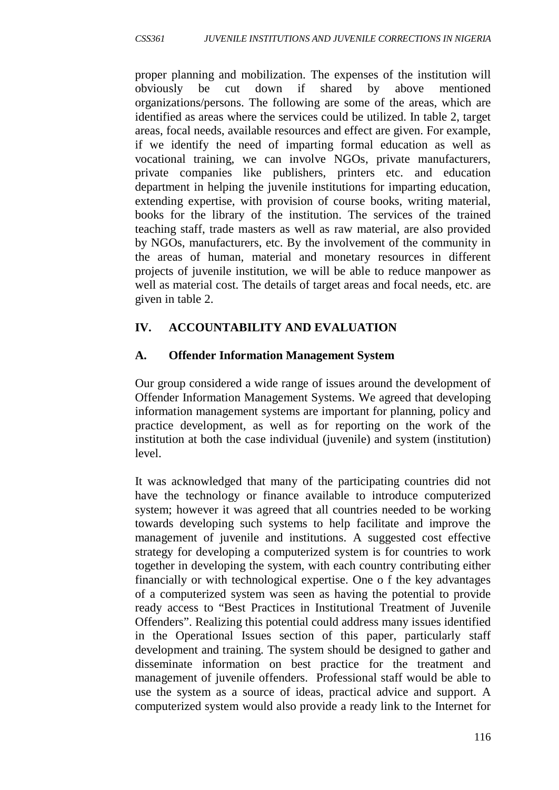proper planning and mobilization. The expenses of the institution will obviously be cut down if shared by above mentioned organizations/persons. The following are some of the areas, which are identified as areas where the services could be utilized. In table 2, target areas, focal needs, available resources and effect are given. For example, if we identify the need of imparting formal education as well as vocational training, we can involve NGOs, private manufacturers, private companies like publishers, printers etc. and education department in helping the juvenile institutions for imparting education, extending expertise, with provision of course books, writing material, books for the library of the institution. The services of the trained teaching staff, trade masters as well as raw material, are also provided by NGOs, manufacturers, etc. By the involvement of the community in the areas of human, material and monetary resources in different projects of juvenile institution, we will be able to reduce manpower as well as material cost. The details of target areas and focal needs, etc. are given in table 2.

# **IV. ACCOUNTABILITY AND EVALUATION**

# **A. Offender Information Management System**

Our group considered a wide range of issues around the development of Offender Information Management Systems. We agreed that developing information management systems are important for planning, policy and practice development, as well as for reporting on the work of the institution at both the case individual (juvenile) and system (institution) level.

It was acknowledged that many of the participating countries did not have the technology or finance available to introduce computerized system; however it was agreed that all countries needed to be working towards developing such systems to help facilitate and improve the management of juvenile and institutions. A suggested cost effective strategy for developing a computerized system is for countries to work together in developing the system, with each country contributing either financially or with technological expertise. One o f the key advantages of a computerized system was seen as having the potential to provide ready access to "Best Practices in Institutional Treatment of Juvenile Offenders". Realizing this potential could address many issues identified in the Operational Issues section of this paper, particularly staff development and training. The system should be designed to gather and disseminate information on best practice for the treatment and management of juvenile offenders. Professional staff would be able to use the system as a source of ideas, practical advice and support. A computerized system would also provide a ready link to the Internet for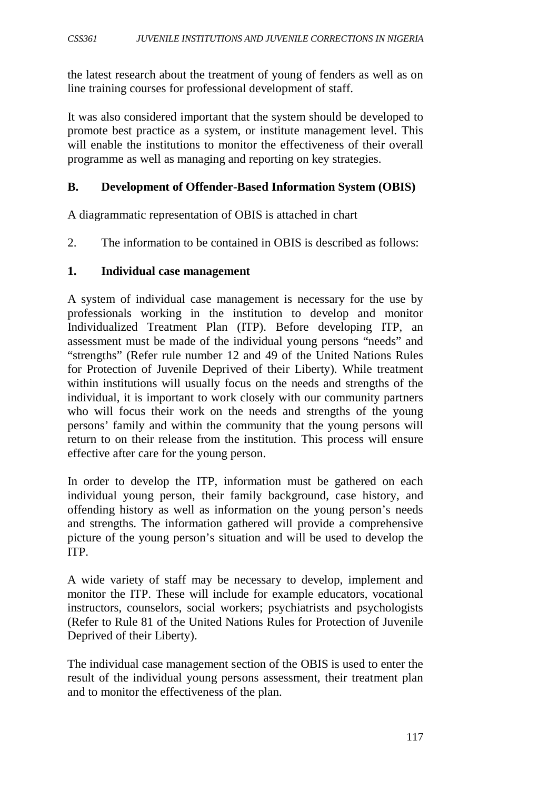the latest research about the treatment of young of fenders as well as on line training courses for professional development of staff.

It was also considered important that the system should be developed to promote best practice as a system, or institute management level. This will enable the institutions to monitor the effectiveness of their overall programme as well as managing and reporting on key strategies.

### **B. Development of Offender-Based Information System (OBIS)**

A diagrammatic representation of OBIS is attached in chart

2. The information to be contained in OBIS is described as follows:

#### **1. Individual case management**

A system of individual case management is necessary for the use by professionals working in the institution to develop and monitor Individualized Treatment Plan (ITP). Before developing ITP, an assessment must be made of the individual young persons "needs" and "strengths" (Refer rule number 12 and 49 of the United Nations Rules for Protection of Juvenile Deprived of their Liberty). While treatment within institutions will usually focus on the needs and strengths of the individual, it is important to work closely with our community partners who will focus their work on the needs and strengths of the young persons' family and within the community that the young persons will return to on their release from the institution. This process will ensure effective after care for the young person.

In order to develop the ITP, information must be gathered on each individual young person, their family background, case history, and offending history as well as information on the young person's needs and strengths. The information gathered will provide a comprehensive picture of the young person's situation and will be used to develop the ITP.

A wide variety of staff may be necessary to develop, implement and monitor the ITP. These will include for example educators, vocational instructors, counselors, social workers; psychiatrists and psychologists (Refer to Rule 81 of the United Nations Rules for Protection of Juvenile Deprived of their Liberty).

The individual case management section of the OBIS is used to enter the result of the individual young persons assessment, their treatment plan and to monitor the effectiveness of the plan.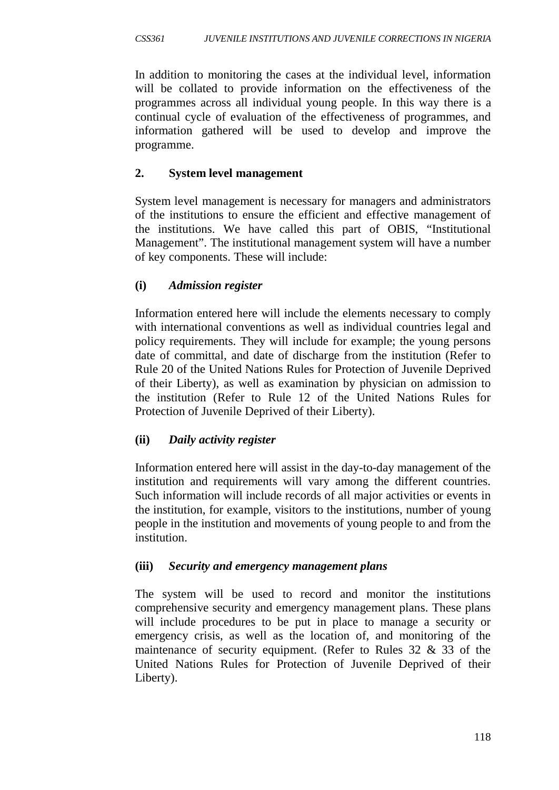In addition to monitoring the cases at the individual level, information will be collated to provide information on the effectiveness of the programmes across all individual young people. In this way there is a continual cycle of evaluation of the effectiveness of programmes, and information gathered will be used to develop and improve the programme.

# **2. System level management**

System level management is necessary for managers and administrators of the institutions to ensure the efficient and effective management of the institutions. We have called this part of OBIS, "Institutional Management". The institutional management system will have a number of key components. These will include:

## **(i)** *Admission register*

Information entered here will include the elements necessary to comply with international conventions as well as individual countries legal and policy requirements. They will include for example; the young persons date of committal, and date of discharge from the institution (Refer to Rule 20 of the United Nations Rules for Protection of Juvenile Deprived of their Liberty), as well as examination by physician on admission to the institution (Refer to Rule 12 of the United Nations Rules for Protection of Juvenile Deprived of their Liberty).

## **(ii)** *Daily activity register*

Information entered here will assist in the day-to-day management of the institution and requirements will vary among the different countries. Such information will include records of all major activities or events in the institution, for example, visitors to the institutions, number of young people in the institution and movements of young people to and from the institution.

## **(iii)** *Security and emergency management plans*

The system will be used to record and monitor the institutions comprehensive security and emergency management plans. These plans will include procedures to be put in place to manage a security or emergency crisis, as well as the location of, and monitoring of the maintenance of security equipment. (Refer to Rules 32 & 33 of the United Nations Rules for Protection of Juvenile Deprived of their Liberty).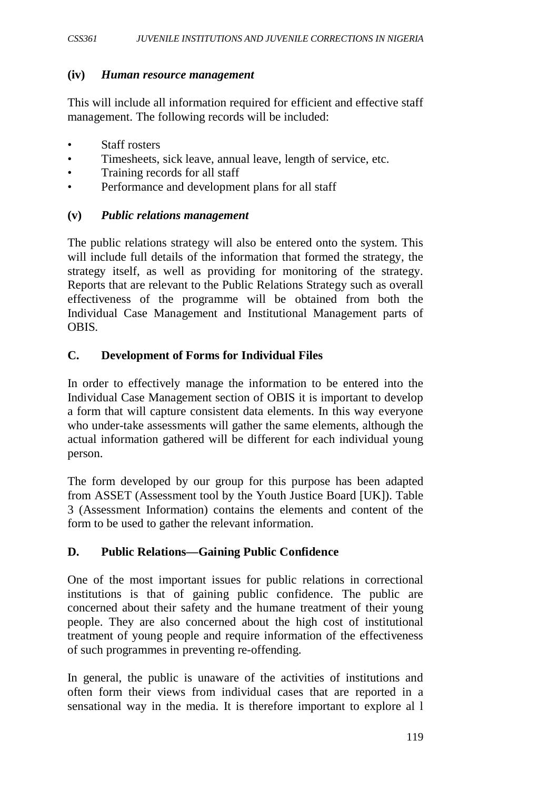### **(iv)** *Human resource management*

This will include all information required for efficient and effective staff management. The following records will be included:

- Staff rosters
- Timesheets, sick leave, annual leave, length of service, etc.
- Training records for all staff
- Performance and development plans for all staff

#### **(v)** *Public relations management*

The public relations strategy will also be entered onto the system. This will include full details of the information that formed the strategy, the strategy itself, as well as providing for monitoring of the strategy. Reports that are relevant to the Public Relations Strategy such as overall effectiveness of the programme will be obtained from both the Individual Case Management and Institutional Management parts of OBIS.

## **C. Development of Forms for Individual Files**

In order to effectively manage the information to be entered into the Individual Case Management section of OBIS it is important to develop a form that will capture consistent data elements. In this way everyone who under-take assessments will gather the same elements, although the actual information gathered will be different for each individual young person.

The form developed by our group for this purpose has been adapted from ASSET (Assessment tool by the Youth Justice Board [UK]). Table 3 (Assessment Information) contains the elements and content of the form to be used to gather the relevant information.

## **D. Public Relations—Gaining Public Confidence**

One of the most important issues for public relations in correctional institutions is that of gaining public confidence. The public are concerned about their safety and the humane treatment of their young people. They are also concerned about the high cost of institutional treatment of young people and require information of the effectiveness of such programmes in preventing re-offending.

In general, the public is unaware of the activities of institutions and often form their views from individual cases that are reported in a sensational way in the media. It is therefore important to explore al l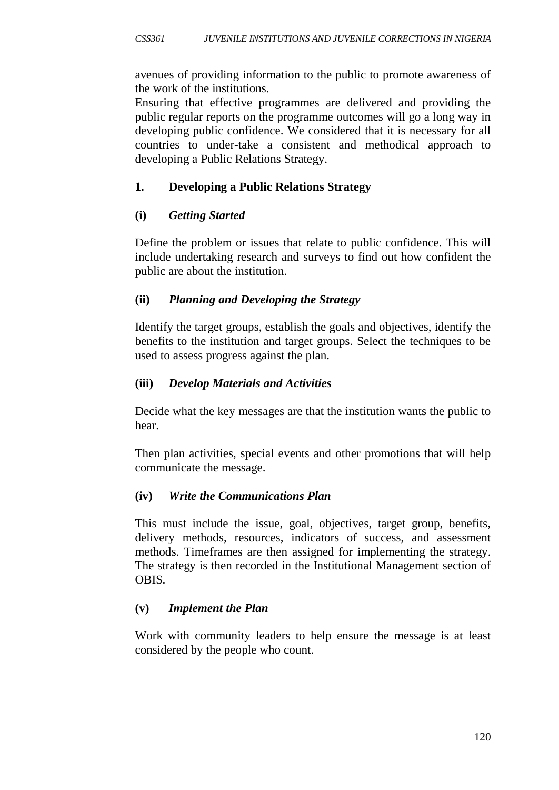avenues of providing information to the public to promote awareness of the work of the institutions.

Ensuring that effective programmes are delivered and providing the public regular reports on the programme outcomes will go a long way in developing public confidence. We considered that it is necessary for all countries to under-take a consistent and methodical approach to developing a Public Relations Strategy.

# **1. Developing a Public Relations Strategy**

# **(i)** *Getting Started*

Define the problem or issues that relate to public confidence. This will include undertaking research and surveys to find out how confident the public are about the institution.

# **(ii)** *Planning and Developing the Strategy*

Identify the target groups, establish the goals and objectives, identify the benefits to the institution and target groups. Select the techniques to be used to assess progress against the plan.

# **(iii)** *Develop Materials and Activities*

Decide what the key messages are that the institution wants the public to hear.

Then plan activities, special events and other promotions that will help communicate the message.

# **(iv)** *Write the Communications Plan*

This must include the issue, goal, objectives, target group, benefits, delivery methods, resources, indicators of success, and assessment methods. Timeframes are then assigned for implementing the strategy. The strategy is then recorded in the Institutional Management section of OBIS.

# **(v)** *Implement the Plan*

Work with community leaders to help ensure the message is at least considered by the people who count.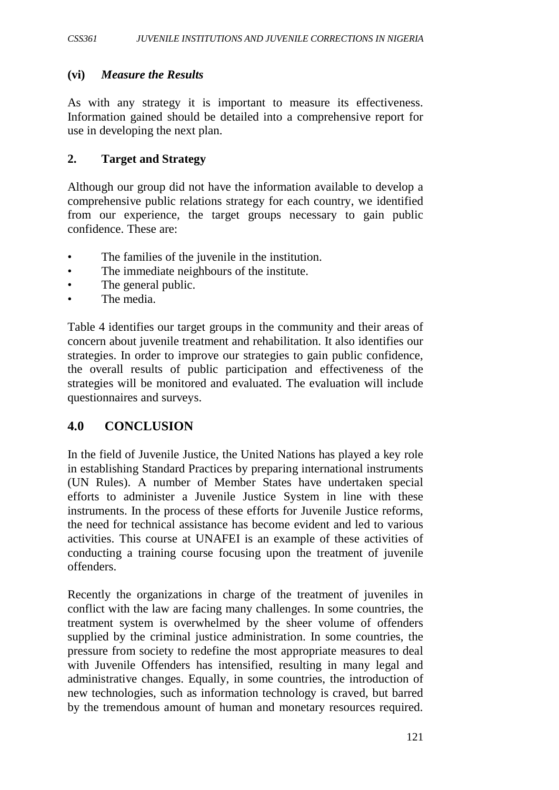### **(vi)** *Measure the Results*

As with any strategy it is important to measure its effectiveness. Information gained should be detailed into a comprehensive report for use in developing the next plan.

#### **2. Target and Strategy**

Although our group did not have the information available to develop a comprehensive public relations strategy for each country, we identified from our experience, the target groups necessary to gain public confidence. These are:

- The families of the juvenile in the institution.
- The immediate neighbours of the institute.
- The general public.
- The media.

Table 4 identifies our target groups in the community and their areas of concern about juvenile treatment and rehabilitation. It also identifies our strategies. In order to improve our strategies to gain public confidence, the overall results of public participation and effectiveness of the strategies will be monitored and evaluated. The evaluation will include questionnaires and surveys.

## **4.0 CONCLUSION**

In the field of Juvenile Justice, the United Nations has played a key role in establishing Standard Practices by preparing international instruments (UN Rules). A number of Member States have undertaken special efforts to administer a Juvenile Justice System in line with these instruments. In the process of these efforts for Juvenile Justice reforms, the need for technical assistance has become evident and led to various activities. This course at UNAFEI is an example of these activities of conducting a training course focusing upon the treatment of juvenile offenders.

Recently the organizations in charge of the treatment of juveniles in conflict with the law are facing many challenges. In some countries, the treatment system is overwhelmed by the sheer volume of offenders supplied by the criminal justice administration. In some countries, the pressure from society to redefine the most appropriate measures to deal with Juvenile Offenders has intensified, resulting in many legal and administrative changes. Equally, in some countries, the introduction of new technologies, such as information technology is craved, but barred by the tremendous amount of human and monetary resources required.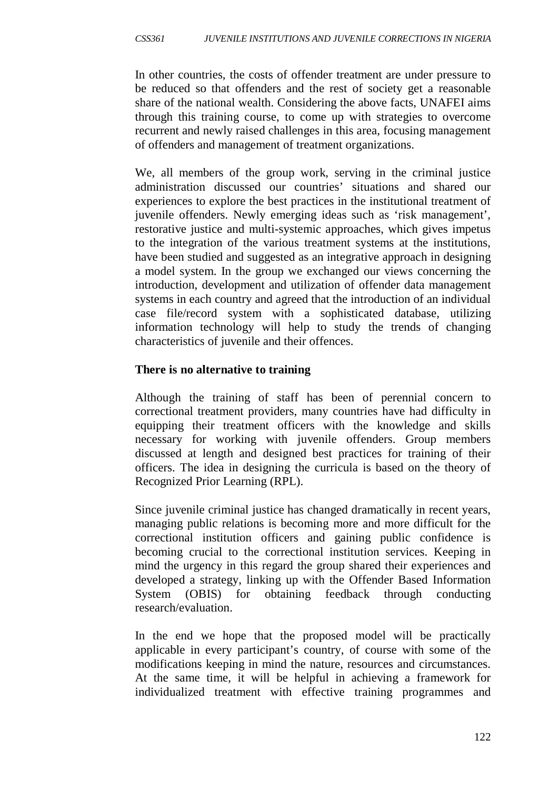In other countries, the costs of offender treatment are under pressure to be reduced so that offenders and the rest of society get a reasonable share of the national wealth. Considering the above facts, UNAFEI aims through this training course, to come up with strategies to overcome recurrent and newly raised challenges in this area, focusing management of offenders and management of treatment organizations.

We, all members of the group work, serving in the criminal justice administration discussed our countries' situations and shared our experiences to explore the best practices in the institutional treatment of juvenile offenders. Newly emerging ideas such as 'risk management', restorative justice and multi-systemic approaches, which gives impetus to the integration of the various treatment systems at the institutions, have been studied and suggested as an integrative approach in designing a model system. In the group we exchanged our views concerning the introduction, development and utilization of offender data management systems in each country and agreed that the introduction of an individual case file/record system with a sophisticated database, utilizing information technology will help to study the trends of changing characteristics of juvenile and their offences.

## **There is no alternative to training**

Although the training of staff has been of perennial concern to correctional treatment providers, many countries have had difficulty in equipping their treatment officers with the knowledge and skills necessary for working with juvenile offenders. Group members discussed at length and designed best practices for training of their officers. The idea in designing the curricula is based on the theory of Recognized Prior Learning (RPL).

Since juvenile criminal justice has changed dramatically in recent years, managing public relations is becoming more and more difficult for the correctional institution officers and gaining public confidence is becoming crucial to the correctional institution services. Keeping in mind the urgency in this regard the group shared their experiences and developed a strategy, linking up with the Offender Based Information System (OBIS) for obtaining feedback through conducting research/evaluation.

In the end we hope that the proposed model will be practically applicable in every participant's country, of course with some of the modifications keeping in mind the nature, resources and circumstances. At the same time, it will be helpful in achieving a framework for individualized treatment with effective training programmes and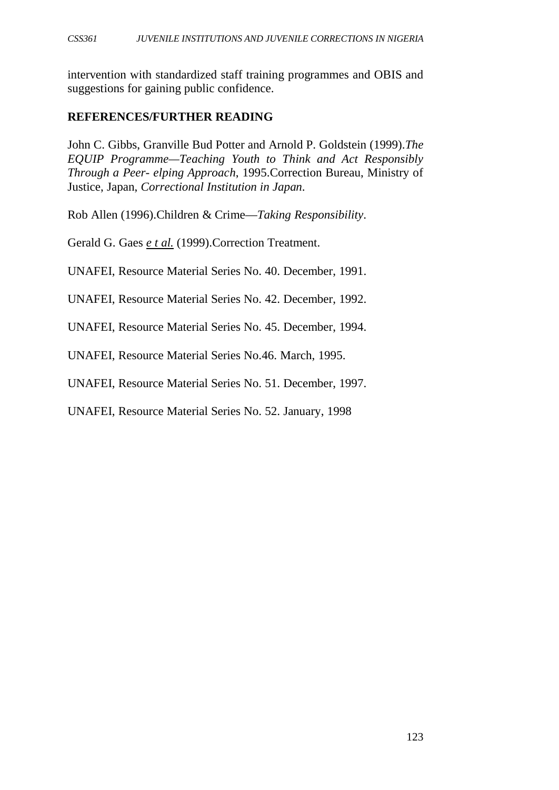intervention with standardized staff training programmes and OBIS and suggestions for gaining public confidence.

### **REFERENCES/FURTHER READING**

John C. Gibbs, Granville Bud Potter and Arnold P. Goldstein (1999).*The EQUIP Programme—Teaching Youth to Think and Act Responsibly Through a Peer- elping Approach*, 1995.Correction Bureau, Ministry of Justice, Japan, *Correctional Institution in Japan*.

Rob Allen (1996).Children & Crime—*Taking Responsibility*.

Gerald G. Gaes *e t al.* (1999).Correction Treatment.

UNAFEI, Resource Material Series No. 40. December, 1991.

UNAFEI, Resource Material Series No. 42. December, 1992.

UNAFEI, Resource Material Series No. 45. December, 1994.

UNAFEI, Resource Material Series No.46. March, 1995.

UNAFEI, Resource Material Series No. 51. December, 1997.

UNAFEI, Resource Material Series No. 52. January, 1998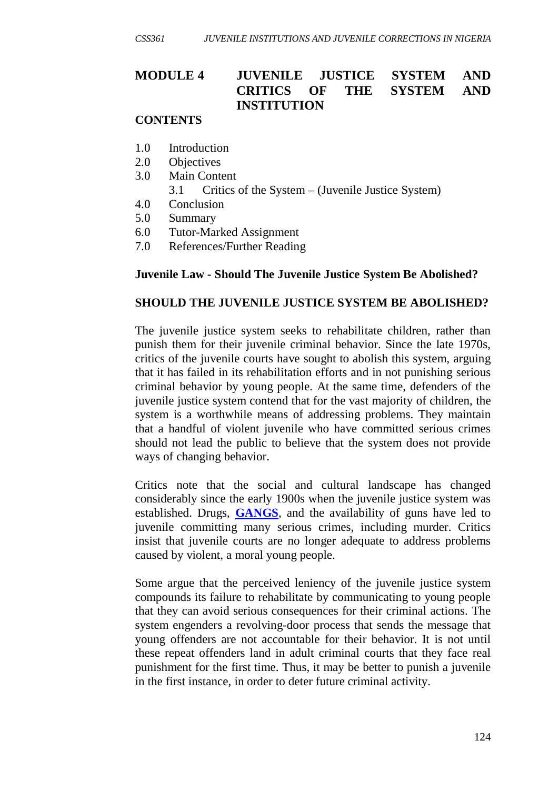# **MODULE 4 JUVENILE JUSTICE SYSTEM AND CRITICS OF THE SYSTEM AND INSTITUTION**

## **CONTENTS**

- 1.0 Introduction
- 2.0 Objectives
- 3.0 Main Content
	- 3.1 Critics of the System (Juvenile Justice System)
- 4.0 Conclusion
- 5.0 Summary
- 6.0 Tutor-Marked Assignment
- 7.0 References/Further Reading

#### **Juvenile Law - Should The Juvenile Justice System Be Abolished?**

#### **SHOULD THE JUVENILE JUSTICE SYSTEM BE ABOLISHED?**

The juvenile justice system seeks to rehabilitate children, rather than punish them for their juvenile criminal behavior. Since the late 1970s, critics of the juvenile courts have sought to abolish this system, arguing that it has failed in its rehabilitation efforts and in not punishing serious criminal behavior by young people. At the same time, defenders of the juvenile justice system contend that for the vast majority of children, the system is a worthwhile means of addressing problems. They maintain that a handful of violent juvenile who have committed serious crimes should not lead the public to believe that the system does not provide ways of changing behavior.

Critics note that the social and cultural landscape has changed considerably since the early 1900s when the juvenile justice system was established. Drugs, **[GANGS](http://law.jrank.org/pages/7073/Gangs.html)**, and the availability of guns have led to juvenile committing many serious crimes, including murder. Critics insist that juvenile courts are no longer adequate to address problems caused by violent, a moral young people.

Some argue that the perceived leniency of the juvenile justice system compounds its failure to rehabilitate by communicating to young people that they can avoid serious consequences for their criminal actions. The system engenders a revolving-door process that sends the message that young offenders are not accountable for their behavior. It is not until these repeat offenders land in adult criminal courts that they face real punishment for the first time. Thus, it may be better to punish a juvenile in the first instance, in order to deter future criminal activity.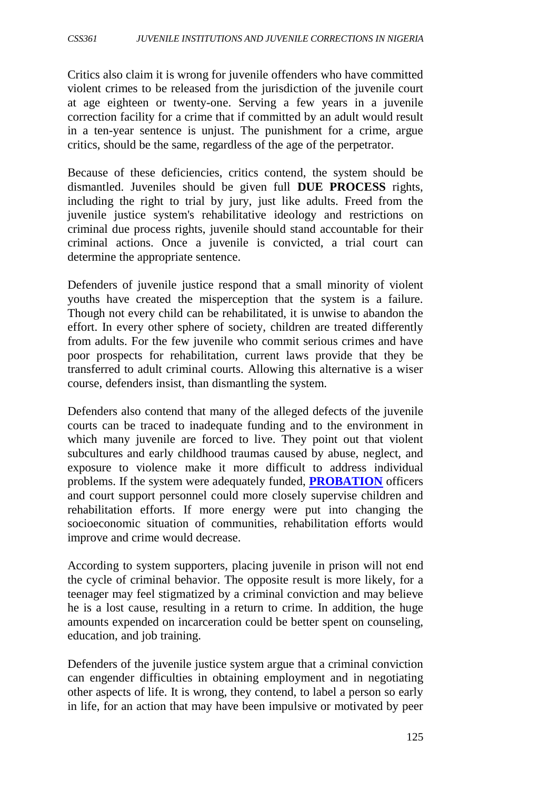Critics also claim it is wrong for juvenile offenders who have committed violent crimes to be released from the jurisdiction of the juvenile court at age eighteen or twenty-one. Serving a few years in a juvenile correction facility for a crime that if committed by an adult would result in a ten-year sentence is unjust. The punishment for a crime, argue critics, should be the same, regardless of the age of the perpetrator.

Because of these deficiencies, critics contend, the system should be dismantled. Juveniles should be given full **DUE PROCESS** rights, including the right to trial by jury, just like adults. Freed from the juvenile justice system's rehabilitative ideology and restrictions on criminal due process rights, juvenile should stand accountable for their criminal actions. Once a juvenile is convicted, a trial court can determine the appropriate sentence.

Defenders of juvenile justice respond that a small minority of violent youths have created the misperception that the system is a failure. Though not every child can be rehabilitated, it is unwise to abandon the effort. In every other sphere of society, children are treated differently from adults. For the few juvenile who commit serious crimes and have poor prospects for rehabilitation, current laws provide that they be transferred to adult criminal courts. Allowing this alternative is a wiser course, defenders insist, than dismantling the system.

Defenders also contend that many of the alleged defects of the juvenile courts can be traced to inadequate funding and to the environment in which many juvenile are forced to live. They point out that violent subcultures and early childhood traumas caused by abuse, neglect, and exposure to violence make it more difficult to address individual problems. If the system were adequately funded, **[PROBATION](http://law.jrank.org/pages/9452/Probation.html)** officers and court support personnel could more closely supervise children and rehabilitation efforts. If more energy were put into changing the socioeconomic situation of communities, rehabilitation efforts would improve and crime would decrease.

According to system supporters, placing juvenile in prison will not end the cycle of criminal behavior. The opposite result is more likely, for a teenager may feel stigmatized by a criminal conviction and may believe he is a lost cause, resulting in a return to crime. In addition, the huge amounts expended on incarceration could be better spent on counseling, education, and job training.

Defenders of the juvenile justice system argue that a criminal conviction can engender difficulties in obtaining employment and in negotiating other aspects of life. It is wrong, they contend, to label a person so early in life, for an action that may have been impulsive or motivated by peer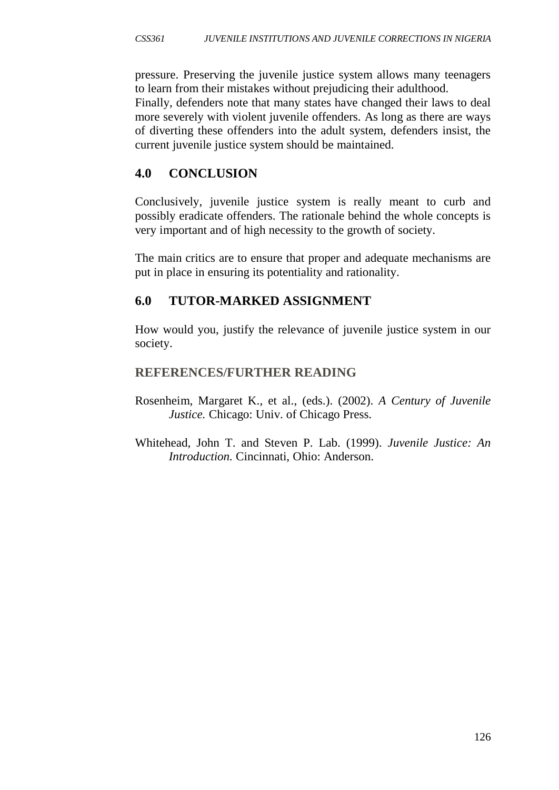pressure. Preserving the juvenile justice system allows many teenagers to learn from their mistakes without prejudicing their adulthood.

Finally, defenders note that many states have changed their laws to deal more severely with violent juvenile offenders. As long as there are ways of diverting these offenders into the adult system, defenders insist, the current juvenile justice system should be maintained.

# **4.0 CONCLUSION**

Conclusively, juvenile justice system is really meant to curb and possibly eradicate offenders. The rationale behind the whole concepts is very important and of high necessity to the growth of society.

The main critics are to ensure that proper and adequate mechanisms are put in place in ensuring its potentiality and rationality.

# **6.0 TUTOR-MARKED ASSIGNMENT**

How would you, justify the relevance of juvenile justice system in our society.

# **REFERENCES/FURTHER READING**

- Rosenheim, Margaret K., et al., (eds.). (2002). *A Century of Juvenile Justice.* Chicago: Univ. of Chicago Press.
- Whitehead, John T. and Steven P. Lab. (1999). *Juvenile Justice: An Introduction.* Cincinnati, Ohio: Anderson.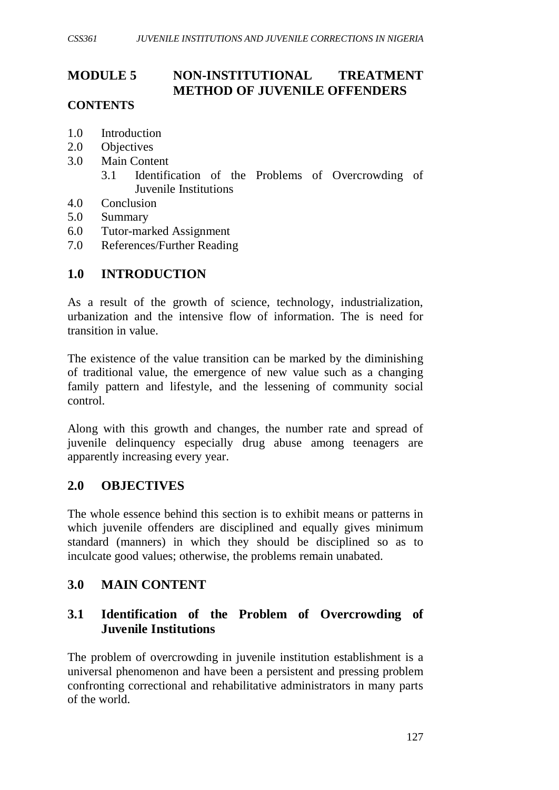# **MODULE 5 NON-INSTITUTIONAL TREATMENT METHOD OF JUVENILE OFFENDERS**

# **CONTENTS**

- 1.0 Introduction
- 2.0 Objectives
- 3.0 Main Content
	- 3.1 Identification of the Problems of Overcrowding of Juvenile Institutions
- 4.0 Conclusion
- 5.0 Summary
- 6.0 Tutor-marked Assignment
- 7.0 References/Further Reading

# **1.0 INTRODUCTION**

As a result of the growth of science, technology, industrialization, urbanization and the intensive flow of information. The is need for transition in value.

The existence of the value transition can be marked by the diminishing of traditional value, the emergence of new value such as a changing family pattern and lifestyle, and the lessening of community social control.

Along with this growth and changes, the number rate and spread of juvenile delinquency especially drug abuse among teenagers are apparently increasing every year.

## **2.0 OBJECTIVES**

The whole essence behind this section is to exhibit means or patterns in which juvenile offenders are disciplined and equally gives minimum standard (manners) in which they should be disciplined so as to inculcate good values; otherwise, the problems remain unabated.

## **3.0 MAIN CONTENT**

# **3.1 Identification of the Problem of Overcrowding of Juvenile Institutions**

The problem of overcrowding in juvenile institution establishment is a universal phenomenon and have been a persistent and pressing problem confronting correctional and rehabilitative administrators in many parts of the world.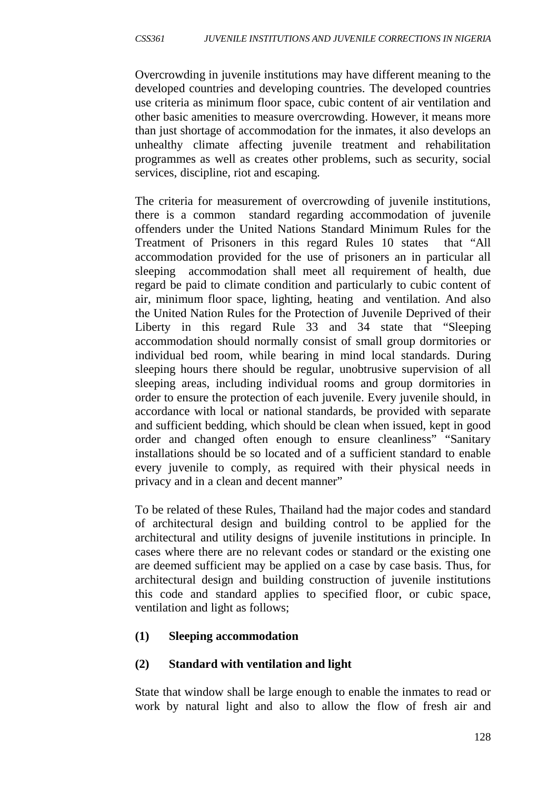Overcrowding in juvenile institutions may have different meaning to the developed countries and developing countries. The developed countries use criteria as minimum floor space, cubic content of air ventilation and other basic amenities to measure overcrowding. However, it means more than just shortage of accommodation for the inmates, it also develops an unhealthy climate affecting juvenile treatment and rehabilitation programmes as well as creates other problems, such as security, social services, discipline, riot and escaping.

The criteria for measurement of overcrowding of juvenile institutions, there is a common standard regarding accommodation of juvenile offenders under the United Nations Standard Minimum Rules for the Treatment of Prisoners in this regard Rules 10 states that "All accommodation provided for the use of prisoners an in particular all sleeping accommodation shall meet all requirement of health, due regard be paid to climate condition and particularly to cubic content of air, minimum floor space, lighting, heating and ventilation. And also the United Nation Rules for the Protection of Juvenile Deprived of their Liberty in this regard Rule 33 and 34 state that "Sleeping accommodation should normally consist of small group dormitories or individual bed room, while bearing in mind local standards. During sleeping hours there should be regular, unobtrusive supervision of all sleeping areas, including individual rooms and group dormitories in order to ensure the protection of each juvenile. Every juvenile should, in accordance with local or national standards, be provided with separate and sufficient bedding, which should be clean when issued, kept in good order and changed often enough to ensure cleanliness" "Sanitary installations should be so located and of a sufficient standard to enable every juvenile to comply, as required with their physical needs in privacy and in a clean and decent manner"

To be related of these Rules, Thailand had the major codes and standard of architectural design and building control to be applied for the architectural and utility designs of juvenile institutions in principle. In cases where there are no relevant codes or standard or the existing one are deemed sufficient may be applied on a case by case basis. Thus, for architectural design and building construction of juvenile institutions this code and standard applies to specified floor, or cubic space, ventilation and light as follows;

## **(1) Sleeping accommodation**

## **(2) Standard with ventilation and light**

State that window shall be large enough to enable the inmates to read or work by natural light and also to allow the flow of fresh air and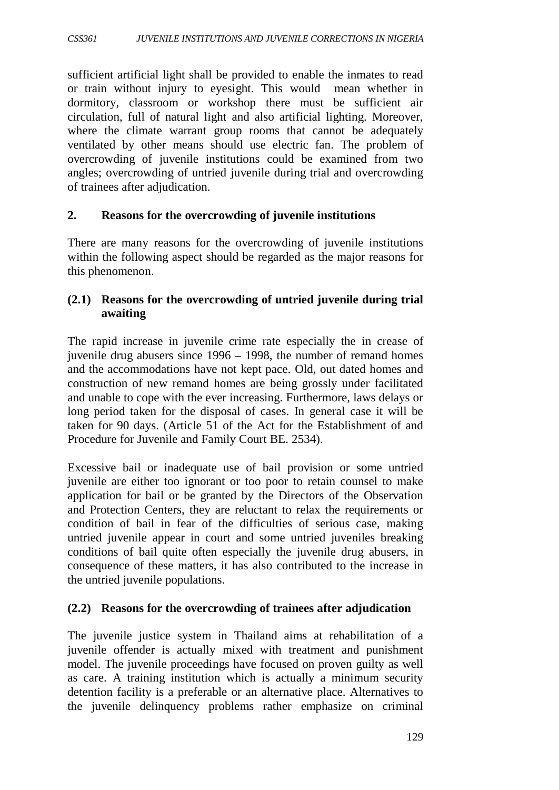sufficient artificial light shall be provided to enable the inmates to read or train without injury to eyesight. This would mean whether in dormitory, classroom or workshop there must be sufficient air circulation, full of natural light and also artificial lighting. Moreover, where the climate warrant group rooms that cannot be adequately ventilated by other means should use electric fan. The problem of overcrowding of juvenile institutions could be examined from two angles; overcrowding of untried juvenile during trial and overcrowding of trainees after adjudication.

### **2. Reasons for the overcrowding of juvenile institutions**

There are many reasons for the overcrowding of juvenile institutions within the following aspect should be regarded as the major reasons for this phenomenon.

## **(2.1) Reasons for the overcrowding of untried juvenile during trial awaiting**

The rapid increase in juvenile crime rate especially the in crease of juvenile drug abusers since 1996 – 1998, the number of remand homes and the accommodations have not kept pace. Old, out dated homes and construction of new remand homes are being grossly under facilitated and unable to cope with the ever increasing. Furthermore, laws delays or long period taken for the disposal of cases. In general case it will be taken for 90 days. (Article 51 of the Act for the Establishment of and Procedure for Juvenile and Family Court BE. 2534).

Excessive bail or inadequate use of bail provision or some untried juvenile are either too ignorant or too poor to retain counsel to make application for bail or be granted by the Directors of the Observation and Protection Centers, they are reluctant to relax the requirements or condition of bail in fear of the difficulties of serious case, making untried juvenile appear in court and some untried juveniles breaking conditions of bail quite often especially the juvenile drug abusers, in consequence of these matters, it has also contributed to the increase in the untried juvenile populations.

## **(2.2) Reasons for the overcrowding of trainees after adjudication**

The juvenile justice system in Thailand aims at rehabilitation of a juvenile offender is actually mixed with treatment and punishment model. The juvenile proceedings have focused on proven guilty as well as care. A training institution which is actually a minimum security detention facility is a preferable or an alternative place. Alternatives to the juvenile delinquency problems rather emphasize on criminal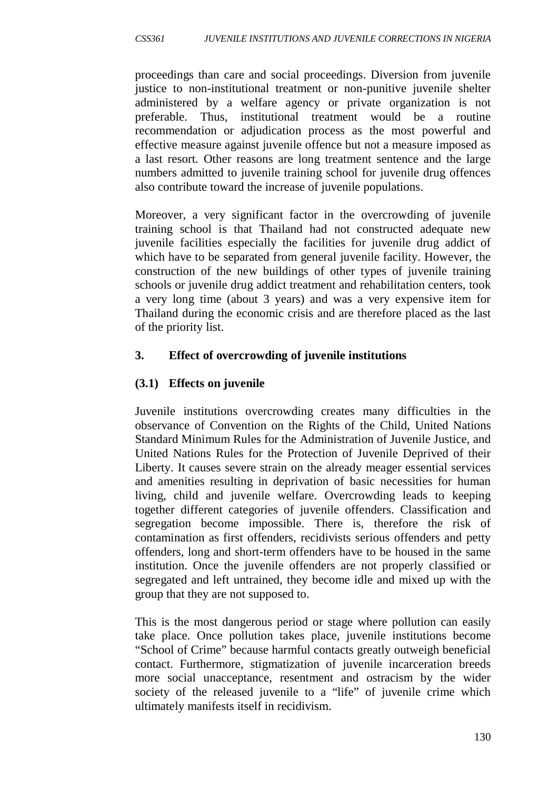proceedings than care and social proceedings. Diversion from juvenile justice to non-institutional treatment or non-punitive juvenile shelter administered by a welfare agency or private organization is not preferable. Thus, institutional treatment would be a routine recommendation or adjudication process as the most powerful and effective measure against juvenile offence but not a measure imposed as a last resort. Other reasons are long treatment sentence and the large numbers admitted to juvenile training school for juvenile drug offences also contribute toward the increase of juvenile populations.

Moreover, a very significant factor in the overcrowding of juvenile training school is that Thailand had not constructed adequate new juvenile facilities especially the facilities for juvenile drug addict of which have to be separated from general juvenile facility. However, the construction of the new buildings of other types of juvenile training schools or juvenile drug addict treatment and rehabilitation centers, took a very long time (about 3 years) and was a very expensive item for Thailand during the economic crisis and are therefore placed as the last of the priority list.

# **3. Effect of overcrowding of juvenile institutions**

# **(3.1) Effects on juvenile**

Juvenile institutions overcrowding creates many difficulties in the observance of Convention on the Rights of the Child, United Nations Standard Minimum Rules for the Administration of Juvenile Justice, and United Nations Rules for the Protection of Juvenile Deprived of their Liberty. It causes severe strain on the already meager essential services and amenities resulting in deprivation of basic necessities for human living, child and juvenile welfare. Overcrowding leads to keeping together different categories of juvenile offenders. Classification and segregation become impossible. There is, therefore the risk of contamination as first offenders, recidivists serious offenders and petty offenders, long and short-term offenders have to be housed in the same institution. Once the juvenile offenders are not properly classified or segregated and left untrained, they become idle and mixed up with the group that they are not supposed to.

This is the most dangerous period or stage where pollution can easily take place. Once pollution takes place, juvenile institutions become "School of Crime" because harmful contacts greatly outweigh beneficial contact. Furthermore, stigmatization of juvenile incarceration breeds more social unacceptance, resentment and ostracism by the wider society of the released juvenile to a "life" of juvenile crime which ultimately manifests itself in recidivism.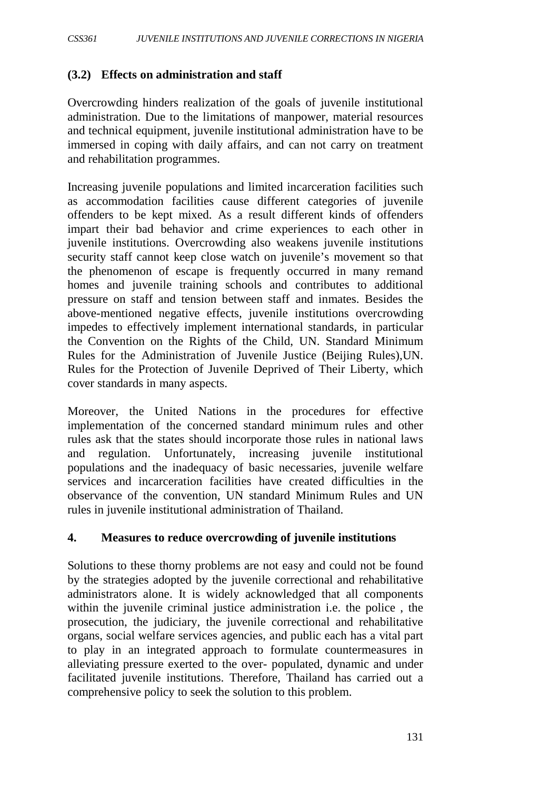## **(3.2) Effects on administration and staff**

Overcrowding hinders realization of the goals of juvenile institutional administration. Due to the limitations of manpower, material resources and technical equipment, juvenile institutional administration have to be immersed in coping with daily affairs, and can not carry on treatment and rehabilitation programmes.

Increasing juvenile populations and limited incarceration facilities such as accommodation facilities cause different categories of juvenile offenders to be kept mixed. As a result different kinds of offenders impart their bad behavior and crime experiences to each other in juvenile institutions. Overcrowding also weakens juvenile institutions security staff cannot keep close watch on juvenile's movement so that the phenomenon of escape is frequently occurred in many remand homes and juvenile training schools and contributes to additional pressure on staff and tension between staff and inmates. Besides the above-mentioned negative effects, juvenile institutions overcrowding impedes to effectively implement international standards, in particular the Convention on the Rights of the Child, UN. Standard Minimum Rules for the Administration of Juvenile Justice (Beijing Rules),UN. Rules for the Protection of Juvenile Deprived of Their Liberty, which cover standards in many aspects.

Moreover, the United Nations in the procedures for effective implementation of the concerned standard minimum rules and other rules ask that the states should incorporate those rules in national laws and regulation. Unfortunately, increasing juvenile institutional populations and the inadequacy of basic necessaries, juvenile welfare services and incarceration facilities have created difficulties in the observance of the convention, UN standard Minimum Rules and UN rules in juvenile institutional administration of Thailand.

#### **4. Measures to reduce overcrowding of juvenile institutions**

Solutions to these thorny problems are not easy and could not be found by the strategies adopted by the juvenile correctional and rehabilitative administrators alone. It is widely acknowledged that all components within the juvenile criminal justice administration i.e. the police , the prosecution, the judiciary, the juvenile correctional and rehabilitative organs, social welfare services agencies, and public each has a vital part to play in an integrated approach to formulate countermeasures in alleviating pressure exerted to the over- populated, dynamic and under facilitated juvenile institutions. Therefore, Thailand has carried out a comprehensive policy to seek the solution to this problem.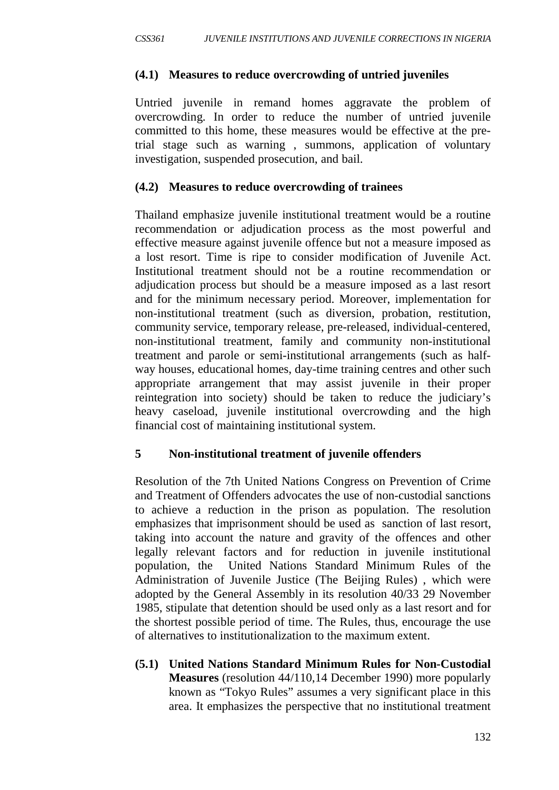### **(4.1) Measures to reduce overcrowding of untried juveniles**

Untried juvenile in remand homes aggravate the problem of overcrowding. In order to reduce the number of untried juvenile committed to this home, these measures would be effective at the pretrial stage such as warning , summons, application of voluntary investigation, suspended prosecution, and bail.

### **(4.2) Measures to reduce overcrowding of trainees**

Thailand emphasize juvenile institutional treatment would be a routine recommendation or adjudication process as the most powerful and effective measure against juvenile offence but not a measure imposed as a lost resort. Time is ripe to consider modification of Juvenile Act. Institutional treatment should not be a routine recommendation or adjudication process but should be a measure imposed as a last resort and for the minimum necessary period. Moreover, implementation for non-institutional treatment (such as diversion, probation, restitution, community service, temporary release, pre-released, individual-centered, non-institutional treatment, family and community non-institutional treatment and parole or semi-institutional arrangements (such as halfway houses, educational homes, day-time training centres and other such appropriate arrangement that may assist juvenile in their proper reintegration into society) should be taken to reduce the judiciary's heavy caseload, juvenile institutional overcrowding and the high financial cost of maintaining institutional system.

## **5 Non-institutional treatment of juvenile offenders**

Resolution of the 7th United Nations Congress on Prevention of Crime and Treatment of Offenders advocates the use of non-custodial sanctions to achieve a reduction in the prison as population. The resolution emphasizes that imprisonment should be used as sanction of last resort, taking into account the nature and gravity of the offences and other legally relevant factors and for reduction in juvenile institutional population, the United Nations Standard Minimum Rules of the Administration of Juvenile Justice (The Beijing Rules) , which were adopted by the General Assembly in its resolution 40/33 29 November 1985, stipulate that detention should be used only as a last resort and for the shortest possible period of time. The Rules, thus, encourage the use of alternatives to institutionalization to the maximum extent.

**(5.1) United Nations Standard Minimum Rules for Non-Custodial Measures** (resolution 44/110,14 December 1990) more popularly known as "Tokyo Rules" assumes a very significant place in this area. It emphasizes the perspective that no institutional treatment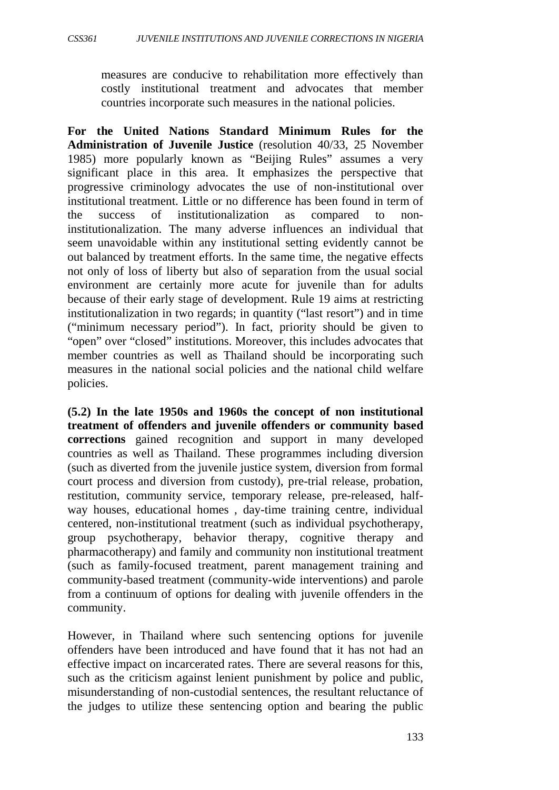measures are conducive to rehabilitation more effectively than costly institutional treatment and advocates that member countries incorporate such measures in the national policies.

**For the United Nations Standard Minimum Rules for the Administration of Juvenile Justice** (resolution 40/33, 25 November 1985) more popularly known as "Beijing Rules" assumes a very significant place in this area. It emphasizes the perspective that progressive criminology advocates the use of non-institutional over institutional treatment. Little or no difference has been found in term of the success of institutionalization as compared to noninstitutionalization. The many adverse influences an individual that seem unavoidable within any institutional setting evidently cannot be out balanced by treatment efforts. In the same time, the negative effects not only of loss of liberty but also of separation from the usual social environment are certainly more acute for juvenile than for adults because of their early stage of development. Rule 19 aims at restricting institutionalization in two regards; in quantity ("last resort") and in time ("minimum necessary period"). In fact, priority should be given to "open" over "closed" institutions. Moreover, this includes advocates that member countries as well as Thailand should be incorporating such measures in the national social policies and the national child welfare policies.

**(5.2) In the late 1950s and 1960s the concept of non institutional treatment of offenders and juvenile offenders or community based corrections** gained recognition and support in many developed countries as well as Thailand. These programmes including diversion (such as diverted from the juvenile justice system, diversion from formal court process and diversion from custody), pre-trial release, probation, restitution, community service, temporary release, pre-released, halfway houses, educational homes , day-time training centre, individual centered, non-institutional treatment (such as individual psychotherapy, group psychotherapy, behavior therapy, cognitive therapy and pharmacotherapy) and family and community non institutional treatment (such as family-focused treatment, parent management training and community-based treatment (community-wide interventions) and parole from a continuum of options for dealing with juvenile offenders in the community.

However, in Thailand where such sentencing options for juvenile offenders have been introduced and have found that it has not had an effective impact on incarcerated rates. There are several reasons for this, such as the criticism against lenient punishment by police and public, misunderstanding of non-custodial sentences, the resultant reluctance of the judges to utilize these sentencing option and bearing the public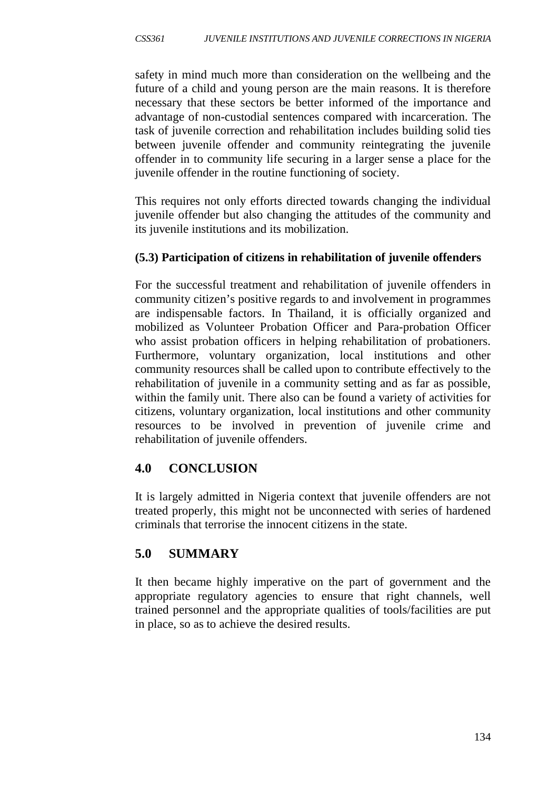safety in mind much more than consideration on the wellbeing and the future of a child and young person are the main reasons. It is therefore necessary that these sectors be better informed of the importance and advantage of non-custodial sentences compared with incarceration. The task of juvenile correction and rehabilitation includes building solid ties between juvenile offender and community reintegrating the juvenile offender in to community life securing in a larger sense a place for the juvenile offender in the routine functioning of society.

This requires not only efforts directed towards changing the individual juvenile offender but also changing the attitudes of the community and its juvenile institutions and its mobilization.

# **(5.3) Participation of citizens in rehabilitation of juvenile offenders**

For the successful treatment and rehabilitation of juvenile offenders in community citizen's positive regards to and involvement in programmes are indispensable factors. In Thailand, it is officially organized and mobilized as Volunteer Probation Officer and Para-probation Officer who assist probation officers in helping rehabilitation of probationers. Furthermore, voluntary organization, local institutions and other community resources shall be called upon to contribute effectively to the rehabilitation of juvenile in a community setting and as far as possible, within the family unit. There also can be found a variety of activities for citizens, voluntary organization, local institutions and other community resources to be involved in prevention of juvenile crime and rehabilitation of juvenile offenders.

# **4.0 CONCLUSION**

It is largely admitted in Nigeria context that juvenile offenders are not treated properly, this might not be unconnected with series of hardened criminals that terrorise the innocent citizens in the state.

# **5.0 SUMMARY**

It then became highly imperative on the part of government and the appropriate regulatory agencies to ensure that right channels, well trained personnel and the appropriate qualities of tools/facilities are put in place, so as to achieve the desired results.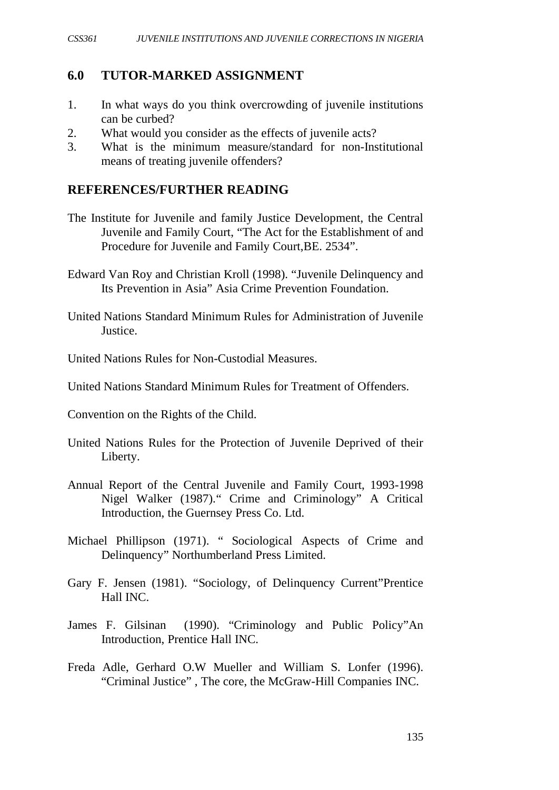#### **6.0 TUTOR-MARKED ASSIGNMENT**

- 1. In what ways do you think overcrowding of juvenile institutions can be curbed?
- 2. What would you consider as the effects of juvenile acts?
- 3. What is the minimum measure/standard for non-Institutional means of treating juvenile offenders?

#### **REFERENCES/FURTHER READING**

- The Institute for Juvenile and family Justice Development, the Central Juvenile and Family Court, "The Act for the Establishment of and Procedure for Juvenile and Family Court,BE. 2534".
- Edward Van Roy and Christian Kroll (1998). "Juvenile Delinquency and Its Prevention in Asia" Asia Crime Prevention Foundation.
- United Nations Standard Minimum Rules for Administration of Juvenile Justice.
- United Nations Rules for Non-Custodial Measures.
- United Nations Standard Minimum Rules for Treatment of Offenders.
- Convention on the Rights of the Child.
- United Nations Rules for the Protection of Juvenile Deprived of their Liberty.
- Annual Report of the Central Juvenile and Family Court, 1993-1998 Nigel Walker (1987)." Crime and Criminology" A Critical Introduction, the Guernsey Press Co. Ltd.
- Michael Phillipson (1971). " Sociological Aspects of Crime and Delinquency" Northumberland Press Limited.
- Gary F. Jensen (1981). "Sociology, of Delinquency Current"Prentice Hall INC.
- James F. Gilsinan (1990). "Criminology and Public Policy"An Introduction, Prentice Hall INC.
- Freda Adle, Gerhard O.W Mueller and William S. Lonfer (1996). "Criminal Justice" , The core, the McGraw-Hill Companies INC.